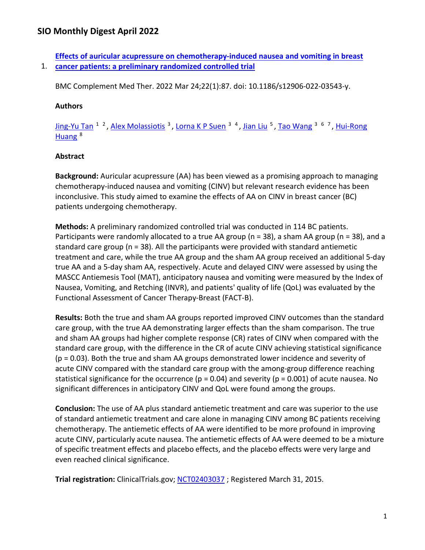1. **[cancer patients: a preliminary randomized controlled trial](https://nam11.safelinks.protection.outlook.com/?url=https%3A%2F%2Fpubmed.ncbi.nlm.nih.gov%2F35331208%2F&data=04%7C01%7Calmira.catic%40emory.edu%7C478ade74754b4c15a64f08da13eab169%7Ce004fb9cb0a4424fbcd0322606d5df38%7C0%7C0%7C637844196307084584%7CUnknown%7CTWFpbGZsb3d8eyJWIjoiMC4wLjAwMDAiLCJQIjoiV2luMzIiLCJBTiI6Ik1haWwiLCJXVCI6Mn0%3D%7C3000&sdata=qMgkZ8bLuFFMpk5MREiM58O40DKgm%2FEhqi01xIa5SXQ%3D&reserved=0)  [Effects of auricular acupressure on chemotherapy-induced nausea and vomiting in breast](https://nam11.safelinks.protection.outlook.com/?url=https%3A%2F%2Fpubmed.ncbi.nlm.nih.gov%2F35331208%2F&data=04%7C01%7Calmira.catic%40emory.edu%7C478ade74754b4c15a64f08da13eab169%7Ce004fb9cb0a4424fbcd0322606d5df38%7C0%7C0%7C637844196307084584%7CUnknown%7CTWFpbGZsb3d8eyJWIjoiMC4wLjAwMDAiLCJQIjoiV2luMzIiLCJBTiI6Ik1haWwiLCJXVCI6Mn0%3D%7C3000&sdata=qMgkZ8bLuFFMpk5MREiM58O40DKgm%2FEhqi01xIa5SXQ%3D&reserved=0)** 

BMC Complement Med Ther. 2022 Mar 24;22(1):87. doi: 10.1186/s12906-022-03543-y.

#### **Authors**

[Jing-Yu Tan](https://nam11.safelinks.protection.outlook.com/?url=https%3A%2F%2Fpubmed.ncbi.nlm.nih.gov%2F%3Fsize%3D100%26term%3DTan%2BJY%26cauthor_id%3D35331208&data=04%7C01%7Calmira.catic%40emory.edu%7C478ade74754b4c15a64f08da13eab169%7Ce004fb9cb0a4424fbcd0322606d5df38%7C0%7C0%7C637844196307084584%7CUnknown%7CTWFpbGZsb3d8eyJWIjoiMC4wLjAwMDAiLCJQIjoiV2luMzIiLCJBTiI6Ik1haWwiLCJXVCI6Mn0%3D%7C3000&sdata=0C3WI%2B6Y24xc6Fr4nIjUxJausrErMacHkpUzwgI5RuE%3D&reserved=0) <sup>1 2</sup>, [Alex Molassiotis](https://nam11.safelinks.protection.outlook.com/?url=https%3A%2F%2Fpubmed.ncbi.nlm.nih.gov%2F%3Fsize%3D100%26term%3DMolassiotis%2BA%26cauthor_id%3D35331208&data=04%7C01%7Calmira.catic%40emory.edu%7C478ade74754b4c15a64f08da13eab169%7Ce004fb9cb0a4424fbcd0322606d5df38%7C0%7C0%7C637844196307084584%7CUnknown%7CTWFpbGZsb3d8eyJWIjoiMC4wLjAwMDAiLCJQIjoiV2luMzIiLCJBTiI6Ik1haWwiLCJXVCI6Mn0%3D%7C3000&sdata=l14in7WpYIaXHFJ39UBAUh3j2F53dKE%2BCQFnw4dC2Ek%3D&reserved=0) <sup>3</sup>, [Lorna K P Suen](https://nam11.safelinks.protection.outlook.com/?url=https%3A%2F%2Fpubmed.ncbi.nlm.nih.gov%2F%3Fsize%3D100%26term%3DSuen%2BLKP%26cauthor_id%3D35331208&data=04%7C01%7Calmira.catic%40emory.edu%7C478ade74754b4c15a64f08da13eab169%7Ce004fb9cb0a4424fbcd0322606d5df38%7C0%7C0%7C637844196307084584%7CUnknown%7CTWFpbGZsb3d8eyJWIjoiMC4wLjAwMDAiLCJQIjoiV2luMzIiLCJBTiI6Ik1haWwiLCJXVCI6Mn0%3D%7C3000&sdata=EBFh%2BZKubmH0k6YRUAbtxqxzpwMFokuiGJiXWDQQChc%3D&reserved=0) <sup>3 4</sup>, [Jian Liu](https://nam11.safelinks.protection.outlook.com/?url=https%3A%2F%2Fpubmed.ncbi.nlm.nih.gov%2F%3Fsize%3D100%26term%3DLiu%2BJ%26cauthor_id%3D35331208&data=04%7C01%7Calmira.catic%40emory.edu%7C478ade74754b4c15a64f08da13eab169%7Ce004fb9cb0a4424fbcd0322606d5df38%7C0%7C0%7C637844196307084584%7CUnknown%7CTWFpbGZsb3d8eyJWIjoiMC4wLjAwMDAiLCJQIjoiV2luMzIiLCJBTiI6Ik1haWwiLCJXVCI6Mn0%3D%7C3000&sdata=sNJJnQsTCU8o8RlBN4WIrzxuuOh68wb3P4xdCDvh9%2B8%3D&reserved=0) <sup>5</sup>, [Tao Wang](https://nam11.safelinks.protection.outlook.com/?url=https%3A%2F%2Fpubmed.ncbi.nlm.nih.gov%2F%3Fsize%3D100%26term%3DWang%2BT%26cauthor_id%3D35331208&data=04%7C01%7Calmira.catic%40emory.edu%7C478ade74754b4c15a64f08da13eab169%7Ce004fb9cb0a4424fbcd0322606d5df38%7C0%7C0%7C637844196307084584%7CUnknown%7CTWFpbGZsb3d8eyJWIjoiMC4wLjAwMDAiLCJQIjoiV2luMzIiLCJBTiI6Ik1haWwiLCJXVCI6Mn0%3D%7C3000&sdata=p8Apx2cSlMV8rey319TVuk7QK8LpTJwnHgb9ouIqWik%3D&reserved=0) <sup>3 6</sup> <sup>7</sup>, Hui-Rong Huang<sup>8</sup>

### **Abstract**

**Background:** Auricular acupressure (AA) has been viewed as a promising approach to managing chemotherapy-induced nausea and vomiting (CINV) but relevant research evidence has been inconclusive. This study aimed to examine the effects of AA on CINV in breast cancer (BC) patients undergoing chemotherapy.

**Methods:** A preliminary randomized controlled trial was conducted in 114 BC patients. Participants were randomly allocated to a true AA group (n = 38), a sham AA group (n = 38), and a standard care group (n = 38). All the participants were provided with standard antiemetic treatment and care, while the true AA group and the sham AA group received an additional 5-day true AA and a 5-day sham AA, respectively. Acute and delayed CINV were assessed by using the MASCC Antiemesis Tool (MAT), anticipatory nausea and vomiting were measured by the Index of Nausea, Vomiting, and Retching (INVR), and patients' quality of life (QoL) was evaluated by the Functional Assessment of Cancer Therapy-Breast (FACT-B).

**Results:** Both the true and sham AA groups reported improved CINV outcomes than the standard care group, with the true AA demonstrating larger effects than the sham comparison. The true and sham AA groups had higher complete response (CR) rates of CINV when compared with the standard care group, with the difference in the CR of acute CINV achieving statistical significance (p = 0.03). Both the true and sham AA groups demonstrated lower incidence and severity of acute CINV compared with the standard care group with the among-group difference reaching statistical significance for the occurrence ( $p = 0.04$ ) and severity ( $p = 0.001$ ) of acute nausea. No significant differences in anticipatory CINV and QoL were found among the groups.

**Conclusion:** The use of AA plus standard antiemetic treatment and care was superior to the use of standard antiemetic treatment and care alone in managing CINV among BC patients receiving chemotherapy. The antiemetic effects of AA were identified to be more profound in improving acute CINV, particularly acute nausea. The antiemetic effects of AA were deemed to be a mixture of specific treatment effects and placebo effects, and the placebo effects were very large and even reached clinical significance.

**Trial registration:** ClinicalTrials.gov; [NCT02403037](https://nam11.safelinks.protection.outlook.com/?url=http%3A%2F%2Fclinicaltrials.gov%2Fshow%2FNCT02403037&data=04%7C01%7Calmira.catic%40emory.edu%7C478ade74754b4c15a64f08da13eab169%7Ce004fb9cb0a4424fbcd0322606d5df38%7C0%7C0%7C637844196307084584%7CUnknown%7CTWFpbGZsb3d8eyJWIjoiMC4wLjAwMDAiLCJQIjoiV2luMzIiLCJBTiI6Ik1haWwiLCJXVCI6Mn0%3D%7C3000&sdata=AIwxYEaYvMnF9%2FA8p5fkdCGsOMzvT0j5ubEYoxz9aEA%3D&reserved=0) ; Registered March 31, 2015.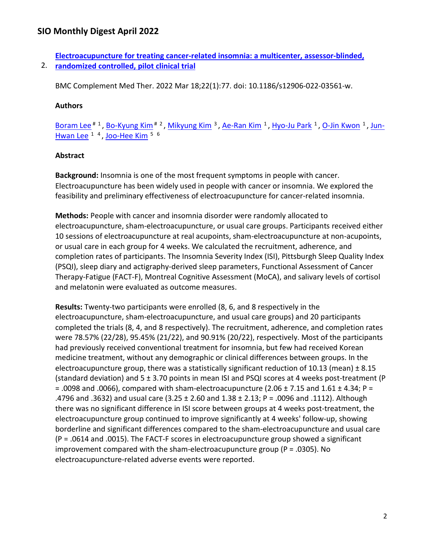2. **[randomized controlled, pilot clinical trial](https://nam11.safelinks.protection.outlook.com/?url=https%3A%2F%2Fpubmed.ncbi.nlm.nih.gov%2F35303841%2F&data=04%7C01%7Calmira.catic%40emory.edu%7C478ade74754b4c15a64f08da13eab169%7Ce004fb9cb0a4424fbcd0322606d5df38%7C0%7C0%7C637844196307084584%7CUnknown%7CTWFpbGZsb3d8eyJWIjoiMC4wLjAwMDAiLCJQIjoiV2luMzIiLCJBTiI6Ik1haWwiLCJXVCI6Mn0%3D%7C3000&sdata=H%2BuIeIj0%2BFM7DPI7ak3ryJfOxp%2B9Bhcu6IVJxtM2Bjc%3D&reserved=0)  [Electroacupuncture for treating cancer-related insomnia: a multicenter, assessor-blinded,](https://nam11.safelinks.protection.outlook.com/?url=https%3A%2F%2Fpubmed.ncbi.nlm.nih.gov%2F35303841%2F&data=04%7C01%7Calmira.catic%40emory.edu%7C478ade74754b4c15a64f08da13eab169%7Ce004fb9cb0a4424fbcd0322606d5df38%7C0%7C0%7C637844196307084584%7CUnknown%7CTWFpbGZsb3d8eyJWIjoiMC4wLjAwMDAiLCJQIjoiV2luMzIiLCJBTiI6Ik1haWwiLCJXVCI6Mn0%3D%7C3000&sdata=H%2BuIeIj0%2BFM7DPI7ak3ryJfOxp%2B9Bhcu6IVJxtM2Bjc%3D&reserved=0)** 

BMC Complement Med Ther. 2022 Mar 18;22(1):77. doi: 10.1186/s12906-022-03561-w.

#### **Authors**

Boram Lee<sup># 1</sup>, Bo-Kyung Kim<sup># 2</sup>, Mikyung Kim<sup>3</sup>, Ae-Ran Kim<sup>1</sup>[, Hyo-Ju Park](https://nam11.safelinks.protection.outlook.com/?url=https%3A%2F%2Fpubmed.ncbi.nlm.nih.gov%2F%3Fsize%3D100%26term%3DPark%2BHJ%26cauthor_id%3D35303841&data=04%7C01%7Calmira.catic%40emory.edu%7C478ade74754b4c15a64f08da13eab169%7Ce004fb9cb0a4424fbcd0322606d5df38%7C0%7C0%7C637844196307240829%7CUnknown%7CTWFpbGZsb3d8eyJWIjoiMC4wLjAwMDAiLCJQIjoiV2luMzIiLCJBTiI6Ik1haWwiLCJXVCI6Mn0%3D%7C3000&sdata=wbILVXy4Gwcjysn9L94J%2BI%2B39A6kYc0orFvVLUFvUvM%3D&reserved=0) <sup>1</sup>, [O-Jin Kwon](https://nam11.safelinks.protection.outlook.com/?url=https%3A%2F%2Fpubmed.ncbi.nlm.nih.gov%2F%3Fsize%3D100%26term%3DKwon%2BOJ%26cauthor_id%3D35303841&data=04%7C01%7Calmira.catic%40emory.edu%7C478ade74754b4c15a64f08da13eab169%7Ce004fb9cb0a4424fbcd0322606d5df38%7C0%7C0%7C637844196307240829%7CUnknown%7CTWFpbGZsb3d8eyJWIjoiMC4wLjAwMDAiLCJQIjoiV2luMzIiLCJBTiI6Ik1haWwiLCJXVCI6Mn0%3D%7C3000&sdata=rO%2FHyl1Zd4a8ODKskCAsQDiP0ZT2R1qeacTniN1H2aE%3D&reserved=0) <sup>1</sup>, [Jun-](https://nam11.safelinks.protection.outlook.com/?url=https%3A%2F%2Fpubmed.ncbi.nlm.nih.gov%2F%3Fsize%3D100%26term%3DLee%2BJH%26cauthor_id%3D35303841&data=04%7C01%7Calmira.catic%40emory.edu%7C478ade74754b4c15a64f08da13eab169%7Ce004fb9cb0a4424fbcd0322606d5df38%7C0%7C0%7C637844196307240829%7CUnknown%7CTWFpbGZsb3d8eyJWIjoiMC4wLjAwMDAiLCJQIjoiV2luMzIiLCJBTiI6Ik1haWwiLCJXVCI6Mn0%3D%7C3000&sdata=99sVqJsE2H8l4r9ZhkN4gpIfqCAZPxqbn9%2FEHMX6D%2B8%3D&reserved=0)[Hwan Lee](https://nam11.safelinks.protection.outlook.com/?url=https%3A%2F%2Fpubmed.ncbi.nlm.nih.gov%2F%3Fsize%3D100%26term%3DLee%2BJH%26cauthor_id%3D35303841&data=04%7C01%7Calmira.catic%40emory.edu%7C478ade74754b4c15a64f08da13eab169%7Ce004fb9cb0a4424fbcd0322606d5df38%7C0%7C0%7C637844196307240829%7CUnknown%7CTWFpbGZsb3d8eyJWIjoiMC4wLjAwMDAiLCJQIjoiV2luMzIiLCJBTiI6Ik1haWwiLCJXVCI6Mn0%3D%7C3000&sdata=99sVqJsE2H8l4r9ZhkN4gpIfqCAZPxqbn9%2FEHMX6D%2B8%3D&reserved=0) <sup>1</sup> <sup>4</sup>, Joo-Hee Kim<sup>5 6</sup>

#### **Abstract**

**Background:** Insomnia is one of the most frequent symptoms in people with cancer. Electroacupuncture has been widely used in people with cancer or insomnia. We explored the feasibility and preliminary effectiveness of electroacupuncture for cancer-related insomnia.

**Methods:** People with cancer and insomnia disorder were randomly allocated to electroacupuncture, sham-electroacupuncture, or usual care groups. Participants received either 10 sessions of electroacupuncture at real acupoints, sham-electroacupuncture at non-acupoints, or usual care in each group for 4 weeks. We calculated the recruitment, adherence, and completion rates of participants. The Insomnia Severity Index (ISI), Pittsburgh Sleep Quality Index (PSQI), sleep diary and actigraphy-derived sleep parameters, Functional Assessment of Cancer Therapy-Fatigue (FACT-F), Montreal Cognitive Assessment (MoCA), and salivary levels of cortisol and melatonin were evaluated as outcome measures.

**Results:** Twenty-two participants were enrolled (8, 6, and 8 respectively in the electroacupuncture, sham-electroacupuncture, and usual care groups) and 20 participants completed the trials (8, 4, and 8 respectively). The recruitment, adherence, and completion rates were 78.57% (22/28), 95.45% (21/22), and 90.91% (20/22), respectively. Most of the participants had previously received conventional treatment for insomnia, but few had received Korean medicine treatment, without any demographic or clinical differences between groups. In the electroacupuncture group, there was a statistically significant reduction of 10.13 (mean)  $\pm 8.15$ (standard deviation) and 5 ± 3.70 points in mean ISI and PSQI scores at 4 weeks post-treatment (P  $=$  .0098 and .0066), compared with sham-electroacupuncture (2.06  $\pm$  7.15 and 1.61  $\pm$  4.34; P = .4796 and .3632) and usual care (3.25 ± 2.60 and 1.38 ± 2.13; P = .0096 and .1112). Although there was no significant difference in ISI score between groups at 4 weeks post-treatment, the electroacupuncture group continued to improve significantly at 4 weeks' follow-up, showing borderline and significant differences compared to the sham-electroacupuncture and usual care (P = .0614 and .0015). The FACT-F scores in electroacupuncture group showed a significant improvement compared with the sham-electroacupuncture group ( $P = .0305$ ). No electroacupuncture-related adverse events were reported.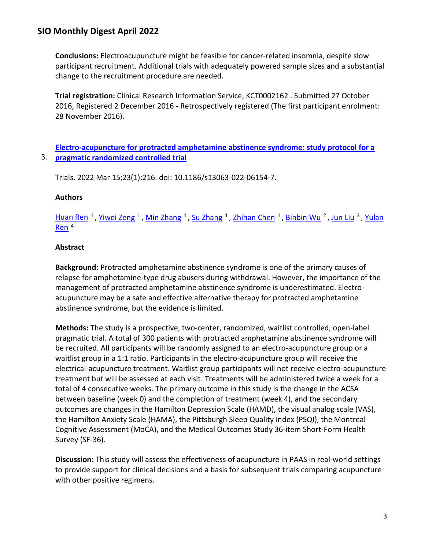**Conclusions:** Electroacupuncture might be feasible for cancer-related insomnia, despite slow participant recruitment. Additional trials with adequately powered sample sizes and a substantial change to the recruitment procedure are needed.

**Trial registration:** Clinical Research Information Service, KCT0002162 . Submitted 27 October 2016, Registered 2 December 2016 - Retrospectively registered (The first participant enrolment: 28 November 2016).

## 3. **[pragmatic randomized controlled trial](https://nam11.safelinks.protection.outlook.com/?url=https%3A%2F%2Fpubmed.ncbi.nlm.nih.gov%2F35292088%2F&data=04%7C01%7Calmira.catic%40emory.edu%7C478ade74754b4c15a64f08da13eab169%7Ce004fb9cb0a4424fbcd0322606d5df38%7C0%7C0%7C637844196307240829%7CUnknown%7CTWFpbGZsb3d8eyJWIjoiMC4wLjAwMDAiLCJQIjoiV2luMzIiLCJBTiI6Ik1haWwiLCJXVCI6Mn0%3D%7C3000&sdata=eZmSRczhlh50roL7JazsCGSMZmHfLm10nuIx%2BRAR4Oc%3D&reserved=0)  [Electro-acupuncture for protracted amphetamine abstinence syndrome: study protocol for a](https://nam11.safelinks.protection.outlook.com/?url=https%3A%2F%2Fpubmed.ncbi.nlm.nih.gov%2F35292088%2F&data=04%7C01%7Calmira.catic%40emory.edu%7C478ade74754b4c15a64f08da13eab169%7Ce004fb9cb0a4424fbcd0322606d5df38%7C0%7C0%7C637844196307240829%7CUnknown%7CTWFpbGZsb3d8eyJWIjoiMC4wLjAwMDAiLCJQIjoiV2luMzIiLCJBTiI6Ik1haWwiLCJXVCI6Mn0%3D%7C3000&sdata=eZmSRczhlh50roL7JazsCGSMZmHfLm10nuIx%2BRAR4Oc%3D&reserved=0)**

Trials. 2022 Mar 15;23(1):216. doi: 10.1186/s13063-022-06154-7.

### **Authors**

[Huan Ren](https://nam11.safelinks.protection.outlook.com/?url=https%3A%2F%2Fpubmed.ncbi.nlm.nih.gov%2F%3Fsize%3D100%26term%3DRen%2BH%26cauthor_id%3D35292088&data=04%7C01%7Calmira.catic%40emory.edu%7C478ade74754b4c15a64f08da13eab169%7Ce004fb9cb0a4424fbcd0322606d5df38%7C0%7C0%7C637844196307240829%7CUnknown%7CTWFpbGZsb3d8eyJWIjoiMC4wLjAwMDAiLCJQIjoiV2luMzIiLCJBTiI6Ik1haWwiLCJXVCI6Mn0%3D%7C3000&sdata=1E2L0CBhcQ%2F%2Fj%2F7ixJCck%2FLPyT1SN0i5v9pY90StlaA%3D&reserved=0) <sup>1</sup>, [Yiwei Zeng](https://nam11.safelinks.protection.outlook.com/?url=https%3A%2F%2Fpubmed.ncbi.nlm.nih.gov%2F%3Fsize%3D100%26term%3DZeng%2BY%26cauthor_id%3D35292088&data=04%7C01%7Calmira.catic%40emory.edu%7C478ade74754b4c15a64f08da13eab169%7Ce004fb9cb0a4424fbcd0322606d5df38%7C0%7C0%7C637844196307240829%7CUnknown%7CTWFpbGZsb3d8eyJWIjoiMC4wLjAwMDAiLCJQIjoiV2luMzIiLCJBTiI6Ik1haWwiLCJXVCI6Mn0%3D%7C3000&sdata=dOmYKlPAJEAtqMtFnd48eHAw4CZGNdu7NoS6Z9drmfc%3D&reserved=0) <sup>1</sup>, [Min Zhang](https://nam11.safelinks.protection.outlook.com/?url=https%3A%2F%2Fpubmed.ncbi.nlm.nih.gov%2F%3Fsize%3D100%26term%3DZhang%2BM%26cauthor_id%3D35292088&data=04%7C01%7Calmira.catic%40emory.edu%7C478ade74754b4c15a64f08da13eab169%7Ce004fb9cb0a4424fbcd0322606d5df38%7C0%7C0%7C637844196307240829%7CUnknown%7CTWFpbGZsb3d8eyJWIjoiMC4wLjAwMDAiLCJQIjoiV2luMzIiLCJBTiI6Ik1haWwiLCJXVCI6Mn0%3D%7C3000&sdata=82FR9nPFgegeUzhotVJM9dvdSck8SV51vA7OGdISvLM%3D&reserved=0) <sup>1</sup>, [Su Zhang](https://nam11.safelinks.protection.outlook.com/?url=https%3A%2F%2Fpubmed.ncbi.nlm.nih.gov%2F%3Fsize%3D100%26term%3DZhang%2BS%26cauthor_id%3D35292088&data=04%7C01%7Calmira.catic%40emory.edu%7C478ade74754b4c15a64f08da13eab169%7Ce004fb9cb0a4424fbcd0322606d5df38%7C0%7C0%7C637844196307240829%7CUnknown%7CTWFpbGZsb3d8eyJWIjoiMC4wLjAwMDAiLCJQIjoiV2luMzIiLCJBTiI6Ik1haWwiLCJXVCI6Mn0%3D%7C3000&sdata=OvCOYfYhRV4BMyE%2FduIREqe2Hjo8AvOvBhX2HpS4v1c%3D&reserved=0) <sup>1</sup>, [Zhihan Chen](https://nam11.safelinks.protection.outlook.com/?url=https%3A%2F%2Fpubmed.ncbi.nlm.nih.gov%2F%3Fsize%3D100%26term%3DChen%2BZ%26cauthor_id%3D35292088&data=04%7C01%7Calmira.catic%40emory.edu%7C478ade74754b4c15a64f08da13eab169%7Ce004fb9cb0a4424fbcd0322606d5df38%7C0%7C0%7C637844196307240829%7CUnknown%7CTWFpbGZsb3d8eyJWIjoiMC4wLjAwMDAiLCJQIjoiV2luMzIiLCJBTiI6Ik1haWwiLCJXVCI6Mn0%3D%7C3000&sdata=6NMgB5i9Su2SgKxp16%2FLkCHVNLN%2FAzg%2BkNw8xfd%2F%2B%2Fw%3D&reserved=0) <sup>1</sup>, [Binbin Wu](https://nam11.safelinks.protection.outlook.com/?url=https%3A%2F%2Fpubmed.ncbi.nlm.nih.gov%2F%3Fsize%3D100%26term%3DWu%2BB%26cauthor_id%3D35292088&data=04%7C01%7Calmira.catic%40emory.edu%7C478ade74754b4c15a64f08da13eab169%7Ce004fb9cb0a4424fbcd0322606d5df38%7C0%7C0%7C637844196307240829%7CUnknown%7CTWFpbGZsb3d8eyJWIjoiMC4wLjAwMDAiLCJQIjoiV2luMzIiLCJBTiI6Ik1haWwiLCJXVCI6Mn0%3D%7C3000&sdata=QbrTEdAuTtIz2h5YudSFiWg22O%2F06Lx930Em5euwkas%3D&reserved=0) <sup>2</sup>, [Jun Liu](https://nam11.safelinks.protection.outlook.com/?url=https%3A%2F%2Fpubmed.ncbi.nlm.nih.gov%2F%3Fsize%3D100%26term%3DLiu%2BJ%26cauthor_id%3D35292088&data=04%7C01%7Calmira.catic%40emory.edu%7C478ade74754b4c15a64f08da13eab169%7Ce004fb9cb0a4424fbcd0322606d5df38%7C0%7C0%7C637844196307240829%7CUnknown%7CTWFpbGZsb3d8eyJWIjoiMC4wLjAwMDAiLCJQIjoiV2luMzIiLCJBTiI6Ik1haWwiLCJXVCI6Mn0%3D%7C3000&sdata=hcuj6qJ%2FOBeORxWZDcLBQxHwIarEKcYSnGbxaQmP8sM%3D&reserved=0) <sup>3</sup>, Yulan [Ren](https://nam11.safelinks.protection.outlook.com/?url=https%3A%2F%2Fpubmed.ncbi.nlm.nih.gov%2F%3Fsize%3D100%26term%3DRen%2BY%26cauthor_id%3D35292088&data=04%7C01%7Calmira.catic%40emory.edu%7C478ade74754b4c15a64f08da13eab169%7Ce004fb9cb0a4424fbcd0322606d5df38%7C0%7C0%7C637844196307240829%7CUnknown%7CTWFpbGZsb3d8eyJWIjoiMC4wLjAwMDAiLCJQIjoiV2luMzIiLCJBTiI6Ik1haWwiLCJXVCI6Mn0%3D%7C3000&sdata=FMAIUum5AXKGb0%2BXxCJwQhLjEZGHrlwjjwNvUE38du8%3D&reserved=0) 4

## **Abstract**

**Background:** Protracted amphetamine abstinence syndrome is one of the primary causes of relapse for amphetamine-type drug abusers during withdrawal. However, the importance of the management of protracted amphetamine abstinence syndrome is underestimated. Electroacupuncture may be a safe and effective alternative therapy for protracted amphetamine abstinence syndrome, but the evidence is limited.

**Methods:** The study is a prospective, two-center, randomized, waitlist controlled, open-label pragmatic trial. A total of 300 patients with protracted amphetamine abstinence syndrome will be recruited. All participants will be randomly assigned to an electro-acupuncture group or a waitlist group in a 1:1 ratio. Participants in the electro-acupuncture group will receive the electrical-acupuncture treatment. Waitlist group participants will not receive electro-acupuncture treatment but will be assessed at each visit. Treatments will be administered twice a week for a total of 4 consecutive weeks. The primary outcome in this study is the change in the ACSA between baseline (week 0) and the completion of treatment (week 4), and the secondary outcomes are changes in the Hamilton Depression Scale (HAMD), the visual analog scale (VAS), the Hamilton Anxiety Scale (HAMA), the Pittsburgh Sleep Quality Index (PSQI), the Montreal Cognitive Assessment (MoCA), and the Medical Outcomes Study 36-item Short-Form Health Survey (SF-36).

**Discussion:** This study will assess the effectiveness of acupuncture in PAAS in real-world settings to provide support for clinical decisions and a basis for subsequent trials comparing acupuncture with other positive regimens.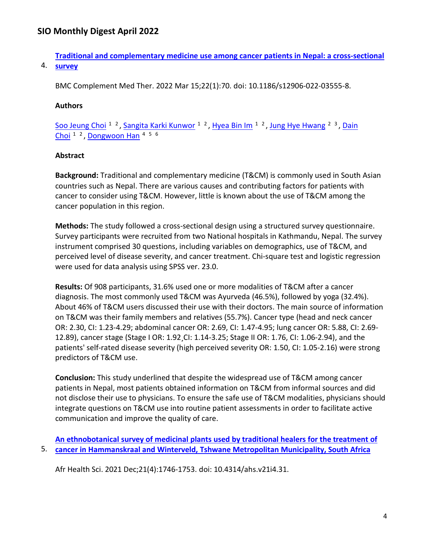**[Traditional and complementary medicine use among cancer patients in Nepal: a cross-sectional](https://nam11.safelinks.protection.outlook.com/?url=https%3A%2F%2Fpubmed.ncbi.nlm.nih.gov%2F35291988%2F&data=04%7C01%7Calmira.catic%40emory.edu%7C478ade74754b4c15a64f08da13eab169%7Ce004fb9cb0a4424fbcd0322606d5df38%7C0%7C0%7C637844196307397074%7CUnknown%7CTWFpbGZsb3d8eyJWIjoiMC4wLjAwMDAiLCJQIjoiV2luMzIiLCJBTiI6Ik1haWwiLCJXVCI6Mn0%3D%7C3000&sdata=Jqj2V%2F8ZGU2ucFfgHJB%2BSoG8YqraZvCPTeMy2TOziMs%3D&reserved=0)** 

4. **[survey](https://nam11.safelinks.protection.outlook.com/?url=https%3A%2F%2Fpubmed.ncbi.nlm.nih.gov%2F35291988%2F&data=04%7C01%7Calmira.catic%40emory.edu%7C478ade74754b4c15a64f08da13eab169%7Ce004fb9cb0a4424fbcd0322606d5df38%7C0%7C0%7C637844196307397074%7CUnknown%7CTWFpbGZsb3d8eyJWIjoiMC4wLjAwMDAiLCJQIjoiV2luMzIiLCJBTiI6Ik1haWwiLCJXVCI6Mn0%3D%7C3000&sdata=Jqj2V%2F8ZGU2ucFfgHJB%2BSoG8YqraZvCPTeMy2TOziMs%3D&reserved=0)** 

BMC Complement Med Ther. 2022 Mar 15;22(1):70. doi: 10.1186/s12906-022-03555-8.

### **Authors**

[Soo Jeung Choi](https://nam11.safelinks.protection.outlook.com/?url=https%3A%2F%2Fpubmed.ncbi.nlm.nih.gov%2F%3Fsize%3D100%26term%3DChoi%2BSJ%26cauthor_id%3D35291988&data=04%7C01%7Calmira.catic%40emory.edu%7C478ade74754b4c15a64f08da13eab169%7Ce004fb9cb0a4424fbcd0322606d5df38%7C0%7C0%7C637844196307397074%7CUnknown%7CTWFpbGZsb3d8eyJWIjoiMC4wLjAwMDAiLCJQIjoiV2luMzIiLCJBTiI6Ik1haWwiLCJXVCI6Mn0%3D%7C3000&sdata=UoL2HI6jSyiK2hq90n1LtebtGckjxBsIOR7K%2F4S81s4%3D&reserved=0) <sup>1 2</sup>, [Sangita Karki Kunwor](https://nam11.safelinks.protection.outlook.com/?url=https%3A%2F%2Fpubmed.ncbi.nlm.nih.gov%2F%3Fsize%3D100%26term%3DKunwor%2BSK%26cauthor_id%3D35291988&data=04%7C01%7Calmira.catic%40emory.edu%7C478ade74754b4c15a64f08da13eab169%7Ce004fb9cb0a4424fbcd0322606d5df38%7C0%7C0%7C637844196307397074%7CUnknown%7CTWFpbGZsb3d8eyJWIjoiMC4wLjAwMDAiLCJQIjoiV2luMzIiLCJBTiI6Ik1haWwiLCJXVCI6Mn0%3D%7C3000&sdata=aNWON37JyyfYSpOj1CRB3TuHtIZokuXfevkwpvQiRDQ%3D&reserved=0) <sup>1 2</sup>, [Hyea Bin Im](https://nam11.safelinks.protection.outlook.com/?url=https%3A%2F%2Fpubmed.ncbi.nlm.nih.gov%2F%3Fsize%3D100%26term%3DIm%2BHB%26cauthor_id%3D35291988&data=04%7C01%7Calmira.catic%40emory.edu%7C478ade74754b4c15a64f08da13eab169%7Ce004fb9cb0a4424fbcd0322606d5df38%7C0%7C0%7C637844196307397074%7CUnknown%7CTWFpbGZsb3d8eyJWIjoiMC4wLjAwMDAiLCJQIjoiV2luMzIiLCJBTiI6Ik1haWwiLCJXVCI6Mn0%3D%7C3000&sdata=RTFND%2FTFYpOODVFRJkRK94tyhPB7rF2lYSijzdlgglI%3D&reserved=0) <sup>1 2</sup>, [Jung Hye Hwang](https://nam11.safelinks.protection.outlook.com/?url=https%3A%2F%2Fpubmed.ncbi.nlm.nih.gov%2F%3Fsize%3D100%26term%3DHwang%2BJH%26cauthor_id%3D35291988&data=04%7C01%7Calmira.catic%40emory.edu%7C478ade74754b4c15a64f08da13eab169%7Ce004fb9cb0a4424fbcd0322606d5df38%7C0%7C0%7C637844196307397074%7CUnknown%7CTWFpbGZsb3d8eyJWIjoiMC4wLjAwMDAiLCJQIjoiV2luMzIiLCJBTiI6Ik1haWwiLCJXVCI6Mn0%3D%7C3000&sdata=MR%2BtJ2vhoADGuTOsAAgSnYTp%2BdWWge6kdKcDhNKwziA%3D&reserved=0) <sup>2 3</sup>, Dain [Choi](https://nam11.safelinks.protection.outlook.com/?url=https%3A%2F%2Fpubmed.ncbi.nlm.nih.gov%2F%3Fsize%3D100%26term%3DChoi%2BD%26cauthor_id%3D35291988&data=04%7C01%7Calmira.catic%40emory.edu%7C478ade74754b4c15a64f08da13eab169%7Ce004fb9cb0a4424fbcd0322606d5df38%7C0%7C0%7C637844196307397074%7CUnknown%7CTWFpbGZsb3d8eyJWIjoiMC4wLjAwMDAiLCJQIjoiV2luMzIiLCJBTiI6Ik1haWwiLCJXVCI6Mn0%3D%7C3000&sdata=QSMcmEKtgYvMdXbeTvQCuwoiJfUvi7Ico1dtxnjA%2FDQ%3D&reserved=0)  $1<sup>2</sup>$ , [Dongwoon Han](https://nam11.safelinks.protection.outlook.com/?url=https%3A%2F%2Fpubmed.ncbi.nlm.nih.gov%2F%3Fsize%3D100%26term%3DHan%2BD%26cauthor_id%3D35291988&data=04%7C01%7Calmira.catic%40emory.edu%7C478ade74754b4c15a64f08da13eab169%7Ce004fb9cb0a4424fbcd0322606d5df38%7C0%7C0%7C637844196307397074%7CUnknown%7CTWFpbGZsb3d8eyJWIjoiMC4wLjAwMDAiLCJQIjoiV2luMzIiLCJBTiI6Ik1haWwiLCJXVCI6Mn0%3D%7C3000&sdata=6J3BbRHBH98uqISyrEgxXYPR2%2F7%2FfoTRHprUrbUQBL4%3D&reserved=0)  $4<sup>5</sup>$  <sup>6</sup>

### **Abstract**

**Background:** Traditional and complementary medicine (T&CM) is commonly used in South Asian countries such as Nepal. There are various causes and contributing factors for patients with cancer to consider using T&CM. However, little is known about the use of T&CM among the cancer population in this region.

**Methods:** The study followed a cross-sectional design using a structured survey questionnaire. Survey participants were recruited from two National hospitals in Kathmandu, Nepal. The survey instrument comprised 30 questions, including variables on demographics, use of T&CM, and perceived level of disease severity, and cancer treatment. Chi-square test and logistic regression were used for data analysis using SPSS ver. 23.0.

**Results:** Of 908 participants, 31.6% used one or more modalities of T&CM after a cancer diagnosis. The most commonly used T&CM was Ayurveda (46.5%), followed by yoga (32.4%). About 46% of T&CM users discussed their use with their doctors. The main source of information on T&CM was their family members and relatives (55.7%). Cancer type (head and neck cancer OR: 2.30, CI: 1.23-4.29; abdominal cancer OR: 2.69, CI: 1.47-4.95; lung cancer OR: 5.88, CI: 2.69- 12.89), cancer stage (Stage I OR: 1.92¸CI: 1.14-3.25; Stage II OR: 1.76, CI: 1.06-2.94), and the patients' self-rated disease severity (high perceived severity OR: 1.50, CI: 1.05-2.16) were strong predictors of T&CM use.

**Conclusion:** This study underlined that despite the widespread use of T&CM among cancer patients in Nepal, most patients obtained information on T&CM from informal sources and did not disclose their use to physicians. To ensure the safe use of T&CM modalities, physicians should integrate questions on T&CM use into routine patient assessments in order to facilitate active communication and improve the quality of care.

5. **[cancer in Hammanskraal and Winterveld, Tshwane Metropolitan Municipality, South Africa](https://nam11.safelinks.protection.outlook.com/?url=https%3A%2F%2Fpubmed.ncbi.nlm.nih.gov%2F35283969%2F&data=04%7C01%7Calmira.catic%40emory.edu%7C478ade74754b4c15a64f08da13eab169%7Ce004fb9cb0a4424fbcd0322606d5df38%7C0%7C0%7C637844196307397074%7CUnknown%7CTWFpbGZsb3d8eyJWIjoiMC4wLjAwMDAiLCJQIjoiV2luMzIiLCJBTiI6Ik1haWwiLCJXVCI6Mn0%3D%7C3000&sdata=ZrxJqqc7gjLFLfE27aPGc5pd%2FBvzmHYzxeE85Lw%2FTzU%3D&reserved=0)  [An ethnobotanical survey of medicinal plants used by traditional healers for the treatment of](https://nam11.safelinks.protection.outlook.com/?url=https%3A%2F%2Fpubmed.ncbi.nlm.nih.gov%2F35283969%2F&data=04%7C01%7Calmira.catic%40emory.edu%7C478ade74754b4c15a64f08da13eab169%7Ce004fb9cb0a4424fbcd0322606d5df38%7C0%7C0%7C637844196307397074%7CUnknown%7CTWFpbGZsb3d8eyJWIjoiMC4wLjAwMDAiLCJQIjoiV2luMzIiLCJBTiI6Ik1haWwiLCJXVCI6Mn0%3D%7C3000&sdata=ZrxJqqc7gjLFLfE27aPGc5pd%2FBvzmHYzxeE85Lw%2FTzU%3D&reserved=0)** 

Afr Health Sci. 2021 Dec;21(4):1746-1753. doi: 10.4314/ahs.v21i4.31.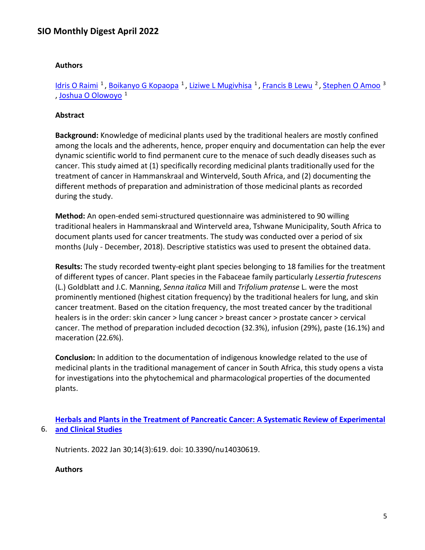#### **Authors**

Idris O Raimi<sup>1</sup>, Boikanyo G Kopaopa<sup>1</sup>, Liziwe L Mugivhisa<sup>1</sup>, Francis B Lewu<sup>2</sup>, Stephen O Amoo<sup>3</sup> , Joshua O Olowoyo<sup>1</sup>

#### **Abstract**

**Background:** Knowledge of medicinal plants used by the traditional healers are mostly confined among the locals and the adherents, hence, proper enquiry and documentation can help the ever dynamic scientific world to find permanent cure to the menace of such deadly diseases such as cancer. This study aimed at (1) specifically recording medicinal plants traditionally used for the treatment of cancer in Hammanskraal and Winterveld, South Africa, and (2) documenting the different methods of preparation and administration of those medicinal plants as recorded during the study.

**Method:** An open-ended semi-structured questionnaire was administered to 90 willing traditional healers in Hammanskraal and Winterveld area, Tshwane Municipality, South Africa to document plants used for cancer treatments. The study was conducted over a period of six months (July - December, 2018). Descriptive statistics was used to present the obtained data.

**Results:** The study recorded twenty-eight plant species belonging to 18 families for the treatment of different types of cancer. Plant species in the Fabaceae family particularly *Lessertia frutescens* (L.) Goldblatt and J.C. Manning, *Senna italica* Mill and *Trifolium pratense* L. were the most prominently mentioned (highest citation frequency) by the traditional healers for lung, and skin cancer treatment. Based on the citation frequency, the most treated cancer by the traditional healers is in the order: skin cancer > lung cancer > breast cancer > prostate cancer > cervical cancer. The method of preparation included decoction (32.3%), infusion (29%), paste (16.1%) and maceration (22.6%).

**Conclusion:** In addition to the documentation of indigenous knowledge related to the use of medicinal plants in the traditional management of cancer in South Africa, this study opens a vista for investigations into the phytochemical and pharmacological properties of the documented plants.

6. **[and Clinical Studies](https://nam11.safelinks.protection.outlook.com/?url=https%3A%2F%2Fpubmed.ncbi.nlm.nih.gov%2F35276978%2F&data=04%7C01%7Calmira.catic%40emory.edu%7C478ade74754b4c15a64f08da13eab169%7Ce004fb9cb0a4424fbcd0322606d5df38%7C0%7C0%7C637844196307553317%7CUnknown%7CTWFpbGZsb3d8eyJWIjoiMC4wLjAwMDAiLCJQIjoiV2luMzIiLCJBTiI6Ik1haWwiLCJXVCI6Mn0%3D%7C3000&sdata=oM70zEgJz4WbQp3qlLjAw%2FCDzTtplyYW%2Fv2%2BWBa8Xg0%3D&reserved=0)  [Herbals and Plants in the Treatment of Pancreatic Cancer: A Systematic Review of Experimental](https://nam11.safelinks.protection.outlook.com/?url=https%3A%2F%2Fpubmed.ncbi.nlm.nih.gov%2F35276978%2F&data=04%7C01%7Calmira.catic%40emory.edu%7C478ade74754b4c15a64f08da13eab169%7Ce004fb9cb0a4424fbcd0322606d5df38%7C0%7C0%7C637844196307553317%7CUnknown%7CTWFpbGZsb3d8eyJWIjoiMC4wLjAwMDAiLCJQIjoiV2luMzIiLCJBTiI6Ik1haWwiLCJXVCI6Mn0%3D%7C3000&sdata=oM70zEgJz4WbQp3qlLjAw%2FCDzTtplyYW%2Fv2%2BWBa8Xg0%3D&reserved=0)** 

Nutrients. 2022 Jan 30;14(3):619. doi: 10.3390/nu14030619.

**Authors**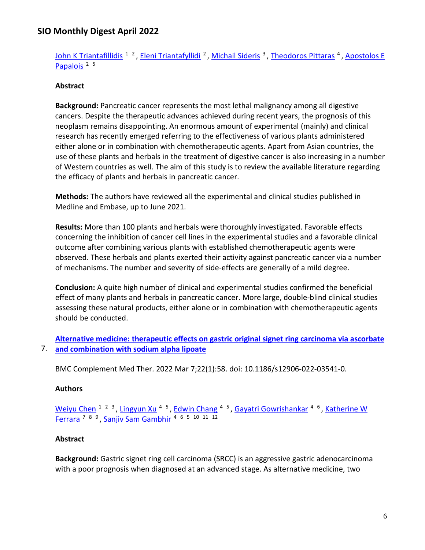[John K Triantafillidis](https://nam11.safelinks.protection.outlook.com/?url=https%3A%2F%2Fpubmed.ncbi.nlm.nih.gov%2F%3Fsize%3D100%26term%3DTriantafillidis%2BJK%26cauthor_id%3D35276978&data=04%7C01%7Calmira.catic%40emory.edu%7C478ade74754b4c15a64f08da13eab169%7Ce004fb9cb0a4424fbcd0322606d5df38%7C0%7C0%7C637844196307553317%7CUnknown%7CTWFpbGZsb3d8eyJWIjoiMC4wLjAwMDAiLCJQIjoiV2luMzIiLCJBTiI6Ik1haWwiLCJXVCI6Mn0%3D%7C3000&sdata=UvVxZVvIALf4xB5gsz%2BGpvv9aZhecgFkZr608d5hBFY%3D&reserved=0) <sup>1 2</sup>, [Eleni Triantafyllidi](https://nam11.safelinks.protection.outlook.com/?url=https%3A%2F%2Fpubmed.ncbi.nlm.nih.gov%2F%3Fsize%3D100%26term%3DTriantafyllidi%2BE%26cauthor_id%3D35276978&data=04%7C01%7Calmira.catic%40emory.edu%7C478ade74754b4c15a64f08da13eab169%7Ce004fb9cb0a4424fbcd0322606d5df38%7C0%7C0%7C637844196307553317%7CUnknown%7CTWFpbGZsb3d8eyJWIjoiMC4wLjAwMDAiLCJQIjoiV2luMzIiLCJBTiI6Ik1haWwiLCJXVCI6Mn0%3D%7C3000&sdata=l%2BBMSHEVYo06pVP6OGPc%2BQZV7%2FgXi8sHFewEpsa5dws%3D&reserved=0) <sup>2</sup>, [Michail Sideris](https://nam11.safelinks.protection.outlook.com/?url=https%3A%2F%2Fpubmed.ncbi.nlm.nih.gov%2F%3Fsize%3D100%26term%3DSideris%2BM%26cauthor_id%3D35276978&data=04%7C01%7Calmira.catic%40emory.edu%7C478ade74754b4c15a64f08da13eab169%7Ce004fb9cb0a4424fbcd0322606d5df38%7C0%7C0%7C637844196307553317%7CUnknown%7CTWFpbGZsb3d8eyJWIjoiMC4wLjAwMDAiLCJQIjoiV2luMzIiLCJBTiI6Ik1haWwiLCJXVCI6Mn0%3D%7C3000&sdata=8NL0eEixyEOyxyiHXCy%2FHvTnK9w4gbqCPpJZCTT40o0%3D&reserved=0) <sup>3</sup>, [Theodoros Pittaras](https://nam11.safelinks.protection.outlook.com/?url=https%3A%2F%2Fpubmed.ncbi.nlm.nih.gov%2F%3Fsize%3D100%26term%3DPittaras%2BT%26cauthor_id%3D35276978&data=04%7C01%7Calmira.catic%40emory.edu%7C478ade74754b4c15a64f08da13eab169%7Ce004fb9cb0a4424fbcd0322606d5df38%7C0%7C0%7C637844196307553317%7CUnknown%7CTWFpbGZsb3d8eyJWIjoiMC4wLjAwMDAiLCJQIjoiV2luMzIiLCJBTiI6Ik1haWwiLCJXVCI6Mn0%3D%7C3000&sdata=iSD%2Fj0zcjqiuq9yMXIxkY7F6WCKYAoDuUMs382%2FVgYw%3D&reserved=0) <sup>4</sup>, Apostolos E Papalois<sup>25</sup>

#### **Abstract**

**Background:** Pancreatic cancer represents the most lethal malignancy among all digestive cancers. Despite the therapeutic advances achieved during recent years, the prognosis of this neoplasm remains disappointing. An enormous amount of experimental (mainly) and clinical research has recently emerged referring to the effectiveness of various plants administered either alone or in combination with chemotherapeutic agents. Apart from Asian countries, the use of these plants and herbals in the treatment of digestive cancer is also increasing in a number of Western countries as well. The aim of this study is to review the available literature regarding the efficacy of plants and herbals in pancreatic cancer.

**Methods:** The authors have reviewed all the experimental and clinical studies published in Medline and Embase, up to June 2021.

**Results:** More than 100 plants and herbals were thoroughly investigated. Favorable effects concerning the inhibition of cancer cell lines in the experimental studies and a favorable clinical outcome after combining various plants with established chemotherapeutic agents were observed. These herbals and plants exerted their activity against pancreatic cancer via a number of mechanisms. The number and severity of side-effects are generally of a mild degree.

**Conclusion:** A quite high number of clinical and experimental studies confirmed the beneficial effect of many plants and herbals in pancreatic cancer. More large, double-blind clinical studies assessing these natural products, either alone or in combination with chemotherapeutic agents should be conducted.

```
7. 
and combination with sodium alpha lipoate 
   Alternative medicine: therapeutic effects on gastric original signet ring carcinoma via ascorbate
```
BMC Complement Med Ther. 2022 Mar 7;22(1):58. doi: 10.1186/s12906-022-03541-0.

#### **Authors**

[Weiyu Chen](https://nam11.safelinks.protection.outlook.com/?url=https%3A%2F%2Fpubmed.ncbi.nlm.nih.gov%2F%3Fsize%3D100%26term%3DChen%2BW%26cauthor_id%3D35255889&data=04%7C01%7Calmira.catic%40emory.edu%7C478ade74754b4c15a64f08da13eab169%7Ce004fb9cb0a4424fbcd0322606d5df38%7C0%7C0%7C637844196307553317%7CUnknown%7CTWFpbGZsb3d8eyJWIjoiMC4wLjAwMDAiLCJQIjoiV2luMzIiLCJBTiI6Ik1haWwiLCJXVCI6Mn0%3D%7C3000&sdata=%2BhT0XO%2Fk5KeRZYR0%2Bvy0%2BRolMaTguhlvZyhVjoen4dM%3D&reserved=0) <sup>1 2 3</sup>, [Lingyun Xu](https://nam11.safelinks.protection.outlook.com/?url=https%3A%2F%2Fpubmed.ncbi.nlm.nih.gov%2F%3Fsize%3D100%26term%3DXu%2BL%26cauthor_id%3D35255889&data=04%7C01%7Calmira.catic%40emory.edu%7C478ade74754b4c15a64f08da13eab169%7Ce004fb9cb0a4424fbcd0322606d5df38%7C0%7C0%7C637844196307553317%7CUnknown%7CTWFpbGZsb3d8eyJWIjoiMC4wLjAwMDAiLCJQIjoiV2luMzIiLCJBTiI6Ik1haWwiLCJXVCI6Mn0%3D%7C3000&sdata=Njy2l4ZwKxgSoIaN1MPKw83l1qUHcv16hUpohVoZ2mA%3D&reserved=0) <sup>4 5</sup>, [Edwin Chang](https://nam11.safelinks.protection.outlook.com/?url=https%3A%2F%2Fpubmed.ncbi.nlm.nih.gov%2F%3Fsize%3D100%26term%3DChang%2BE%26cauthor_id%3D35255889&data=04%7C01%7Calmira.catic%40emory.edu%7C478ade74754b4c15a64f08da13eab169%7Ce004fb9cb0a4424fbcd0322606d5df38%7C0%7C0%7C637844196307553317%7CUnknown%7CTWFpbGZsb3d8eyJWIjoiMC4wLjAwMDAiLCJQIjoiV2luMzIiLCJBTiI6Ik1haWwiLCJXVCI6Mn0%3D%7C3000&sdata=LpwsK%2BhCkplgfQKjdzZdv78Di1sKYsxuA7RtSa7hL%2BU%3D&reserved=0) <sup>4 5</sup>, [Gayatri Gowrishankar](https://nam11.safelinks.protection.outlook.com/?url=https%3A%2F%2Fpubmed.ncbi.nlm.nih.gov%2F%3Fsize%3D100%26term%3DGowrishankar%2BG%26cauthor_id%3D35255889&data=04%7C01%7Calmira.catic%40emory.edu%7C478ade74754b4c15a64f08da13eab169%7Ce004fb9cb0a4424fbcd0322606d5df38%7C0%7C0%7C637844196307709560%7CUnknown%7CTWFpbGZsb3d8eyJWIjoiMC4wLjAwMDAiLCJQIjoiV2luMzIiLCJBTiI6Ik1haWwiLCJXVCI6Mn0%3D%7C3000&sdata=VY9YBBOhpcfnlCZZKldwfGSAizuRV2JSzsVFL6QR9Sk%3D&reserved=0) <sup>4 6</sup>, Katherine W [Ferrara](https://nam11.safelinks.protection.outlook.com/?url=https%3A%2F%2Fpubmed.ncbi.nlm.nih.gov%2F%3Fsize%3D100%26term%3DFerrara%2BKW%26cauthor_id%3D35255889&data=04%7C01%7Calmira.catic%40emory.edu%7C478ade74754b4c15a64f08da13eab169%7Ce004fb9cb0a4424fbcd0322606d5df38%7C0%7C0%7C637844196307709560%7CUnknown%7CTWFpbGZsb3d8eyJWIjoiMC4wLjAwMDAiLCJQIjoiV2luMzIiLCJBTiI6Ik1haWwiLCJXVCI6Mn0%3D%7C3000&sdata=amyn%2BJJRUpBCuIMj26BPW9KxyPuBZY607p74m%2BV8BQE%3D&reserved=0) 7 8 9 , [Sanjiv Sam Gambhir](https://nam11.safelinks.protection.outlook.com/?url=https%3A%2F%2Fpubmed.ncbi.nlm.nih.gov%2F%3Fsize%3D100%26term%3DGambhir%2BSS%26cauthor_id%3D35255889&data=04%7C01%7Calmira.catic%40emory.edu%7C478ade74754b4c15a64f08da13eab169%7Ce004fb9cb0a4424fbcd0322606d5df38%7C0%7C0%7C637844196307709560%7CUnknown%7CTWFpbGZsb3d8eyJWIjoiMC4wLjAwMDAiLCJQIjoiV2luMzIiLCJBTiI6Ik1haWwiLCJXVCI6Mn0%3D%7C3000&sdata=ZDtGoCcR1c9%2FmOLIusnnZSx%2FCtMiAopA9gsKyOXtUWo%3D&reserved=0) 4 6 5 10 11 12

#### **Abstract**

**Background:** Gastric signet ring cell carcinoma (SRCC) is an aggressive gastric adenocarcinoma with a poor prognosis when diagnosed at an advanced stage. As alternative medicine, two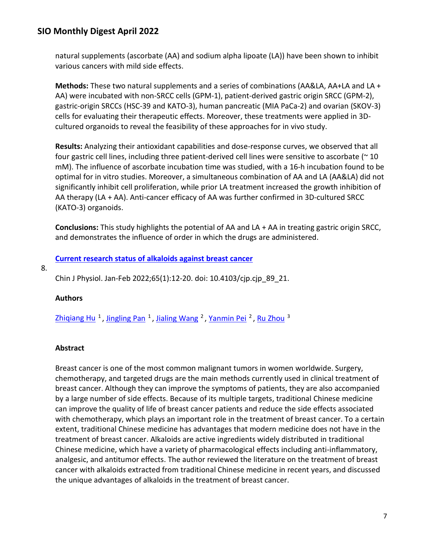natural supplements (ascorbate (AA) and sodium alpha lipoate (LA)) have been shown to inhibit various cancers with mild side effects.

**Methods:** These two natural supplements and a series of combinations (AA&LA, AA+LA and LA + AA) were incubated with non-SRCC cells (GPM-1), patient-derived gastric origin SRCC (GPM-2), gastric-origin SRCCs (HSC-39 and KATO-3), human pancreatic (MIA PaCa-2) and ovarian (SKOV-3) cells for evaluating their therapeutic effects. Moreover, these treatments were applied in 3Dcultured organoids to reveal the feasibility of these approaches for in vivo study.

**Results:** Analyzing their antioxidant capabilities and dose-response curves, we observed that all four gastric cell lines, including three patient-derived cell lines were sensitive to ascorbate (~ 10 mM). The influence of ascorbate incubation time was studied, with a 16-h incubation found to be optimal for in vitro studies. Moreover, a simultaneous combination of AA and LA (AA&LA) did not significantly inhibit cell proliferation, while prior LA treatment increased the growth inhibition of AA therapy (LA + AA). Anti-cancer efficacy of AA was further confirmed in 3D-cultured SRCC (KATO-3) organoids.

**Conclusions:** This study highlights the potential of AA and LA + AA in treating gastric origin SRCC, and demonstrates the influence of order in which the drugs are administered.

**[Current research status of alkaloids against breast cancer](https://nam11.safelinks.protection.outlook.com/?url=https%3A%2F%2Fpubmed.ncbi.nlm.nih.gov%2F35229748%2F&data=04%7C01%7Calmira.catic%40emory.edu%7C478ade74754b4c15a64f08da13eab169%7Ce004fb9cb0a4424fbcd0322606d5df38%7C0%7C0%7C637844196307709560%7CUnknown%7CTWFpbGZsb3d8eyJWIjoiMC4wLjAwMDAiLCJQIjoiV2luMzIiLCJBTiI6Ik1haWwiLCJXVCI6Mn0%3D%7C3000&sdata=ZOE1kNGVgEwuT7qYLg7xrTv7lU9jbtEMonNYeppBwug%3D&reserved=0)** 

8.

Chin J Physiol. Jan-Feb 2022;65(1):12-20. doi: 10.4103/cjp.cjp\_89\_21.

### **Authors**

Zhiqiang Hu<sup>1</sup>, Jingling Pan<sup>1</sup>, Jialing Wang<sup>2</sup>, Yanmin Pei<sup>2</sup>, Ru Zhou<sup>3</sup>

### **Abstract**

Breast cancer is one of the most common malignant tumors in women worldwide. Surgery, chemotherapy, and targeted drugs are the main methods currently used in clinical treatment of breast cancer. Although they can improve the symptoms of patients, they are also accompanied by a large number of side effects. Because of its multiple targets, traditional Chinese medicine can improve the quality of life of breast cancer patients and reduce the side effects associated with chemotherapy, which plays an important role in the treatment of breast cancer. To a certain extent, traditional Chinese medicine has advantages that modern medicine does not have in the treatment of breast cancer. Alkaloids are active ingredients widely distributed in traditional Chinese medicine, which have a variety of pharmacological effects including anti-inflammatory, analgesic, and antitumor effects. The author reviewed the literature on the treatment of breast cancer with alkaloids extracted from traditional Chinese medicine in recent years, and discussed the unique advantages of alkaloids in the treatment of breast cancer.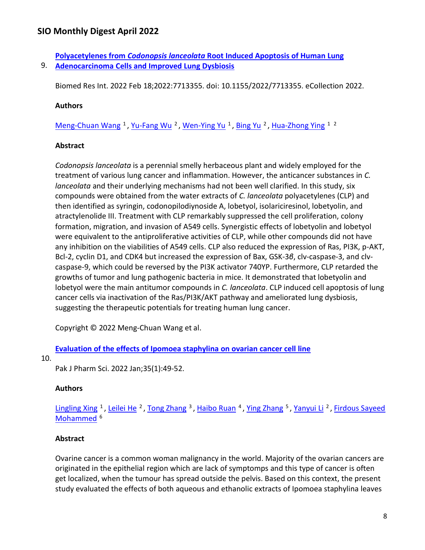9. **[Adenocarcinoma Cells and Improved Lung Dysbiosis](https://nam11.safelinks.protection.outlook.com/?url=https%3A%2F%2Fpubmed.ncbi.nlm.nih.gov%2F35224100%2F&data=04%7C01%7Calmira.catic%40emory.edu%7C478ade74754b4c15a64f08da13eab169%7Ce004fb9cb0a4424fbcd0322606d5df38%7C0%7C0%7C637844196307709560%7CUnknown%7CTWFpbGZsb3d8eyJWIjoiMC4wLjAwMDAiLCJQIjoiV2luMzIiLCJBTiI6Ik1haWwiLCJXVCI6Mn0%3D%7C3000&sdata=sVSeFtAI%2FAnNkOQnFvZdAyPNWH%2Fx7vOvF6IT7cai%2BKw%3D&reserved=0)  Polyacetylenes from** *Codonopsis lanceolata* **[Root Induced Apoptosis of Human Lung](https://nam11.safelinks.protection.outlook.com/?url=https%3A%2F%2Fpubmed.ncbi.nlm.nih.gov%2F35224100%2F&data=04%7C01%7Calmira.catic%40emory.edu%7C478ade74754b4c15a64f08da13eab169%7Ce004fb9cb0a4424fbcd0322606d5df38%7C0%7C0%7C637844196307709560%7CUnknown%7CTWFpbGZsb3d8eyJWIjoiMC4wLjAwMDAiLCJQIjoiV2luMzIiLCJBTiI6Ik1haWwiLCJXVCI6Mn0%3D%7C3000&sdata=sVSeFtAI%2FAnNkOQnFvZdAyPNWH%2Fx7vOvF6IT7cai%2BKw%3D&reserved=0)** 

Biomed Res Int. 2022 Feb 18;2022:7713355. doi: 10.1155/2022/7713355. eCollection 2022.

#### **Authors**

[Meng-Chuan Wang](https://nam11.safelinks.protection.outlook.com/?url=https%3A%2F%2Fpubmed.ncbi.nlm.nih.gov%2F%3Fsize%3D100%26term%3DWang%2BMC%26cauthor_id%3D35224100&data=04%7C01%7Calmira.catic%40emory.edu%7C478ade74754b4c15a64f08da13eab169%7Ce004fb9cb0a4424fbcd0322606d5df38%7C0%7C0%7C637844196307709560%7CUnknown%7CTWFpbGZsb3d8eyJWIjoiMC4wLjAwMDAiLCJQIjoiV2luMzIiLCJBTiI6Ik1haWwiLCJXVCI6Mn0%3D%7C3000&sdata=VEI8Arvlc%2BU5qulNhefm8mtY3KIDOZwqAMgAxVqfw%2FQ%3D&reserved=0) <sup>1</sup>, Yu-Fang Wu<sup>2</sup>, Wen-Ying Yu<sup>1</sup>, Bing Yu<sup>2</sup>, [Hua-Zhong Ying](https://nam11.safelinks.protection.outlook.com/?url=https%3A%2F%2Fpubmed.ncbi.nlm.nih.gov%2F%3Fsize%3D100%26term%3DYing%2BHZ%26cauthor_id%3D35224100&data=04%7C01%7Calmira.catic%40emory.edu%7C478ade74754b4c15a64f08da13eab169%7Ce004fb9cb0a4424fbcd0322606d5df38%7C0%7C0%7C637844196307709560%7CUnknown%7CTWFpbGZsb3d8eyJWIjoiMC4wLjAwMDAiLCJQIjoiV2luMzIiLCJBTiI6Ik1haWwiLCJXVCI6Mn0%3D%7C3000&sdata=MKwvX0vWeXSfaUcBRPSWeD7b1wOlquZ9SjmnI8CRdyw%3D&reserved=0) <sup>12</sup>

#### **Abstract**

*Codonopsis lanceolata* is a perennial smelly herbaceous plant and widely employed for the treatment of various lung cancer and inflammation. However, the anticancer substances in *C. lanceolata* and their underlying mechanisms had not been well clarified. In this study, six compounds were obtained from the water extracts of *C. lanceolata* polyacetylenes (CLP) and then identified as syringin, codonopilodiynoside A, lobetyol, isolariciresinol, lobetyolin, and atractylenolide III. Treatment with CLP remarkably suppressed the cell proliferation, colony formation, migration, and invasion of A549 cells. Synergistic effects of lobetyolin and lobetyol were equivalent to the antiproliferative activities of CLP, while other compounds did not have any inhibition on the viabilities of A549 cells. CLP also reduced the expression of Ras, PI3K, p-AKT, Bcl-2, cyclin D1, and CDK4 but increased the expression of Bax, GSK-3*β*, clv-caspase-3, and clvcaspase-9, which could be reversed by the PI3K activator 740YP. Furthermore, CLP retarded the growths of tumor and lung pathogenic bacteria in mice. It demonstrated that lobetyolin and lobetyol were the main antitumor compounds in *C. lanceolata*. CLP induced cell apoptosis of lung cancer cells via inactivation of the Ras/PI3K/AKT pathway and ameliorated lung dysbiosis, suggesting the therapeutic potentials for treating human lung cancer.

Copyright © 2022 Meng-Chuan Wang et al.

**[Evaluation of the effects of Ipomoea staphylina on ovarian cancer cell line](https://nam11.safelinks.protection.outlook.com/?url=https%3A%2F%2Fpubmed.ncbi.nlm.nih.gov%2F35221272%2F&data=04%7C01%7Calmira.catic%40emory.edu%7C478ade74754b4c15a64f08da13eab169%7Ce004fb9cb0a4424fbcd0322606d5df38%7C0%7C0%7C637844196307865794%7CUnknown%7CTWFpbGZsb3d8eyJWIjoiMC4wLjAwMDAiLCJQIjoiV2luMzIiLCJBTiI6Ik1haWwiLCJXVCI6Mn0%3D%7C3000&sdata=EU04sHydx361qIVze6LONh5ajbAVM2h8XMRi4UTb%2Fm0%3D&reserved=0)** 

#### 10.

Pak J Pharm Sci. 2022 Jan;35(1):49-52.

#### **Authors**

[Lingling Xing](https://nam11.safelinks.protection.outlook.com/?url=https%3A%2F%2Fpubmed.ncbi.nlm.nih.gov%2F%3Fsize%3D100%26term%3DXing%2BL%26cauthor_id%3D35221272&data=04%7C01%7Calmira.catic%40emory.edu%7C478ade74754b4c15a64f08da13eab169%7Ce004fb9cb0a4424fbcd0322606d5df38%7C0%7C0%7C637844196307865794%7CUnknown%7CTWFpbGZsb3d8eyJWIjoiMC4wLjAwMDAiLCJQIjoiV2luMzIiLCJBTiI6Ik1haWwiLCJXVCI6Mn0%3D%7C3000&sdata=%2Bg%2F7LRw81Q2refhjOd6AyAjPVSZvg6wHlPI4o5TB6xg%3D&reserved=0) <sup>1</sup>, [Leilei He](https://nam11.safelinks.protection.outlook.com/?url=https%3A%2F%2Fpubmed.ncbi.nlm.nih.gov%2F%3Fsize%3D100%26term%3DHe%2BL%26cauthor_id%3D35221272&data=04%7C01%7Calmira.catic%40emory.edu%7C478ade74754b4c15a64f08da13eab169%7Ce004fb9cb0a4424fbcd0322606d5df38%7C0%7C0%7C637844196307865794%7CUnknown%7CTWFpbGZsb3d8eyJWIjoiMC4wLjAwMDAiLCJQIjoiV2luMzIiLCJBTiI6Ik1haWwiLCJXVCI6Mn0%3D%7C3000&sdata=7AdPrjv2HhLQdja1tGaiq%2FZo0yz6o0V53B1P4yOso0A%3D&reserved=0) <sup>2</sup>, [Tong Zhang](https://nam11.safelinks.protection.outlook.com/?url=https%3A%2F%2Fpubmed.ncbi.nlm.nih.gov%2F%3Fsize%3D100%26term%3DZhang%2BT%26cauthor_id%3D35221272&data=04%7C01%7Calmira.catic%40emory.edu%7C478ade74754b4c15a64f08da13eab169%7Ce004fb9cb0a4424fbcd0322606d5df38%7C0%7C0%7C637844196307865794%7CUnknown%7CTWFpbGZsb3d8eyJWIjoiMC4wLjAwMDAiLCJQIjoiV2luMzIiLCJBTiI6Ik1haWwiLCJXVCI6Mn0%3D%7C3000&sdata=JtYSYPFufYzR5YHA%2BHxgTB%2FZPrMExCuj71yMbxR50D0%3D&reserved=0) <sup>3</sup>, [Haibo Ruan](https://nam11.safelinks.protection.outlook.com/?url=https%3A%2F%2Fpubmed.ncbi.nlm.nih.gov%2F%3Fsize%3D100%26term%3DRuan%2BH%26cauthor_id%3D35221272&data=04%7C01%7Calmira.catic%40emory.edu%7C478ade74754b4c15a64f08da13eab169%7Ce004fb9cb0a4424fbcd0322606d5df38%7C0%7C0%7C637844196307865794%7CUnknown%7CTWFpbGZsb3d8eyJWIjoiMC4wLjAwMDAiLCJQIjoiV2luMzIiLCJBTiI6Ik1haWwiLCJXVCI6Mn0%3D%7C3000&sdata=LUSRPr2hYXKjiNybwLy%2FEj86BzESGUlh2nEkBWIfe7U%3D&reserved=0) <sup>4</sup>, [Ying Zhang](https://nam11.safelinks.protection.outlook.com/?url=https%3A%2F%2Fpubmed.ncbi.nlm.nih.gov%2F%3Fsize%3D100%26term%3DZhang%2BY%26cauthor_id%3D35221272&data=04%7C01%7Calmira.catic%40emory.edu%7C478ade74754b4c15a64f08da13eab169%7Ce004fb9cb0a4424fbcd0322606d5df38%7C0%7C0%7C637844196307865794%7CUnknown%7CTWFpbGZsb3d8eyJWIjoiMC4wLjAwMDAiLCJQIjoiV2luMzIiLCJBTiI6Ik1haWwiLCJXVCI6Mn0%3D%7C3000&sdata=Wv6y3uESSE2aA3Ot3GrsAHP9LIXRNMQ81Dqv3RITXu0%3D&reserved=0) <sup>5</sup>, [Yanyui Li](https://nam11.safelinks.protection.outlook.com/?url=https%3A%2F%2Fpubmed.ncbi.nlm.nih.gov%2F%3Fsize%3D100%26term%3DLi%2BY%26cauthor_id%3D35221272&data=04%7C01%7Calmira.catic%40emory.edu%7C478ade74754b4c15a64f08da13eab169%7Ce004fb9cb0a4424fbcd0322606d5df38%7C0%7C0%7C637844196307865794%7CUnknown%7CTWFpbGZsb3d8eyJWIjoiMC4wLjAwMDAiLCJQIjoiV2luMzIiLCJBTiI6Ik1haWwiLCJXVCI6Mn0%3D%7C3000&sdata=wKkuRsWyYrImssOrE3xwqSJQJSc4Em83HuFVFEpb%2Bkw%3D&reserved=0) <sup>2</sup>, Firdous Sayeed Mohammed<sup>6</sup>

#### **Abstract**

Ovarine cancer is a common woman malignancy in the world. Majority of the ovarian cancers are originated in the epithelial region which are lack of symptomps and this type of cancer is often get localized, when the tumour has spread outside the pelvis. Based on this context, the present study evaluated the effects of both aqueous and ethanolic extracts of Ipomoea staphylina leaves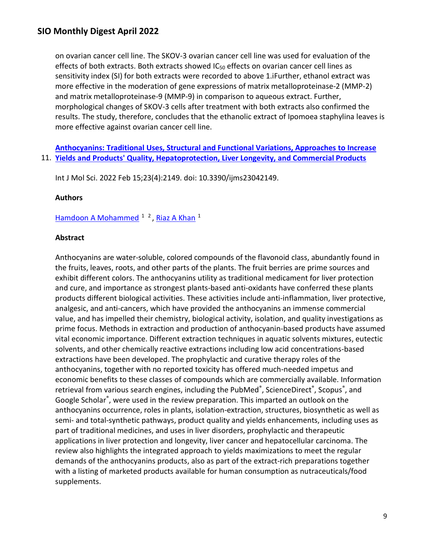on ovarian cancer cell line. The SKOV-3 ovarian cancer cell line was used for evaluation of the effects of both extracts. Both extracts showed  $IC_{50}$  effects on ovarian cancer cell lines as sensitivity index (SI) for both extracts were recorded to above 1.iFurther, ethanol extract was more effective in the moderation of gene expressions of matrix metalloproteinase-2 (MMP-2) and matrix metalloproteinase-9 (MMP-9) in comparison to aqueous extract. Further, morphological changes of SKOV-3 cells after treatment with both extracts also confirmed the results. The study, therefore, concludes that the ethanolic extract of Ipomoea staphylina leaves is more effective against ovarian cancer cell line.

11. **[Yields and Products' Quality, Hepatoprotection, Liver Longevity, and Commercial Products](https://nam11.safelinks.protection.outlook.com/?url=https%3A%2F%2Fpubmed.ncbi.nlm.nih.gov%2F35216263%2F&data=04%7C01%7Calmira.catic%40emory.edu%7C478ade74754b4c15a64f08da13eab169%7Ce004fb9cb0a4424fbcd0322606d5df38%7C0%7C0%7C637844196307865794%7CUnknown%7CTWFpbGZsb3d8eyJWIjoiMC4wLjAwMDAiLCJQIjoiV2luMzIiLCJBTiI6Ik1haWwiLCJXVCI6Mn0%3D%7C3000&sdata=UOc4q3o%2B5e6U1L7SxhLxQB6GJw9xVVrTuzSBvaYytAU%3D&reserved=0)  [Anthocyanins: Traditional Uses, Structural and Functional Variations, Approaches to Increase](https://nam11.safelinks.protection.outlook.com/?url=https%3A%2F%2Fpubmed.ncbi.nlm.nih.gov%2F35216263%2F&data=04%7C01%7Calmira.catic%40emory.edu%7C478ade74754b4c15a64f08da13eab169%7Ce004fb9cb0a4424fbcd0322606d5df38%7C0%7C0%7C637844196307865794%7CUnknown%7CTWFpbGZsb3d8eyJWIjoiMC4wLjAwMDAiLCJQIjoiV2luMzIiLCJBTiI6Ik1haWwiLCJXVCI6Mn0%3D%7C3000&sdata=UOc4q3o%2B5e6U1L7SxhLxQB6GJw9xVVrTuzSBvaYytAU%3D&reserved=0)** 

Int J Mol Sci. 2022 Feb 15;23(4):2149. doi: 10.3390/ijms23042149.

#### **Authors**

[Hamdoon A Mohammed](https://nam11.safelinks.protection.outlook.com/?url=https%3A%2F%2Fpubmed.ncbi.nlm.nih.gov%2F%3Fsize%3D100%26term%3DMohammed%2BHA%26cauthor_id%3D35216263&data=04%7C01%7Calmira.catic%40emory.edu%7C478ade74754b4c15a64f08da13eab169%7Ce004fb9cb0a4424fbcd0322606d5df38%7C0%7C0%7C637844196307865794%7CUnknown%7CTWFpbGZsb3d8eyJWIjoiMC4wLjAwMDAiLCJQIjoiV2luMzIiLCJBTiI6Ik1haWwiLCJXVCI6Mn0%3D%7C3000&sdata=3enMGCAhH6qp1ztW1UtH6enlW3nSreGRnts%2FlJE6C8M%3D&reserved=0) <sup>1</sup><sup>2</sup>, Riaz A Khan<sup>1</sup>

#### **Abstract**

Anthocyanins are water-soluble, colored compounds of the flavonoid class, abundantly found in the fruits, leaves, roots, and other parts of the plants. The fruit berries are prime sources and exhibit different colors. The anthocyanins utility as traditional medicament for liver protection and cure, and importance as strongest plants-based anti-oxidants have conferred these plants products different biological activities. These activities include anti-inflammation, liver protective, analgesic, and anti-cancers, which have provided the anthocyanins an immense commercial value, and has impelled their chemistry, biological activity, isolation, and quality investigations as prime focus. Methods in extraction and production of anthocyanin-based products have assumed vital economic importance. Different extraction techniques in aquatic solvents mixtures, eutectic solvents, and other chemically reactive extractions including low acid concentrations-based extractions have been developed. The prophylactic and curative therapy roles of the anthocyanins, together with no reported toxicity has offered much-needed impetus and economic benefits to these classes of compounds which are commercially available. Information retrieval from various search engines, including the PubMed®, ScienceDirect®, Scopus®, and Google Scholar®, were used in the review preparation. This imparted an outlook on the anthocyanins occurrence, roles in plants, isolation-extraction, structures, biosynthetic as well as semi- and total-synthetic pathways, product quality and yields enhancements, including uses as part of traditional medicines, and uses in liver disorders, prophylactic and therapeutic applications in liver protection and longevity, liver cancer and hepatocellular carcinoma. The review also highlights the integrated approach to yields maximizations to meet the regular demands of the anthocyanins products, also as part of the extract-rich preparations together with a listing of marketed products available for human consumption as nutraceuticals/food supplements.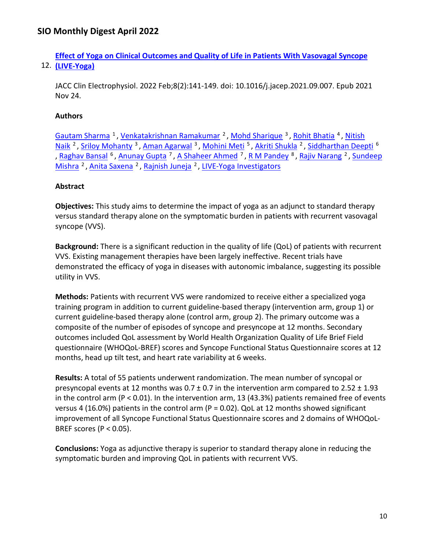12. **[\(LIVE-Yoga\)](https://nam11.safelinks.protection.outlook.com/?url=https%3A%2F%2Fpubmed.ncbi.nlm.nih.gov%2F35210069%2F&data=04%7C01%7Calmira.catic%40emory.edu%7C478ade74754b4c15a64f08da13eab169%7Ce004fb9cb0a4424fbcd0322606d5df38%7C0%7C0%7C637844196307865794%7CUnknown%7CTWFpbGZsb3d8eyJWIjoiMC4wLjAwMDAiLCJQIjoiV2luMzIiLCJBTiI6Ik1haWwiLCJXVCI6Mn0%3D%7C3000&sdata=rCMlTK%2FVJ9X7v49c%2BpQdxf4DpTeOtxInsByeey7VOCo%3D&reserved=0)  [Effect of Yoga on Clinical Outcomes and Quality of Life in Patients With Vasovagal Syncope](https://nam11.safelinks.protection.outlook.com/?url=https%3A%2F%2Fpubmed.ncbi.nlm.nih.gov%2F35210069%2F&data=04%7C01%7Calmira.catic%40emory.edu%7C478ade74754b4c15a64f08da13eab169%7Ce004fb9cb0a4424fbcd0322606d5df38%7C0%7C0%7C637844196307865794%7CUnknown%7CTWFpbGZsb3d8eyJWIjoiMC4wLjAwMDAiLCJQIjoiV2luMzIiLCJBTiI6Ik1haWwiLCJXVCI6Mn0%3D%7C3000&sdata=rCMlTK%2FVJ9X7v49c%2BpQdxf4DpTeOtxInsByeey7VOCo%3D&reserved=0)** 

JACC Clin Electrophysiol. 2022 Feb;8(2):141-149. doi: 10.1016/j.jacep.2021.09.007. Epub 2021 Nov 24.

## **Authors**

Gautam Sharma<sup>1</sup>, Venkatakrishnan Ramakumar<sup>2</sup>, Mohd Sharique<sup>3</sup>, Rohit Bhatia<sup>4</sup>, Nitish Naik<sup>2</sup>, Sriloy Mohanty<sup>3</sup>, Aman Agarwal<sup>3</sup>, Mohini Meti<sup>5</sup>, Akriti Shukla<sup>2</sup>, Siddharthan Deepti<sup>6</sup> , [Raghav Bansal](https://nam11.safelinks.protection.outlook.com/?url=https%3A%2F%2Fpubmed.ncbi.nlm.nih.gov%2F%3Fsize%3D100%26term%3DBansal%2BR%26cauthor_id%3D35210069&data=04%7C01%7Calmira.catic%40emory.edu%7C478ade74754b4c15a64f08da13eab169%7Ce004fb9cb0a4424fbcd0322606d5df38%7C0%7C0%7C637844196308022040%7CUnknown%7CTWFpbGZsb3d8eyJWIjoiMC4wLjAwMDAiLCJQIjoiV2luMzIiLCJBTiI6Ik1haWwiLCJXVCI6Mn0%3D%7C3000&sdata=Zyqg%2FKqWkXgyQaov8BTS9I68u4ojUW8QmT4%2FGoSdYwk%3D&reserved=0) <sup>6</sup>, [Anunay Gupta](https://nam11.safelinks.protection.outlook.com/?url=https%3A%2F%2Fpubmed.ncbi.nlm.nih.gov%2F%3Fsize%3D100%26term%3DGupta%2BA%26cauthor_id%3D35210069&data=04%7C01%7Calmira.catic%40emory.edu%7C478ade74754b4c15a64f08da13eab169%7Ce004fb9cb0a4424fbcd0322606d5df38%7C0%7C0%7C637844196308022040%7CUnknown%7CTWFpbGZsb3d8eyJWIjoiMC4wLjAwMDAiLCJQIjoiV2luMzIiLCJBTiI6Ik1haWwiLCJXVCI6Mn0%3D%7C3000&sdata=TrilTyASNDjMgx9hR1SyPa1VacFonwwytjqYnCWmJ1c%3D&reserved=0) <sup>7</sup>, [A Shaheer Ahmed](https://nam11.safelinks.protection.outlook.com/?url=https%3A%2F%2Fpubmed.ncbi.nlm.nih.gov%2F%3Fsize%3D100%26term%3DAhmed%2BAS%26cauthor_id%3D35210069&data=04%7C01%7Calmira.catic%40emory.edu%7C478ade74754b4c15a64f08da13eab169%7Ce004fb9cb0a4424fbcd0322606d5df38%7C0%7C0%7C637844196308022040%7CUnknown%7CTWFpbGZsb3d8eyJWIjoiMC4wLjAwMDAiLCJQIjoiV2luMzIiLCJBTiI6Ik1haWwiLCJXVCI6Mn0%3D%7C3000&sdata=o516VA%2FW7boekVoOuS6HtxsHCy3L%2Ffbw2U3IBUBWVNc%3D&reserved=0) <sup>7</sup>, [R M Pandey](https://nam11.safelinks.protection.outlook.com/?url=https%3A%2F%2Fpubmed.ncbi.nlm.nih.gov%2F%3Fsize%3D100%26term%3DPandey%2BRM%26cauthor_id%3D35210069&data=04%7C01%7Calmira.catic%40emory.edu%7C478ade74754b4c15a64f08da13eab169%7Ce004fb9cb0a4424fbcd0322606d5df38%7C0%7C0%7C637844196308022040%7CUnknown%7CTWFpbGZsb3d8eyJWIjoiMC4wLjAwMDAiLCJQIjoiV2luMzIiLCJBTiI6Ik1haWwiLCJXVCI6Mn0%3D%7C3000&sdata=BjqBbprwLE%2FIhSTeXZsHm6rTGqjqrWRDFdALRErPkt0%3D&reserved=0) <sup>8</sup>, [Rajiv Narang](https://nam11.safelinks.protection.outlook.com/?url=https%3A%2F%2Fpubmed.ncbi.nlm.nih.gov%2F%3Fsize%3D100%26term%3DNarang%2BR%26cauthor_id%3D35210069&data=04%7C01%7Calmira.catic%40emory.edu%7C478ade74754b4c15a64f08da13eab169%7Ce004fb9cb0a4424fbcd0322606d5df38%7C0%7C0%7C637844196308022040%7CUnknown%7CTWFpbGZsb3d8eyJWIjoiMC4wLjAwMDAiLCJQIjoiV2luMzIiLCJBTiI6Ik1haWwiLCJXVCI6Mn0%3D%7C3000&sdata=4TwCWEvF2PF0IYHzEXtKE3fcAN4LQV8u%2FE0OcEoQjSM%3D&reserved=0) <sup>2</sup>, Sundeep Mishra<sup>2</sup>, Anita Saxena<sup>2</sup>, Rajnish Juneja<sup>2</sup>, [LIVE-Yoga Investigators](https://nam11.safelinks.protection.outlook.com/?url=https%3A%2F%2Fpubmed.ncbi.nlm.nih.gov%2F%3Fsize%3D100%26term%3DLIVE-Yoga%2BInvestigators%255BCorporate%2BAuthor%255D&data=04%7C01%7Calmira.catic%40emory.edu%7C478ade74754b4c15a64f08da13eab169%7Ce004fb9cb0a4424fbcd0322606d5df38%7C0%7C0%7C637844196308022040%7CUnknown%7CTWFpbGZsb3d8eyJWIjoiMC4wLjAwMDAiLCJQIjoiV2luMzIiLCJBTiI6Ik1haWwiLCJXVCI6Mn0%3D%7C3000&sdata=vGnjLZYxoIoyYbZ8%2FYDidBfxaY1XCI7kb9mVke1WWoo%3D&reserved=0)

## **Abstract**

**Objectives:** This study aims to determine the impact of yoga as an adjunct to standard therapy versus standard therapy alone on the symptomatic burden in patients with recurrent vasovagal syncope (VVS).

**Background:** There is a significant reduction in the quality of life (QoL) of patients with recurrent VVS. Existing management therapies have been largely ineffective. Recent trials have demonstrated the efficacy of yoga in diseases with autonomic imbalance, suggesting its possible utility in VVS.

**Methods:** Patients with recurrent VVS were randomized to receive either a specialized yoga training program in addition to current guideline-based therapy (intervention arm, group 1) or current guideline-based therapy alone (control arm, group 2). The primary outcome was a composite of the number of episodes of syncope and presyncope at 12 months. Secondary outcomes included QoL assessment by World Health Organization Quality of Life Brief Field questionnaire (WHOQoL-BREF) scores and Syncope Functional Status Questionnaire scores at 12 months, head up tilt test, and heart rate variability at 6 weeks.

**Results:** A total of 55 patients underwent randomization. The mean number of syncopal or presyncopal events at 12 months was  $0.7 \pm 0.7$  in the intervention arm compared to  $2.52 \pm 1.93$ in the control arm (P < 0.01). In the intervention arm, 13 (43.3%) patients remained free of events versus 4 (16.0%) patients in the control arm (P = 0.02). QoL at 12 months showed significant improvement of all Syncope Functional Status Questionnaire scores and 2 domains of WHOQoL-BREF scores ( $P < 0.05$ ).

**Conclusions:** Yoga as adjunctive therapy is superior to standard therapy alone in reducing the symptomatic burden and improving QoL in patients with recurrent VVS.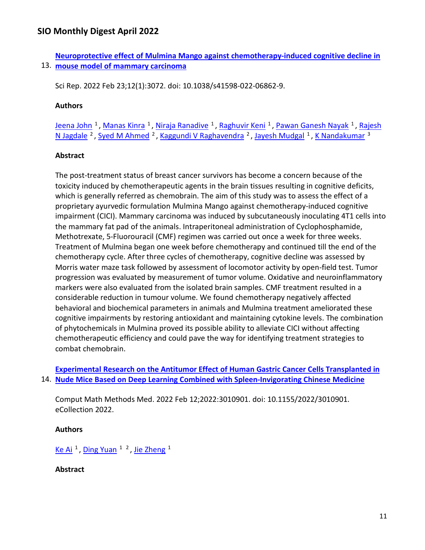13. **[mouse model of mammary carcinoma](https://nam11.safelinks.protection.outlook.com/?url=https%3A%2F%2Fpubmed.ncbi.nlm.nih.gov%2F35197512%2F&data=04%7C01%7Calmira.catic%40emory.edu%7C478ade74754b4c15a64f08da13eab169%7Ce004fb9cb0a4424fbcd0322606d5df38%7C0%7C0%7C637844196308178281%7CUnknown%7CTWFpbGZsb3d8eyJWIjoiMC4wLjAwMDAiLCJQIjoiV2luMzIiLCJBTiI6Ik1haWwiLCJXVCI6Mn0%3D%7C3000&sdata=rHkvYx8AduidRre5IZ0f403VYEp54%2FC6KzUnx4BCkFs%3D&reserved=0) [Neuroprotective effect of Mulmina Mango against chemotherapy-induced cognitive decline in](https://nam11.safelinks.protection.outlook.com/?url=https%3A%2F%2Fpubmed.ncbi.nlm.nih.gov%2F35197512%2F&data=04%7C01%7Calmira.catic%40emory.edu%7C478ade74754b4c15a64f08da13eab169%7Ce004fb9cb0a4424fbcd0322606d5df38%7C0%7C0%7C637844196308178281%7CUnknown%7CTWFpbGZsb3d8eyJWIjoiMC4wLjAwMDAiLCJQIjoiV2luMzIiLCJBTiI6Ik1haWwiLCJXVCI6Mn0%3D%7C3000&sdata=rHkvYx8AduidRre5IZ0f403VYEp54%2FC6KzUnx4BCkFs%3D&reserved=0)** 

Sci Rep. 2022 Feb 23;12(1):3072. doi: 10.1038/s41598-022-06862-9.

### **Authors**

[Jeena John](https://nam11.safelinks.protection.outlook.com/?url=https%3A%2F%2Fpubmed.ncbi.nlm.nih.gov%2F%3Fsize%3D100%26term%3DJohn%2BJ%26cauthor_id%3D35197512&data=04%7C01%7Calmira.catic%40emory.edu%7C478ade74754b4c15a64f08da13eab169%7Ce004fb9cb0a4424fbcd0322606d5df38%7C0%7C0%7C637844196308178281%7CUnknown%7CTWFpbGZsb3d8eyJWIjoiMC4wLjAwMDAiLCJQIjoiV2luMzIiLCJBTiI6Ik1haWwiLCJXVCI6Mn0%3D%7C3000&sdata=2V6HJ394wWuLV%2BCzAHsqANGdecUM0wvVHZIAPZZ40VI%3D&reserved=0) <sup>1</sup>, [Manas Kinra](https://nam11.safelinks.protection.outlook.com/?url=https%3A%2F%2Fpubmed.ncbi.nlm.nih.gov%2F%3Fsize%3D100%26term%3DKinra%2BM%26cauthor_id%3D35197512&data=04%7C01%7Calmira.catic%40emory.edu%7C478ade74754b4c15a64f08da13eab169%7Ce004fb9cb0a4424fbcd0322606d5df38%7C0%7C0%7C637844196308178281%7CUnknown%7CTWFpbGZsb3d8eyJWIjoiMC4wLjAwMDAiLCJQIjoiV2luMzIiLCJBTiI6Ik1haWwiLCJXVCI6Mn0%3D%7C3000&sdata=1DKlBKou5XtQllkAMvN%2BKm9jYWBGQ9QId84CM%2FiPHg8%3D&reserved=0) <sup>1</sup>, [Niraja Ranadive](https://nam11.safelinks.protection.outlook.com/?url=https%3A%2F%2Fpubmed.ncbi.nlm.nih.gov%2F%3Fsize%3D100%26term%3DRanadive%2BN%26cauthor_id%3D35197512&data=04%7C01%7Calmira.catic%40emory.edu%7C478ade74754b4c15a64f08da13eab169%7Ce004fb9cb0a4424fbcd0322606d5df38%7C0%7C0%7C637844196308178281%7CUnknown%7CTWFpbGZsb3d8eyJWIjoiMC4wLjAwMDAiLCJQIjoiV2luMzIiLCJBTiI6Ik1haWwiLCJXVCI6Mn0%3D%7C3000&sdata=hh9XE8f4qFVtW6np438NxNOyVasuk2WoRdNNKq8DqWM%3D&reserved=0) <sup>1</sup>, [Raghuvir Keni](https://nam11.safelinks.protection.outlook.com/?url=https%3A%2F%2Fpubmed.ncbi.nlm.nih.gov%2F%3Fsize%3D100%26term%3DKeni%2BR%26cauthor_id%3D35197512&data=04%7C01%7Calmira.catic%40emory.edu%7C478ade74754b4c15a64f08da13eab169%7Ce004fb9cb0a4424fbcd0322606d5df38%7C0%7C0%7C637844196308178281%7CUnknown%7CTWFpbGZsb3d8eyJWIjoiMC4wLjAwMDAiLCJQIjoiV2luMzIiLCJBTiI6Ik1haWwiLCJXVCI6Mn0%3D%7C3000&sdata=slWCj6eP6VC%2FJl4caR%2Beibr9GqHbk4k1jGdTlBjTvwI%3D&reserved=0) <sup>1</sup>, [Pawan Ganesh Nayak](https://nam11.safelinks.protection.outlook.com/?url=https%3A%2F%2Fpubmed.ncbi.nlm.nih.gov%2F%3Fsize%3D100%26term%3DNayak%2BPG%26cauthor_id%3D35197512&data=04%7C01%7Calmira.catic%40emory.edu%7C478ade74754b4c15a64f08da13eab169%7Ce004fb9cb0a4424fbcd0322606d5df38%7C0%7C0%7C637844196308490782%7CUnknown%7CTWFpbGZsb3d8eyJWIjoiMC4wLjAwMDAiLCJQIjoiV2luMzIiLCJBTiI6Ik1haWwiLCJXVCI6Mn0%3D%7C3000&sdata=DoHsyhe1y%2B%2BYv6y9euC0nh1w9MJsucQruGWyUuWrIEQ%3D&reserved=0) <sup>1</sup>, Rajesh [N Jagdale](https://nam11.safelinks.protection.outlook.com/?url=https%3A%2F%2Fpubmed.ncbi.nlm.nih.gov%2F%3Fsize%3D100%26term%3DJagdale%2BRN%26cauthor_id%3D35197512&data=04%7C01%7Calmira.catic%40emory.edu%7C478ade74754b4c15a64f08da13eab169%7Ce004fb9cb0a4424fbcd0322606d5df38%7C0%7C0%7C637844196308490782%7CUnknown%7CTWFpbGZsb3d8eyJWIjoiMC4wLjAwMDAiLCJQIjoiV2luMzIiLCJBTiI6Ik1haWwiLCJXVCI6Mn0%3D%7C3000&sdata=HjLIlv0xVO9Wo56sXF0OQ37c%2FAlhHO1hWPP6Fjz912Y%3D&reserved=0) <sup>2</sup>, [Syed M Ahmed](https://nam11.safelinks.protection.outlook.com/?url=https%3A%2F%2Fpubmed.ncbi.nlm.nih.gov%2F%3Fsize%3D100%26term%3DAhmed%2BSM%26cauthor_id%3D35197512&data=04%7C01%7Calmira.catic%40emory.edu%7C478ade74754b4c15a64f08da13eab169%7Ce004fb9cb0a4424fbcd0322606d5df38%7C0%7C0%7C637844196308490782%7CUnknown%7CTWFpbGZsb3d8eyJWIjoiMC4wLjAwMDAiLCJQIjoiV2luMzIiLCJBTiI6Ik1haWwiLCJXVCI6Mn0%3D%7C3000&sdata=fjDt9ucRGBWhZIeYrZia36YDirkj%2FDlRn09Cwqsfr2c%3D&reserved=0) <sup>2</sup>, [Kaggundi V Raghavendra](https://nam11.safelinks.protection.outlook.com/?url=https%3A%2F%2Fpubmed.ncbi.nlm.nih.gov%2F%3Fsize%3D100%26term%3DRaghavendra%2BKV%26cauthor_id%3D35197512&data=04%7C01%7Calmira.catic%40emory.edu%7C478ade74754b4c15a64f08da13eab169%7Ce004fb9cb0a4424fbcd0322606d5df38%7C0%7C0%7C637844196308646999%7CUnknown%7CTWFpbGZsb3d8eyJWIjoiMC4wLjAwMDAiLCJQIjoiV2luMzIiLCJBTiI6Ik1haWwiLCJXVCI6Mn0%3D%7C3000&sdata=Kxk1CrlQ1TxriAfyEiLdkVmSsXNpQ5lW5BtsDDJoJaI%3D&reserved=0) <sup>2</sup>, [Jayesh Mudgal](https://nam11.safelinks.protection.outlook.com/?url=https%3A%2F%2Fpubmed.ncbi.nlm.nih.gov%2F%3Fsize%3D100%26term%3DMudgal%2BJ%26cauthor_id%3D35197512&data=04%7C01%7Calmira.catic%40emory.edu%7C478ade74754b4c15a64f08da13eab169%7Ce004fb9cb0a4424fbcd0322606d5df38%7C0%7C0%7C637844196308646999%7CUnknown%7CTWFpbGZsb3d8eyJWIjoiMC4wLjAwMDAiLCJQIjoiV2luMzIiLCJBTiI6Ik1haWwiLCJXVCI6Mn0%3D%7C3000&sdata=R%2F3MaObvOFdUp1lRAg7%2BDZuN6vqxJlpz0ygotVRhLZ8%3D&reserved=0) <sup>1</sup>[, K Nandakumar](https://nam11.safelinks.protection.outlook.com/?url=https%3A%2F%2Fpubmed.ncbi.nlm.nih.gov%2F%3Fsize%3D100%26term%3DNandakumar%2BK%26cauthor_id%3D35197512&data=04%7C01%7Calmira.catic%40emory.edu%7C478ade74754b4c15a64f08da13eab169%7Ce004fb9cb0a4424fbcd0322606d5df38%7C0%7C0%7C637844196308646999%7CUnknown%7CTWFpbGZsb3d8eyJWIjoiMC4wLjAwMDAiLCJQIjoiV2luMzIiLCJBTiI6Ik1haWwiLCJXVCI6Mn0%3D%7C3000&sdata=wTC9gZeg79vTHo6TXZlsV4W7acNecM%2FcGgh2H6iineQ%3D&reserved=0) <sup>3</sup>

#### **Abstract**

The post-treatment status of breast cancer survivors has become a concern because of the toxicity induced by chemotherapeutic agents in the brain tissues resulting in cognitive deficits, which is generally referred as chemobrain. The aim of this study was to assess the effect of a proprietary ayurvedic formulation Mulmina Mango against chemotherapy-induced cognitive impairment (CICI). Mammary carcinoma was induced by subcutaneously inoculating 4T1 cells into the mammary fat pad of the animals. Intraperitoneal administration of Cyclophosphamide, Methotrexate, 5-Fluorouracil (CMF) regimen was carried out once a week for three weeks. Treatment of Mulmina began one week before chemotherapy and continued till the end of the chemotherapy cycle. After three cycles of chemotherapy, cognitive decline was assessed by Morris water maze task followed by assessment of locomotor activity by open-field test. Tumor progression was evaluated by measurement of tumor volume. Oxidative and neuroinflammatory markers were also evaluated from the isolated brain samples. CMF treatment resulted in a considerable reduction in tumour volume. We found chemotherapy negatively affected behavioral and biochemical parameters in animals and Mulmina treatment ameliorated these cognitive impairments by restoring antioxidant and maintaining cytokine levels. The combination of phytochemicals in Mulmina proved its possible ability to alleviate CICI without affecting chemotherapeutic efficiency and could pave the way for identifying treatment strategies to combat chemobrain.

14. **[Nude Mice Based on Deep Learning Combined with Spleen-Invigorating Chinese Medicine](https://nam11.safelinks.protection.outlook.com/?url=https%3A%2F%2Fpubmed.ncbi.nlm.nih.gov%2F35190750%2F&data=04%7C01%7Calmira.catic%40emory.edu%7C478ade74754b4c15a64f08da13eab169%7Ce004fb9cb0a4424fbcd0322606d5df38%7C0%7C0%7C637844196308646999%7CUnknown%7CTWFpbGZsb3d8eyJWIjoiMC4wLjAwMDAiLCJQIjoiV2luMzIiLCJBTiI6Ik1haWwiLCJXVCI6Mn0%3D%7C3000&sdata=%2FnxLEBnuzBoTFteIG6i2nddeP9cTMl7fqwyWLejqhOs%3D&reserved=0)  [Experimental Research on the Antitumor Effect of Human](https://nam11.safelinks.protection.outlook.com/?url=https%3A%2F%2Fpubmed.ncbi.nlm.nih.gov%2F35190750%2F&data=04%7C01%7Calmira.catic%40emory.edu%7C478ade74754b4c15a64f08da13eab169%7Ce004fb9cb0a4424fbcd0322606d5df38%7C0%7C0%7C637844196308646999%7CUnknown%7CTWFpbGZsb3d8eyJWIjoiMC4wLjAwMDAiLCJQIjoiV2luMzIiLCJBTiI6Ik1haWwiLCJXVCI6Mn0%3D%7C3000&sdata=%2FnxLEBnuzBoTFteIG6i2nddeP9cTMl7fqwyWLejqhOs%3D&reserved=0) Gastric Cancer Cells Transplanted in** 

Comput Math Methods Med. 2022 Feb 12;2022:3010901. doi: 10.1155/2022/3010901. eCollection 2022.

### **Authors**

Ke Ai<sup>1</sup>, Ding Yuan<sup>12</sup>, Jie Zheng<sup>1</sup>

### **Abstract**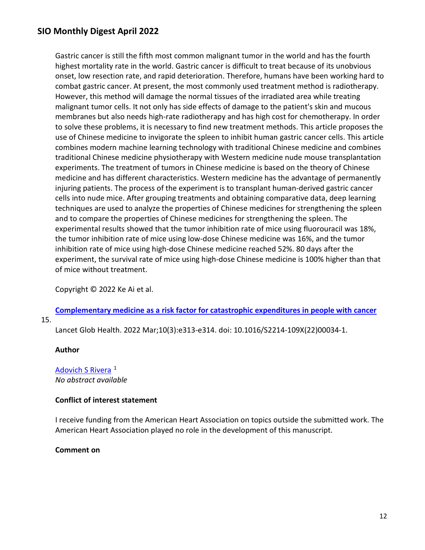Gastric cancer is still the fifth most common malignant tumor in the world and has the fourth highest mortality rate in the world. Gastric cancer is difficult to treat because of its unobvious onset, low resection rate, and rapid deterioration. Therefore, humans have been working hard to combat gastric cancer. At present, the most commonly used treatment method is radiotherapy. However, this method will damage the normal tissues of the irradiated area while treating malignant tumor cells. It not only has side effects of damage to the patient's skin and mucous membranes but also needs high-rate radiotherapy and has high cost for chemotherapy. In order to solve these problems, it is necessary to find new treatment methods. This article proposes the use of Chinese medicine to invigorate the spleen to inhibit human gastric cancer cells. This article combines modern machine learning technology with traditional Chinese medicine and combines traditional Chinese medicine physiotherapy with Western medicine nude mouse transplantation experiments. The treatment of tumors in Chinese medicine is based on the theory of Chinese medicine and has different characteristics. Western medicine has the advantage of permanently injuring patients. The process of the experiment is to transplant human-derived gastric cancer cells into nude mice. After grouping treatments and obtaining comparative data, deep learning techniques are used to analyze the properties of Chinese medicines for strengthening the spleen and to compare the properties of Chinese medicines for strengthening the spleen. The experimental results showed that the tumor inhibition rate of mice using fluorouracil was 18%, the tumor inhibition rate of mice using low-dose Chinese medicine was 16%, and the tumor inhibition rate of mice using high-dose Chinese medicine reached 52%. 80 days after the experiment, the survival rate of mice using high-dose Chinese medicine is 100% higher than that of mice without treatment.

Copyright © 2022 Ke Ai et al.

15. **[Complementary medicine as a risk factor for catastrophic expenditures in people with cancer](https://nam11.safelinks.protection.outlook.com/?url=https%3A%2F%2Fpubmed.ncbi.nlm.nih.gov%2F35180405%2F&data=04%7C01%7Calmira.catic%40emory.edu%7C478ade74754b4c15a64f08da13eab169%7Ce004fb9cb0a4424fbcd0322606d5df38%7C0%7C0%7C637844196308646999%7CUnknown%7CTWFpbGZsb3d8eyJWIjoiMC4wLjAwMDAiLCJQIjoiV2luMzIiLCJBTiI6Ik1haWwiLCJXVCI6Mn0%3D%7C3000&sdata=dDLpvnE517PkWavgNmjPv1cKsHF6v54epPgTuQNhsDU%3D&reserved=0)** 

Lancet Glob Health. 2022 Mar;10(3):e313-e314. doi: 10.1016/S2214-109X(22)00034-1.

#### **Author**

Adovich S Rivera<sup>1</sup> *No abstract available*

### **Conflict of interest statement**

I receive funding from the American Heart Association on topics outside the submitted work. The American Heart Association played no role in the development of this manuscript.

#### **Comment on**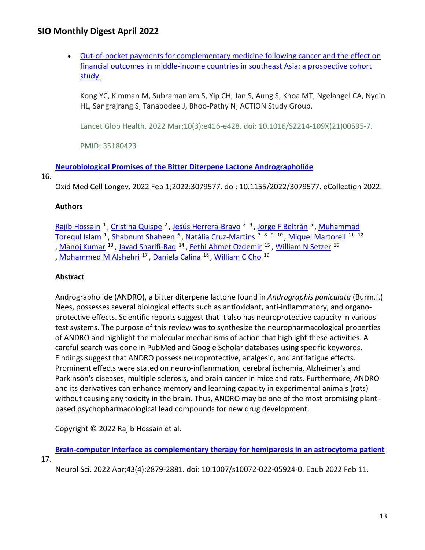• [Out-of-pocket payments for complementary medicine following cancer and the effect on](https://nam11.safelinks.protection.outlook.com/?url=https%3A%2F%2Fpubmed.ncbi.nlm.nih.gov%2F35180423%2F&data=04%7C01%7Calmira.catic%40emory.edu%7C478ade74754b4c15a64f08da13eab169%7Ce004fb9cb0a4424fbcd0322606d5df38%7C0%7C0%7C637844196308803251%7CUnknown%7CTWFpbGZsb3d8eyJWIjoiMC4wLjAwMDAiLCJQIjoiV2luMzIiLCJBTiI6Ik1haWwiLCJXVCI6Mn0%3D%7C3000&sdata=7E47rp9F%2F%2Bw3Xm5CynF%2Fc8cXE4HhzLCKNzhv5oVIfQk%3D&reserved=0)  [financial outcomes in middle-income countries in southeast Asia: a prospective cohort](https://nam11.safelinks.protection.outlook.com/?url=https%3A%2F%2Fpubmed.ncbi.nlm.nih.gov%2F35180423%2F&data=04%7C01%7Calmira.catic%40emory.edu%7C478ade74754b4c15a64f08da13eab169%7Ce004fb9cb0a4424fbcd0322606d5df38%7C0%7C0%7C637844196308803251%7CUnknown%7CTWFpbGZsb3d8eyJWIjoiMC4wLjAwMDAiLCJQIjoiV2luMzIiLCJBTiI6Ik1haWwiLCJXVCI6Mn0%3D%7C3000&sdata=7E47rp9F%2F%2Bw3Xm5CynF%2Fc8cXE4HhzLCKNzhv5oVIfQk%3D&reserved=0)  study.

Kong YC, Kimman M, Subramaniam S, Yip CH, Jan S, Aung S, Khoa MT, Ngelangel CA, Nyein HL, Sangrajrang S, Tanabodee J, Bhoo-Pathy N; ACTION Study Group.

Lancet Glob Health. 2022 Mar;10(3):e416-e428. doi: 10.1016/S2214-109X(21)00595-7.

PMID: 35180423

**[Neurobiological Promises of the Bitter Diterpene Lactone Andrographolide](https://nam11.safelinks.protection.outlook.com/?url=https%3A%2F%2Fpubmed.ncbi.nlm.nih.gov%2F35154564%2F&data=04%7C01%7Calmira.catic%40emory.edu%7C478ade74754b4c15a64f08da13eab169%7Ce004fb9cb0a4424fbcd0322606d5df38%7C0%7C0%7C637844196308803251%7CUnknown%7CTWFpbGZsb3d8eyJWIjoiMC4wLjAwMDAiLCJQIjoiV2luMzIiLCJBTiI6Ik1haWwiLCJXVCI6Mn0%3D%7C3000&sdata=cSVcwmZkwSaPRVJNw1UtTLUWG%2FJqRjuA9i0QeZBhzI8%3D&reserved=0)** 

### 16.

Oxid Med Cell Longev. 2022 Feb 1;2022:3079577. doi: 10.1155/2022/3079577. eCollection 2022.

## **Authors**

Rajib Hossain<sup>1</sup>, Cristina Quispe<sup>2</sup>, Jesús Herrera-Bravo<sup>34</sup>, Jorge F Beltrán<sup>5</sup>, Muhammad [Torequl Islam](https://nam11.safelinks.protection.outlook.com/?url=https%3A%2F%2Fpubmed.ncbi.nlm.nih.gov%2F%3Fsize%3D100%26term%3DIslam%2BMT%26cauthor_id%3D35154564&data=04%7C01%7Calmira.catic%40emory.edu%7C478ade74754b4c15a64f08da13eab169%7Ce004fb9cb0a4424fbcd0322606d5df38%7C0%7C0%7C637844196308803251%7CUnknown%7CTWFpbGZsb3d8eyJWIjoiMC4wLjAwMDAiLCJQIjoiV2luMzIiLCJBTiI6Ik1haWwiLCJXVCI6Mn0%3D%7C3000&sdata=T8KFCIXjqd82bxO1V1J9uOzxaGj5Ji6gvY6%2Ftb3HWLM%3D&reserved=0) <sup>1</sup>, [Shabnum Shaheen](https://nam11.safelinks.protection.outlook.com/?url=https%3A%2F%2Fpubmed.ncbi.nlm.nih.gov%2F%3Fsize%3D100%26term%3DShaheen%2BS%26cauthor_id%3D35154564&data=04%7C01%7Calmira.catic%40emory.edu%7C478ade74754b4c15a64f08da13eab169%7Ce004fb9cb0a4424fbcd0322606d5df38%7C0%7C0%7C637844196308803251%7CUnknown%7CTWFpbGZsb3d8eyJWIjoiMC4wLjAwMDAiLCJQIjoiV2luMzIiLCJBTiI6Ik1haWwiLCJXVCI6Mn0%3D%7C3000&sdata=oXCFce5u1ujAZCvSxjb4zXzhjBFnzVwijiksemmYxd0%3D&reserved=0) <sup>6</sup>, Natália Cruz-Martins<sup>78910</sup>, Miquel Martorell<sup>1112</sup> , [Manoj Kumar](https://nam11.safelinks.protection.outlook.com/?url=https%3A%2F%2Fpubmed.ncbi.nlm.nih.gov%2F%3Fsize%3D100%26term%3DKumar%2BM%26cauthor_id%3D35154564&data=04%7C01%7Calmira.catic%40emory.edu%7C478ade74754b4c15a64f08da13eab169%7Ce004fb9cb0a4424fbcd0322606d5df38%7C0%7C0%7C637844196308803251%7CUnknown%7CTWFpbGZsb3d8eyJWIjoiMC4wLjAwMDAiLCJQIjoiV2luMzIiLCJBTiI6Ik1haWwiLCJXVCI6Mn0%3D%7C3000&sdata=XznA4duIb1Qrx90KDsO6CTLOaX%2BomyZcOLVGGgGd4WI%3D&reserved=0) <sup>13</sup>, [Javad Sharifi-Rad](https://nam11.safelinks.protection.outlook.com/?url=https%3A%2F%2Fpubmed.ncbi.nlm.nih.gov%2F%3Fsize%3D100%26term%3DSharifi-Rad%2BJ%26cauthor_id%3D35154564&data=04%7C01%7Calmira.catic%40emory.edu%7C478ade74754b4c15a64f08da13eab169%7Ce004fb9cb0a4424fbcd0322606d5df38%7C0%7C0%7C637844196308803251%7CUnknown%7CTWFpbGZsb3d8eyJWIjoiMC4wLjAwMDAiLCJQIjoiV2luMzIiLCJBTiI6Ik1haWwiLCJXVCI6Mn0%3D%7C3000&sdata=i1bo9K9TVUdHJCwhTho%2F5WgUs0Y33EbENGG4W3kHqqE%3D&reserved=0) <sup>14</sup>, [Fethi Ahmet Ozdemir](https://nam11.safelinks.protection.outlook.com/?url=https%3A%2F%2Fpubmed.ncbi.nlm.nih.gov%2F%3Fsize%3D100%26term%3DOzdemir%2BFA%26cauthor_id%3D35154564&data=04%7C01%7Calmira.catic%40emory.edu%7C478ade74754b4c15a64f08da13eab169%7Ce004fb9cb0a4424fbcd0322606d5df38%7C0%7C0%7C637844196308803251%7CUnknown%7CTWFpbGZsb3d8eyJWIjoiMC4wLjAwMDAiLCJQIjoiV2luMzIiLCJBTiI6Ik1haWwiLCJXVCI6Mn0%3D%7C3000&sdata=CQLEpppkzZhU0la0CJtnOCu6H0hRyKERRYJjSMq3Tpc%3D&reserved=0) <sup>15</sup>, [William N Setzer](https://nam11.safelinks.protection.outlook.com/?url=https%3A%2F%2Fpubmed.ncbi.nlm.nih.gov%2F%3Fsize%3D100%26term%3DSetzer%2BWN%26cauthor_id%3D35154564&data=04%7C01%7Calmira.catic%40emory.edu%7C478ade74754b4c15a64f08da13eab169%7Ce004fb9cb0a4424fbcd0322606d5df38%7C0%7C0%7C637844196308803251%7CUnknown%7CTWFpbGZsb3d8eyJWIjoiMC4wLjAwMDAiLCJQIjoiV2luMzIiLCJBTiI6Ik1haWwiLCJXVCI6Mn0%3D%7C3000&sdata=xOibCKCB1jsQw3SeY9gqbNrITBdi9CGM3EKvCVolqqI%3D&reserved=0) <sup>16</sup> , [Mohammed M Alshehri](https://nam11.safelinks.protection.outlook.com/?url=https%3A%2F%2Fpubmed.ncbi.nlm.nih.gov%2F%3Fsize%3D100%26term%3DAlshehri%2BMM%26cauthor_id%3D35154564&data=04%7C01%7Calmira.catic%40emory.edu%7C478ade74754b4c15a64f08da13eab169%7Ce004fb9cb0a4424fbcd0322606d5df38%7C0%7C0%7C637844196308803251%7CUnknown%7CTWFpbGZsb3d8eyJWIjoiMC4wLjAwMDAiLCJQIjoiV2luMzIiLCJBTiI6Ik1haWwiLCJXVCI6Mn0%3D%7C3000&sdata=ot7to2dGFfoaFSTNVu21Wu2eGf46VJxRd6EGk1%2FmV2U%3D&reserved=0) 17 , [Daniela Calina](https://nam11.safelinks.protection.outlook.com/?url=https%3A%2F%2Fpubmed.ncbi.nlm.nih.gov%2F%3Fsize%3D100%26term%3DCalina%2BD%26cauthor_id%3D35154564&data=04%7C01%7Calmira.catic%40emory.edu%7C478ade74754b4c15a64f08da13eab169%7Ce004fb9cb0a4424fbcd0322606d5df38%7C0%7C0%7C637844196308803251%7CUnknown%7CTWFpbGZsb3d8eyJWIjoiMC4wLjAwMDAiLCJQIjoiV2luMzIiLCJBTiI6Ik1haWwiLCJXVCI6Mn0%3D%7C3000&sdata=uy6GBFOWXCkt7LAK70Hk0cNYv%2BH6uLtzHw4EO%2FCcDV4%3D&reserved=0) 18 , [William C Cho](https://nam11.safelinks.protection.outlook.com/?url=https%3A%2F%2Fpubmed.ncbi.nlm.nih.gov%2F%3Fsize%3D100%26term%3DCho%2BWC%26cauthor_id%3D35154564&data=04%7C01%7Calmira.catic%40emory.edu%7C478ade74754b4c15a64f08da13eab169%7Ce004fb9cb0a4424fbcd0322606d5df38%7C0%7C0%7C637844196308803251%7CUnknown%7CTWFpbGZsb3d8eyJWIjoiMC4wLjAwMDAiLCJQIjoiV2luMzIiLCJBTiI6Ik1haWwiLCJXVCI6Mn0%3D%7C3000&sdata=%2FcUn7F336tNw3uSMk4sfg%2F22pvIKRYcOMe7Z1174AVU%3D&reserved=0) 19

## **Abstract**

Andrographolide (ANDRO), a bitter diterpene lactone found in *Andrographis paniculata* (Burm.f.) Nees, possesses several biological effects such as antioxidant, anti-inflammatory, and organoprotective effects. Scientific reports suggest that it also has neuroprotective capacity in various test systems. The purpose of this review was to synthesize the neuropharmacological properties of ANDRO and highlight the molecular mechanisms of action that highlight these activities. A careful search was done in PubMed and Google Scholar databases using specific keywords. Findings suggest that ANDRO possess neuroprotective, analgesic, and antifatigue effects. Prominent effects were stated on neuro-inflammation, cerebral ischemia, Alzheimer's and Parkinson's diseases, multiple sclerosis, and brain cancer in mice and rats. Furthermore, ANDRO and its derivatives can enhance memory and learning capacity in experimental animals (rats) without causing any toxicity in the brain. Thus, ANDRO may be one of the most promising plantbased psychopharmacological lead compounds for new drug development.

Copyright © 2022 Rajib Hossain et al.

17. **[Brain-computer interface as complementary therapy for hemiparesis in an astrocytoma patient](https://nam11.safelinks.protection.outlook.com/?url=https%3A%2F%2Fpubmed.ncbi.nlm.nih.gov%2F35146564%2F&data=04%7C01%7Calmira.catic%40emory.edu%7C478ade74754b4c15a64f08da13eab169%7Ce004fb9cb0a4424fbcd0322606d5df38%7C0%7C0%7C637844196308803251%7CUnknown%7CTWFpbGZsb3d8eyJWIjoiMC4wLjAwMDAiLCJQIjoiV2luMzIiLCJBTiI6Ik1haWwiLCJXVCI6Mn0%3D%7C3000&sdata=ts0Z9%2Fk%2BsvCqrjYoLs8TVXwwjKbffmKi8Bs8g6pxOxw%3D&reserved=0)** 

Neurol Sci. 2022 Apr;43(4):2879-2881. doi: 10.1007/s10072-022-05924-0. Epub 2022 Feb 11.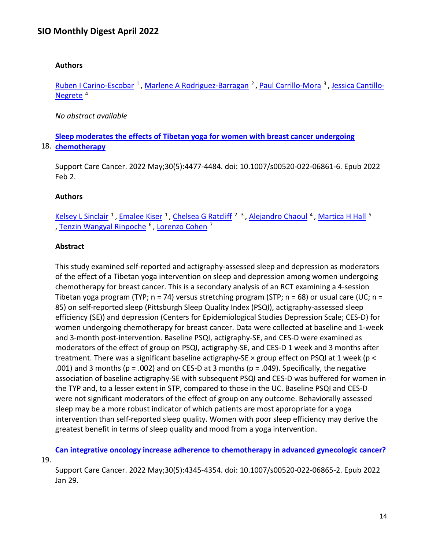## **Authors**

Ruben I Carino-Escobar<sup>1</sup>, Marlene A Rodriguez-Barragan<sup>2</sup>, Paul Carrillo-Mora<sup>3</sup>, [Jessica Cantillo-](https://nam11.safelinks.protection.outlook.com/?url=https%3A%2F%2Fpubmed.ncbi.nlm.nih.gov%2F%3Fsize%3D100%26term%3DCantillo-Negrete%2BJ%26cauthor_id%3D35146564&data=04%7C01%7Calmira.catic%40emory.edu%7C478ade74754b4c15a64f08da13eab169%7Ce004fb9cb0a4424fbcd0322606d5df38%7C0%7C0%7C637844196308959510%7CUnknown%7CTWFpbGZsb3d8eyJWIjoiMC4wLjAwMDAiLCJQIjoiV2luMzIiLCJBTiI6Ik1haWwiLCJXVCI6Mn0%3D%7C3000&sdata=4FOHpVPGAICgh30nznmhbm5t3c5o%2F3Aph4gjRxrfyGE%3D&reserved=0)Negrete<sup>4</sup>

*No abstract available*

18. **[chemotherapy](https://nam11.safelinks.protection.outlook.com/?url=https%3A%2F%2Fpubmed.ncbi.nlm.nih.gov%2F35107599%2F&data=04%7C01%7Calmira.catic%40emory.edu%7C478ade74754b4c15a64f08da13eab169%7Ce004fb9cb0a4424fbcd0322606d5df38%7C0%7C0%7C637844196308959510%7CUnknown%7CTWFpbGZsb3d8eyJWIjoiMC4wLjAwMDAiLCJQIjoiV2luMzIiLCJBTiI6Ik1haWwiLCJXVCI6Mn0%3D%7C3000&sdata=1RuiUrkNOM2lgzyfEOOrc6A%2BlQDFuV%2FTWwhUIPCBIxI%3D&reserved=0)  [Sleep moderates the effects of Tibetan yoga for women with breast cancer undergoing](https://nam11.safelinks.protection.outlook.com/?url=https%3A%2F%2Fpubmed.ncbi.nlm.nih.gov%2F35107599%2F&data=04%7C01%7Calmira.catic%40emory.edu%7C478ade74754b4c15a64f08da13eab169%7Ce004fb9cb0a4424fbcd0322606d5df38%7C0%7C0%7C637844196308959510%7CUnknown%7CTWFpbGZsb3d8eyJWIjoiMC4wLjAwMDAiLCJQIjoiV2luMzIiLCJBTiI6Ik1haWwiLCJXVCI6Mn0%3D%7C3000&sdata=1RuiUrkNOM2lgzyfEOOrc6A%2BlQDFuV%2FTWwhUIPCBIxI%3D&reserved=0)** 

Support Care Cancer. 2022 May;30(5):4477-4484. doi: 10.1007/s00520-022-06861-6. Epub 2022 Feb 2.

## **Authors**

Kelsey L Sinclair<sup>1</sup>, Emalee Kiser<sup>1</sup>, Chelsea G Ratcliff<sup>23</sup>, Alejandro Chaoul<sup>4</sup>, Martica H Hall<sup>5</sup> , [Tenzin Wangyal Rinpoche](https://nam11.safelinks.protection.outlook.com/?url=https%3A%2F%2Fpubmed.ncbi.nlm.nih.gov%2F%3Fsize%3D100%26term%3DRinpoche%2BTW%26cauthor_id%3D35107599&data=04%7C01%7Calmira.catic%40emory.edu%7C478ade74754b4c15a64f08da13eab169%7Ce004fb9cb0a4424fbcd0322606d5df38%7C0%7C0%7C637844196308959510%7CUnknown%7CTWFpbGZsb3d8eyJWIjoiMC4wLjAwMDAiLCJQIjoiV2luMzIiLCJBTiI6Ik1haWwiLCJXVCI6Mn0%3D%7C3000&sdata=h%2BJTQWkkJXmX7SH2GhfPxS3vSJKfsBiCuaMep6Y9iJw%3D&reserved=0) 6 , [Lorenzo Cohen](https://nam11.safelinks.protection.outlook.com/?url=https%3A%2F%2Fpubmed.ncbi.nlm.nih.gov%2F%3Fsize%3D100%26term%3DCohen%2BL%26cauthor_id%3D35107599&data=04%7C01%7Calmira.catic%40emory.edu%7C478ade74754b4c15a64f08da13eab169%7Ce004fb9cb0a4424fbcd0322606d5df38%7C0%7C0%7C637844196308959510%7CUnknown%7CTWFpbGZsb3d8eyJWIjoiMC4wLjAwMDAiLCJQIjoiV2luMzIiLCJBTiI6Ik1haWwiLCJXVCI6Mn0%3D%7C3000&sdata=XnDWwI0n6VkYy53XPbKn4URuX4beWz6KhET8OBdE8wE%3D&reserved=0) 7

## **Abstract**

This study examined self-reported and actigraphy-assessed sleep and depression as moderators of the effect of a Tibetan yoga intervention on sleep and depression among women undergoing chemotherapy for breast cancer. This is a secondary analysis of an RCT examining a 4-session Tibetan yoga program (TYP;  $n = 74$ ) versus stretching program (STP;  $n = 68$ ) or usual care (UC;  $n =$ 85) on self-reported sleep (Pittsburgh Sleep Quality Index (PSQI), actigraphy-assessed sleep efficiency (SE)) and depression (Centers for Epidemiological Studies Depression Scale; CES-D) for women undergoing chemotherapy for breast cancer. Data were collected at baseline and 1-week and 3-month post-intervention. Baseline PSQI, actigraphy-SE, and CES-D were examined as moderators of the effect of group on PSQI, actigraphy-SE, and CES-D 1 week and 3 months after treatment. There was a significant baseline actigraphy-SE × group effect on PSQI at 1 week (p < .001) and 3 months ( $p = .002$ ) and on CES-D at 3 months ( $p = .049$ ). Specifically, the negative association of baseline actigraphy-SE with subsequent PSQI and CES-D was buffered for women in the TYP and, to a lesser extent in STP, compared to those in the UC. Baseline PSQI and CES-D were not significant moderators of the effect of group on any outcome. Behaviorally assessed sleep may be a more robust indicator of which patients are most appropriate for a yoga intervention than self-reported sleep quality. Women with poor sleep efficiency may derive the greatest benefit in terms of sleep quality and mood from a yoga intervention.

19. **Can integrative oncology increase adherence [to chemotherapy in advanced gynecologic cancer?](https://nam11.safelinks.protection.outlook.com/?url=https%3A%2F%2Fpubmed.ncbi.nlm.nih.gov%2F35094141%2F&data=04%7C01%7Calmira.catic%40emory.edu%7C478ade74754b4c15a64f08da13eab169%7Ce004fb9cb0a4424fbcd0322606d5df38%7C0%7C0%7C637844196308959510%7CUnknown%7CTWFpbGZsb3d8eyJWIjoiMC4wLjAwMDAiLCJQIjoiV2luMzIiLCJBTiI6Ik1haWwiLCJXVCI6Mn0%3D%7C3000&sdata=Gx%2BPDEeQyvlBpd%2FTFoOfQEczqMKPJiqbNrpuPo6KmHs%3D&reserved=0)** 

Support Care Cancer. 2022 May;30(5):4345-4354. doi: 10.1007/s00520-022-06865-2. Epub 2022 Jan 29.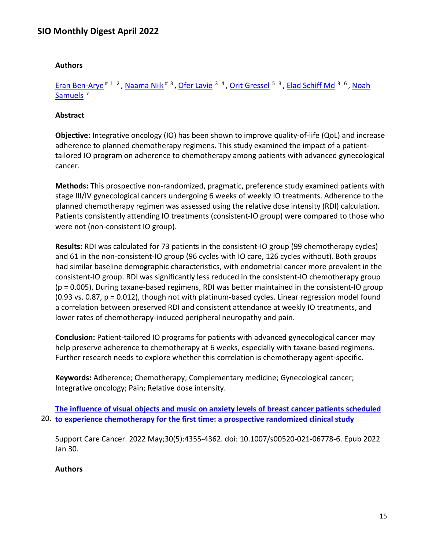#### **Authors**

Eran Ben-Arye<sup># 1 2</sup>, Naama Nijk<sup># 3</sup>, [Ofer Lavie](https://nam11.safelinks.protection.outlook.com/?url=https%3A%2F%2Fpubmed.ncbi.nlm.nih.gov%2F%3Fsize%3D100%26term%3DLavie%2BO%26cauthor_id%3D35094141&data=04%7C01%7Calmira.catic%40emory.edu%7C478ade74754b4c15a64f08da13eab169%7Ce004fb9cb0a4424fbcd0322606d5df38%7C0%7C0%7C637844196308959510%7CUnknown%7CTWFpbGZsb3d8eyJWIjoiMC4wLjAwMDAiLCJQIjoiV2luMzIiLCJBTiI6Ik1haWwiLCJXVCI6Mn0%3D%7C3000&sdata=8pzf8pVQ7bq8yCd43PZeUbnxERopT9NoKOF2dggetMo%3D&reserved=0) <sup>3 4</sup>, [Orit Gressel](https://nam11.safelinks.protection.outlook.com/?url=https%3A%2F%2Fpubmed.ncbi.nlm.nih.gov%2F%3Fsize%3D100%26term%3DGressel%2BO%26cauthor_id%3D35094141&data=04%7C01%7Calmira.catic%40emory.edu%7C478ade74754b4c15a64f08da13eab169%7Ce004fb9cb0a4424fbcd0322606d5df38%7C0%7C0%7C637844196308959510%7CUnknown%7CTWFpbGZsb3d8eyJWIjoiMC4wLjAwMDAiLCJQIjoiV2luMzIiLCJBTiI6Ik1haWwiLCJXVCI6Mn0%3D%7C3000&sdata=J7%2BCQ26nyFjK2S3sZ3dOsKQERAeXYJsH53yMB%2FH1EFg%3D&reserved=0) <sup>5 3</sup>, [Elad Schiff Md](https://nam11.safelinks.protection.outlook.com/?url=https%3A%2F%2Fpubmed.ncbi.nlm.nih.gov%2F%3Fsize%3D100%26term%3DMd%2BES%26cauthor_id%3D35094141&data=04%7C01%7Calmira.catic%40emory.edu%7C478ade74754b4c15a64f08da13eab169%7Ce004fb9cb0a4424fbcd0322606d5df38%7C0%7C0%7C637844196309115736%7CUnknown%7CTWFpbGZsb3d8eyJWIjoiMC4wLjAwMDAiLCJQIjoiV2luMzIiLCJBTiI6Ik1haWwiLCJXVCI6Mn0%3D%7C3000&sdata=ZsZBNNs%2B3zij7UeYhtGS5L5dxoC6RLYcPGabWuO5k30%3D&reserved=0) <sup>3 6</sup>, Noah Samuels<sup>7</sup>

#### **Abstract**

**Objective:** Integrative oncology (IO) has been shown to improve quality-of-life (QoL) and increase adherence to planned chemotherapy regimens. This study examined the impact of a patienttailored IO program on adherence to chemotherapy among patients with advanced gynecological cancer.

**Methods:** This prospective non-randomized, pragmatic, preference study examined patients with stage III/IV gynecological cancers undergoing 6 weeks of weekly IO treatments. Adherence to the planned chemotherapy regimen was assessed using the relative dose intensity (RDI) calculation. Patients consistently attending IO treatments (consistent-IO group) were compared to those who were not (non-consistent IO group).

**Results:** RDI was calculated for 73 patients in the consistent-IO group (99 chemotherapy cycles) and 61 in the non-consistent-IO group (96 cycles with IO care, 126 cycles without). Both groups had similar baseline demographic characteristics, with endometrial cancer more prevalent in the consistent-IO group. RDI was significantly less reduced in the consistent-IO chemotherapy group (p = 0.005). During taxane-based regimens, RDI was better maintained in the consistent-IO group (0.93 vs. 0.87, p = 0.012), though not with platinum-based cycles. Linear regression model found a correlation between preserved RDI and consistent attendance at weekly IO treatments, and lower rates of chemotherapy-induced peripheral neuropathy and pain.

**Conclusion:** Patient-tailored IO programs for patients with advanced gynecological cancer may help preserve adherence to chemotherapy at 6 weeks, especially with taxane-based regimens. Further research needs to explore whether this correlation is chemotherapy agent-specific.

**Keywords:** Adherence; Chemotherapy; Complementary medicine; Gynecological cancer; Integrative oncology; Pain; Relative dose intensity.

20. **[to experience chemotherapy for the first time: a prospective randomized clinical study](https://nam11.safelinks.protection.outlook.com/?url=https%3A%2F%2Fpubmed.ncbi.nlm.nih.gov%2F35094139%2F&data=04%7C01%7Calmira.catic%40emory.edu%7C478ade74754b4c15a64f08da13eab169%7Ce004fb9cb0a4424fbcd0322606d5df38%7C0%7C0%7C637844196309115736%7CUnknown%7CTWFpbGZsb3d8eyJWIjoiMC4wLjAwMDAiLCJQIjoiV2luMzIiLCJBTiI6Ik1haWwiLCJXVCI6Mn0%3D%7C3000&sdata=piTUR2JDUUPPTOVC8j101q9imaSc3AQsx3dVgjEE%2BxY%3D&reserved=0)  [The influence of visual objects and music on anxiety levels of breast cancer patients scheduled](https://nam11.safelinks.protection.outlook.com/?url=https%3A%2F%2Fpubmed.ncbi.nlm.nih.gov%2F35094139%2F&data=04%7C01%7Calmira.catic%40emory.edu%7C478ade74754b4c15a64f08da13eab169%7Ce004fb9cb0a4424fbcd0322606d5df38%7C0%7C0%7C637844196309115736%7CUnknown%7CTWFpbGZsb3d8eyJWIjoiMC4wLjAwMDAiLCJQIjoiV2luMzIiLCJBTiI6Ik1haWwiLCJXVCI6Mn0%3D%7C3000&sdata=piTUR2JDUUPPTOVC8j101q9imaSc3AQsx3dVgjEE%2BxY%3D&reserved=0)** 

Support Care Cancer. 2022 May;30(5):4355-4362. doi: 10.1007/s00520-021-06778-6. Epub 2022 Jan 30.

#### **Authors**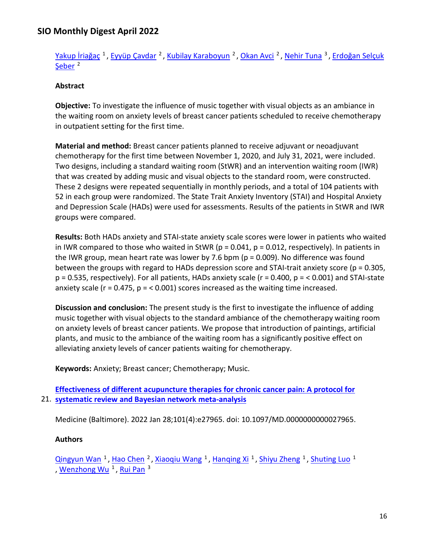[Yakup İriağaç](https://nam11.safelinks.protection.outlook.com/?url=https%3A%2F%2Fpubmed.ncbi.nlm.nih.gov%2F%3Fsize%3D100%26term%3D%25C4%25B0ria%25C4%259Fa%25C3%25A7%2BY%26cauthor_id%3D35094139&data=04%7C01%7Calmira.catic%40emory.edu%7C478ade74754b4c15a64f08da13eab169%7Ce004fb9cb0a4424fbcd0322606d5df38%7C0%7C0%7C637844196309115736%7CUnknown%7CTWFpbGZsb3d8eyJWIjoiMC4wLjAwMDAiLCJQIjoiV2luMzIiLCJBTiI6Ik1haWwiLCJXVCI6Mn0%3D%7C3000&sdata=rbgvdbbPXQ06WPzG95z%2FarPbFDDBGew23lyWoE0rCjg%3D&reserved=0)<sup>1</sup>, [Eyyüp Çavdar](https://nam11.safelinks.protection.outlook.com/?url=https%3A%2F%2Fpubmed.ncbi.nlm.nih.gov%2F%3Fsize%3D100%26term%3D%25C3%2587avdar%2BE%26cauthor_id%3D35094139&data=04%7C01%7Calmira.catic%40emory.edu%7C478ade74754b4c15a64f08da13eab169%7Ce004fb9cb0a4424fbcd0322606d5df38%7C0%7C0%7C637844196309115736%7CUnknown%7CTWFpbGZsb3d8eyJWIjoiMC4wLjAwMDAiLCJQIjoiV2luMzIiLCJBTiI6Ik1haWwiLCJXVCI6Mn0%3D%7C3000&sdata=mCANj4PfGuGix2%2BKxm2xwd9Nts0xsatFMKIPMtaasDs%3D&reserved=0)<sup>2</sup>, [Kubilay Karaboyun](https://nam11.safelinks.protection.outlook.com/?url=https%3A%2F%2Fpubmed.ncbi.nlm.nih.gov%2F%3Fsize%3D100%26term%3DKaraboyun%2BK%26cauthor_id%3D35094139&data=04%7C01%7Calmira.catic%40emory.edu%7C478ade74754b4c15a64f08da13eab169%7Ce004fb9cb0a4424fbcd0322606d5df38%7C0%7C0%7C637844196309115736%7CUnknown%7CTWFpbGZsb3d8eyJWIjoiMC4wLjAwMDAiLCJQIjoiV2luMzIiLCJBTiI6Ik1haWwiLCJXVCI6Mn0%3D%7C3000&sdata=Vr5eeHibWKsByN%2B0e6mSku1CaBzZ3UhybE92bnudGSY%3D&reserved=0)<sup>2</sup>, [Okan Avci](https://nam11.safelinks.protection.outlook.com/?url=https%3A%2F%2Fpubmed.ncbi.nlm.nih.gov%2F%3Fsize%3D100%26term%3DAvci%2BO%26cauthor_id%3D35094139&data=04%7C01%7Calmira.catic%40emory.edu%7C478ade74754b4c15a64f08da13eab169%7Ce004fb9cb0a4424fbcd0322606d5df38%7C0%7C0%7C637844196309115736%7CUnknown%7CTWFpbGZsb3d8eyJWIjoiMC4wLjAwMDAiLCJQIjoiV2luMzIiLCJBTiI6Ik1haWwiLCJXVCI6Mn0%3D%7C3000&sdata=cyXOpfnLlooulJL4xYFPVzHUlf4vygEFzxNNK8RycJ4%3D&reserved=0)<sup>2</sup>, [Nehir Tuna](https://nam11.safelinks.protection.outlook.com/?url=https%3A%2F%2Fpubmed.ncbi.nlm.nih.gov%2F%3Fsize%3D100%26term%3DTuna%2BN%26cauthor_id%3D35094139&data=04%7C01%7Calmira.catic%40emory.edu%7C478ade74754b4c15a64f08da13eab169%7Ce004fb9cb0a4424fbcd0322606d5df38%7C0%7C0%7C637844196309115736%7CUnknown%7CTWFpbGZsb3d8eyJWIjoiMC4wLjAwMDAiLCJQIjoiV2luMzIiLCJBTiI6Ik1haWwiLCJXVCI6Mn0%3D%7C3000&sdata=LmfbGD7yMmM%2F5SzQLiEyHu7ll4eawq45qhCyz9whD10%3D&reserved=0)<sup>3</sup>, Erdoğan Selçuk Seber<sup>2</sup>

## **Abstract**

**Objective:** To investigate the influence of music together with visual objects as an ambiance in the waiting room on anxiety levels of breast cancer patients scheduled to receive chemotherapy in outpatient setting for the first time.

**Material and method:** Breast cancer patients planned to receive adjuvant or neoadjuvant chemotherapy for the first time between November 1, 2020, and July 31, 2021, were included. Two designs, including a standard waiting room (StWR) and an intervention waiting room (IWR) that was created by adding music and visual objects to the standard room, were constructed. These 2 designs were repeated sequentially in monthly periods, and a total of 104 patients with 52 in each group were randomized. The State Trait Anxiety Inventory (STAI) and Hospital Anxiety and Depression Scale (HADs) were used for assessments. Results of the patients in StWR and IWR groups were compared.

**Results:** Both HADs anxiety and STAI-state anxiety scale scores were lower in patients who waited in IWR compared to those who waited in StWR ( $p = 0.041$ ,  $p = 0.012$ , respectively). In patients in the IWR group, mean heart rate was lower by 7.6 bpm ( $p = 0.009$ ). No difference was found between the groups with regard to HADs depression score and STAI-trait anxiety score ( $p = 0.305$ ,  $p = 0.535$ , respectively). For all patients, HADs anxiety scale ( $r = 0.400$ ,  $p = 0.001$ ) and STAI-state anxiety scale ( $r = 0.475$ ,  $p = 0.001$ ) scores increased as the waiting time increased.

**Discussion and conclusion:** The present study is the first to investigate the influence of adding music together with visual objects to the standard ambiance of the chemotherapy waiting room on anxiety levels of breast cancer patients. We propose that introduction of paintings, artificial plants, and music to the ambiance of the waiting room has a significantly positive effect on alleviating anxiety levels of cancer patients waiting for chemotherapy.

**Keywords:** Anxiety; Breast cancer; Chemotherapy; Music.

## 21. **[systematic review and Bayesian network meta-analysis](https://nam11.safelinks.protection.outlook.com/?url=https%3A%2F%2Fpubmed.ncbi.nlm.nih.gov%2F35089187%2F&data=04%7C01%7Calmira.catic%40emory.edu%7C478ade74754b4c15a64f08da13eab169%7Ce004fb9cb0a4424fbcd0322606d5df38%7C0%7C0%7C637844196309115736%7CUnknown%7CTWFpbGZsb3d8eyJWIjoiMC4wLjAwMDAiLCJQIjoiV2luMzIiLCJBTiI6Ik1haWwiLCJXVCI6Mn0%3D%7C3000&sdata=Bgdq9Zyp10qTkIyGyEFh9h%2B%2B7LynxRstjYIvey0M2Es%3D&reserved=0)  [Effectiveness of different acupuncture therapies for chronic cancer pain: A protocol for](https://nam11.safelinks.protection.outlook.com/?url=https%3A%2F%2Fpubmed.ncbi.nlm.nih.gov%2F35089187%2F&data=04%7C01%7Calmira.catic%40emory.edu%7C478ade74754b4c15a64f08da13eab169%7Ce004fb9cb0a4424fbcd0322606d5df38%7C0%7C0%7C637844196309115736%7CUnknown%7CTWFpbGZsb3d8eyJWIjoiMC4wLjAwMDAiLCJQIjoiV2luMzIiLCJBTiI6Ik1haWwiLCJXVCI6Mn0%3D%7C3000&sdata=Bgdq9Zyp10qTkIyGyEFh9h%2B%2B7LynxRstjYIvey0M2Es%3D&reserved=0)**

Medicine (Baltimore). 2022 Jan 28;101(4):e27965. doi: 10.1097/MD.0000000000027965.

### **Authors**

[Qingyun Wan](https://nam11.safelinks.protection.outlook.com/?url=https%3A%2F%2Fpubmed.ncbi.nlm.nih.gov%2F%3Fsize%3D100%26term%3DWan%2BQ%26cauthor_id%3D35089187&data=04%7C01%7Calmira.catic%40emory.edu%7C478ade74754b4c15a64f08da13eab169%7Ce004fb9cb0a4424fbcd0322606d5df38%7C0%7C0%7C637844196309115736%7CUnknown%7CTWFpbGZsb3d8eyJWIjoiMC4wLjAwMDAiLCJQIjoiV2luMzIiLCJBTiI6Ik1haWwiLCJXVCI6Mn0%3D%7C3000&sdata=HGrnOp84OGg4SgY%2Bt1X82hZafaUBDtj92Fvm6Kcdc%2BY%3D&reserved=0) <sup>1</sup>, [Hao Chen](https://nam11.safelinks.protection.outlook.com/?url=https%3A%2F%2Fpubmed.ncbi.nlm.nih.gov%2F%3Fsize%3D100%26term%3DChen%2BH%26cauthor_id%3D35089187&data=04%7C01%7Calmira.catic%40emory.edu%7C478ade74754b4c15a64f08da13eab169%7Ce004fb9cb0a4424fbcd0322606d5df38%7C0%7C0%7C637844196309115736%7CUnknown%7CTWFpbGZsb3d8eyJWIjoiMC4wLjAwMDAiLCJQIjoiV2luMzIiLCJBTiI6Ik1haWwiLCJXVCI6Mn0%3D%7C3000&sdata=Cs%2Be1Er3PlElu2uVS12k0OS1Q8vg6SnKe7VkBhTwubE%3D&reserved=0) <sup>2</sup>, [Xiaoqiu Wang](https://nam11.safelinks.protection.outlook.com/?url=https%3A%2F%2Fpubmed.ncbi.nlm.nih.gov%2F%3Fsize%3D100%26term%3DWang%2BX%26cauthor_id%3D35089187&data=04%7C01%7Calmira.catic%40emory.edu%7C478ade74754b4c15a64f08da13eab169%7Ce004fb9cb0a4424fbcd0322606d5df38%7C0%7C0%7C637844196309115736%7CUnknown%7CTWFpbGZsb3d8eyJWIjoiMC4wLjAwMDAiLCJQIjoiV2luMzIiLCJBTiI6Ik1haWwiLCJXVCI6Mn0%3D%7C3000&sdata=oM%2FC0Pj6ciYIqamejdQd9W097V7uWo%2F%2FoWdQaV5f8dk%3D&reserved=0) <sup>1</sup>, [Hanqing Xi](https://nam11.safelinks.protection.outlook.com/?url=https%3A%2F%2Fpubmed.ncbi.nlm.nih.gov%2F%3Fsize%3D100%26term%3DXi%2BH%26cauthor_id%3D35089187&data=04%7C01%7Calmira.catic%40emory.edu%7C478ade74754b4c15a64f08da13eab169%7Ce004fb9cb0a4424fbcd0322606d5df38%7C0%7C0%7C637844196309115736%7CUnknown%7CTWFpbGZsb3d8eyJWIjoiMC4wLjAwMDAiLCJQIjoiV2luMzIiLCJBTiI6Ik1haWwiLCJXVCI6Mn0%3D%7C3000&sdata=L6haqIoJJbxqAd8MZR54e82yih5RChX%2FFZwlfwrNn0A%3D&reserved=0) <sup>1</sup>, [Shiyu Zheng](https://nam11.safelinks.protection.outlook.com/?url=https%3A%2F%2Fpubmed.ncbi.nlm.nih.gov%2F%3Fsize%3D100%26term%3DZheng%2BS%26cauthor_id%3D35089187&data=04%7C01%7Calmira.catic%40emory.edu%7C478ade74754b4c15a64f08da13eab169%7Ce004fb9cb0a4424fbcd0322606d5df38%7C0%7C0%7C637844196309115736%7CUnknown%7CTWFpbGZsb3d8eyJWIjoiMC4wLjAwMDAiLCJQIjoiV2luMzIiLCJBTiI6Ik1haWwiLCJXVCI6Mn0%3D%7C3000&sdata=jueTZQSpx7ShTzSh1iKGc%2FkttrJ2M5lZUWuMnDNaC6U%3D&reserved=0) <sup>1</sup>, [Shuting Luo](https://nam11.safelinks.protection.outlook.com/?url=https%3A%2F%2Fpubmed.ncbi.nlm.nih.gov%2F%3Fsize%3D100%26term%3DLuo%2BS%26cauthor_id%3D35089187&data=04%7C01%7Calmira.catic%40emory.edu%7C478ade74754b4c15a64f08da13eab169%7Ce004fb9cb0a4424fbcd0322606d5df38%7C0%7C0%7C637844196309115736%7CUnknown%7CTWFpbGZsb3d8eyJWIjoiMC4wLjAwMDAiLCJQIjoiV2luMzIiLCJBTiI6Ik1haWwiLCJXVCI6Mn0%3D%7C3000&sdata=l%2Frs1%2Flqc%2B3TN81jtrhRu0HSNQxGil57WMn183o04%2FI%3D&reserved=0) <sup>1</sup> , Wenzhong Wu<sup>1</sup>, Rui Pan<sup>3</sup>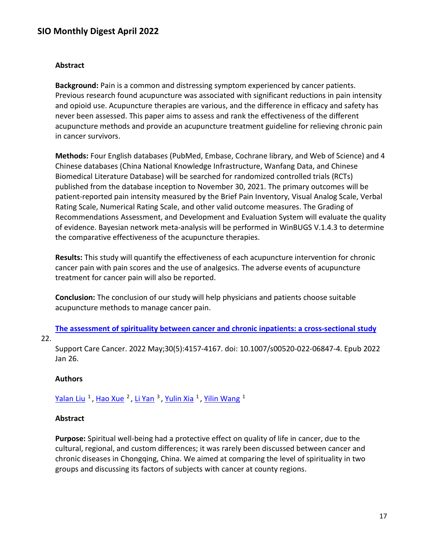#### **Abstract**

**Background:** Pain is a common and distressing symptom experienced by cancer patients. Previous research found acupuncture was associated with significant reductions in pain intensity and opioid use. Acupuncture therapies are various, and the difference in efficacy and safety has never been assessed. This paper aims to assess and rank the effectiveness of the different acupuncture methods and provide an acupuncture treatment guideline for relieving chronic pain in cancer survivors.

**Methods:** Four English databases (PubMed, Embase, Cochrane library, and Web of Science) and 4 Chinese databases (China National Knowledge Infrastructure, Wanfang Data, and Chinese Biomedical Literature Database) will be searched for randomized controlled trials (RCTs) published from the database inception to November 30, 2021. The primary outcomes will be patient-reported pain intensity measured by the Brief Pain Inventory, Visual Analog Scale, Verbal Rating Scale, Numerical Rating Scale, and other valid outcome measures. The Grading of Recommendations Assessment, and Development and Evaluation System will evaluate the quality of evidence. Bayesian network meta-analysis will be performed in WinBUGS V.1.4.3 to determine the comparative effectiveness of the acupuncture therapies.

**Results:** This study will quantify the effectiveness of each acupuncture intervention for chronic cancer pain with pain scores and the use of analgesics. The adverse events of acupuncture treatment for cancer pain will also be reported.

**Conclusion:** The conclusion of our study will help physicians and patients choose suitable acupuncture methods to manage cancer pain.

#### **[The assessment of spirituality between cancer and chronic inpatients: a cross-sectional](https://nam11.safelinks.protection.outlook.com/?url=https%3A%2F%2Fpubmed.ncbi.nlm.nih.gov%2F35080668%2F&data=04%7C01%7Calmira.catic%40emory.edu%7C478ade74754b4c15a64f08da13eab169%7Ce004fb9cb0a4424fbcd0322606d5df38%7C0%7C0%7C637844196309271974%7CUnknown%7CTWFpbGZsb3d8eyJWIjoiMC4wLjAwMDAiLCJQIjoiV2luMzIiLCJBTiI6Ik1haWwiLCJXVCI6Mn0%3D%7C3000&sdata=%2FuPTUXeNcY1SqdvuyjbgaUHnx3esc1nciXhuW%2B7%2Ff5c%3D&reserved=0) study**

### 22.

Support Care Cancer. 2022 May;30(5):4157-4167. doi: 10.1007/s00520-022-06847-4. Epub 2022 Jan 26.

#### **Authors**

[Yalan Liu](https://nam11.safelinks.protection.outlook.com/?url=https%3A%2F%2Fpubmed.ncbi.nlm.nih.gov%2F%3Fsize%3D100%26term%3DLiu%2BY%26cauthor_id%3D35080668&data=04%7C01%7Calmira.catic%40emory.edu%7C478ade74754b4c15a64f08da13eab169%7Ce004fb9cb0a4424fbcd0322606d5df38%7C0%7C0%7C637844196309271974%7CUnknown%7CTWFpbGZsb3d8eyJWIjoiMC4wLjAwMDAiLCJQIjoiV2luMzIiLCJBTiI6Ik1haWwiLCJXVCI6Mn0%3D%7C3000&sdata=BD1TpD5xiDEBvXS15fB68ROxC5%2F5Umx3v%2B50qLgJSHc%3D&reserved=0) <sup>1</sup>, [Hao Xue](https://nam11.safelinks.protection.outlook.com/?url=https%3A%2F%2Fpubmed.ncbi.nlm.nih.gov%2F%3Fsize%3D100%26term%3DXue%2BH%26cauthor_id%3D35080668&data=04%7C01%7Calmira.catic%40emory.edu%7C478ade74754b4c15a64f08da13eab169%7Ce004fb9cb0a4424fbcd0322606d5df38%7C0%7C0%7C637844196309271974%7CUnknown%7CTWFpbGZsb3d8eyJWIjoiMC4wLjAwMDAiLCJQIjoiV2luMzIiLCJBTiI6Ik1haWwiLCJXVCI6Mn0%3D%7C3000&sdata=FAN4m6MboAdprRlvPOTeUdrMGUDvksi0p%2BueuJ%2FDL3s%3D&reserved=0) <sup>2</sup>, [Li Yan](https://nam11.safelinks.protection.outlook.com/?url=https%3A%2F%2Fpubmed.ncbi.nlm.nih.gov%2F%3Fsize%3D100%26term%3DYan%2BL%26cauthor_id%3D35080668&data=04%7C01%7Calmira.catic%40emory.edu%7C478ade74754b4c15a64f08da13eab169%7Ce004fb9cb0a4424fbcd0322606d5df38%7C0%7C0%7C637844196309271974%7CUnknown%7CTWFpbGZsb3d8eyJWIjoiMC4wLjAwMDAiLCJQIjoiV2luMzIiLCJBTiI6Ik1haWwiLCJXVCI6Mn0%3D%7C3000&sdata=iec6yj6d5dI5tj7SDoeBz3mY3YL4CXQsEC%2FcF4tB9w0%3D&reserved=0) <sup>3</sup>, [Yulin Xia](https://nam11.safelinks.protection.outlook.com/?url=https%3A%2F%2Fpubmed.ncbi.nlm.nih.gov%2F%3Fsize%3D100%26term%3DXia%2BY%26cauthor_id%3D35080668&data=04%7C01%7Calmira.catic%40emory.edu%7C478ade74754b4c15a64f08da13eab169%7Ce004fb9cb0a4424fbcd0322606d5df38%7C0%7C0%7C637844196309271974%7CUnknown%7CTWFpbGZsb3d8eyJWIjoiMC4wLjAwMDAiLCJQIjoiV2luMzIiLCJBTiI6Ik1haWwiLCJXVCI6Mn0%3D%7C3000&sdata=4JM7buOqn9iTKlwNjIhxzb8NOexY3xSKF%2BF2GekQ6R8%3D&reserved=0) <sup>1</sup>, [Yilin Wang](https://nam11.safelinks.protection.outlook.com/?url=https%3A%2F%2Fpubmed.ncbi.nlm.nih.gov%2F%3Fsize%3D100%26term%3DWang%2BY%26cauthor_id%3D35080668&data=04%7C01%7Calmira.catic%40emory.edu%7C478ade74754b4c15a64f08da13eab169%7Ce004fb9cb0a4424fbcd0322606d5df38%7C0%7C0%7C637844196309271974%7CUnknown%7CTWFpbGZsb3d8eyJWIjoiMC4wLjAwMDAiLCJQIjoiV2luMzIiLCJBTiI6Ik1haWwiLCJXVCI6Mn0%3D%7C3000&sdata=5ElPp6j4sU3hkfIbOqM4taWSSKZwupWaxEi8oFapuG0%3D&reserved=0) <sup>1</sup>

### **Abstract**

**Purpose:** Spiritual well-being had a protective effect on quality of life in cancer, due to the cultural, regional, and custom differences; it was rarely been discussed between cancer and chronic diseases in Chongqing, China. We aimed at comparing the level of spirituality in two groups and discussing its factors of subjects with cancer at county regions.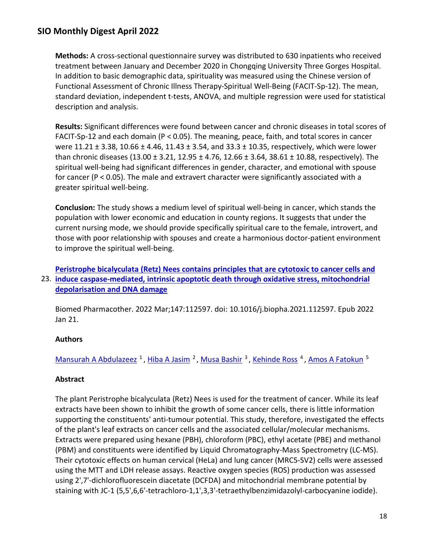**Methods:** A cross-sectional questionnaire survey was distributed to 630 inpatients who received treatment between January and December 2020 in Chongqing University Three Gorges Hospital. In addition to basic demographic data, spirituality was measured using the Chinese version of Functional Assessment of Chronic Illness Therapy-Spiritual Well-Being (FACIT-Sp-12). The mean, standard deviation, independent t-tests, ANOVA, and multiple regression were used for statistical description and analysis.

**Results:** Significant differences were found between cancer and chronic diseases in total scores of FACIT-Sp-12 and each domain (P < 0.05). The meaning, peace, faith, and total scores in cancer were 11.21 ± 3.38, 10.66 ± 4.46, 11.43 ± 3.54, and 33.3 ± 10.35, respectively, which were lower than chronic diseases (13.00  $\pm$  3.21, 12.95  $\pm$  4.76, 12.66  $\pm$  3.64, 38.61  $\pm$  10.88, respectively). The spiritual well-being had significant differences in gender, character, and emotional with spouse for cancer (P < 0.05). The male and extravert character were significantly associated with a greater spiritual well-being.

**Conclusion:** The study shows a medium level of spiritual well-being in cancer, which stands the population with lower economic and education in county regions. It suggests that under the current nursing mode, we should provide specifically spiritual care to the female, introvert, and those with poor relationship with spouses and create a harmonious doctor-patient environment to improve the spiritual well-being.

## 23. **[induce caspase-mediated, intrinsic apoptotic death through oxidative stress, mitochondrial](https://nam11.safelinks.protection.outlook.com/?url=https%3A%2F%2Fpubmed.ncbi.nlm.nih.gov%2F35078093%2F&data=04%7C01%7Calmira.catic%40emory.edu%7C478ade74754b4c15a64f08da13eab169%7Ce004fb9cb0a4424fbcd0322606d5df38%7C0%7C0%7C637844196309271974%7CUnknown%7CTWFpbGZsb3d8eyJWIjoiMC4wLjAwMDAiLCJQIjoiV2luMzIiLCJBTiI6Ik1haWwiLCJXVCI6Mn0%3D%7C3000&sdata=CgH1C%2FgxM9bXto8zWDo8sczFVEfo8hcYOiHNDaeYpsA%3D&reserved=0)  [Peristrophe bicalyculata \(Retz\) Nees contains principles that are cytotoxic to cancer cells](https://nam11.safelinks.protection.outlook.com/?url=https%3A%2F%2Fpubmed.ncbi.nlm.nih.gov%2F35078093%2F&data=04%7C01%7Calmira.catic%40emory.edu%7C478ade74754b4c15a64f08da13eab169%7Ce004fb9cb0a4424fbcd0322606d5df38%7C0%7C0%7C637844196309271974%7CUnknown%7CTWFpbGZsb3d8eyJWIjoiMC4wLjAwMDAiLCJQIjoiV2luMzIiLCJBTiI6Ik1haWwiLCJXVCI6Mn0%3D%7C3000&sdata=CgH1C%2FgxM9bXto8zWDo8sczFVEfo8hcYOiHNDaeYpsA%3D&reserved=0) and [depolarisation and DNA damage](https://nam11.safelinks.protection.outlook.com/?url=https%3A%2F%2Fpubmed.ncbi.nlm.nih.gov%2F35078093%2F&data=04%7C01%7Calmira.catic%40emory.edu%7C478ade74754b4c15a64f08da13eab169%7Ce004fb9cb0a4424fbcd0322606d5df38%7C0%7C0%7C637844196309271974%7CUnknown%7CTWFpbGZsb3d8eyJWIjoiMC4wLjAwMDAiLCJQIjoiV2luMzIiLCJBTiI6Ik1haWwiLCJXVCI6Mn0%3D%7C3000&sdata=CgH1C%2FgxM9bXto8zWDo8sczFVEfo8hcYOiHNDaeYpsA%3D&reserved=0)**

Biomed Pharmacother. 2022 Mar;147:112597. doi: 10.1016/j.biopha.2021.112597. Epub 2022 Jan 21.

### **Authors**

Mansurah A Abdulazeez<sup>1</sup>, Hiba A Jasim<sup>2</sup>, Musa Bashir<sup>3</sup>, Kehinde Ross<sup>4</sup>, Amos A Fatokun<sup>5</sup>

### **Abstract**

The plant Peristrophe bicalyculata (Retz) Nees is used for the treatment of cancer. While its leaf extracts have been shown to inhibit the growth of some cancer cells, there is little information supporting the constituents' anti-tumour potential. This study, therefore, investigated the effects of the plant's leaf extracts on cancer cells and the associated cellular/molecular mechanisms. Extracts were prepared using hexane (PBH), chloroform (PBC), ethyl acetate (PBE) and methanol (PBM) and constituents were identified by Liquid Chromatography-Mass Spectrometry (LC-MS). Their cytotoxic effects on human cervical (HeLa) and lung cancer (MRC5-SV2) cells were assessed using the MTT and LDH release assays. Reactive oxygen species (ROS) production was assessed using 2',7'-dichlorofluorescein diacetate (DCFDA) and mitochondrial membrane potential by staining with JC-1 (5,5',6,6'-tetrachloro-1,1',3,3'-tetraethylbenzimidazolyl-carbocyanine iodide).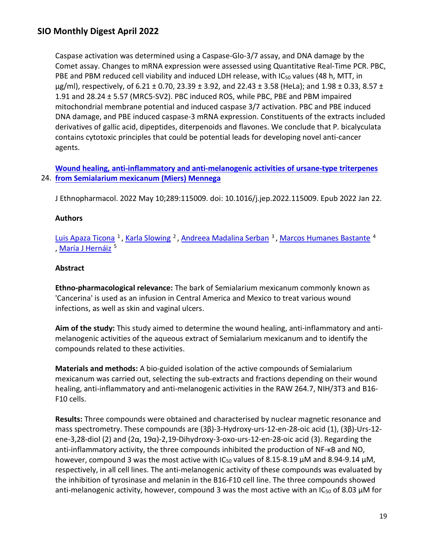Caspase activation was determined using a Caspase-Glo-3/7 assay, and DNA damage by the Comet assay. Changes to mRNA expression were assessed using Quantitative Real-Time PCR. PBC, PBE and PBM reduced cell viability and induced LDH release, with IC<sub>50</sub> values (48 h, MTT, in  $\mu$ g/ml), respectively, of 6.21 ± 0.70, 23.39 ± 3.92, and 22.43 ± 3.58 (HeLa); and 1.98 ± 0.33, 8.57 ± 1.91 and 28.24 ± 5.57 (MRC5-SV2). PBC induced ROS, while PBC, PBE and PBM impaired mitochondrial membrane potential and induced caspase 3/7 activation. PBC and PBE induced DNA damage, and PBE induced caspase-3 mRNA expression. Constituents of the extracts included derivatives of gallic acid, dipeptides, diterpenoids and flavones. We conclude that P. bicalyculata contains cytotoxic principles that could be potential leads for developing novel anti-cancer agents.

24. **[from Semialarium mexicanum \(Miers\) Mennega](https://nam11.safelinks.protection.outlook.com/?url=https%3A%2F%2Fpubmed.ncbi.nlm.nih.gov%2F35077827%2F&data=04%7C01%7Calmira.catic%40emory.edu%7C478ade74754b4c15a64f08da13eab169%7Ce004fb9cb0a4424fbcd0322606d5df38%7C0%7C0%7C637844196309428292%7CUnknown%7CTWFpbGZsb3d8eyJWIjoiMC4wLjAwMDAiLCJQIjoiV2luMzIiLCJBTiI6Ik1haWwiLCJXVCI6Mn0%3D%7C3000&sdata=9I80M3%2F%2B8alGSTPN6IADqw9CHThbSzL1LcuhULYdYYw%3D&reserved=0)  [Wound healing, anti-inflammatory and anti-melanogenic activities of ursane-type triterpenes](https://nam11.safelinks.protection.outlook.com/?url=https%3A%2F%2Fpubmed.ncbi.nlm.nih.gov%2F35077827%2F&data=04%7C01%7Calmira.catic%40emory.edu%7C478ade74754b4c15a64f08da13eab169%7Ce004fb9cb0a4424fbcd0322606d5df38%7C0%7C0%7C637844196309428292%7CUnknown%7CTWFpbGZsb3d8eyJWIjoiMC4wLjAwMDAiLCJQIjoiV2luMzIiLCJBTiI6Ik1haWwiLCJXVCI6Mn0%3D%7C3000&sdata=9I80M3%2F%2B8alGSTPN6IADqw9CHThbSzL1LcuhULYdYYw%3D&reserved=0)** 

J Ethnopharmacol. 2022 May 10;289:115009. doi: 10.1016/j.jep.2022.115009. Epub 2022 Jan 22.

### **Authors**

Luis Apaza Ticona<sup>1</sup>, Karla Slowing<sup>2</sup>, Andreea Madalina Serban<sup>3</sup>, Marcos Humanes Bastante<sup>4</sup> María J Hernáiz<sup>5</sup>

### **Abstract**

**Ethno-pharmacological relevance:** The bark of Semialarium mexicanum commonly known as 'Cancerina' is used as an infusion in Central America and Mexico to treat various wound infections, as well as skin and vaginal ulcers.

**Aim of the study:** This study aimed to determine the wound healing, anti-inflammatory and antimelanogenic activities of the aqueous extract of Semialarium mexicanum and to identify the compounds related to these activities.

**Materials and methods:** A bio-guided isolation of the active compounds of Semialarium mexicanum was carried out, selecting the sub-extracts and fractions depending on their wound healing, anti-inflammatory and anti-melanogenic activities in the RAW 264.7, NIH/3T3 and B16- F10 cells.

**Results:** Three compounds were obtained and characterised by nuclear magnetic resonance and mass spectrometry. These compounds are (3β)-3-Hydroxy-urs-12-en-28-oic acid (1), (3β)-Urs-12 ene-3,28-diol (2) and ( $2\alpha$ ,  $19\alpha$ )-2,19-Dihydroxy-3-oxo-urs-12-en-28-oic acid (3). Regarding the anti-inflammatory activity, the three compounds inhibited the production of NF-κB and NO, however, compound 3 was the most active with  $IC_{50}$  values of 8.15-8.19  $\mu$ M and 8.94-9.14  $\mu$ M, respectively, in all cell lines. The anti-melanogenic activity of these compounds was evaluated by the inhibition of tyrosinase and melanin in the B16-F10 cell line. The three compounds showed anti-melanogenic activity, however, compound 3 was the most active with an IC<sub>50</sub> of 8.03  $\mu$ M for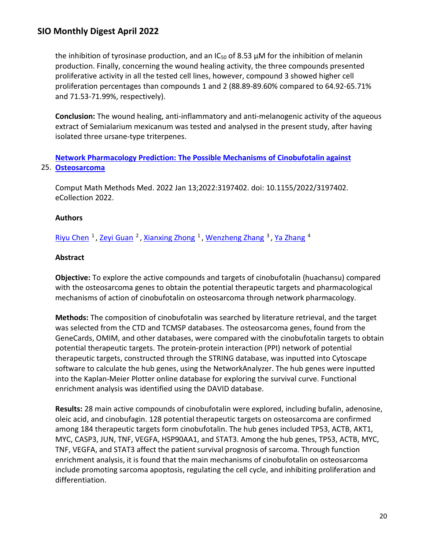the inhibition of tyrosinase production, and an  $IC_{50}$  of 8.53  $\mu$ M for the inhibition of melanin production. Finally, concerning the wound healing activity, the three compounds presented proliferative activity in all the tested cell lines, however, compound 3 showed higher cell proliferation percentages than compounds 1 and 2 (88.89-89.60% compared to 64.92-65.71% and 71.53-71.99%, respectively).

**Conclusion:** The wound healing, anti-inflammatory and anti-melanogenic activity of the aqueous extract of Semialarium mexicanum was tested and analysed in the present study, after having isolated three ursane-type triterpenes.

25. **[Osteosarcoma](https://nam11.safelinks.protection.outlook.com/?url=https%3A%2F%2Fpubmed.ncbi.nlm.nih.gov%2F35069780%2F&data=04%7C01%7Calmira.catic%40emory.edu%7C478ade74754b4c15a64f08da13eab169%7Ce004fb9cb0a4424fbcd0322606d5df38%7C0%7C0%7C637844196309428292%7CUnknown%7CTWFpbGZsb3d8eyJWIjoiMC4wLjAwMDAiLCJQIjoiV2luMzIiLCJBTiI6Ik1haWwiLCJXVCI6Mn0%3D%7C3000&sdata=n9%2Fw3CEPdqa4mkMLQp8OtDR%2Bis0B8g7wm%2BKCMgHGBQs%3D&reserved=0)  [Network Pharmacology Prediction: The Possible Mechanisms of Cinobufotalin against](https://nam11.safelinks.protection.outlook.com/?url=https%3A%2F%2Fpubmed.ncbi.nlm.nih.gov%2F35069780%2F&data=04%7C01%7Calmira.catic%40emory.edu%7C478ade74754b4c15a64f08da13eab169%7Ce004fb9cb0a4424fbcd0322606d5df38%7C0%7C0%7C637844196309428292%7CUnknown%7CTWFpbGZsb3d8eyJWIjoiMC4wLjAwMDAiLCJQIjoiV2luMzIiLCJBTiI6Ik1haWwiLCJXVCI6Mn0%3D%7C3000&sdata=n9%2Fw3CEPdqa4mkMLQp8OtDR%2Bis0B8g7wm%2BKCMgHGBQs%3D&reserved=0)** 

Comput Math Methods Med. 2022 Jan 13;2022:3197402. doi: 10.1155/2022/3197402. eCollection 2022.

### **Authors**

[Riyu Chen](https://nam11.safelinks.protection.outlook.com/?url=https%3A%2F%2Fpubmed.ncbi.nlm.nih.gov%2F%3Fsize%3D100%26term%3DChen%2BR%26cauthor_id%3D35069780&data=04%7C01%7Calmira.catic%40emory.edu%7C478ade74754b4c15a64f08da13eab169%7Ce004fb9cb0a4424fbcd0322606d5df38%7C0%7C0%7C637844196309428292%7CUnknown%7CTWFpbGZsb3d8eyJWIjoiMC4wLjAwMDAiLCJQIjoiV2luMzIiLCJBTiI6Ik1haWwiLCJXVCI6Mn0%3D%7C3000&sdata=U6R6mw2H551fgj3tgZd0UizIDVYbRukTAVijeaeVzNE%3D&reserved=0) <sup>1</sup>, [Zeyi Guan](https://nam11.safelinks.protection.outlook.com/?url=https%3A%2F%2Fpubmed.ncbi.nlm.nih.gov%2F%3Fsize%3D100%26term%3DGuan%2BZ%26cauthor_id%3D35069780&data=04%7C01%7Calmira.catic%40emory.edu%7C478ade74754b4c15a64f08da13eab169%7Ce004fb9cb0a4424fbcd0322606d5df38%7C0%7C0%7C637844196309428292%7CUnknown%7CTWFpbGZsb3d8eyJWIjoiMC4wLjAwMDAiLCJQIjoiV2luMzIiLCJBTiI6Ik1haWwiLCJXVCI6Mn0%3D%7C3000&sdata=9%2Be9jr%2FGim93L9CiQm%2BVeZMdUNk67uBNzKjd8moZCM8%3D&reserved=0) <sup>2</sup>, [Xianxing Zhong](https://nam11.safelinks.protection.outlook.com/?url=https%3A%2F%2Fpubmed.ncbi.nlm.nih.gov%2F%3Fsize%3D100%26term%3DZhong%2BX%26cauthor_id%3D35069780&data=04%7C01%7Calmira.catic%40emory.edu%7C478ade74754b4c15a64f08da13eab169%7Ce004fb9cb0a4424fbcd0322606d5df38%7C0%7C0%7C637844196309428292%7CUnknown%7CTWFpbGZsb3d8eyJWIjoiMC4wLjAwMDAiLCJQIjoiV2luMzIiLCJBTiI6Ik1haWwiLCJXVCI6Mn0%3D%7C3000&sdata=n5XTLlb%2FHwUG%2BxOf0%2BkTSbiiMyzrSDC5ZOTie%2BEIP2w%3D&reserved=0) <sup>1</sup>, [Wenzheng Zhang](https://nam11.safelinks.protection.outlook.com/?url=https%3A%2F%2Fpubmed.ncbi.nlm.nih.gov%2F%3Fsize%3D100%26term%3DZhang%2BW%26cauthor_id%3D35069780&data=04%7C01%7Calmira.catic%40emory.edu%7C478ade74754b4c15a64f08da13eab169%7Ce004fb9cb0a4424fbcd0322606d5df38%7C0%7C0%7C637844196309428292%7CUnknown%7CTWFpbGZsb3d8eyJWIjoiMC4wLjAwMDAiLCJQIjoiV2luMzIiLCJBTiI6Ik1haWwiLCJXVCI6Mn0%3D%7C3000&sdata=q5x54By8FZJSfPrcFNyANM1ceJNMi1ygocDAwi6SzVo%3D&reserved=0) <sup>3</sup>, [Ya Zhang](https://nam11.safelinks.protection.outlook.com/?url=https%3A%2F%2Fpubmed.ncbi.nlm.nih.gov%2F%3Fsize%3D100%26term%3DZhang%2BY%26cauthor_id%3D35069780&data=04%7C01%7Calmira.catic%40emory.edu%7C478ade74754b4c15a64f08da13eab169%7Ce004fb9cb0a4424fbcd0322606d5df38%7C0%7C0%7C637844196309428292%7CUnknown%7CTWFpbGZsb3d8eyJWIjoiMC4wLjAwMDAiLCJQIjoiV2luMzIiLCJBTiI6Ik1haWwiLCJXVCI6Mn0%3D%7C3000&sdata=bPwUbxQ7LHxrnZsvntnMwpGcL3k12pONQ8UmPBUfB2U%3D&reserved=0) <sup>4</sup>

### **Abstract**

**Objective:** To explore the active compounds and targets of cinobufotalin (huachansu) compared with the osteosarcoma genes to obtain the potential therapeutic targets and pharmacological mechanisms of action of cinobufotalin on osteosarcoma through network pharmacology.

**Methods:** The composition of cinobufotalin was searched by literature retrieval, and the target was selected from the CTD and TCMSP databases. The osteosarcoma genes, found from the GeneCards, OMIM, and other databases, were compared with the cinobufotalin targets to obtain potential therapeutic targets. The protein-protein interaction (PPI) network of potential therapeutic targets, constructed through the STRING database, was inputted into Cytoscape software to calculate the hub genes, using the NetworkAnalyzer. The hub genes were inputted into the Kaplan-Meier Plotter online database for exploring the survival curve. Functional enrichment analysis was identified using the DAVID database.

**Results:** 28 main active compounds of cinobufotalin were explored, including bufalin, adenosine, oleic acid, and cinobufagin. 128 potential therapeutic targets on osteosarcoma are confirmed among 184 therapeutic targets form cinobufotalin. The hub genes included TP53, ACTB, AKT1, MYC, CASP3, JUN, TNF, VEGFA, HSP90AA1, and STAT3. Among the hub genes, TP53, ACTB, MYC, TNF, VEGFA, and STAT3 affect the patient survival prognosis of sarcoma. Through function enrichment analysis, it is found that the main mechanisms of cinobufotalin on osteosarcoma include promoting sarcoma apoptosis, regulating the cell cycle, and inhibiting proliferation and differentiation.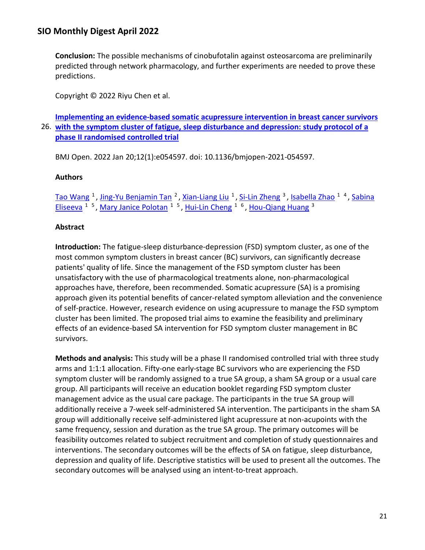**Conclusion:** The possible mechanisms of cinobufotalin against osteosarcoma are preliminarily predicted through network pharmacology, and further experiments are needed to prove these predictions.

Copyright © 2022 Riyu Chen et al.

26. **[with the symptom cluster of fatigue, sleep disturbance and depression: study protocol of a](https://nam11.safelinks.protection.outlook.com/?url=https%3A%2F%2Fpubmed.ncbi.nlm.nih.gov%2F35058263%2F&data=04%7C01%7Calmira.catic%40emory.edu%7C478ade74754b4c15a64f08da13eab169%7Ce004fb9cb0a4424fbcd0322606d5df38%7C0%7C0%7C637844196309428292%7CUnknown%7CTWFpbGZsb3d8eyJWIjoiMC4wLjAwMDAiLCJQIjoiV2luMzIiLCJBTiI6Ik1haWwiLCJXVCI6Mn0%3D%7C3000&sdata=c1et9%2BqiP9nZsL%2BX7q2RdTFY2eyxlm%2BaVk11nTOhNvE%3D&reserved=0)  [Implementing an evidence-based somatic acupressure intervention in breast cancer survivors](https://nam11.safelinks.protection.outlook.com/?url=https%3A%2F%2Fpubmed.ncbi.nlm.nih.gov%2F35058263%2F&data=04%7C01%7Calmira.catic%40emory.edu%7C478ade74754b4c15a64f08da13eab169%7Ce004fb9cb0a4424fbcd0322606d5df38%7C0%7C0%7C637844196309428292%7CUnknown%7CTWFpbGZsb3d8eyJWIjoiMC4wLjAwMDAiLCJQIjoiV2luMzIiLCJBTiI6Ik1haWwiLCJXVCI6Mn0%3D%7C3000&sdata=c1et9%2BqiP9nZsL%2BX7q2RdTFY2eyxlm%2BaVk11nTOhNvE%3D&reserved=0)  [phase II randomised controlled trial](https://nam11.safelinks.protection.outlook.com/?url=https%3A%2F%2Fpubmed.ncbi.nlm.nih.gov%2F35058263%2F&data=04%7C01%7Calmira.catic%40emory.edu%7C478ade74754b4c15a64f08da13eab169%7Ce004fb9cb0a4424fbcd0322606d5df38%7C0%7C0%7C637844196309428292%7CUnknown%7CTWFpbGZsb3d8eyJWIjoiMC4wLjAwMDAiLCJQIjoiV2luMzIiLCJBTiI6Ik1haWwiLCJXVCI6Mn0%3D%7C3000&sdata=c1et9%2BqiP9nZsL%2BX7q2RdTFY2eyxlm%2BaVk11nTOhNvE%3D&reserved=0)** 

BMJ Open. 2022 Jan 20;12(1):e054597. doi: 10.1136/bmjopen-2021-054597.

### **Authors**

[Tao Wang](https://nam11.safelinks.protection.outlook.com/?url=https%3A%2F%2Fpubmed.ncbi.nlm.nih.gov%2F%3Fsize%3D100%26term%3DWang%2BT%26cauthor_id%3D35058263&data=04%7C01%7Calmira.catic%40emory.edu%7C478ade74754b4c15a64f08da13eab169%7Ce004fb9cb0a4424fbcd0322606d5df38%7C0%7C0%7C637844196309584465%7CUnknown%7CTWFpbGZsb3d8eyJWIjoiMC4wLjAwMDAiLCJQIjoiV2luMzIiLCJBTiI6Ik1haWwiLCJXVCI6Mn0%3D%7C3000&sdata=YiHtE5YCSkAY135gr1o%2F6K8pFKdz7MbazPWbI4bQaz8%3D&reserved=0) <sup>1</sup>, [Jing-Yu Benjamin Tan](https://nam11.safelinks.protection.outlook.com/?url=https%3A%2F%2Fpubmed.ncbi.nlm.nih.gov%2F%3Fsize%3D100%26term%3DTan%2BJB%26cauthor_id%3D35058263&data=04%7C01%7Calmira.catic%40emory.edu%7C478ade74754b4c15a64f08da13eab169%7Ce004fb9cb0a4424fbcd0322606d5df38%7C0%7C0%7C637844196309584465%7CUnknown%7CTWFpbGZsb3d8eyJWIjoiMC4wLjAwMDAiLCJQIjoiV2luMzIiLCJBTiI6Ik1haWwiLCJXVCI6Mn0%3D%7C3000&sdata=qvQsh%2BfTE62BjEXbkOpYYW2p%2FEKJuwDiuXSourc655g%3D&reserved=0) <sup>2</sup>, [Xian-Liang Liu](https://nam11.safelinks.protection.outlook.com/?url=https%3A%2F%2Fpubmed.ncbi.nlm.nih.gov%2F%3Fsize%3D100%26term%3DLiu%2BXL%26cauthor_id%3D35058263&data=04%7C01%7Calmira.catic%40emory.edu%7C478ade74754b4c15a64f08da13eab169%7Ce004fb9cb0a4424fbcd0322606d5df38%7C0%7C0%7C637844196309584465%7CUnknown%7CTWFpbGZsb3d8eyJWIjoiMC4wLjAwMDAiLCJQIjoiV2luMzIiLCJBTiI6Ik1haWwiLCJXVCI6Mn0%3D%7C3000&sdata=M0QjBb6JeWnBCLDiaiRyGnoTPwuzcCsbMq5mqsH1dMw%3D&reserved=0) <sup>1</sup>, [Si-Lin Zheng](https://nam11.safelinks.protection.outlook.com/?url=https%3A%2F%2Fpubmed.ncbi.nlm.nih.gov%2F%3Fsize%3D100%26term%3DZheng%2BSL%26cauthor_id%3D35058263&data=04%7C01%7Calmira.catic%40emory.edu%7C478ade74754b4c15a64f08da13eab169%7Ce004fb9cb0a4424fbcd0322606d5df38%7C0%7C0%7C637844196309584465%7CUnknown%7CTWFpbGZsb3d8eyJWIjoiMC4wLjAwMDAiLCJQIjoiV2luMzIiLCJBTiI6Ik1haWwiLCJXVCI6Mn0%3D%7C3000&sdata=t%2FePT%2FJhhCQOkFybpYjC7Q5Zbq1lw9FxPAE3xMKEubI%3D&reserved=0) <sup>3</sup>, [Isabella Zhao](https://nam11.safelinks.protection.outlook.com/?url=https%3A%2F%2Fpubmed.ncbi.nlm.nih.gov%2F%3Fsize%3D100%26term%3DZhao%2BI%26cauthor_id%3D35058263&data=04%7C01%7Calmira.catic%40emory.edu%7C478ade74754b4c15a64f08da13eab169%7Ce004fb9cb0a4424fbcd0322606d5df38%7C0%7C0%7C637844196309584465%7CUnknown%7CTWFpbGZsb3d8eyJWIjoiMC4wLjAwMDAiLCJQIjoiV2luMzIiLCJBTiI6Ik1haWwiLCJXVCI6Mn0%3D%7C3000&sdata=kcM5Nxjg0TIW6GztjB%2B5u2rpBFL3paT8sINaU6ux45g%3D&reserved=0) <sup>14</sup>, Sabina [Eliseeva](https://nam11.safelinks.protection.outlook.com/?url=https%3A%2F%2Fpubmed.ncbi.nlm.nih.gov%2F%3Fsize%3D100%26term%3DEliseeva%2BS%26cauthor_id%3D35058263&data=04%7C01%7Calmira.catic%40emory.edu%7C478ade74754b4c15a64f08da13eab169%7Ce004fb9cb0a4424fbcd0322606d5df38%7C0%7C0%7C637844196309584465%7CUnknown%7CTWFpbGZsb3d8eyJWIjoiMC4wLjAwMDAiLCJQIjoiV2luMzIiLCJBTiI6Ik1haWwiLCJXVCI6Mn0%3D%7C3000&sdata=Dg%2FMdDkoyzk1GIMinzDRZioiRptCZFmDzJPkOlbNzc8%3D&reserved=0) <sup>1 5</sup>, Mary Janice Polotan<sup>1 5</sup>, [Hui-Lin Cheng](https://nam11.safelinks.protection.outlook.com/?url=https%3A%2F%2Fpubmed.ncbi.nlm.nih.gov%2F%3Fsize%3D100%26term%3DCheng%2BHL%26cauthor_id%3D35058263&data=04%7C01%7Calmira.catic%40emory.edu%7C478ade74754b4c15a64f08da13eab169%7Ce004fb9cb0a4424fbcd0322606d5df38%7C0%7C0%7C637844196309584465%7CUnknown%7CTWFpbGZsb3d8eyJWIjoiMC4wLjAwMDAiLCJQIjoiV2luMzIiLCJBTiI6Ik1haWwiLCJXVCI6Mn0%3D%7C3000&sdata=PqjUjHHKhLmwA%2B6zoH4DEEdrQe7jyTvDrwCcF8XQ4Nk%3D&reserved=0) <sup>1 6</sup>, [Hou-Qiang Huang](https://nam11.safelinks.protection.outlook.com/?url=https%3A%2F%2Fpubmed.ncbi.nlm.nih.gov%2F%3Fsize%3D100%26term%3DHuang%2BHQ%26cauthor_id%3D35058263&data=04%7C01%7Calmira.catic%40emory.edu%7C478ade74754b4c15a64f08da13eab169%7Ce004fb9cb0a4424fbcd0322606d5df38%7C0%7C0%7C637844196309584465%7CUnknown%7CTWFpbGZsb3d8eyJWIjoiMC4wLjAwMDAiLCJQIjoiV2luMzIiLCJBTiI6Ik1haWwiLCJXVCI6Mn0%3D%7C3000&sdata=y99SVe3HRR8mJQ2MZBi%2BXzPz8DUyQIv4976a5osK23g%3D&reserved=0) <sup>3</sup>

### **Abstract**

**Introduction:** The fatigue-sleep disturbance-depression (FSD) symptom cluster, as one of the most common symptom clusters in breast cancer (BC) survivors, can significantly decrease patients' quality of life. Since the management of the FSD symptom cluster has been unsatisfactory with the use of pharmacological treatments alone, non-pharmacological approaches have, therefore, been recommended. Somatic acupressure (SA) is a promising approach given its potential benefits of cancer-related symptom alleviation and the convenience of self-practice. However, research evidence on using acupressure to manage the FSD symptom cluster has been limited. The proposed trial aims to examine the feasibility and preliminary effects of an evidence-based SA intervention for FSD symptom cluster management in BC survivors.

**Methods and analysis:** This study will be a phase II randomised controlled trial with three study arms and 1:1:1 allocation. Fifty-one early-stage BC survivors who are experiencing the FSD symptom cluster will be randomly assigned to a true SA group, a sham SA group or a usual care group. All participants will receive an education booklet regarding FSD symptom cluster management advice as the usual care package. The participants in the true SA group will additionally receive a 7-week self-administered SA intervention. The participants in the sham SA group will additionally receive self-administered light acupressure at non-acupoints with the same frequency, session and duration as the true SA group. The primary outcomes will be feasibility outcomes related to subject recruitment and completion of study questionnaires and interventions. The secondary outcomes will be the effects of SA on fatigue, sleep disturbance, depression and quality of life. Descriptive statistics will be used to present all the outcomes. The secondary outcomes will be analysed using an intent-to-treat approach.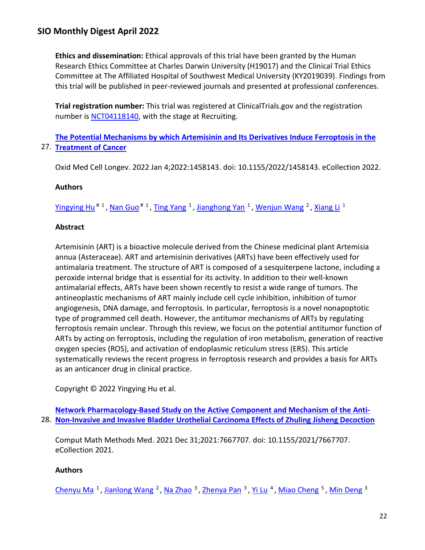**Ethics and dissemination:** Ethical approvals of this trial have been granted by the Human Research Ethics Committee at Charles Darwin University (H19017) and the Clinical Trial Ethics Committee at The Affiliated Hospital of Southwest Medical University (KY2019039). Findings from this trial will be published in peer-reviewed journals and presented at professional conferences.

**Trial registration number:** This trial was registered at ClinicalTrials.gov and the registration number is [NCT04118140,](https://nam11.safelinks.protection.outlook.com/?url=http%3A%2F%2Fclinicaltrials.gov%2Fshow%2FNCT04118140&data=04%7C01%7Calmira.catic%40emory.edu%7C478ade74754b4c15a64f08da13eab169%7Ce004fb9cb0a4424fbcd0322606d5df38%7C0%7C0%7C637844196309584465%7CUnknown%7CTWFpbGZsb3d8eyJWIjoiMC4wLjAwMDAiLCJQIjoiV2luMzIiLCJBTiI6Ik1haWwiLCJXVCI6Mn0%3D%7C3000&sdata=yXa6s%2BO7g%2F2nuN1Q8doW3KrqUlqFjtsMvKyZO1z6ntQ%3D&reserved=0) with the stage at Recruiting.

27. **[Treatment of Cancer](https://nam11.safelinks.protection.outlook.com/?url=https%3A%2F%2Fpubmed.ncbi.nlm.nih.gov%2F35028002%2F&data=04%7C01%7Calmira.catic%40emory.edu%7C478ade74754b4c15a64f08da13eab169%7Ce004fb9cb0a4424fbcd0322606d5df38%7C0%7C0%7C637844196309584465%7CUnknown%7CTWFpbGZsb3d8eyJWIjoiMC4wLjAwMDAiLCJQIjoiV2luMzIiLCJBTiI6Ik1haWwiLCJXVCI6Mn0%3D%7C3000&sdata=LzvVXkA04O35GpsNDmSzkFgUl5yg14wH6Ow9%2FLijoT0%3D&reserved=0)  [The Potential Mechanisms by which Artemisinin and Its Derivatives Induce Ferroptosis in the](https://nam11.safelinks.protection.outlook.com/?url=https%3A%2F%2Fpubmed.ncbi.nlm.nih.gov%2F35028002%2F&data=04%7C01%7Calmira.catic%40emory.edu%7C478ade74754b4c15a64f08da13eab169%7Ce004fb9cb0a4424fbcd0322606d5df38%7C0%7C0%7C637844196309584465%7CUnknown%7CTWFpbGZsb3d8eyJWIjoiMC4wLjAwMDAiLCJQIjoiV2luMzIiLCJBTiI6Ik1haWwiLCJXVCI6Mn0%3D%7C3000&sdata=LzvVXkA04O35GpsNDmSzkFgUl5yg14wH6Ow9%2FLijoT0%3D&reserved=0)**

Oxid Med Cell Longev. 2022 Jan 4;2022:1458143. doi: 10.1155/2022/1458143. eCollection 2022.

## **Authors**

Yingying Hu<sup># 1</sup>, Nan Guo<sup># 1</sup>, [Ting Yang](https://nam11.safelinks.protection.outlook.com/?url=https%3A%2F%2Fpubmed.ncbi.nlm.nih.gov%2F%3Fsize%3D100%26term%3DYang%2BT%26cauthor_id%3D35028002&data=04%7C01%7Calmira.catic%40emory.edu%7C478ade74754b4c15a64f08da13eab169%7Ce004fb9cb0a4424fbcd0322606d5df38%7C0%7C0%7C637844196309584465%7CUnknown%7CTWFpbGZsb3d8eyJWIjoiMC4wLjAwMDAiLCJQIjoiV2luMzIiLCJBTiI6Ik1haWwiLCJXVCI6Mn0%3D%7C3000&sdata=k4eWiGdBS9bsUdF5JqHGgd5UzSaHgEsfLMB5CQQq6Q0%3D&reserved=0) <sup>1</sup>, [Jianghong Yan](https://nam11.safelinks.protection.outlook.com/?url=https%3A%2F%2Fpubmed.ncbi.nlm.nih.gov%2F%3Fsize%3D100%26term%3DYan%2BJ%26cauthor_id%3D35028002&data=04%7C01%7Calmira.catic%40emory.edu%7C478ade74754b4c15a64f08da13eab169%7Ce004fb9cb0a4424fbcd0322606d5df38%7C0%7C0%7C637844196309584465%7CUnknown%7CTWFpbGZsb3d8eyJWIjoiMC4wLjAwMDAiLCJQIjoiV2luMzIiLCJBTiI6Ik1haWwiLCJXVCI6Mn0%3D%7C3000&sdata=4Ad6ecChtjVHQ8tFJjWOA5vQwZbNVt0uvzLJ7MuF3tw%3D&reserved=0) <sup>1</sup>, [Wenjun Wang](https://nam11.safelinks.protection.outlook.com/?url=https%3A%2F%2Fpubmed.ncbi.nlm.nih.gov%2F%3Fsize%3D100%26term%3DWang%2BW%26cauthor_id%3D35028002&data=04%7C01%7Calmira.catic%40emory.edu%7C478ade74754b4c15a64f08da13eab169%7Ce004fb9cb0a4424fbcd0322606d5df38%7C0%7C0%7C637844196309584465%7CUnknown%7CTWFpbGZsb3d8eyJWIjoiMC4wLjAwMDAiLCJQIjoiV2luMzIiLCJBTiI6Ik1haWwiLCJXVCI6Mn0%3D%7C3000&sdata=yPJrDuflKCC53ldx7nBLJKIv3OT66NVtyNIEdo2qG4A%3D&reserved=0) <sup>2</sup>, [Xiang Li](https://nam11.safelinks.protection.outlook.com/?url=https%3A%2F%2Fpubmed.ncbi.nlm.nih.gov%2F%3Fsize%3D100%26term%3DLi%2BX%26cauthor_id%3D35028002&data=04%7C01%7Calmira.catic%40emory.edu%7C478ade74754b4c15a64f08da13eab169%7Ce004fb9cb0a4424fbcd0322606d5df38%7C0%7C0%7C637844196309584465%7CUnknown%7CTWFpbGZsb3d8eyJWIjoiMC4wLjAwMDAiLCJQIjoiV2luMzIiLCJBTiI6Ik1haWwiLCJXVCI6Mn0%3D%7C3000&sdata=bF%2FLoBdO954jEFAvDKb5HWSImq2kOtJoAuJZtqjhe5k%3D&reserved=0) <sup>1</sup>

## **Abstract**

Artemisinin (ART) is a bioactive molecule derived from the Chinese medicinal plant Artemisia annua (Asteraceae). ART and artemisinin derivatives (ARTs) have been effectively used for antimalaria treatment. The structure of ART is composed of a sesquiterpene lactone, including a peroxide internal bridge that is essential for its activity. In addition to their well-known antimalarial effects, ARTs have been shown recently to resist a wide range of tumors. The antineoplastic mechanisms of ART mainly include cell cycle inhibition, inhibition of tumor angiogenesis, DNA damage, and ferroptosis. In particular, ferroptosis is a novel nonapoptotic type of programmed cell death. However, the antitumor mechanisms of ARTs by regulating ferroptosis remain unclear. Through this review, we focus on the potential antitumor function of ARTs by acting on ferroptosis, including the regulation of iron metabolism, generation of reactive oxygen species (ROS), and activation of endoplasmic reticulum stress (ERS). This article systematically reviews the recent progress in ferroptosis research and provides a basis for ARTs as an anticancer drug in clinical practice.

Copyright © 2022 Yingying Hu et al.

28. **[Non-Invasive and Invasive Bladder Urothelial Carcinoma Effects of Zhuling Jisheng Decoction](https://nam11.safelinks.protection.outlook.com/?url=https%3A%2F%2Fpubmed.ncbi.nlm.nih.gov%2F35003325%2F&data=04%7C01%7Calmira.catic%40emory.edu%7C478ade74754b4c15a64f08da13eab169%7Ce004fb9cb0a4424fbcd0322606d5df38%7C0%7C0%7C637844196309740704%7CUnknown%7CTWFpbGZsb3d8eyJWIjoiMC4wLjAwMDAiLCJQIjoiV2luMzIiLCJBTiI6Ik1haWwiLCJXVCI6Mn0%3D%7C3000&sdata=swQrpOOU0VQ7x1c%2F0ZnO%2BWklurxyjb8r7rYmrxDW2Ag%3D&reserved=0)  [Network Pharmacology-Based Study on the Active Component and Mechanism of the Anti-](https://nam11.safelinks.protection.outlook.com/?url=https%3A%2F%2Fpubmed.ncbi.nlm.nih.gov%2F35003325%2F&data=04%7C01%7Calmira.catic%40emory.edu%7C478ade74754b4c15a64f08da13eab169%7Ce004fb9cb0a4424fbcd0322606d5df38%7C0%7C0%7C637844196309740704%7CUnknown%7CTWFpbGZsb3d8eyJWIjoiMC4wLjAwMDAiLCJQIjoiV2luMzIiLCJBTiI6Ik1haWwiLCJXVCI6Mn0%3D%7C3000&sdata=swQrpOOU0VQ7x1c%2F0ZnO%2BWklurxyjb8r7rYmrxDW2Ag%3D&reserved=0)**

Comput Math Methods Med. 2021 Dec 31;2021:7667707. doi: 10.1155/2021/7667707. eCollection 2021.

## **Authors**

Chenyu Ma<sup>1</sup>, Jianlong Wang<sup>2</sup>, Na Zhao<sup>3</sup>, Zhenya Pan<sup>3</sup>, Yi Lu<sup>4</sup>, Miao Cheng<sup>5</sup>, Min Deng<sup>3</sup>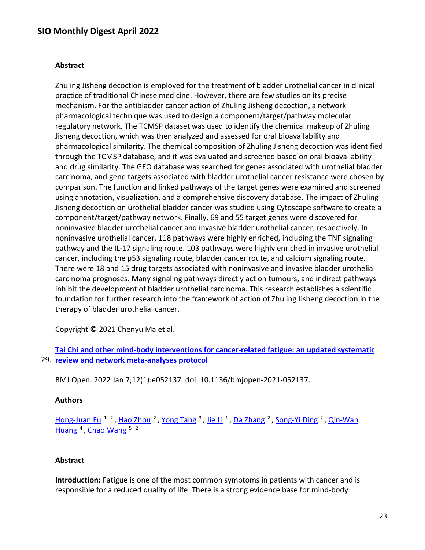#### **Abstract**

Zhuling Jisheng decoction is employed for the treatment of bladder urothelial cancer in clinical practice of traditional Chinese medicine. However, there are few studies on its precise mechanism. For the antibladder cancer action of Zhuling Jisheng decoction, a network pharmacological technique was used to design a component/target/pathway molecular regulatory network. The TCMSP dataset was used to identify the chemical makeup of Zhuling Jisheng decoction, which was then analyzed and assessed for oral bioavailability and pharmacological similarity. The chemical composition of Zhuling Jisheng decoction was identified through the TCMSP database, and it was evaluated and screened based on oral bioavailability and drug similarity. The GEO database was searched for genes associated with urothelial bladder carcinoma, and gene targets associated with bladder urothelial cancer resistance were chosen by comparison. The function and linked pathways of the target genes were examined and screened using annotation, visualization, and a comprehensive discovery database. The impact of Zhuling Jisheng decoction on urothelial bladder cancer was studied using Cytoscape software to create a component/target/pathway network. Finally, 69 and 55 target genes were discovered for noninvasive bladder urothelial cancer and invasive bladder urothelial cancer, respectively. In noninvasive urothelial cancer, 118 pathways were highly enriched, including the TNF signaling pathway and the IL-17 signaling route. 103 pathways were highly enriched in invasive urothelial cancer, including the p53 signaling route, bladder cancer route, and calcium signaling route. There were 18 and 15 drug targets associated with noninvasive and invasive bladder urothelial carcinoma prognoses. Many signaling pathways directly act on tumours, and indirect pathways inhibit the development of bladder urothelial carcinoma. This research establishes a scientific foundation for further research into the framework of action of Zhuling Jisheng decoction in the therapy of bladder urothelial cancer.

Copyright © 2021 Chenyu Ma et al.

29. **[review and network meta-analyses protocol](https://nam11.safelinks.protection.outlook.com/?url=https%3A%2F%2Fpubmed.ncbi.nlm.nih.gov%2F34996789%2F&data=04%7C01%7Calmira.catic%40emory.edu%7C478ade74754b4c15a64f08da13eab169%7Ce004fb9cb0a4424fbcd0322606d5df38%7C0%7C0%7C637844196309740704%7CUnknown%7CTWFpbGZsb3d8eyJWIjoiMC4wLjAwMDAiLCJQIjoiV2luMzIiLCJBTiI6Ik1haWwiLCJXVCI6Mn0%3D%7C3000&sdata=64Qd5EyFcxs1IfJKXXMAHnmtGfEBHcKZXnoM493BeBs%3D&reserved=0)  [Tai Chi and other mind-body interventions for cancer-related fatigue: an updated systematic](https://nam11.safelinks.protection.outlook.com/?url=https%3A%2F%2Fpubmed.ncbi.nlm.nih.gov%2F34996789%2F&data=04%7C01%7Calmira.catic%40emory.edu%7C478ade74754b4c15a64f08da13eab169%7Ce004fb9cb0a4424fbcd0322606d5df38%7C0%7C0%7C637844196309740704%7CUnknown%7CTWFpbGZsb3d8eyJWIjoiMC4wLjAwMDAiLCJQIjoiV2luMzIiLCJBTiI6Ik1haWwiLCJXVCI6Mn0%3D%7C3000&sdata=64Qd5EyFcxs1IfJKXXMAHnmtGfEBHcKZXnoM493BeBs%3D&reserved=0)** 

BMJ Open. 2022 Jan 7;12(1):e052137. doi: 10.1136/bmjopen-2021-052137.

#### **Authors**

[Hong-Juan Fu](https://nam11.safelinks.protection.outlook.com/?url=https%3A%2F%2Fpubmed.ncbi.nlm.nih.gov%2F%3Fsize%3D100%26term%3DFu%2BHJ%26cauthor_id%3D34996789&data=04%7C01%7Calmira.catic%40emory.edu%7C478ade74754b4c15a64f08da13eab169%7Ce004fb9cb0a4424fbcd0322606d5df38%7C0%7C0%7C637844196309740704%7CUnknown%7CTWFpbGZsb3d8eyJWIjoiMC4wLjAwMDAiLCJQIjoiV2luMzIiLCJBTiI6Ik1haWwiLCJXVCI6Mn0%3D%7C3000&sdata=bpeWyqP0v7ee0C2kt9N5%2BgTOVn6bfU%2F%2Bi5czcB%2FiWkA%3D&reserved=0) <sup>1 2</sup>, [Hao Zhou](https://nam11.safelinks.protection.outlook.com/?url=https%3A%2F%2Fpubmed.ncbi.nlm.nih.gov%2F%3Fsize%3D100%26term%3DZhou%2BH%26cauthor_id%3D34996789&data=04%7C01%7Calmira.catic%40emory.edu%7C478ade74754b4c15a64f08da13eab169%7Ce004fb9cb0a4424fbcd0322606d5df38%7C0%7C0%7C637844196309740704%7CUnknown%7CTWFpbGZsb3d8eyJWIjoiMC4wLjAwMDAiLCJQIjoiV2luMzIiLCJBTiI6Ik1haWwiLCJXVCI6Mn0%3D%7C3000&sdata=7%2F7WVqg5%2FIWsPEq64mWjWQu%2Bb76g%2FSxvSShikIgves0%3D&reserved=0) <sup>2</sup>, [Yong Tang](https://nam11.safelinks.protection.outlook.com/?url=https%3A%2F%2Fpubmed.ncbi.nlm.nih.gov%2F%3Fsize%3D100%26term%3DTang%2BY%26cauthor_id%3D34996789&data=04%7C01%7Calmira.catic%40emory.edu%7C478ade74754b4c15a64f08da13eab169%7Ce004fb9cb0a4424fbcd0322606d5df38%7C0%7C0%7C637844196309740704%7CUnknown%7CTWFpbGZsb3d8eyJWIjoiMC4wLjAwMDAiLCJQIjoiV2luMzIiLCJBTiI6Ik1haWwiLCJXVCI6Mn0%3D%7C3000&sdata=S0mYqYFjg05zogBpYL4LVgxGwRhe%2BPLMmp7GTO6R6sM%3D&reserved=0) <sup>3</sup>, [Jie Li](https://nam11.safelinks.protection.outlook.com/?url=https%3A%2F%2Fpubmed.ncbi.nlm.nih.gov%2F%3Fsize%3D100%26term%3DLi%2BJ%26cauthor_id%3D34996789&data=04%7C01%7Calmira.catic%40emory.edu%7C478ade74754b4c15a64f08da13eab169%7Ce004fb9cb0a4424fbcd0322606d5df38%7C0%7C0%7C637844196309740704%7CUnknown%7CTWFpbGZsb3d8eyJWIjoiMC4wLjAwMDAiLCJQIjoiV2luMzIiLCJBTiI6Ik1haWwiLCJXVCI6Mn0%3D%7C3000&sdata=ThifP%2Bvia47HwkukmGe8l2ZZZw3kUS76omI83tJtk58%3D&reserved=0) <sup>1</sup>, [Da Zhang](https://nam11.safelinks.protection.outlook.com/?url=https%3A%2F%2Fpubmed.ncbi.nlm.nih.gov%2F%3Fsize%3D100%26term%3DZhang%2BD%26cauthor_id%3D34996789&data=04%7C01%7Calmira.catic%40emory.edu%7C478ade74754b4c15a64f08da13eab169%7Ce004fb9cb0a4424fbcd0322606d5df38%7C0%7C0%7C637844196309740704%7CUnknown%7CTWFpbGZsb3d8eyJWIjoiMC4wLjAwMDAiLCJQIjoiV2luMzIiLCJBTiI6Ik1haWwiLCJXVCI6Mn0%3D%7C3000&sdata=ucpOMEvCXFO8HylkDy%2FcsStyhp8hmlyGuofAddArZAA%3D&reserved=0) <sup>2</sup>, [Song-Yi Ding](https://nam11.safelinks.protection.outlook.com/?url=https%3A%2F%2Fpubmed.ncbi.nlm.nih.gov%2F%3Fsize%3D100%26term%3DDing%2BSY%26cauthor_id%3D34996789&data=04%7C01%7Calmira.catic%40emory.edu%7C478ade74754b4c15a64f08da13eab169%7Ce004fb9cb0a4424fbcd0322606d5df38%7C0%7C0%7C637844196309740704%7CUnknown%7CTWFpbGZsb3d8eyJWIjoiMC4wLjAwMDAiLCJQIjoiV2luMzIiLCJBTiI6Ik1haWwiLCJXVCI6Mn0%3D%7C3000&sdata=dnSoKaLUKXboESjuC8Y4GbxQ6OATfesFqH7a7jAnxPA%3D&reserved=0) <sup>2</sup>, Qin-Wan [Huang](https://nam11.safelinks.protection.outlook.com/?url=https%3A%2F%2Fpubmed.ncbi.nlm.nih.gov%2F%3Fsize%3D100%26term%3DHuang%2BQW%26cauthor_id%3D34996789&data=04%7C01%7Calmira.catic%40emory.edu%7C478ade74754b4c15a64f08da13eab169%7Ce004fb9cb0a4424fbcd0322606d5df38%7C0%7C0%7C637844196309740704%7CUnknown%7CTWFpbGZsb3d8eyJWIjoiMC4wLjAwMDAiLCJQIjoiV2luMzIiLCJBTiI6Ik1haWwiLCJXVCI6Mn0%3D%7C3000&sdata=%2BYn5mNLVe0848nI42hvIvjB%2B1LN7ib21P6gdV0tg7Uk%3D&reserved=0) <sup>4</sup>, [Chao Wang](https://nam11.safelinks.protection.outlook.com/?url=https%3A%2F%2Fpubmed.ncbi.nlm.nih.gov%2F%3Fsize%3D100%26term%3DWang%2BC%26cauthor_id%3D34996789&data=04%7C01%7Calmira.catic%40emory.edu%7C478ade74754b4c15a64f08da13eab169%7Ce004fb9cb0a4424fbcd0322606d5df38%7C0%7C0%7C637844196309896940%7CUnknown%7CTWFpbGZsb3d8eyJWIjoiMC4wLjAwMDAiLCJQIjoiV2luMzIiLCJBTiI6Ik1haWwiLCJXVCI6Mn0%3D%7C3000&sdata=dcZYTYEPonEGjVhxjlia6CbMNV21cK8itmBgFUgCCW4%3D&reserved=0) <sup>5 2</sup>

#### **Abstract**

**Introduction:** Fatigue is one of the most common symptoms in patients with cancer and is responsible for a reduced quality of life. There is a strong evidence base for mind-body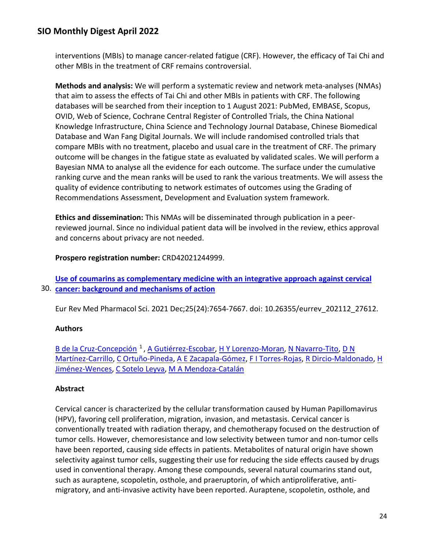interventions (MBIs) to manage cancer-related fatigue (CRF). However, the efficacy of Tai Chi and other MBIs in the treatment of CRF remains controversial.

**Methods and analysis:** We will perform a systematic review and network meta-analyses (NMAs) that aim to assess the effects of Tai Chi and other MBIs in patients with CRF. The following databases will be searched from their inception to 1 August 2021: PubMed, EMBASE, Scopus, OVID, Web of Science, Cochrane Central Register of Controlled Trials, the China National Knowledge Infrastructure, China Science and Technology Journal Database, Chinese Biomedical Database and Wan Fang Digital Journals. We will include randomised controlled trials that compare MBIs with no treatment, placebo and usual care in the treatment of CRF. The primary outcome will be changes in the fatigue state as evaluated by validated scales. We will perform a Bayesian NMA to analyse all the evidence for each outcome. The surface under the cumulative ranking curve and the mean ranks will be used to rank the various treatments. We will assess the quality of evidence contributing to network estimates of outcomes using the Grading of Recommendations Assessment, Development and Evaluation system framework.

**Ethics and dissemination:** This NMAs will be disseminated through publication in a peerreviewed journal. Since no individual patient data will be involved in the review, ethics approval and concerns about privacy are not needed.

**Prospero registration number:** CRD42021244999.

30. **[cancer: background and mechanisms of action](https://nam11.safelinks.protection.outlook.com/?url=https%3A%2F%2Fpubmed.ncbi.nlm.nih.gov%2F34982427%2F&data=04%7C01%7Calmira.catic%40emory.edu%7C478ade74754b4c15a64f08da13eab169%7Ce004fb9cb0a4424fbcd0322606d5df38%7C0%7C0%7C637844196309896940%7CUnknown%7CTWFpbGZsb3d8eyJWIjoiMC4wLjAwMDAiLCJQIjoiV2luMzIiLCJBTiI6Ik1haWwiLCJXVCI6Mn0%3D%7C3000&sdata=O6C%2FNCeQAnYT%2Fsl041Mcifd%2FV0HoAjmnqn08ixyEPqI%3D&reserved=0)  [Use of coumarins as complementary medicine with an integrative approach against cervical](https://nam11.safelinks.protection.outlook.com/?url=https%3A%2F%2Fpubmed.ncbi.nlm.nih.gov%2F34982427%2F&data=04%7C01%7Calmira.catic%40emory.edu%7C478ade74754b4c15a64f08da13eab169%7Ce004fb9cb0a4424fbcd0322606d5df38%7C0%7C0%7C637844196309896940%7CUnknown%7CTWFpbGZsb3d8eyJWIjoiMC4wLjAwMDAiLCJQIjoiV2luMzIiLCJBTiI6Ik1haWwiLCJXVCI6Mn0%3D%7C3000&sdata=O6C%2FNCeQAnYT%2Fsl041Mcifd%2FV0HoAjmnqn08ixyEPqI%3D&reserved=0)** 

Eur Rev Med Pharmacol Sci. 2021 Dec;25(24):7654-7667. doi: 10.26355/eurrev\_202112\_27612.

### **Authors**

B de la Cruz-Concepción<sup>1</sup>, [A Gutiérrez-Escobar,](https://nam11.safelinks.protection.outlook.com/?url=https%3A%2F%2Fpubmed.ncbi.nlm.nih.gov%2F%3Fsize%3D100%26term%3DGuti%25C3%25A9rrez-Escobar%2BA%26cauthor_id%3D34982427&data=04%7C01%7Calmira.catic%40emory.edu%7C478ade74754b4c15a64f08da13eab169%7Ce004fb9cb0a4424fbcd0322606d5df38%7C0%7C0%7C637844196309896940%7CUnknown%7CTWFpbGZsb3d8eyJWIjoiMC4wLjAwMDAiLCJQIjoiV2luMzIiLCJBTiI6Ik1haWwiLCJXVCI6Mn0%3D%7C3000&sdata=7vJBEsRStnzUKJzSg9URw1B3a89rvwFiiDb%2BrX%2FJCPs%3D&reserved=0) [H Y Lorenzo-Moran,](https://nam11.safelinks.protection.outlook.com/?url=https%3A%2F%2Fpubmed.ncbi.nlm.nih.gov%2F%3Fsize%3D100%26term%3DLorenzo-Moran%2BHY%26cauthor_id%3D34982427&data=04%7C01%7Calmira.catic%40emory.edu%7C478ade74754b4c15a64f08da13eab169%7Ce004fb9cb0a4424fbcd0322606d5df38%7C0%7C0%7C637844196309896940%7CUnknown%7CTWFpbGZsb3d8eyJWIjoiMC4wLjAwMDAiLCJQIjoiV2luMzIiLCJBTiI6Ik1haWwiLCJXVCI6Mn0%3D%7C3000&sdata=GmZR%2BMlWuwqPbRJs1UoBGzeWE7uD8tPp8eQKaCP2irw%3D&reserved=0) [N Navarro-Tito,](https://nam11.safelinks.protection.outlook.com/?url=https%3A%2F%2Fpubmed.ncbi.nlm.nih.gov%2F%3Fsize%3D100%26term%3DNavarro-Tito%2BN%26cauthor_id%3D34982427&data=04%7C01%7Calmira.catic%40emory.edu%7C478ade74754b4c15a64f08da13eab169%7Ce004fb9cb0a4424fbcd0322606d5df38%7C0%7C0%7C637844196309896940%7CUnknown%7CTWFpbGZsb3d8eyJWIjoiMC4wLjAwMDAiLCJQIjoiV2luMzIiLCJBTiI6Ik1haWwiLCJXVCI6Mn0%3D%7C3000&sdata=NJuJedASBdLj9BYQiXIbYcvLHI8%2Fr45k%2Bp8S0Tuv7NY%3D&reserved=0) D N [Martínez-Carrillo,](https://nam11.safelinks.protection.outlook.com/?url=https%3A%2F%2Fpubmed.ncbi.nlm.nih.gov%2F%3Fsize%3D100%26term%3DMart%25C3%25ADnez-Carrillo%2BDN%26cauthor_id%3D34982427&data=04%7C01%7Calmira.catic%40emory.edu%7C478ade74754b4c15a64f08da13eab169%7Ce004fb9cb0a4424fbcd0322606d5df38%7C0%7C0%7C637844196309896940%7CUnknown%7CTWFpbGZsb3d8eyJWIjoiMC4wLjAwMDAiLCJQIjoiV2luMzIiLCJBTiI6Ik1haWwiLCJXVCI6Mn0%3D%7C3000&sdata=hpY0eGI82pRmFXizhVW%2FiypJOvPMFfpFcAyi634%2Bc8w%3D&reserved=0) [C Ortuño-Pineda,](https://nam11.safelinks.protection.outlook.com/?url=https%3A%2F%2Fpubmed.ncbi.nlm.nih.gov%2F%3Fsize%3D100%26term%3DOrtu%25C3%25B1o-Pineda%2BC%26cauthor_id%3D34982427&data=04%7C01%7Calmira.catic%40emory.edu%7C478ade74754b4c15a64f08da13eab169%7Ce004fb9cb0a4424fbcd0322606d5df38%7C0%7C0%7C637844196309896940%7CUnknown%7CTWFpbGZsb3d8eyJWIjoiMC4wLjAwMDAiLCJQIjoiV2luMzIiLCJBTiI6Ik1haWwiLCJXVCI6Mn0%3D%7C3000&sdata=06w3sOs6fO%2BRWzocdavRyyK2sXE1cMzIj7lsZN5MZp4%3D&reserved=0) [A E Zacapala-Gómez,](https://nam11.safelinks.protection.outlook.com/?url=https%3A%2F%2Fpubmed.ncbi.nlm.nih.gov%2F%3Fsize%3D100%26term%3DZacapala-G%25C3%25B3mez%2BAE%26cauthor_id%3D34982427&data=04%7C01%7Calmira.catic%40emory.edu%7C478ade74754b4c15a64f08da13eab169%7Ce004fb9cb0a4424fbcd0322606d5df38%7C0%7C0%7C637844196309896940%7CUnknown%7CTWFpbGZsb3d8eyJWIjoiMC4wLjAwMDAiLCJQIjoiV2luMzIiLCJBTiI6Ik1haWwiLCJXVCI6Mn0%3D%7C3000&sdata=UF8GSjOYgB6C%2Fy3wU6144VWC%2BKQh6wki%2FpcswVjoy0o%3D&reserved=0) [F I Torres-Rojas,](https://nam11.safelinks.protection.outlook.com/?url=https%3A%2F%2Fpubmed.ncbi.nlm.nih.gov%2F%3Fsize%3D100%26term%3DTorres-Rojas%2BFI%26cauthor_id%3D34982427&data=04%7C01%7Calmira.catic%40emory.edu%7C478ade74754b4c15a64f08da13eab169%7Ce004fb9cb0a4424fbcd0322606d5df38%7C0%7C0%7C637844196309896940%7CUnknown%7CTWFpbGZsb3d8eyJWIjoiMC4wLjAwMDAiLCJQIjoiV2luMzIiLCJBTiI6Ik1haWwiLCJXVCI6Mn0%3D%7C3000&sdata=AOpwJhfe2dJ%2FiU36%2Fq8eV8ttDHPopnN%2Fw1loDV3AYmM%3D&reserved=0) [R Dircio-Maldonado,](https://nam11.safelinks.protection.outlook.com/?url=https%3A%2F%2Fpubmed.ncbi.nlm.nih.gov%2F%3Fsize%3D100%26term%3DDircio-Maldonado%2BR%26cauthor_id%3D34982427&data=04%7C01%7Calmira.catic%40emory.edu%7C478ade74754b4c15a64f08da13eab169%7Ce004fb9cb0a4424fbcd0322606d5df38%7C0%7C0%7C637844196309896940%7CUnknown%7CTWFpbGZsb3d8eyJWIjoiMC4wLjAwMDAiLCJQIjoiV2luMzIiLCJBTiI6Ik1haWwiLCJXVCI6Mn0%3D%7C3000&sdata=6ZR1C3BfUYPCXjVYN3pyhl0GghLPiW45b4TF6k4u94Y%3D&reserved=0) [H](https://nam11.safelinks.protection.outlook.com/?url=https%3A%2F%2Fpubmed.ncbi.nlm.nih.gov%2F%3Fsize%3D100%26term%3DJim%25C3%25A9nez-Wences%2BH%26cauthor_id%3D34982427&data=04%7C01%7Calmira.catic%40emory.edu%7C478ade74754b4c15a64f08da13eab169%7Ce004fb9cb0a4424fbcd0322606d5df38%7C0%7C0%7C637844196309896940%7CUnknown%7CTWFpbGZsb3d8eyJWIjoiMC4wLjAwMDAiLCJQIjoiV2luMzIiLCJBTiI6Ik1haWwiLCJXVCI6Mn0%3D%7C3000&sdata=Ih8N9I%2BPRa%2FHCG49PzjMPl4GINRgR3kViAqrDJOHxy0%3D&reserved=0)  [Jiménez-Wences,](https://nam11.safelinks.protection.outlook.com/?url=https%3A%2F%2Fpubmed.ncbi.nlm.nih.gov%2F%3Fsize%3D100%26term%3DJim%25C3%25A9nez-Wences%2BH%26cauthor_id%3D34982427&data=04%7C01%7Calmira.catic%40emory.edu%7C478ade74754b4c15a64f08da13eab169%7Ce004fb9cb0a4424fbcd0322606d5df38%7C0%7C0%7C637844196309896940%7CUnknown%7CTWFpbGZsb3d8eyJWIjoiMC4wLjAwMDAiLCJQIjoiV2luMzIiLCJBTiI6Ik1haWwiLCJXVCI6Mn0%3D%7C3000&sdata=Ih8N9I%2BPRa%2FHCG49PzjMPl4GINRgR3kViAqrDJOHxy0%3D&reserved=0) [C Sotelo Leyva,](https://nam11.safelinks.protection.outlook.com/?url=https%3A%2F%2Fpubmed.ncbi.nlm.nih.gov%2F%3Fsize%3D100%26term%3DSotelo%2BLeyva%2BC%26cauthor_id%3D34982427&data=04%7C01%7Calmira.catic%40emory.edu%7C478ade74754b4c15a64f08da13eab169%7Ce004fb9cb0a4424fbcd0322606d5df38%7C0%7C0%7C637844196309896940%7CUnknown%7CTWFpbGZsb3d8eyJWIjoiMC4wLjAwMDAiLCJQIjoiV2luMzIiLCJBTiI6Ik1haWwiLCJXVCI6Mn0%3D%7C3000&sdata=%2FFaFxB8IBU5lkuQeD7n9etWPoc7RLG6WXhv47t0zTXw%3D&reserved=0) [M A Mendoza-Catalán](https://nam11.safelinks.protection.outlook.com/?url=https%3A%2F%2Fpubmed.ncbi.nlm.nih.gov%2F%3Fsize%3D100%26term%3DMendoza-Catal%25C3%25A1n%2BMA%26cauthor_id%3D34982427&data=04%7C01%7Calmira.catic%40emory.edu%7C478ade74754b4c15a64f08da13eab169%7Ce004fb9cb0a4424fbcd0322606d5df38%7C0%7C0%7C637844196309896940%7CUnknown%7CTWFpbGZsb3d8eyJWIjoiMC4wLjAwMDAiLCJQIjoiV2luMzIiLCJBTiI6Ik1haWwiLCJXVCI6Mn0%3D%7C3000&sdata=Mk3IAGUBJbRfa01FG2fdgb5SQKm7HoPIccALksDUd4c%3D&reserved=0)

## **Abstract**

Cervical cancer is characterized by the cellular transformation caused by Human Papillomavirus (HPV), favoring cell proliferation, migration, invasion, and metastasis. Cervical cancer is conventionally treated with radiation therapy, and chemotherapy focused on the destruction of tumor cells. However, chemoresistance and low selectivity between tumor and non-tumor cells have been reported, causing side effects in patients. Metabolites of natural origin have shown selectivity against tumor cells, suggesting their use for reducing the side effects caused by drugs used in conventional therapy. Among these compounds, several natural coumarins stand out, such as auraptene, scopoletin, osthole, and praeruptorin, of which antiproliferative, antimigratory, and anti-invasive activity have been reported. Auraptene, scopoletin, osthole, and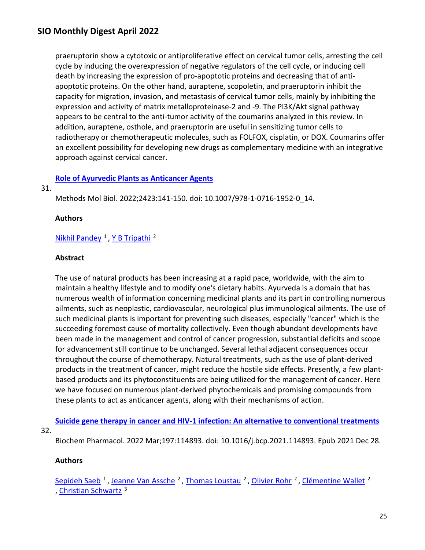praeruptorin show a cytotoxic or antiproliferative effect on cervical tumor cells, arresting the cell cycle by inducing the overexpression of negative regulators of the cell cycle, or inducing cell death by increasing the expression of pro-apoptotic proteins and decreasing that of antiapoptotic proteins. On the other hand, auraptene, scopoletin, and praeruptorin inhibit the capacity for migration, invasion, and metastasis of cervical tumor cells, mainly by inhibiting the expression and activity of matrix metalloproteinase-2 and -9. The PI3K/Akt signal pathway appears to be central to the anti-tumor activity of the coumarins analyzed in this review. In addition, auraptene, osthole, and praeruptorin are useful in sensitizing tumor cells to radiotherapy or chemotherapeutic molecules, such as FOLFOX, cisplatin, or DOX. Coumarins offer an excellent possibility for developing new drugs as complementary medicine with an integrative approach against cervical cancer.

### **[Role of Ayurvedic Plants as Anticancer Agents](https://nam11.safelinks.protection.outlook.com/?url=https%3A%2F%2Fpubmed.ncbi.nlm.nih.gov%2F34978696%2F&data=04%7C01%7Calmira.catic%40emory.edu%7C478ade74754b4c15a64f08da13eab169%7Ce004fb9cb0a4424fbcd0322606d5df38%7C0%7C0%7C637844196310053177%7CUnknown%7CTWFpbGZsb3d8eyJWIjoiMC4wLjAwMDAiLCJQIjoiV2luMzIiLCJBTiI6Ik1haWwiLCJXVCI6Mn0%3D%7C3000&sdata=EQcFlRstvVBW90fSaf8v0rZsOKy%2BGWp6wRnKTAU8sec%3D&reserved=0)**

#### 31.

Methods Mol Biol. 2022;2423:141-150. doi: 10.1007/978-1-0716-1952-0\_14.

#### **Authors**

## Nikhil Pandey<sup>1</sup>, Y B Tripathi<sup>2</sup>

#### **Abstract**

The use of natural products has been increasing at a rapid pace, worldwide, with the aim to maintain a healthy lifestyle and to modify one's dietary habits. Ayurveda is a domain that has numerous wealth of information concerning medicinal plants and its part in controlling numerous ailments, such as neoplastic, cardiovascular, neurological plus immunological ailments. The use of such medicinal plants is important for preventing such diseases, especially "cancer" which is the succeeding foremost cause of mortality collectively. Even though abundant developments have been made in the management and control of cancer progression, substantial deficits and scope for advancement still continue to be unchanged. Several lethal adjacent consequences occur throughout the course of chemotherapy. Natural treatments, such as the use of plant-derived products in the treatment of cancer, might reduce the hostile side effects. Presently, a few plantbased products and its phytoconstituents are being utilized for the management of cancer. Here we have focused on numerous plant-derived phytochemicals and promising compounds from these plants to act as anticancer agents, along with their mechanisms of action.

**[Suicide gene therapy in cancer and HIV-1 infection: An alternative to conventional treatments](https://nam11.safelinks.protection.outlook.com/?url=https%3A%2F%2Fpubmed.ncbi.nlm.nih.gov%2F34968484%2F&data=04%7C01%7Calmira.catic%40emory.edu%7C478ade74754b4c15a64f08da13eab169%7Ce004fb9cb0a4424fbcd0322606d5df38%7C0%7C0%7C637844196310053177%7CUnknown%7CTWFpbGZsb3d8eyJWIjoiMC4wLjAwMDAiLCJQIjoiV2luMzIiLCJBTiI6Ik1haWwiLCJXVCI6Mn0%3D%7C3000&sdata=DBpH%2BkrPSDk09edAfKwBZ1Wgh6WDq2U%2FHcBRGulIpnA%3D&reserved=0)** 

32.

Biochem Pharmacol. 2022 Mar;197:114893. doi: 10.1016/j.bcp.2021.114893. Epub 2021 Dec 28.

### **Authors**

Sepideh Saeb<sup>1</sup>, Jeanne Van Assche<sup>2</sup>, Thomas Loustau<sup>2</sup>, Olivier Rohr<sup>2</sup>, Clémentine Wallet<sup>2</sup> , [Christian Schwartz](https://nam11.safelinks.protection.outlook.com/?url=https%3A%2F%2Fpubmed.ncbi.nlm.nih.gov%2F%3Fsize%3D100%26term%3DSchwartz%2BC%26cauthor_id%3D34968484&data=04%7C01%7Calmira.catic%40emory.edu%7C478ade74754b4c15a64f08da13eab169%7Ce004fb9cb0a4424fbcd0322606d5df38%7C0%7C0%7C637844196310053177%7CUnknown%7CTWFpbGZsb3d8eyJWIjoiMC4wLjAwMDAiLCJQIjoiV2luMzIiLCJBTiI6Ik1haWwiLCJXVCI6Mn0%3D%7C3000&sdata=3IT3iMArDM5BN2uXOjn5555vDR4KvFN7UhwodtHoaS8%3D&reserved=0) 3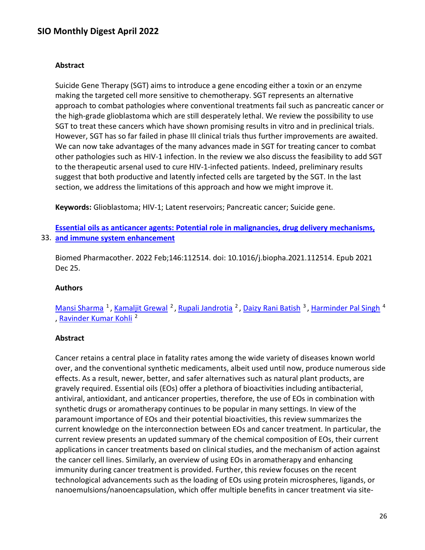#### **Abstract**

Suicide Gene Therapy (SGT) aims to introduce a gene encoding either a toxin or an enzyme making the targeted cell more sensitive to chemotherapy. SGT represents an alternative approach to combat pathologies where conventional treatments fail such as pancreatic cancer or the high-grade glioblastoma which are still desperately lethal. We review the possibility to use SGT to treat these cancers which have shown promising results in vitro and in preclinical trials. However, SGT has so far failed in phase III clinical trials thus further improvements are awaited. We can now take advantages of the many advances made in SGT for treating cancer to combat other pathologies such as HIV-1 infection. In the review we also discuss the feasibility to add SGT to the therapeutic arsenal used to cure HIV-1-infected patients. Indeed, preliminary results suggest that both productive and latently infected cells are targeted by the SGT. In the last section, we address the limitations of this approach and how we might improve it.

**Keywords:** Glioblastoma; HIV-1; Latent reservoirs; Pancreatic cancer; Suicide gene.

33. **[and immune system enhancement](https://nam11.safelinks.protection.outlook.com/?url=https%3A%2F%2Fpubmed.ncbi.nlm.nih.gov%2F34963087%2F&data=04%7C01%7Calmira.catic%40emory.edu%7C478ade74754b4c15a64f08da13eab169%7Ce004fb9cb0a4424fbcd0322606d5df38%7C0%7C0%7C637844196310053177%7CUnknown%7CTWFpbGZsb3d8eyJWIjoiMC4wLjAwMDAiLCJQIjoiV2luMzIiLCJBTiI6Ik1haWwiLCJXVCI6Mn0%3D%7C3000&sdata=mp%2B0tTKIV6H4OPEv8HYjFhfhyZbF1TFyUOTFvt8E9hU%3D&reserved=0)  [Essential oils as anticancer agents: Potential role in](https://nam11.safelinks.protection.outlook.com/?url=https%3A%2F%2Fpubmed.ncbi.nlm.nih.gov%2F34963087%2F&data=04%7C01%7Calmira.catic%40emory.edu%7C478ade74754b4c15a64f08da13eab169%7Ce004fb9cb0a4424fbcd0322606d5df38%7C0%7C0%7C637844196310053177%7CUnknown%7CTWFpbGZsb3d8eyJWIjoiMC4wLjAwMDAiLCJQIjoiV2luMzIiLCJBTiI6Ik1haWwiLCJXVCI6Mn0%3D%7C3000&sdata=mp%2B0tTKIV6H4OPEv8HYjFhfhyZbF1TFyUOTFvt8E9hU%3D&reserved=0) malignancies, drug delivery mechanisms,** 

Biomed Pharmacother. 2022 Feb;146:112514. doi: 10.1016/j.biopha.2021.112514. Epub 2021 Dec 25.

#### **Authors**

[Mansi Sharma](https://nam11.safelinks.protection.outlook.com/?url=https%3A%2F%2Fpubmed.ncbi.nlm.nih.gov%2F%3Fsize%3D100%26term%3DSharma%2BM%26cauthor_id%3D34963087&data=04%7C01%7Calmira.catic%40emory.edu%7C478ade74754b4c15a64f08da13eab169%7Ce004fb9cb0a4424fbcd0322606d5df38%7C0%7C0%7C637844196310053177%7CUnknown%7CTWFpbGZsb3d8eyJWIjoiMC4wLjAwMDAiLCJQIjoiV2luMzIiLCJBTiI6Ik1haWwiLCJXVCI6Mn0%3D%7C3000&sdata=I8o4j7Br1VeipJlFO%2FYpp5%2B00L05PPljTHX79G03zhQ%3D&reserved=0) <sup>1</sup>, [Kamaljit Grewal](https://nam11.safelinks.protection.outlook.com/?url=https%3A%2F%2Fpubmed.ncbi.nlm.nih.gov%2F%3Fsize%3D100%26term%3DGrewal%2BK%26cauthor_id%3D34963087&data=04%7C01%7Calmira.catic%40emory.edu%7C478ade74754b4c15a64f08da13eab169%7Ce004fb9cb0a4424fbcd0322606d5df38%7C0%7C0%7C637844196310053177%7CUnknown%7CTWFpbGZsb3d8eyJWIjoiMC4wLjAwMDAiLCJQIjoiV2luMzIiLCJBTiI6Ik1haWwiLCJXVCI6Mn0%3D%7C3000&sdata=qCtX%2BsiMjcvBTbSeaKRXzgYjMTVJyD%2BpFge95f3MvUA%3D&reserved=0) <sup>2</sup>, [Rupali Jandrotia](https://nam11.safelinks.protection.outlook.com/?url=https%3A%2F%2Fpubmed.ncbi.nlm.nih.gov%2F%3Fsize%3D100%26term%3DJandrotia%2BR%26cauthor_id%3D34963087&data=04%7C01%7Calmira.catic%40emory.edu%7C478ade74754b4c15a64f08da13eab169%7Ce004fb9cb0a4424fbcd0322606d5df38%7C0%7C0%7C637844196310053177%7CUnknown%7CTWFpbGZsb3d8eyJWIjoiMC4wLjAwMDAiLCJQIjoiV2luMzIiLCJBTiI6Ik1haWwiLCJXVCI6Mn0%3D%7C3000&sdata=oPv6LiqVxiOvSdCSS0q5eqqM3gKzZ0tnb%2BvXeGv6PsM%3D&reserved=0) <sup>2</sup>, [Daizy Rani Batish](https://nam11.safelinks.protection.outlook.com/?url=https%3A%2F%2Fpubmed.ncbi.nlm.nih.gov%2F%3Fsize%3D100%26term%3DBatish%2BDR%26cauthor_id%3D34963087&data=04%7C01%7Calmira.catic%40emory.edu%7C478ade74754b4c15a64f08da13eab169%7Ce004fb9cb0a4424fbcd0322606d5df38%7C0%7C0%7C637844196310053177%7CUnknown%7CTWFpbGZsb3d8eyJWIjoiMC4wLjAwMDAiLCJQIjoiV2luMzIiLCJBTiI6Ik1haWwiLCJXVCI6Mn0%3D%7C3000&sdata=NV4yCKoGjPT8ZNPlxcVq1KZtHzqJydWVktBiSXDbj%2FM%3D&reserved=0) <sup>3</sup>, [Harminder Pal Singh](https://nam11.safelinks.protection.outlook.com/?url=https%3A%2F%2Fpubmed.ncbi.nlm.nih.gov%2F%3Fsize%3D100%26term%3DSingh%2BHP%26cauthor_id%3D34963087&data=04%7C01%7Calmira.catic%40emory.edu%7C478ade74754b4c15a64f08da13eab169%7Ce004fb9cb0a4424fbcd0322606d5df38%7C0%7C0%7C637844196310053177%7CUnknown%7CTWFpbGZsb3d8eyJWIjoiMC4wLjAwMDAiLCJQIjoiV2luMzIiLCJBTiI6Ik1haWwiLCJXVCI6Mn0%3D%7C3000&sdata=DBhYsQixLCfYDbOC812Nyu4dOivUwlvZ3TLIGCYpzPU%3D&reserved=0) <sup>4</sup> , [Ravinder Kumar Kohli](https://nam11.safelinks.protection.outlook.com/?url=https%3A%2F%2Fpubmed.ncbi.nlm.nih.gov%2F%3Fsize%3D100%26term%3DKohli%2BRK%26cauthor_id%3D34963087&data=04%7C01%7Calmira.catic%40emory.edu%7C478ade74754b4c15a64f08da13eab169%7Ce004fb9cb0a4424fbcd0322606d5df38%7C0%7C0%7C637844196310053177%7CUnknown%7CTWFpbGZsb3d8eyJWIjoiMC4wLjAwMDAiLCJQIjoiV2luMzIiLCJBTiI6Ik1haWwiLCJXVCI6Mn0%3D%7C3000&sdata=CksOVAOQDic7Lf5%2BZac2x52NkD1UpDekfmcj23KjFG0%3D&reserved=0) 2

### **Abstract**

Cancer retains a central place in fatality rates among the wide variety of diseases known world over, and the conventional synthetic medicaments, albeit used until now, produce numerous side effects. As a result, newer, better, and safer alternatives such as natural plant products, are gravely required. Essential oils (EOs) offer a plethora of bioactivities including antibacterial, antiviral, antioxidant, and anticancer properties, therefore, the use of EOs in combination with synthetic drugs or aromatherapy continues to be popular in many settings. In view of the paramount importance of EOs and their potential bioactivities, this review summarizes the current knowledge on the interconnection between EOs and cancer treatment. In particular, the current review presents an updated summary of the chemical composition of EOs, their current applications in cancer treatments based on clinical studies, and the mechanism of action against the cancer cell lines. Similarly, an overview of using EOs in aromatherapy and enhancing immunity during cancer treatment is provided. Further, this review focuses on the recent technological advancements such as the loading of EOs using protein microspheres, ligands, or nanoemulsions/nanoencapsulation, which offer multiple benefits in cancer treatment via site-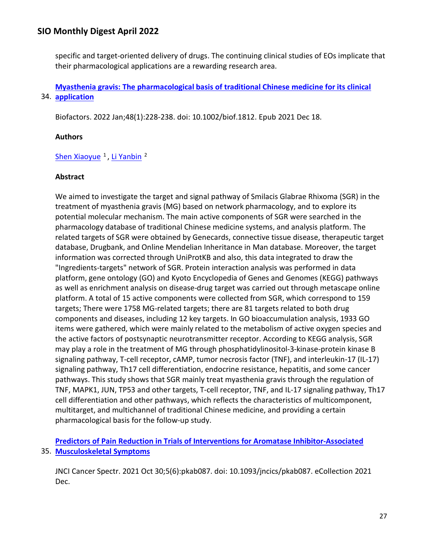specific and target-oriented delivery of drugs. The continuing clinical studies of EOs implicate that their pharmacological applications are a rewarding research area.

34. **[application](https://nam11.safelinks.protection.outlook.com/?url=https%3A%2F%2Fpubmed.ncbi.nlm.nih.gov%2F34921710%2F&data=04%7C01%7Calmira.catic%40emory.edu%7C478ade74754b4c15a64f08da13eab169%7Ce004fb9cb0a4424fbcd0322606d5df38%7C0%7C0%7C637844196310209425%7CUnknown%7CTWFpbGZsb3d8eyJWIjoiMC4wLjAwMDAiLCJQIjoiV2luMzIiLCJBTiI6Ik1haWwiLCJXVCI6Mn0%3D%7C3000&sdata=pNfK%2FFiBGC6x7urK%2BOLLGRifyJfIn%2BuiZK48XWab%2F%2FQ%3D&reserved=0)  [Myasthenia gravis: The pharmacological basis of traditional Chinese medicine for its clinical](https://nam11.safelinks.protection.outlook.com/?url=https%3A%2F%2Fpubmed.ncbi.nlm.nih.gov%2F34921710%2F&data=04%7C01%7Calmira.catic%40emory.edu%7C478ade74754b4c15a64f08da13eab169%7Ce004fb9cb0a4424fbcd0322606d5df38%7C0%7C0%7C637844196310209425%7CUnknown%7CTWFpbGZsb3d8eyJWIjoiMC4wLjAwMDAiLCJQIjoiV2luMzIiLCJBTiI6Ik1haWwiLCJXVCI6Mn0%3D%7C3000&sdata=pNfK%2FFiBGC6x7urK%2BOLLGRifyJfIn%2BuiZK48XWab%2F%2FQ%3D&reserved=0)** 

Biofactors. 2022 Jan;48(1):228-238. doi: 10.1002/biof.1812. Epub 2021 Dec 18.

## **Authors**

## Shen Xiaoyue<sup>1</sup>, Li Yanbin<sup>2</sup>

## **Abstract**

We aimed to investigate the target and signal pathway of Smilacis Glabrae Rhixoma (SGR) in the treatment of myasthenia gravis (MG) based on network pharmacology, and to explore its potential molecular mechanism. The main active components of SGR were searched in the pharmacology database of traditional Chinese medicine systems, and analysis platform. The related targets of SGR were obtained by Genecards, connective tissue disease, therapeutic target database, Drugbank, and Online Mendelian Inheritance in Man database. Moreover, the target information was corrected through UniProtKB and also, this data integrated to draw the "Ingredients-targets" network of SGR. Protein interaction analysis was performed in data platform, gene ontology (GO) and Kyoto Encyclopedia of Genes and Genomes (KEGG) pathways as well as enrichment analysis on disease-drug target was carried out through metascape online platform. A total of 15 active components were collected from SGR, which correspond to 159 targets; There were 1758 MG-related targets; there are 81 targets related to both drug components and diseases, including 12 key targets. In GO bioaccumulation analysis, 1933 GO items were gathered, which were mainly related to the metabolism of active oxygen species and the active factors of postsynaptic neurotransmitter receptor. According to KEGG analysis, SGR may play a role in the treatment of MG through phosphatidylinositol-3-kinase-protein kinase B signaling pathway, T-cell receptor, cAMP, tumor necrosis factor (TNF), and interleukin-17 (IL-17) signaling pathway, Th17 cell differentiation, endocrine resistance, hepatitis, and some cancer pathways. This study shows that SGR mainly treat myasthenia gravis through the regulation of TNF, MAPK1, JUN, TP53 and other targets, T-cell receptor, TNF, and IL-17 signaling pathway, Th17 cell differentiation and other pathways, which reflects the characteristics of multicomponent, multitarget, and multichannel of traditional Chinese medicine, and providing a certain pharmacological basis for the follow-up study.

35. **[Musculoskeletal Symptoms](https://nam11.safelinks.protection.outlook.com/?url=https%3A%2F%2Fpubmed.ncbi.nlm.nih.gov%2F34901744%2F&data=04%7C01%7Calmira.catic%40emory.edu%7C478ade74754b4c15a64f08da13eab169%7Ce004fb9cb0a4424fbcd0322606d5df38%7C0%7C0%7C637844196310209425%7CUnknown%7CTWFpbGZsb3d8eyJWIjoiMC4wLjAwMDAiLCJQIjoiV2luMzIiLCJBTiI6Ik1haWwiLCJXVCI6Mn0%3D%7C3000&sdata=jCSBoM%2Bmi8i%2FjrzpWrHS8zvYonGOFf6CsVKymHuhEtk%3D&reserved=0)  [Predictors of Pain Reduction in Trials of Interventions for Aromatase Inhibitor-Associated](https://nam11.safelinks.protection.outlook.com/?url=https%3A%2F%2Fpubmed.ncbi.nlm.nih.gov%2F34901744%2F&data=04%7C01%7Calmira.catic%40emory.edu%7C478ade74754b4c15a64f08da13eab169%7Ce004fb9cb0a4424fbcd0322606d5df38%7C0%7C0%7C637844196310209425%7CUnknown%7CTWFpbGZsb3d8eyJWIjoiMC4wLjAwMDAiLCJQIjoiV2luMzIiLCJBTiI6Ik1haWwiLCJXVCI6Mn0%3D%7C3000&sdata=jCSBoM%2Bmi8i%2FjrzpWrHS8zvYonGOFf6CsVKymHuhEtk%3D&reserved=0)** 

JNCI Cancer Spectr. 2021 Oct 30;5(6):pkab087. doi: 10.1093/jncics/pkab087. eCollection 2021 Dec.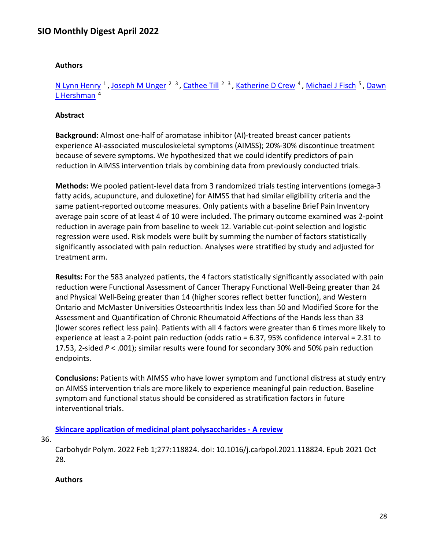#### **Authors**

[N Lynn Henry](https://nam11.safelinks.protection.outlook.com/?url=https%3A%2F%2Fpubmed.ncbi.nlm.nih.gov%2F%3Fsize%3D100%26term%3DHenry%2BNL%26cauthor_id%3D34901744&data=04%7C01%7Calmira.catic%40emory.edu%7C478ade74754b4c15a64f08da13eab169%7Ce004fb9cb0a4424fbcd0322606d5df38%7C0%7C0%7C637844196310209425%7CUnknown%7CTWFpbGZsb3d8eyJWIjoiMC4wLjAwMDAiLCJQIjoiV2luMzIiLCJBTiI6Ik1haWwiLCJXVCI6Mn0%3D%7C3000&sdata=bmtmt%2BN3yEa%2FjgQuTY1c1MhMKvWnBpz2mDE44VLVuWQ%3D&reserved=0) <sup>1</sup>, [Joseph M Unger](https://nam11.safelinks.protection.outlook.com/?url=https%3A%2F%2Fpubmed.ncbi.nlm.nih.gov%2F%3Fsize%3D100%26term%3DUnger%2BJM%26cauthor_id%3D34901744&data=04%7C01%7Calmira.catic%40emory.edu%7C478ade74754b4c15a64f08da13eab169%7Ce004fb9cb0a4424fbcd0322606d5df38%7C0%7C0%7C637844196310209425%7CUnknown%7CTWFpbGZsb3d8eyJWIjoiMC4wLjAwMDAiLCJQIjoiV2luMzIiLCJBTiI6Ik1haWwiLCJXVCI6Mn0%3D%7C3000&sdata=RFQpLQtY7Hl%2FlI7hQCaPxAaHcP9if236WAb4z9ya2Is%3D&reserved=0) <sup>2 3</sup>, [Cathee Till](https://nam11.safelinks.protection.outlook.com/?url=https%3A%2F%2Fpubmed.ncbi.nlm.nih.gov%2F%3Fsize%3D100%26term%3DTill%2BC%26cauthor_id%3D34901744&data=04%7C01%7Calmira.catic%40emory.edu%7C478ade74754b4c15a64f08da13eab169%7Ce004fb9cb0a4424fbcd0322606d5df38%7C0%7C0%7C637844196310209425%7CUnknown%7CTWFpbGZsb3d8eyJWIjoiMC4wLjAwMDAiLCJQIjoiV2luMzIiLCJBTiI6Ik1haWwiLCJXVCI6Mn0%3D%7C3000&sdata=isKNXj%2BXDpHFu5zcxxMlyfsaSC%2F4FGJl1UgNAiVzjkw%3D&reserved=0) <sup>2 3</sup>, [Katherine D Crew](https://nam11.safelinks.protection.outlook.com/?url=https%3A%2F%2Fpubmed.ncbi.nlm.nih.gov%2F%3Fsize%3D100%26term%3DCrew%2BKD%26cauthor_id%3D34901744&data=04%7C01%7Calmira.catic%40emory.edu%7C478ade74754b4c15a64f08da13eab169%7Ce004fb9cb0a4424fbcd0322606d5df38%7C0%7C0%7C637844196310209425%7CUnknown%7CTWFpbGZsb3d8eyJWIjoiMC4wLjAwMDAiLCJQIjoiV2luMzIiLCJBTiI6Ik1haWwiLCJXVCI6Mn0%3D%7C3000&sdata=BzX9Ij9Qfl8MVzl%2Bpre5WbGTeEpxQILQrvaFGfu2u%2FE%3D&reserved=0) <sup>4</sup>, [Michael J Fisch](https://nam11.safelinks.protection.outlook.com/?url=https%3A%2F%2Fpubmed.ncbi.nlm.nih.gov%2F%3Fsize%3D100%26term%3DFisch%2BMJ%26cauthor_id%3D34901744&data=04%7C01%7Calmira.catic%40emory.edu%7C478ade74754b4c15a64f08da13eab169%7Ce004fb9cb0a4424fbcd0322606d5df38%7C0%7C0%7C637844196310209425%7CUnknown%7CTWFpbGZsb3d8eyJWIjoiMC4wLjAwMDAiLCJQIjoiV2luMzIiLCJBTiI6Ik1haWwiLCJXVCI6Mn0%3D%7C3000&sdata=KWci%2FTgMssvLOAuweSImO0iV04Qb0%2BxpS8ddME3GgNY%3D&reserved=0) <sup>5</sup>, Dawn L Hershman<sup>4</sup>

#### **Abstract**

**Background:** Almost one-half of aromatase inhibitor (AI)-treated breast cancer patients experience AI-associated musculoskeletal symptoms (AIMSS); 20%-30% discontinue treatment because of severe symptoms. We hypothesized that we could identify predictors of pain reduction in AIMSS intervention trials by combining data from previously conducted trials.

**Methods:** We pooled patient-level data from 3 randomized trials testing interventions (omega-3 fatty acids, acupuncture, and duloxetine) for AIMSS that had similar eligibility criteria and the same patient-reported outcome measures. Only patients with a baseline Brief Pain Inventory average pain score of at least 4 of 10 were included. The primary outcome examined was 2-point reduction in average pain from baseline to week 12. Variable cut-point selection and logistic regression were used. Risk models were built by summing the number of factors statistically significantly associated with pain reduction. Analyses were stratified by study and adjusted for treatment arm.

**Results:** For the 583 analyzed patients, the 4 factors statistically significantly associated with pain reduction were Functional Assessment of Cancer Therapy Functional Well-Being greater than 24 and Physical Well-Being greater than 14 (higher scores reflect better function), and Western Ontario and McMaster Universities Osteoarthritis Index less than 50 and Modified Score for the Assessment and Quantification of Chronic Rheumatoid Affections of the Hands less than 33 (lower scores reflect less pain). Patients with all 4 factors were greater than 6 times more likely to experience at least a 2-point pain reduction (odds ratio = 6.37, 95% confidence interval = 2.31 to 17.53, 2-sided *P* < .001); similar results were found for secondary 30% and 50% pain reduction endpoints.

**Conclusions:** Patients with AIMSS who have lower symptom and functional distress at study entry on AIMSS intervention trials are more likely to experience meaningful pain reduction. Baseline symptom and functional status should be considered as stratification factors in future interventional trials.

### **[Skincare application of medicinal plant polysaccharides -](https://nam11.safelinks.protection.outlook.com/?url=https%3A%2F%2Fpubmed.ncbi.nlm.nih.gov%2F34893241%2F&data=04%7C01%7Calmira.catic%40emory.edu%7C478ade74754b4c15a64f08da13eab169%7Ce004fb9cb0a4424fbcd0322606d5df38%7C0%7C0%7C637844196310209425%7CUnknown%7CTWFpbGZsb3d8eyJWIjoiMC4wLjAwMDAiLCJQIjoiV2luMzIiLCJBTiI6Ik1haWwiLCJXVCI6Mn0%3D%7C3000&sdata=kG6gTxSx%2FQhR%2Ff20hdZQvR%2FoBOA68L%2BN2QW8xMGe4eI%3D&reserved=0) A review**

36.

Carbohydr Polym. 2022 Feb 1;277:118824. doi: 10.1016/j.carbpol.2021.118824. Epub 2021 Oct 28.

#### **Authors**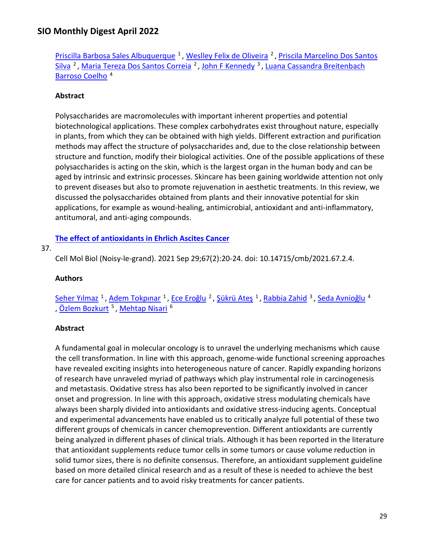[Priscilla Barbosa Sales Albuquerque](https://nam11.safelinks.protection.outlook.com/?url=https%3A%2F%2Fpubmed.ncbi.nlm.nih.gov%2F%3Fsize%3D100%26term%3DAlbuquerque%2BPBS%26cauthor_id%3D34893241&data=04%7C01%7Calmira.catic%40emory.edu%7C478ade74754b4c15a64f08da13eab169%7Ce004fb9cb0a4424fbcd0322606d5df38%7C0%7C0%7C637844196310209425%7CUnknown%7CTWFpbGZsb3d8eyJWIjoiMC4wLjAwMDAiLCJQIjoiV2luMzIiLCJBTiI6Ik1haWwiLCJXVCI6Mn0%3D%7C3000&sdata=KQhdxNBkrAfWMqFH9mYhXlYqQt6pReTlVeGBg9oxXw8%3D&reserved=0)<sup>1</sup>, [Weslley Felix de Oliveira](https://nam11.safelinks.protection.outlook.com/?url=https%3A%2F%2Fpubmed.ncbi.nlm.nih.gov%2F%3Fsize%3D100%26term%3Dde%2BOliveira%2BWF%26cauthor_id%3D34893241&data=04%7C01%7Calmira.catic%40emory.edu%7C478ade74754b4c15a64f08da13eab169%7Ce004fb9cb0a4424fbcd0322606d5df38%7C0%7C0%7C637844196310209425%7CUnknown%7CTWFpbGZsb3d8eyJWIjoiMC4wLjAwMDAiLCJQIjoiV2luMzIiLCJBTiI6Ik1haWwiLCJXVCI6Mn0%3D%7C3000&sdata=Jco%2BLD2nu6XkYCLmx0g%2F1zH0lBt%2F4IJtCeXz1vHJHc4%3D&reserved=0)<sup>2</sup>, Priscila Marcelino Dos Santos [Silva](https://nam11.safelinks.protection.outlook.com/?url=https%3A%2F%2Fpubmed.ncbi.nlm.nih.gov%2F%3Fsize%3D100%26term%3DDos%2BSantos%2BSilva%2BPM%26cauthor_id%3D34893241&data=04%7C01%7Calmira.catic%40emory.edu%7C478ade74754b4c15a64f08da13eab169%7Ce004fb9cb0a4424fbcd0322606d5df38%7C0%7C0%7C637844196310209425%7CUnknown%7CTWFpbGZsb3d8eyJWIjoiMC4wLjAwMDAiLCJQIjoiV2luMzIiLCJBTiI6Ik1haWwiLCJXVCI6Mn0%3D%7C3000&sdata=UQ9aU5LzjEhxm973h5XPXQGuPRRrKIye%2FO%2FrO7I7q9M%3D&reserved=0) <sup>2</sup>, [Maria Tereza Dos Santos Correia](https://nam11.safelinks.protection.outlook.com/?url=https%3A%2F%2Fpubmed.ncbi.nlm.nih.gov%2F%3Fsize%3D100%26term%3DDos%2BSantos%2BCorreia%2BMT%26cauthor_id%3D34893241&data=04%7C01%7Calmira.catic%40emory.edu%7C478ade74754b4c15a64f08da13eab169%7Ce004fb9cb0a4424fbcd0322606d5df38%7C0%7C0%7C637844196310365660%7CUnknown%7CTWFpbGZsb3d8eyJWIjoiMC4wLjAwMDAiLCJQIjoiV2luMzIiLCJBTiI6Ik1haWwiLCJXVCI6Mn0%3D%7C3000&sdata=bkKak86lQHwjl2QrIgIw8RuEKY1tAI1LKl4w5Tzdn2Y%3D&reserved=0) <sup>2</sup>, [John F Kennedy](https://nam11.safelinks.protection.outlook.com/?url=https%3A%2F%2Fpubmed.ncbi.nlm.nih.gov%2F%3Fsize%3D100%26term%3DKennedy%2BJF%26cauthor_id%3D34893241&data=04%7C01%7Calmira.catic%40emory.edu%7C478ade74754b4c15a64f08da13eab169%7Ce004fb9cb0a4424fbcd0322606d5df38%7C0%7C0%7C637844196310365660%7CUnknown%7CTWFpbGZsb3d8eyJWIjoiMC4wLjAwMDAiLCJQIjoiV2luMzIiLCJBTiI6Ik1haWwiLCJXVCI6Mn0%3D%7C3000&sdata=29SUgZfwo31D4hWQZdt7nOxm4Cjg0ccmPpnNRfm4JKI%3D&reserved=0) <sup>3</sup>, Luana Cassandra Breitenbach [Barroso Coelho](https://nam11.safelinks.protection.outlook.com/?url=https%3A%2F%2Fpubmed.ncbi.nlm.nih.gov%2F%3Fsize%3D100%26term%3DCoelho%2BLCBB%26cauthor_id%3D34893241&data=04%7C01%7Calmira.catic%40emory.edu%7C478ade74754b4c15a64f08da13eab169%7Ce004fb9cb0a4424fbcd0322606d5df38%7C0%7C0%7C637844196310365660%7CUnknown%7CTWFpbGZsb3d8eyJWIjoiMC4wLjAwMDAiLCJQIjoiV2luMzIiLCJBTiI6Ik1haWwiLCJXVCI6Mn0%3D%7C3000&sdata=NMxXuW0agpTbue0eA3m%2BpeMEwvuupqKh8m3U07JrOxM%3D&reserved=0) 4

### **Abstract**

Polysaccharides are macromolecules with important inherent properties and potential biotechnological applications. These complex carbohydrates exist throughout nature, especially in plants, from which they can be obtained with high yields. Different extraction and purification methods may affect the structure of polysaccharides and, due to the close relationship between structure and function, modify their biological activities. One of the possible applications of these polysaccharides is acting on the skin, which is the largest organ in the human body and can be aged by intrinsic and extrinsic processes. Skincare has been gaining worldwide attention not only to prevent diseases but also to promote rejuvenation in aesthetic treatments. In this review, we discussed the polysaccharides obtained from plants and their innovative potential for skin applications, for example as wound-healing, antimicrobial, antioxidant and anti-inflammatory, antitumoral, and anti-aging compounds.

## **[The effect of antioxidants in Ehrlich Ascites Cancer](https://nam11.safelinks.protection.outlook.com/?url=https%3A%2F%2Fpubmed.ncbi.nlm.nih.gov%2F34817342%2F&data=04%7C01%7Calmira.catic%40emory.edu%7C478ade74754b4c15a64f08da13eab169%7Ce004fb9cb0a4424fbcd0322606d5df38%7C0%7C0%7C637844196310365660%7CUnknown%7CTWFpbGZsb3d8eyJWIjoiMC4wLjAwMDAiLCJQIjoiV2luMzIiLCJBTiI6Ik1haWwiLCJXVCI6Mn0%3D%7C3000&sdata=x2ksH%2BK9aeTjTxTiR%2BnxfP7qvD8s0KdBDtW6JM4Ma0Q%3D&reserved=0)**

#### 37.

Cell Mol Biol (Noisy-le-grand). 2021 Sep 29;67(2):20-24. doi: 10.14715/cmb/2021.67.2.4.

#### **Authors**

[Seher Yılmaz](https://nam11.safelinks.protection.outlook.com/?url=https%3A%2F%2Fpubmed.ncbi.nlm.nih.gov%2F%3Fsize%3D100%26term%3DY%25C4%25B1lmaz%2BS%26cauthor_id%3D34817342&data=04%7C01%7Calmira.catic%40emory.edu%7C478ade74754b4c15a64f08da13eab169%7Ce004fb9cb0a4424fbcd0322606d5df38%7C0%7C0%7C637844196310365660%7CUnknown%7CTWFpbGZsb3d8eyJWIjoiMC4wLjAwMDAiLCJQIjoiV2luMzIiLCJBTiI6Ik1haWwiLCJXVCI6Mn0%3D%7C3000&sdata=4odA%2BDibgtpL%2FyeYhi4XhnugK%2B5XCv8P97lxZGRO9do%3D&reserved=0)<sup>1</sup>, [Adem Tokpınar](https://nam11.safelinks.protection.outlook.com/?url=https%3A%2F%2Fpubmed.ncbi.nlm.nih.gov%2F%3Fsize%3D100%26term%3DTokp%25C4%25B1nar%2BA%26cauthor_id%3D34817342&data=04%7C01%7Calmira.catic%40emory.edu%7C478ade74754b4c15a64f08da13eab169%7Ce004fb9cb0a4424fbcd0322606d5df38%7C0%7C0%7C637844196310365660%7CUnknown%7CTWFpbGZsb3d8eyJWIjoiMC4wLjAwMDAiLCJQIjoiV2luMzIiLCJBTiI6Ik1haWwiLCJXVCI6Mn0%3D%7C3000&sdata=YF6ig64AxM%2BJIBNuIldMqq9JUm8LgQTKUd7oadIHwEw%3D&reserved=0)<sup>1</sup>, [Ece Eroğlu](https://nam11.safelinks.protection.outlook.com/?url=https%3A%2F%2Fpubmed.ncbi.nlm.nih.gov%2F%3Fsize%3D100%26term%3DEro%25C4%259Flu%2BE%26cauthor_id%3D34817342&data=04%7C01%7Calmira.catic%40emory.edu%7C478ade74754b4c15a64f08da13eab169%7Ce004fb9cb0a4424fbcd0322606d5df38%7C0%7C0%7C637844196310365660%7CUnknown%7CTWFpbGZsb3d8eyJWIjoiMC4wLjAwMDAiLCJQIjoiV2luMzIiLCJBTiI6Ik1haWwiLCJXVCI6Mn0%3D%7C3000&sdata=LSNyFnPASoB5RL%2FAyx1MfBL2kx55dzHb99SYLG2Pv%2Bg%3D&reserved=0)<sup>2</sup>, [Şükrü Ateş](https://nam11.safelinks.protection.outlook.com/?url=https%3A%2F%2Fpubmed.ncbi.nlm.nih.gov%2F%3Fsize%3D100%26term%3DAte%25C5%259F%2B%25C5%259E%26cauthor_id%3D34817342&data=04%7C01%7Calmira.catic%40emory.edu%7C478ade74754b4c15a64f08da13eab169%7Ce004fb9cb0a4424fbcd0322606d5df38%7C0%7C0%7C637844196310365660%7CUnknown%7CTWFpbGZsb3d8eyJWIjoiMC4wLjAwMDAiLCJQIjoiV2luMzIiLCJBTiI6Ik1haWwiLCJXVCI6Mn0%3D%7C3000&sdata=Eyppa4LF9%2BfSejwBD0bjQn1br%2BYkCl9C9srMXomYRnY%3D&reserved=0)<sup>1</sup>, Rabbia Zahid<sup>3</sup>, [Seda Avnioğlu](https://nam11.safelinks.protection.outlook.com/?url=https%3A%2F%2Fpubmed.ncbi.nlm.nih.gov%2F%3Fsize%3D100%26term%3DAvnio%25C4%259Flu%2BS%26cauthor_id%3D34817342&data=04%7C01%7Calmira.catic%40emory.edu%7C478ade74754b4c15a64f08da13eab169%7Ce004fb9cb0a4424fbcd0322606d5df38%7C0%7C0%7C637844196310365660%7CUnknown%7CTWFpbGZsb3d8eyJWIjoiMC4wLjAwMDAiLCJQIjoiV2luMzIiLCJBTiI6Ik1haWwiLCJXVCI6Mn0%3D%7C3000&sdata=cQXSylqsY8gd2klvf93vMyMsbcLN4NsIuJmTi2LsUKo%3D&reserved=0)<sup>4</sup> Özlem Bozkurt<sup>5</sup>, Mehtap Nisari<sup>6</sup>

### **Abstract**

A fundamental goal in molecular oncology is to unravel the underlying mechanisms which cause the cell transformation. In line with this approach, genome-wide functional screening approaches have revealed exciting insights into heterogeneous nature of cancer. Rapidly expanding horizons of research have unraveled myriad of pathways which play instrumental role in carcinogenesis and metastasis. Oxidative stress has also been reported to be significantly involved in cancer onset and progression. In line with this approach, oxidative stress modulating chemicals have always been sharply divided into antioxidants and oxidative stress-inducing agents. Conceptual and experimental advancements have enabled us to critically analyze full potential of these two different groups of chemicals in cancer chemoprevention. Different antioxidants are currently being analyzed in different phases of clinical trials. Although it has been reported in the literature that antioxidant supplements reduce tumor cells in some tumors or cause volume reduction in solid tumor sizes, there is no definite consensus. Therefore, an antioxidant supplement guideline based on more detailed clinical research and as a result of these is needed to achieve the best care for cancer patients and to avoid risky treatments for cancer patients.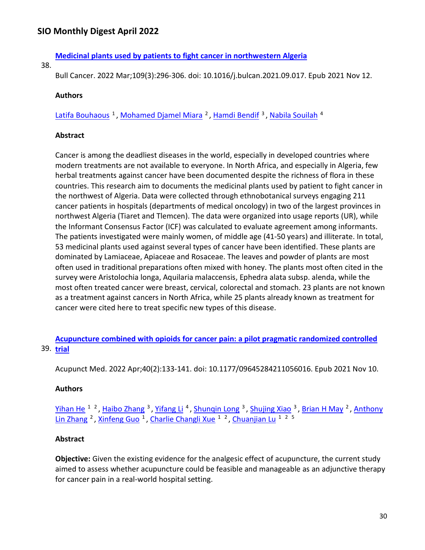## **[Medicinal plants used by patients to fight cancer in northwestern Algeria](https://nam11.safelinks.protection.outlook.com/?url=https%3A%2F%2Fpubmed.ncbi.nlm.nih.gov%2F34776117%2F&data=04%7C01%7Calmira.catic%40emory.edu%7C478ade74754b4c15a64f08da13eab169%7Ce004fb9cb0a4424fbcd0322606d5df38%7C0%7C0%7C637844196310365660%7CUnknown%7CTWFpbGZsb3d8eyJWIjoiMC4wLjAwMDAiLCJQIjoiV2luMzIiLCJBTiI6Ik1haWwiLCJXVCI6Mn0%3D%7C3000&sdata=O8vbOnrMlanwM21oUweGvVnw7l4kYkTIF3upE%2FqCmUA%3D&reserved=0)**

38.

Bull Cancer. 2022 Mar;109(3):296-306. doi: 10.1016/j.bulcan.2021.09.017. Epub 2021 Nov 12.

#### **Authors**

Latifa Bouhaous<sup>1</sup>, Mohamed Djamel Miara<sup>2</sup>, Hamdi Bendif<sup>3</sup>, Nabila Souilah<sup>4</sup>

#### **Abstract**

Cancer is among the deadliest diseases in the world, especially in developed countries where modern treatments are not available to everyone. In North Africa, and especially in Algeria, few herbal treatments against cancer have been documented despite the richness of flora in these countries. This research aim to documents the medicinal plants used by patient to fight cancer in the northwest of Algeria. Data were collected through ethnobotanical surveys engaging 211 cancer patients in hospitals (departments of medical oncology) in two of the largest provinces in northwest Algeria (Tiaret and Tlemcen). The data were organized into usage reports (UR), while the Informant Consensus Factor (ICF) was calculated to evaluate agreement among informants. The patients investigated were mainly women, of middle age (41-50 years) and illiterate. In total, 53 medicinal plants used against several types of cancer have been identified. These plants are dominated by Lamiaceae, Apiaceae and Rosaceae. The leaves and powder of plants are most often used in traditional preparations often mixed with honey. The plants most often cited in the survey were Aristolochia longa, Aquilaria malaccensis, Ephedra alata subsp. alenda, while the most often treated cancer were breast, cervical, colorectal and stomach. 23 plants are not known as a treatment against cancers in North Africa, while 25 plants already known as treatment for cancer were cited here to treat specific new types of this disease.

39. **[trial](https://nam11.safelinks.protection.outlook.com/?url=https%3A%2F%2Fpubmed.ncbi.nlm.nih.gov%2F34755569%2F&data=04%7C01%7Calmira.catic%40emory.edu%7C478ade74754b4c15a64f08da13eab169%7Ce004fb9cb0a4424fbcd0322606d5df38%7C0%7C0%7C637844196310521914%7CUnknown%7CTWFpbGZsb3d8eyJWIjoiMC4wLjAwMDAiLCJQIjoiV2luMzIiLCJBTiI6Ik1haWwiLCJXVCI6Mn0%3D%7C3000&sdata=Yk0Y2AnU3vrHve8atKdf73Ra4NpHwpa4%2B59BdGCdItQ%3D&reserved=0)  [Acupuncture combined with opioids for cancer pain: a pilot pragmatic randomized controlled](https://nam11.safelinks.protection.outlook.com/?url=https%3A%2F%2Fpubmed.ncbi.nlm.nih.gov%2F34755569%2F&data=04%7C01%7Calmira.catic%40emory.edu%7C478ade74754b4c15a64f08da13eab169%7Ce004fb9cb0a4424fbcd0322606d5df38%7C0%7C0%7C637844196310521914%7CUnknown%7CTWFpbGZsb3d8eyJWIjoiMC4wLjAwMDAiLCJQIjoiV2luMzIiLCJBTiI6Ik1haWwiLCJXVCI6Mn0%3D%7C3000&sdata=Yk0Y2AnU3vrHve8atKdf73Ra4NpHwpa4%2B59BdGCdItQ%3D&reserved=0)** 

Acupunct Med. 2022 Apr;40(2):133-141. doi: 10.1177/09645284211056016. Epub 2021 Nov 10.

### **Authors**

[Yihan He](https://nam11.safelinks.protection.outlook.com/?url=https%3A%2F%2Fpubmed.ncbi.nlm.nih.gov%2F%3Fsize%3D100%26term%3DHe%2BY%26cauthor_id%3D34755569&data=04%7C01%7Calmira.catic%40emory.edu%7C478ade74754b4c15a64f08da13eab169%7Ce004fb9cb0a4424fbcd0322606d5df38%7C0%7C0%7C637844196310521914%7CUnknown%7CTWFpbGZsb3d8eyJWIjoiMC4wLjAwMDAiLCJQIjoiV2luMzIiLCJBTiI6Ik1haWwiLCJXVCI6Mn0%3D%7C3000&sdata=%2B1nuBxWqTIAoqlmxj54sLpjUMvBF5g95wBTTDZvJb4U%3D&reserved=0) <sup>1</sup><sup>2</sup>, Haibo Zhang<sup>3</sup>, Yifang Li<sup>4</sup>, Shunqin Long<sup>3</sup>, Shujing Xiao<sup>3</sup>, Brian H May<sup>2</sup>, Anthony Lin Zhang<sup>2</sup>, Xinfeng Guo<sup>1</sup>, Charlie Changli Xue<sup>12</sup>, Chuanjian Lu<sup>125</sup>

### **Abstract**

**Objective:** Given the existing evidence for the analgesic effect of acupuncture, the current study aimed to assess whether acupuncture could be feasible and manageable as an adjunctive therapy for cancer pain in a real-world hospital setting.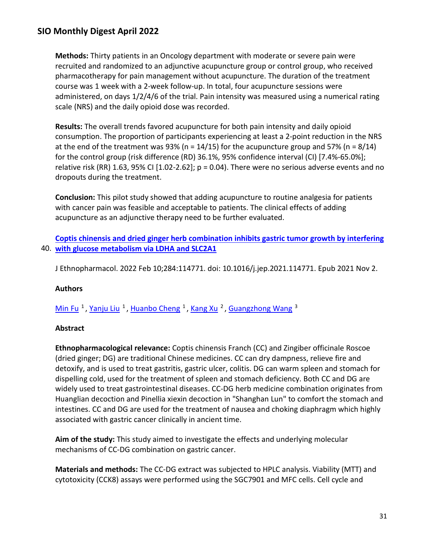**Methods:** Thirty patients in an Oncology department with moderate or severe pain were recruited and randomized to an adjunctive acupuncture group or control group, who received pharmacotherapy for pain management without acupuncture. The duration of the treatment course was 1 week with a 2-week follow-up. In total, four acupuncture sessions were administered, on days 1/2/4/6 of the trial. Pain intensity was measured using a numerical rating scale (NRS) and the daily opioid dose was recorded.

**Results:** The overall trends favored acupuncture for both pain intensity and daily opioid consumption. The proportion of participants experiencing at least a 2-point reduction in the NRS at the end of the treatment was 93% (n =  $14/15$ ) for the acupuncture group and 57% (n =  $8/14$ ) for the control group (risk difference (RD) 36.1%, 95% confidence interval (CI) [7.4%-65.0%]; relative risk (RR) 1.63, 95% CI [1.02-2.62];  $p = 0.04$ ). There were no serious adverse events and no dropouts during the treatment.

**Conclusion:** This pilot study showed that adding acupuncture to routine analgesia for patients with cancer pain was feasible and acceptable to patients. The clinical effects of adding acupuncture as an adjunctive therapy need to be further evaluated.

40. **[with glucose metabolism via LDHA and SLC2A1](https://nam11.safelinks.protection.outlook.com/?url=https%3A%2F%2Fpubmed.ncbi.nlm.nih.gov%2F34737010%2F&data=04%7C01%7Calmira.catic%40emory.edu%7C478ade74754b4c15a64f08da13eab169%7Ce004fb9cb0a4424fbcd0322606d5df38%7C0%7C0%7C637844196310521914%7CUnknown%7CTWFpbGZsb3d8eyJWIjoiMC4wLjAwMDAiLCJQIjoiV2luMzIiLCJBTiI6Ik1haWwiLCJXVCI6Mn0%3D%7C3000&sdata=fn0Ex5iAzo9yw5dYASVI9PLVFsx22sLr7OtNecJ6s%2BA%3D&reserved=0)  [Coptis chinensis and dried ginger herb combination inhibits gastric tumor growth by interfering](https://nam11.safelinks.protection.outlook.com/?url=https%3A%2F%2Fpubmed.ncbi.nlm.nih.gov%2F34737010%2F&data=04%7C01%7Calmira.catic%40emory.edu%7C478ade74754b4c15a64f08da13eab169%7Ce004fb9cb0a4424fbcd0322606d5df38%7C0%7C0%7C637844196310521914%7CUnknown%7CTWFpbGZsb3d8eyJWIjoiMC4wLjAwMDAiLCJQIjoiV2luMzIiLCJBTiI6Ik1haWwiLCJXVCI6Mn0%3D%7C3000&sdata=fn0Ex5iAzo9yw5dYASVI9PLVFsx22sLr7OtNecJ6s%2BA%3D&reserved=0)** 

J Ethnopharmacol. 2022 Feb 10;284:114771. doi: 10.1016/j.jep.2021.114771. Epub 2021 Nov 2.

### **Authors**

[Min Fu](https://nam11.safelinks.protection.outlook.com/?url=https%3A%2F%2Fpubmed.ncbi.nlm.nih.gov%2F%3Fsize%3D100%26term%3DFu%2BM%26cauthor_id%3D34737010&data=04%7C01%7Calmira.catic%40emory.edu%7C478ade74754b4c15a64f08da13eab169%7Ce004fb9cb0a4424fbcd0322606d5df38%7C0%7C0%7C637844196310521914%7CUnknown%7CTWFpbGZsb3d8eyJWIjoiMC4wLjAwMDAiLCJQIjoiV2luMzIiLCJBTiI6Ik1haWwiLCJXVCI6Mn0%3D%7C3000&sdata=DD%2FcCrcdPaLXa7vxIeAbI52ukoB%2B3RRMMd4N%2FAhfddk%3D&reserved=0) <sup>1</sup>, [Yanju Liu](https://nam11.safelinks.protection.outlook.com/?url=https%3A%2F%2Fpubmed.ncbi.nlm.nih.gov%2F%3Fsize%3D100%26term%3DLiu%2BY%26cauthor_id%3D34737010&data=04%7C01%7Calmira.catic%40emory.edu%7C478ade74754b4c15a64f08da13eab169%7Ce004fb9cb0a4424fbcd0322606d5df38%7C0%7C0%7C637844196310521914%7CUnknown%7CTWFpbGZsb3d8eyJWIjoiMC4wLjAwMDAiLCJQIjoiV2luMzIiLCJBTiI6Ik1haWwiLCJXVCI6Mn0%3D%7C3000&sdata=Sy%2Fh304oV67mlO6QI%2ByFYJkU8zt7PACiez4%2BaCjfS3Y%3D&reserved=0) <sup>1</sup>, [Huanbo Cheng](https://nam11.safelinks.protection.outlook.com/?url=https%3A%2F%2Fpubmed.ncbi.nlm.nih.gov%2F%3Fsize%3D100%26term%3DCheng%2BH%26cauthor_id%3D34737010&data=04%7C01%7Calmira.catic%40emory.edu%7C478ade74754b4c15a64f08da13eab169%7Ce004fb9cb0a4424fbcd0322606d5df38%7C0%7C0%7C637844196310521914%7CUnknown%7CTWFpbGZsb3d8eyJWIjoiMC4wLjAwMDAiLCJQIjoiV2luMzIiLCJBTiI6Ik1haWwiLCJXVCI6Mn0%3D%7C3000&sdata=JcybN%2F274K8o8%2BM0Z3Z0IavutcYSZZGZmJdn3AL9Tlo%3D&reserved=0) <sup>1</sup>, [Kang Xu](https://nam11.safelinks.protection.outlook.com/?url=https%3A%2F%2Fpubmed.ncbi.nlm.nih.gov%2F%3Fsize%3D100%26term%3DXu%2BK%26cauthor_id%3D34737010&data=04%7C01%7Calmira.catic%40emory.edu%7C478ade74754b4c15a64f08da13eab169%7Ce004fb9cb0a4424fbcd0322606d5df38%7C0%7C0%7C637844196310521914%7CUnknown%7CTWFpbGZsb3d8eyJWIjoiMC4wLjAwMDAiLCJQIjoiV2luMzIiLCJBTiI6Ik1haWwiLCJXVCI6Mn0%3D%7C3000&sdata=KsI%2FpK4ytm41dwdxbIDAnCel9oYEaDhOO6L27fv6wHA%3D&reserved=0) <sup>2</sup>, [Guangzhong Wang](https://nam11.safelinks.protection.outlook.com/?url=https%3A%2F%2Fpubmed.ncbi.nlm.nih.gov%2F%3Fsize%3D100%26term%3DWang%2BG%26cauthor_id%3D34737010&data=04%7C01%7Calmira.catic%40emory.edu%7C478ade74754b4c15a64f08da13eab169%7Ce004fb9cb0a4424fbcd0322606d5df38%7C0%7C0%7C637844196310521914%7CUnknown%7CTWFpbGZsb3d8eyJWIjoiMC4wLjAwMDAiLCJQIjoiV2luMzIiLCJBTiI6Ik1haWwiLCJXVCI6Mn0%3D%7C3000&sdata=xUdOAtToOYd9Elo3t2EqmIdzroLrUD8Ny0yt2rOc%2FCM%3D&reserved=0) <sup>3</sup>

### **Abstract**

**Ethnopharmacological relevance:** Coptis chinensis Franch (CC) and Zingiber officinale Roscoe (dried ginger; DG) are traditional Chinese medicines. CC can dry dampness, relieve fire and detoxify, and is used to treat gastritis, gastric ulcer, colitis. DG can warm spleen and stomach for dispelling cold, used for the treatment of spleen and stomach deficiency. Both CC and DG are widely used to treat gastrointestinal diseases. CC-DG herb medicine combination originates from Huanglian decoction and Pinellia xiexin decoction in "Shanghan Lun" to comfort the stomach and intestines. CC and DG are used for the treatment of nausea and choking diaphragm which highly associated with gastric cancer clinically in ancient time.

**Aim of the study:** This study aimed to investigate the effects and underlying molecular mechanisms of CC-DG combination on gastric cancer.

**Materials and methods:** The CC-DG extract was subjected to HPLC analysis. Viability (MTT) and cytotoxicity (CCK8) assays were performed using the SGC7901 and MFC cells. Cell cycle and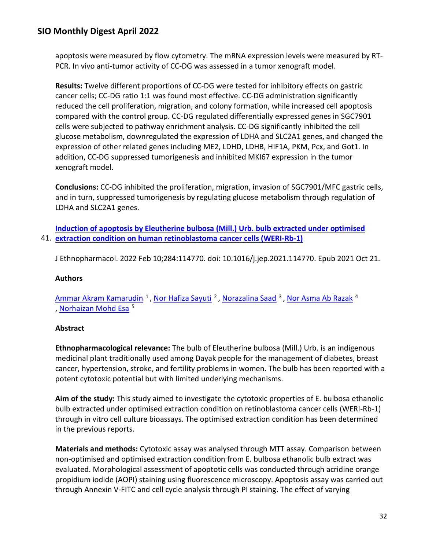apoptosis were measured by flow cytometry. The mRNA expression levels were measured by RT-PCR. In vivo anti-tumor activity of CC-DG was assessed in a tumor xenograft model.

**Results:** Twelve different proportions of CC-DG were tested for inhibitory effects on gastric cancer cells; CC-DG ratio 1:1 was found most effective. CC-DG administration significantly reduced the cell proliferation, migration, and colony formation, while increased cell apoptosis compared with the control group. CC-DG regulated differentially expressed genes in SGC7901 cells were subjected to pathway enrichment analysis. CC-DG significantly inhibited the cell glucose metabolism, downregulated the expression of LDHA and SLC2A1 genes, and changed the expression of other related genes including ME2, LDHD, LDHB, HIF1A, PKM, Pcx, and Got1. In addition, CC-DG suppressed tumorigenesis and inhibited MKI67 expression in the tumor xenograft model.

**Conclusions:** CC-DG inhibited the proliferation, migration, invasion of SGC7901/MFC gastric cells, and in turn, suppressed tumorigenesis by regulating glucose metabolism through regulation of LDHA and SLC2A1 genes.

41. **[extraction condition on human retinoblastoma cancer cells \(WERI-Rb-1\)](https://nam11.safelinks.protection.outlook.com/?url=https%3A%2F%2Fpubmed.ncbi.nlm.nih.gov%2F34688803%2F&data=04%7C01%7Calmira.catic%40emory.edu%7C478ade74754b4c15a64f08da13eab169%7Ce004fb9cb0a4424fbcd0322606d5df38%7C0%7C0%7C637844196310521914%7CUnknown%7CTWFpbGZsb3d8eyJWIjoiMC4wLjAwMDAiLCJQIjoiV2luMzIiLCJBTiI6Ik1haWwiLCJXVCI6Mn0%3D%7C3000&sdata=yjABq6Fam5JVJipRIEWrHi3E0mcLg2uiJNWsN7lzjxU%3D&reserved=0)  [Induction of apoptosis by Eleutherine bulbosa \(Mill.\) Urb. bulb extracted under optimised](https://nam11.safelinks.protection.outlook.com/?url=https%3A%2F%2Fpubmed.ncbi.nlm.nih.gov%2F34688803%2F&data=04%7C01%7Calmira.catic%40emory.edu%7C478ade74754b4c15a64f08da13eab169%7Ce004fb9cb0a4424fbcd0322606d5df38%7C0%7C0%7C637844196310521914%7CUnknown%7CTWFpbGZsb3d8eyJWIjoiMC4wLjAwMDAiLCJQIjoiV2luMzIiLCJBTiI6Ik1haWwiLCJXVCI6Mn0%3D%7C3000&sdata=yjABq6Fam5JVJipRIEWrHi3E0mcLg2uiJNWsN7lzjxU%3D&reserved=0)** 

J Ethnopharmacol. 2022 Feb 10;284:114770. doi: 10.1016/j.jep.2021.114770. Epub 2021 Oct 21.

### **Authors**

[Ammar Akram Kamarudin](https://nam11.safelinks.protection.outlook.com/?url=https%3A%2F%2Fpubmed.ncbi.nlm.nih.gov%2F%3Fsize%3D100%26term%3DKamarudin%2BAA%26cauthor_id%3D34688803&data=04%7C01%7Calmira.catic%40emory.edu%7C478ade74754b4c15a64f08da13eab169%7Ce004fb9cb0a4424fbcd0322606d5df38%7C0%7C0%7C637844196310678147%7CUnknown%7CTWFpbGZsb3d8eyJWIjoiMC4wLjAwMDAiLCJQIjoiV2luMzIiLCJBTiI6Ik1haWwiLCJXVCI6Mn0%3D%7C3000&sdata=nXIt3QDu1onhs5%2FNrhBQxc7F5mO0rC5VlNzme7%2Flp1M%3D&reserved=0) <sup>1</sup>, [Nor Hafiza Sayuti](https://nam11.safelinks.protection.outlook.com/?url=https%3A%2F%2Fpubmed.ncbi.nlm.nih.gov%2F%3Fsize%3D100%26term%3DSayuti%2BNH%26cauthor_id%3D34688803&data=04%7C01%7Calmira.catic%40emory.edu%7C478ade74754b4c15a64f08da13eab169%7Ce004fb9cb0a4424fbcd0322606d5df38%7C0%7C0%7C637844196310678147%7CUnknown%7CTWFpbGZsb3d8eyJWIjoiMC4wLjAwMDAiLCJQIjoiV2luMzIiLCJBTiI6Ik1haWwiLCJXVCI6Mn0%3D%7C3000&sdata=qrV2HPzFonloR7gSYjpnHpbaXBTzPE3FymBBiskbV0c%3D&reserved=0) <sup>2</sup>, [Norazalina Saad](https://nam11.safelinks.protection.outlook.com/?url=https%3A%2F%2Fpubmed.ncbi.nlm.nih.gov%2F%3Fsize%3D100%26term%3DSaad%2BN%26cauthor_id%3D34688803&data=04%7C01%7Calmira.catic%40emory.edu%7C478ade74754b4c15a64f08da13eab169%7Ce004fb9cb0a4424fbcd0322606d5df38%7C0%7C0%7C637844196310678147%7CUnknown%7CTWFpbGZsb3d8eyJWIjoiMC4wLjAwMDAiLCJQIjoiV2luMzIiLCJBTiI6Ik1haWwiLCJXVCI6Mn0%3D%7C3000&sdata=BSSETifuxqW2kWX%2F6qcWqbn0u5zMy2ErOBQrI%2FccjgM%3D&reserved=0) <sup>3</sup>, [Nor Asma Ab Razak](https://nam11.safelinks.protection.outlook.com/?url=https%3A%2F%2Fpubmed.ncbi.nlm.nih.gov%2F%3Fsize%3D100%26term%3DRazak%2BNAA%26cauthor_id%3D34688803&data=04%7C01%7Calmira.catic%40emory.edu%7C478ade74754b4c15a64f08da13eab169%7Ce004fb9cb0a4424fbcd0322606d5df38%7C0%7C0%7C637844196310678147%7CUnknown%7CTWFpbGZsb3d8eyJWIjoiMC4wLjAwMDAiLCJQIjoiV2luMzIiLCJBTiI6Ik1haWwiLCJXVCI6Mn0%3D%7C3000&sdata=aL2mG4mhkwtlI%2BBz9AxKWToCGbl4jDfL6Ujjd5QrmTc%3D&reserved=0) <sup>4</sup> , [Norhaizan Mohd Esa](https://nam11.safelinks.protection.outlook.com/?url=https%3A%2F%2Fpubmed.ncbi.nlm.nih.gov%2F%3Fsize%3D100%26term%3DEsa%2BNM%26cauthor_id%3D34688803&data=04%7C01%7Calmira.catic%40emory.edu%7C478ade74754b4c15a64f08da13eab169%7Ce004fb9cb0a4424fbcd0322606d5df38%7C0%7C0%7C637844196310678147%7CUnknown%7CTWFpbGZsb3d8eyJWIjoiMC4wLjAwMDAiLCJQIjoiV2luMzIiLCJBTiI6Ik1haWwiLCJXVCI6Mn0%3D%7C3000&sdata=S7q9BaphxKu9NRuKDnjySjMv0GRKt%2BMgGzr%2BmzILzf0%3D&reserved=0) 5

### **Abstract**

**Ethnopharmacological relevance:** The bulb of Eleutherine bulbosa (Mill.) Urb. is an indigenous medicinal plant traditionally used among Dayak people for the management of diabetes, breast cancer, hypertension, stroke, and fertility problems in women. The bulb has been reported with a potent cytotoxic potential but with limited underlying mechanisms.

**Aim of the study:** This study aimed to investigate the cytotoxic properties of E. bulbosa ethanolic bulb extracted under optimised extraction condition on retinoblastoma cancer cells (WERI-Rb-1) through in vitro cell culture bioassays. The optimised extraction condition has been determined in the previous reports.

**Materials and methods:** Cytotoxic assay was analysed through MTT assay. Comparison between non-optimised and optimised extraction condition from E. bulbosa ethanolic bulb extract was evaluated. Morphological assessment of apoptotic cells was conducted through acridine orange propidium iodide (AOPI) staining using fluorescence microscopy. Apoptosis assay was carried out through Annexin V-FITC and cell cycle analysis through PI staining. The effect of varying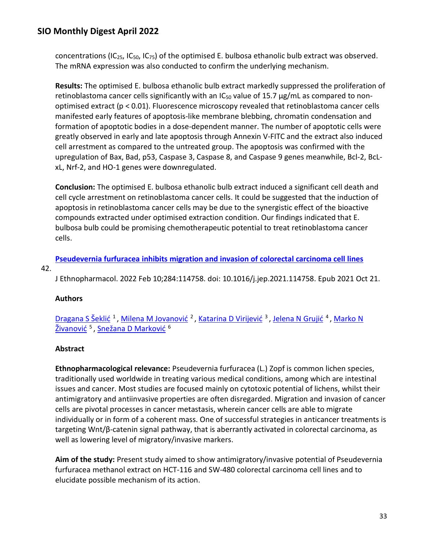concentrations (IC<sub>25</sub>, IC<sub>50</sub>, IC<sub>75</sub>) of the optimised E. bulbosa ethanolic bulb extract was observed. The mRNA expression was also conducted to confirm the underlying mechanism.

**Results:** The optimised E. bulbosa ethanolic bulb extract markedly suppressed the proliferation of retinoblastoma cancer cells significantly with an IC<sub>50</sub> value of 15.7  $\mu$ g/mL as compared to nonoptimised extract (p < 0.01). Fluorescence microscopy revealed that retinoblastoma cancer cells manifested early features of apoptosis-like membrane blebbing, chromatin condensation and formation of apoptotic bodies in a dose-dependent manner. The number of apoptotic cells were greatly observed in early and late apoptosis through Annexin V-FITC and the extract also induced cell arrestment as compared to the untreated group. The apoptosis was confirmed with the upregulation of Bax, Bad, p53, Caspase 3, Caspase 8, and Caspase 9 genes meanwhile, Bcl-2, BcLxL, Nrf-2, and HO-1 genes were downregulated.

**Conclusion:** The optimised E. bulbosa ethanolic bulb extract induced a significant cell death and cell cycle arrestment on retinoblastoma cancer cells. It could be suggested that the induction of apoptosis in retinoblastoma cancer cells may be due to the synergistic effect of the bioactive compounds extracted under optimised extraction condition. Our findings indicated that E. bulbosa bulb could be promising chemotherapeutic potential to treat retinoblastoma cancer cells.

**[Pseudevernia furfuracea inhibits migration and invasion of colorectal carcinoma cell lines](https://nam11.safelinks.protection.outlook.com/?url=https%3A%2F%2Fpubmed.ncbi.nlm.nih.gov%2F34688797%2F&data=04%7C01%7Calmira.catic%40emory.edu%7C478ade74754b4c15a64f08da13eab169%7Ce004fb9cb0a4424fbcd0322606d5df38%7C0%7C0%7C637844196310678147%7CUnknown%7CTWFpbGZsb3d8eyJWIjoiMC4wLjAwMDAiLCJQIjoiV2luMzIiLCJBTiI6Ik1haWwiLCJXVCI6Mn0%3D%7C3000&sdata=6Th7Fy6Z3S%2F5SuyJjw4C3ldqRmvlRCxrnG8uBx21%2B0Y%3D&reserved=0)** 

#### 42.

J Ethnopharmacol. 2022 Feb 10;284:114758. doi: 10.1016/j.jep.2021.114758. Epub 2021 Oct 21.

### **Authors**

[Dragana S Šeklić](https://nam11.safelinks.protection.outlook.com/?url=https%3A%2F%2Fpubmed.ncbi.nlm.nih.gov%2F%3Fsize%3D100%26term%3D%25C5%25A0ekli%25C4%2587%2BDS%26cauthor_id%3D34688797&data=04%7C01%7Calmira.catic%40emory.edu%7C478ade74754b4c15a64f08da13eab169%7Ce004fb9cb0a4424fbcd0322606d5df38%7C0%7C0%7C637844196310678147%7CUnknown%7CTWFpbGZsb3d8eyJWIjoiMC4wLjAwMDAiLCJQIjoiV2luMzIiLCJBTiI6Ik1haWwiLCJXVCI6Mn0%3D%7C3000&sdata=Zs1UlUYTZpDzjJNxLt9gm0Qqm6lGo6ntCKphCX7DSJY%3D&reserved=0)<sup>1</sup>, [Milena M Jovanović](https://nam11.safelinks.protection.outlook.com/?url=https%3A%2F%2Fpubmed.ncbi.nlm.nih.gov%2F%3Fsize%3D100%26term%3DJovanovi%25C4%2587%2BMM%26cauthor_id%3D34688797&data=04%7C01%7Calmira.catic%40emory.edu%7C478ade74754b4c15a64f08da13eab169%7Ce004fb9cb0a4424fbcd0322606d5df38%7C0%7C0%7C637844196310678147%7CUnknown%7CTWFpbGZsb3d8eyJWIjoiMC4wLjAwMDAiLCJQIjoiV2luMzIiLCJBTiI6Ik1haWwiLCJXVCI6Mn0%3D%7C3000&sdata=pwujT%2ByYexy9aRrOkXS5d4gIKemE9kjfSXXIsrKQy1g%3D&reserved=0)<sup>2</sup>, [Katarina D Virijević](https://nam11.safelinks.protection.outlook.com/?url=https%3A%2F%2Fpubmed.ncbi.nlm.nih.gov%2F%3Fsize%3D100%26term%3DVirijevi%25C4%2587%2BKD%26cauthor_id%3D34688797&data=04%7C01%7Calmira.catic%40emory.edu%7C478ade74754b4c15a64f08da13eab169%7Ce004fb9cb0a4424fbcd0322606d5df38%7C0%7C0%7C637844196310678147%7CUnknown%7CTWFpbGZsb3d8eyJWIjoiMC4wLjAwMDAiLCJQIjoiV2luMzIiLCJBTiI6Ik1haWwiLCJXVCI6Mn0%3D%7C3000&sdata=ENOBCWrOictL%2FFbR7hvypKBrbnuZomYq%2F6d5CiGBcBI%3D&reserved=0)<sup>3</sup>, [Jelena N Grujić](https://nam11.safelinks.protection.outlook.com/?url=https%3A%2F%2Fpubmed.ncbi.nlm.nih.gov%2F%3Fsize%3D100%26term%3DGruji%25C4%2587%2BJN%26cauthor_id%3D34688797&data=04%7C01%7Calmira.catic%40emory.edu%7C478ade74754b4c15a64f08da13eab169%7Ce004fb9cb0a4424fbcd0322606d5df38%7C0%7C0%7C637844196310678147%7CUnknown%7CTWFpbGZsb3d8eyJWIjoiMC4wLjAwMDAiLCJQIjoiV2luMzIiLCJBTiI6Ik1haWwiLCJXVCI6Mn0%3D%7C3000&sdata=EVwiHbjnfBnWV4AZyi%2FEQ6mt6K8ku063U%2F%2BfyyS%2B0X8%3D&reserved=0)<sup>4</sup>, Marko N [Živanović](https://nam11.safelinks.protection.outlook.com/?url=https%3A%2F%2Fpubmed.ncbi.nlm.nih.gov%2F%3Fsize%3D100%26term%3D%25C5%25BDivanovi%25C4%2587%2BMN%26cauthor_id%3D34688797&data=04%7C01%7Calmira.catic%40emory.edu%7C478ade74754b4c15a64f08da13eab169%7Ce004fb9cb0a4424fbcd0322606d5df38%7C0%7C0%7C637844196310678147%7CUnknown%7CTWFpbGZsb3d8eyJWIjoiMC4wLjAwMDAiLCJQIjoiV2luMzIiLCJBTiI6Ik1haWwiLCJXVCI6Mn0%3D%7C3000&sdata=yf9L6b1GUFskmA%2FUQjmUPmYAKjrNEy%2BG9aEu7AxikXc%3D&reserved=0)<sup>5</sup>, [Snežana D Marković](https://nam11.safelinks.protection.outlook.com/?url=https%3A%2F%2Fpubmed.ncbi.nlm.nih.gov%2F%3Fsize%3D100%26term%3DMarkovi%25C4%2587%2BSD%26cauthor_id%3D34688797&data=04%7C01%7Calmira.catic%40emory.edu%7C478ade74754b4c15a64f08da13eab169%7Ce004fb9cb0a4424fbcd0322606d5df38%7C0%7C0%7C637844196310678147%7CUnknown%7CTWFpbGZsb3d8eyJWIjoiMC4wLjAwMDAiLCJQIjoiV2luMzIiLCJBTiI6Ik1haWwiLCJXVCI6Mn0%3D%7C3000&sdata=rW1XnJuHnyE5G286rC9YZ7bVXEDRuCIMpsctiLRERUI%3D&reserved=0) <sup>6</sup>

### **Abstract**

**Ethnopharmacological relevance:** Pseudevernia furfuracea (L.) Zopf is common lichen species, traditionally used worldwide in treating various medical conditions, among which are intestinal issues and cancer. Most studies are focused mainly on cytotoxic potential of lichens, whilst their antimigratory and antiinvasive properties are often disregarded. Migration and invasion of cancer cells are pivotal processes in cancer metastasis, wherein cancer cells are able to migrate individually or in form of a coherent mass. One of successful strategies in anticancer treatments is targeting Wnt/β-catenin signal pathway, that is aberrantly activated in colorectal carcinoma, as well as lowering level of migratory/invasive markers.

**Aim of the study:** Present study aimed to show antimigratory/invasive potential of Pseudevernia furfuracea methanol extract on HCT-116 and SW-480 colorectal carcinoma cell lines and to elucidate possible mechanism of its action.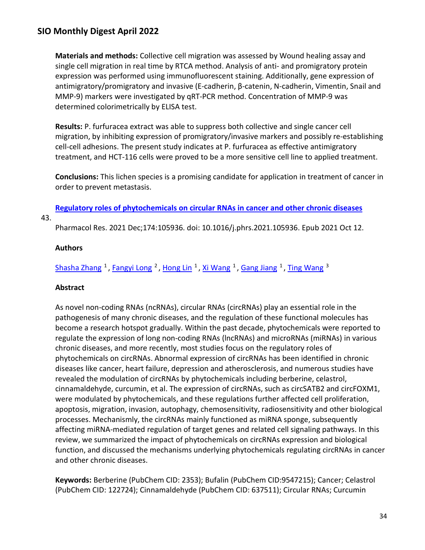**Materials and methods:** Collective cell migration was assessed by Wound healing assay and single cell migration in real time by RTCA method. Analysis of anti- and promigratory protein expression was performed using immunofluorescent staining. Additionally, gene expression of antimigratory/promigratory and invasive (E-cadherin, β-catenin, N-cadherin, Vimentin, Snail and MMP-9) markers were investigated by qRT-PCR method. Concentration of MMP-9 was determined colorimetrically by ELISA test.

**Results:** P. furfuracea extract was able to suppress both collective and single cancer cell migration, by inhibiting expression of promigratory/invasive markers and possibly re-establishing cell-cell adhesions. The present study indicates at P. furfuracea as effective antimigratory treatment, and HCT-116 cells were proved to be a more sensitive cell line to applied treatment.

**Conclusions:** This lichen species is a promising candidate for application in treatment of cancer in order to prevent metastasis.

**[Regulatory roles of phytochemicals on circular RNAs in cancer and other chronic diseases](https://nam11.safelinks.protection.outlook.com/?url=https%3A%2F%2Fpubmed.ncbi.nlm.nih.gov%2F34653635%2F&data=04%7C01%7Calmira.catic%40emory.edu%7C478ade74754b4c15a64f08da13eab169%7Ce004fb9cb0a4424fbcd0322606d5df38%7C0%7C0%7C637844196310678147%7CUnknown%7CTWFpbGZsb3d8eyJWIjoiMC4wLjAwMDAiLCJQIjoiV2luMzIiLCJBTiI6Ik1haWwiLCJXVCI6Mn0%3D%7C3000&sdata=rzaXlfxrnNKIU6IOkUzAUEaA33p8qOwF1w6NytGTuKY%3D&reserved=0)** 

43.

Pharmacol Res. 2021 Dec;174:105936. doi: 10.1016/j.phrs.2021.105936. Epub 2021 Oct 12.

### **Authors**

[Shasha Zhang](https://nam11.safelinks.protection.outlook.com/?url=https%3A%2F%2Fpubmed.ncbi.nlm.nih.gov%2F%3Fsize%3D100%26term%3DZhang%2BS%26cauthor_id%3D34653635&data=04%7C01%7Calmira.catic%40emory.edu%7C478ade74754b4c15a64f08da13eab169%7Ce004fb9cb0a4424fbcd0322606d5df38%7C0%7C0%7C637844196310678147%7CUnknown%7CTWFpbGZsb3d8eyJWIjoiMC4wLjAwMDAiLCJQIjoiV2luMzIiLCJBTiI6Ik1haWwiLCJXVCI6Mn0%3D%7C3000&sdata=v2Zu4Xj%2FHlX8zZaVBkXl04kHaEQVJdS6W8MF8h7kwYE%3D&reserved=0) <sup>1</sup>, [Fangyi Long](https://nam11.safelinks.protection.outlook.com/?url=https%3A%2F%2Fpubmed.ncbi.nlm.nih.gov%2F%3Fsize%3D100%26term%3DLong%2BF%26cauthor_id%3D34653635&data=04%7C01%7Calmira.catic%40emory.edu%7C478ade74754b4c15a64f08da13eab169%7Ce004fb9cb0a4424fbcd0322606d5df38%7C0%7C0%7C637844196310678147%7CUnknown%7CTWFpbGZsb3d8eyJWIjoiMC4wLjAwMDAiLCJQIjoiV2luMzIiLCJBTiI6Ik1haWwiLCJXVCI6Mn0%3D%7C3000&sdata=tixCqf7oKmvE2aOdOmJdxoX5t8Lbl7kYeFnD01ajsGI%3D&reserved=0) <sup>2</sup>, [Hong Lin](https://nam11.safelinks.protection.outlook.com/?url=https%3A%2F%2Fpubmed.ncbi.nlm.nih.gov%2F%3Fsize%3D100%26term%3DLin%2BH%26cauthor_id%3D34653635&data=04%7C01%7Calmira.catic%40emory.edu%7C478ade74754b4c15a64f08da13eab169%7Ce004fb9cb0a4424fbcd0322606d5df38%7C0%7C0%7C637844196310678147%7CUnknown%7CTWFpbGZsb3d8eyJWIjoiMC4wLjAwMDAiLCJQIjoiV2luMzIiLCJBTiI6Ik1haWwiLCJXVCI6Mn0%3D%7C3000&sdata=lYE%2BNZ09SHFWHEGgK0GReVT7e%2FeRrpssPIRwbScJqy0%3D&reserved=0) <sup>1</sup>, [Xi Wang](https://nam11.safelinks.protection.outlook.com/?url=https%3A%2F%2Fpubmed.ncbi.nlm.nih.gov%2F%3Fsize%3D100%26term%3DWang%2BX%26cauthor_id%3D34653635&data=04%7C01%7Calmira.catic%40emory.edu%7C478ade74754b4c15a64f08da13eab169%7Ce004fb9cb0a4424fbcd0322606d5df38%7C0%7C0%7C637844196310678147%7CUnknown%7CTWFpbGZsb3d8eyJWIjoiMC4wLjAwMDAiLCJQIjoiV2luMzIiLCJBTiI6Ik1haWwiLCJXVCI6Mn0%3D%7C3000&sdata=%2B6toM%2BbU87YyWNseJ9DHs9L%2BRpLQKqGQH70nWZG9WmU%3D&reserved=0) <sup>1</sup>, [Gang Jiang](https://nam11.safelinks.protection.outlook.com/?url=https%3A%2F%2Fpubmed.ncbi.nlm.nih.gov%2F%3Fsize%3D100%26term%3DJiang%2BG%26cauthor_id%3D34653635&data=04%7C01%7Calmira.catic%40emory.edu%7C478ade74754b4c15a64f08da13eab169%7Ce004fb9cb0a4424fbcd0322606d5df38%7C0%7C0%7C637844196310678147%7CUnknown%7CTWFpbGZsb3d8eyJWIjoiMC4wLjAwMDAiLCJQIjoiV2luMzIiLCJBTiI6Ik1haWwiLCJXVCI6Mn0%3D%7C3000&sdata=66BQjRpxwdmWXoa8u6voZ%2BiG%2FY7z9MUkMaBKWJqOuQk%3D&reserved=0) <sup>1</sup>, [Ting Wang](https://nam11.safelinks.protection.outlook.com/?url=https%3A%2F%2Fpubmed.ncbi.nlm.nih.gov%2F%3Fsize%3D100%26term%3DWang%2BT%26cauthor_id%3D34653635&data=04%7C01%7Calmira.catic%40emory.edu%7C478ade74754b4c15a64f08da13eab169%7Ce004fb9cb0a4424fbcd0322606d5df38%7C0%7C0%7C637844196310678147%7CUnknown%7CTWFpbGZsb3d8eyJWIjoiMC4wLjAwMDAiLCJQIjoiV2luMzIiLCJBTiI6Ik1haWwiLCJXVCI6Mn0%3D%7C3000&sdata=kTgLVVrVvmFtPAl7RVROr2%2FU8LVl8pnvh%2BukdMb1ogU%3D&reserved=0) <sup>3</sup>

#### **Abstract**

As novel non-coding RNAs (ncRNAs), circular RNAs (circRNAs) play an essential role in the pathogenesis of many chronic diseases, and the regulation of these functional molecules has become a research hotspot gradually. Within the past decade, phytochemicals were reported to regulate the expression of long non-coding RNAs (lncRNAs) and microRNAs (miRNAs) in various chronic diseases, and more recently, most studies focus on the regulatory roles of phytochemicals on circRNAs. Abnormal expression of circRNAs has been identified in chronic diseases like cancer, heart failure, depression and atherosclerosis, and numerous studies have revealed the modulation of circRNAs by phytochemicals including berberine, celastrol, cinnamaldehyde, curcumin, et al. The expression of circRNAs, such as circSATB2 and circFOXM1, were modulated by phytochemicals, and these regulations further affected cell proliferation, apoptosis, migration, invasion, autophagy, chemosensitivity, radiosensitivity and other biological processes. Mechanismly, the circRNAs mainly functioned as miRNA sponge, subsequently affecting miRNA-mediated regulation of target genes and related cell signaling pathways. In this review, we summarized the impact of phytochemicals on circRNAs expression and biological function, and discussed the mechanisms underlying phytochemicals regulating circRNAs in cancer and other chronic diseases.

**Keywords:** Berberine (PubChem CID: 2353); Bufalin (PubChem CID:9547215); Cancer; Celastrol (PubChem CID: 122724); Cinnamaldehyde (PubChem CID: 637511); Circular RNAs; Curcumin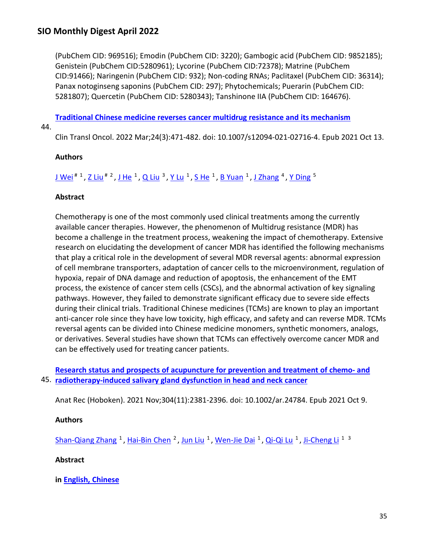(PubChem CID: 969516); Emodin (PubChem CID: 3220); Gambogic acid (PubChem CID: 9852185); Genistein (PubChem CID:5280961); Lycorine (PubChem CID:72378); Matrine (PubChem CID:91466); Naringenin (PubChem CID: 932); Non-coding RNAs; Paclitaxel (PubChem CID: 36314); Panax notoginseng saponins (PubChem CID: 297); Phytochemicals; Puerarin (PubChem CID: 5281807); Quercetin (PubChem CID: 5280343); Tanshinone IIA (PubChem CID: 164676).

**[Traditional Chinese medicine reverses cancer multidrug resistance and its mechanism](https://nam11.safelinks.protection.outlook.com/?url=https%3A%2F%2Fpubmed.ncbi.nlm.nih.gov%2F34643878%2F&data=04%7C01%7Calmira.catic%40emory.edu%7C478ade74754b4c15a64f08da13eab169%7Ce004fb9cb0a4424fbcd0322606d5df38%7C0%7C0%7C637844196310834399%7CUnknown%7CTWFpbGZsb3d8eyJWIjoiMC4wLjAwMDAiLCJQIjoiV2luMzIiLCJBTiI6Ik1haWwiLCJXVCI6Mn0%3D%7C3000&sdata=WP11Ei5csKtkrrKPqfB%2ByZU12TeQyqUuZlDJ3tiW6LA%3D&reserved=0)** 

44.

Clin Transl Oncol. 2022 Mar;24(3):471-482. doi: 10.1007/s12094-021-02716-4. Epub 2021 Oct 13.

### **Authors**

J Wei<sup># 1</sup>, Z Liu<sup># 2</sup>, [J He](https://nam11.safelinks.protection.outlook.com/?url=https%3A%2F%2Fpubmed.ncbi.nlm.nih.gov%2F%3Fsize%3D100%26term%3DHe%2BJ%26cauthor_id%3D34643878&data=04%7C01%7Calmira.catic%40emory.edu%7C478ade74754b4c15a64f08da13eab169%7Ce004fb9cb0a4424fbcd0322606d5df38%7C0%7C0%7C637844196310834399%7CUnknown%7CTWFpbGZsb3d8eyJWIjoiMC4wLjAwMDAiLCJQIjoiV2luMzIiLCJBTiI6Ik1haWwiLCJXVCI6Mn0%3D%7C3000&sdata=i%2FzzDJJ%2BHXNoexHOUPMkst4OaR0sdsexViDuqL%2FWXes%3D&reserved=0) <sup>1</sup>, Q Liu<sup>3</sup>, Y Lu<sup>1</sup>, [S He](https://nam11.safelinks.protection.outlook.com/?url=https%3A%2F%2Fpubmed.ncbi.nlm.nih.gov%2F%3Fsize%3D100%26term%3DHe%2BS%26cauthor_id%3D34643878&data=04%7C01%7Calmira.catic%40emory.edu%7C478ade74754b4c15a64f08da13eab169%7Ce004fb9cb0a4424fbcd0322606d5df38%7C0%7C0%7C637844196310834399%7CUnknown%7CTWFpbGZsb3d8eyJWIjoiMC4wLjAwMDAiLCJQIjoiV2luMzIiLCJBTiI6Ik1haWwiLCJXVCI6Mn0%3D%7C3000&sdata=Heepl4dx4GhunNyp036HeW9xoB4WOHkyswfpypzM5R0%3D&reserved=0) <sup>1</sup>, [B Yuan](https://nam11.safelinks.protection.outlook.com/?url=https%3A%2F%2Fpubmed.ncbi.nlm.nih.gov%2F%3Fsize%3D100%26term%3DYuan%2BB%26cauthor_id%3D34643878&data=04%7C01%7Calmira.catic%40emory.edu%7C478ade74754b4c15a64f08da13eab169%7Ce004fb9cb0a4424fbcd0322606d5df38%7C0%7C0%7C637844196310834399%7CUnknown%7CTWFpbGZsb3d8eyJWIjoiMC4wLjAwMDAiLCJQIjoiV2luMzIiLCJBTiI6Ik1haWwiLCJXVCI6Mn0%3D%7C3000&sdata=OQ8e49pFYZsrePhCQEZ1HyfE%2BjE45BKyU8Za5cPK%2FmQ%3D&reserved=0) <sup>1</sup>, [J Zhang](https://nam11.safelinks.protection.outlook.com/?url=https%3A%2F%2Fpubmed.ncbi.nlm.nih.gov%2F%3Fsize%3D100%26term%3DZhang%2BJ%26cauthor_id%3D34643878&data=04%7C01%7Calmira.catic%40emory.edu%7C478ade74754b4c15a64f08da13eab169%7Ce004fb9cb0a4424fbcd0322606d5df38%7C0%7C0%7C637844196310834399%7CUnknown%7CTWFpbGZsb3d8eyJWIjoiMC4wLjAwMDAiLCJQIjoiV2luMzIiLCJBTiI6Ik1haWwiLCJXVCI6Mn0%3D%7C3000&sdata=PWs7OtI6RWt%2FcCIGsk%2FPj9HeR3xRh7YSzpmahfNqiGE%3D&reserved=0) <sup>4</sup>, [Y Ding](https://nam11.safelinks.protection.outlook.com/?url=https%3A%2F%2Fpubmed.ncbi.nlm.nih.gov%2F%3Fsize%3D100%26term%3DDing%2BY%26cauthor_id%3D34643878&data=04%7C01%7Calmira.catic%40emory.edu%7C478ade74754b4c15a64f08da13eab169%7Ce004fb9cb0a4424fbcd0322606d5df38%7C0%7C0%7C637844196310834399%7CUnknown%7CTWFpbGZsb3d8eyJWIjoiMC4wLjAwMDAiLCJQIjoiV2luMzIiLCJBTiI6Ik1haWwiLCJXVCI6Mn0%3D%7C3000&sdata=XFUMh%2BBpINep1dlsq5gV3rqXdIfI3A7N%2B9ZIteN5d1Q%3D&reserved=0) <sup>5</sup>

### **Abstract**

Chemotherapy is one of the most commonly used clinical treatments among the currently available cancer therapies. However, the phenomenon of Multidrug resistance (MDR) has become a challenge in the treatment process, weakening the impact of chemotherapy. Extensive research on elucidating the development of cancer MDR has identified the following mechanisms that play a critical role in the development of several MDR reversal agents: abnormal expression of cell membrane transporters, adaptation of cancer cells to the microenvironment, regulation of hypoxia, repair of DNA damage and reduction of apoptosis, the enhancement of the EMT process, the existence of cancer stem cells (CSCs), and the abnormal activation of key signaling pathways. However, they failed to demonstrate significant efficacy due to severe side effects during their clinical trials. Traditional Chinese medicines (TCMs) are known to play an important anti-cancer role since they have low toxicity, high efficacy, and safety and can reverse MDR. TCMs reversal agents can be divided into Chinese medicine monomers, synthetic monomers, analogs, or derivatives. Several studies have shown that TCMs can effectively overcome cancer MDR and can be effectively used for treating cancer patients.

45. **[radiotherapy-induced salivary gland dysfunction in head and neck cancer](https://nam11.safelinks.protection.outlook.com/?url=https%3A%2F%2Fpubmed.ncbi.nlm.nih.gov%2F34626452%2F&data=04%7C01%7Calmira.catic%40emory.edu%7C478ade74754b4c15a64f08da13eab169%7Ce004fb9cb0a4424fbcd0322606d5df38%7C0%7C0%7C637844196310834399%7CUnknown%7CTWFpbGZsb3d8eyJWIjoiMC4wLjAwMDAiLCJQIjoiV2luMzIiLCJBTiI6Ik1haWwiLCJXVCI6Mn0%3D%7C3000&sdata=UOUi%2B3v%2B7g6A8ixogMvm%2FVKe7HFdzzB%2BnC9%2FowMHBPE%3D&reserved=0)  [Research status and prospects of acupuncture for prevention and treatment of chemo-](https://nam11.safelinks.protection.outlook.com/?url=https%3A%2F%2Fpubmed.ncbi.nlm.nih.gov%2F34626452%2F&data=04%7C01%7Calmira.catic%40emory.edu%7C478ade74754b4c15a64f08da13eab169%7Ce004fb9cb0a4424fbcd0322606d5df38%7C0%7C0%7C637844196310834399%7CUnknown%7CTWFpbGZsb3d8eyJWIjoiMC4wLjAwMDAiLCJQIjoiV2luMzIiLCJBTiI6Ik1haWwiLCJXVCI6Mn0%3D%7C3000&sdata=UOUi%2B3v%2B7g6A8ixogMvm%2FVKe7HFdzzB%2BnC9%2FowMHBPE%3D&reserved=0) and** 

Anat Rec (Hoboken). 2021 Nov;304(11):2381-2396. doi: 10.1002/ar.24784. Epub 2021 Oct 9.

### **Authors**

[Shan-Qiang Zhang](https://nam11.safelinks.protection.outlook.com/?url=https%3A%2F%2Fpubmed.ncbi.nlm.nih.gov%2F%3Fsize%3D100%26term%3DZhang%2BSQ%26cauthor_id%3D34626452&data=04%7C01%7Calmira.catic%40emory.edu%7C478ade74754b4c15a64f08da13eab169%7Ce004fb9cb0a4424fbcd0322606d5df38%7C0%7C0%7C637844196310834399%7CUnknown%7CTWFpbGZsb3d8eyJWIjoiMC4wLjAwMDAiLCJQIjoiV2luMzIiLCJBTiI6Ik1haWwiLCJXVCI6Mn0%3D%7C3000&sdata=905mH1cX7LAV7XwIV9NSbyx43RNS97RlpR9XVKKUk9o%3D&reserved=0) <sup>1</sup>, [Hai-Bin Chen](https://nam11.safelinks.protection.outlook.com/?url=https%3A%2F%2Fpubmed.ncbi.nlm.nih.gov%2F%3Fsize%3D100%26term%3DChen%2BHB%26cauthor_id%3D34626452&data=04%7C01%7Calmira.catic%40emory.edu%7C478ade74754b4c15a64f08da13eab169%7Ce004fb9cb0a4424fbcd0322606d5df38%7C0%7C0%7C637844196310834399%7CUnknown%7CTWFpbGZsb3d8eyJWIjoiMC4wLjAwMDAiLCJQIjoiV2luMzIiLCJBTiI6Ik1haWwiLCJXVCI6Mn0%3D%7C3000&sdata=cOK%2BIKuaLbIeoczQN3%2FKC78Sdq5fntfer7gOTkTlaBY%3D&reserved=0) <sup>2</sup>, [Jun Liu](https://nam11.safelinks.protection.outlook.com/?url=https%3A%2F%2Fpubmed.ncbi.nlm.nih.gov%2F%3Fsize%3D100%26term%3DLiu%2BJ%26cauthor_id%3D34626452&data=04%7C01%7Calmira.catic%40emory.edu%7C478ade74754b4c15a64f08da13eab169%7Ce004fb9cb0a4424fbcd0322606d5df38%7C0%7C0%7C637844196310834399%7CUnknown%7CTWFpbGZsb3d8eyJWIjoiMC4wLjAwMDAiLCJQIjoiV2luMzIiLCJBTiI6Ik1haWwiLCJXVCI6Mn0%3D%7C3000&sdata=HFGlwYmnNzaCx6gJyeWc8CxwY4hxVp3NeoxuFwKgcaM%3D&reserved=0) <sup>1</sup>, [Wen-Jie Dai](https://nam11.safelinks.protection.outlook.com/?url=https%3A%2F%2Fpubmed.ncbi.nlm.nih.gov%2F%3Fsize%3D100%26term%3DDai%2BWJ%26cauthor_id%3D34626452&data=04%7C01%7Calmira.catic%40emory.edu%7C478ade74754b4c15a64f08da13eab169%7Ce004fb9cb0a4424fbcd0322606d5df38%7C0%7C0%7C637844196310834399%7CUnknown%7CTWFpbGZsb3d8eyJWIjoiMC4wLjAwMDAiLCJQIjoiV2luMzIiLCJBTiI6Ik1haWwiLCJXVCI6Mn0%3D%7C3000&sdata=QLdme8zaunhJhbbiRC4w0FxQDk7YHc8LuSsbBr6QhtU%3D&reserved=0) <sup>1</sup>, [Qi-Qi Lu](https://nam11.safelinks.protection.outlook.com/?url=https%3A%2F%2Fpubmed.ncbi.nlm.nih.gov%2F%3Fsize%3D100%26term%3DLu%2BQQ%26cauthor_id%3D34626452&data=04%7C01%7Calmira.catic%40emory.edu%7C478ade74754b4c15a64f08da13eab169%7Ce004fb9cb0a4424fbcd0322606d5df38%7C0%7C0%7C637844196310834399%7CUnknown%7CTWFpbGZsb3d8eyJWIjoiMC4wLjAwMDAiLCJQIjoiV2luMzIiLCJBTiI6Ik1haWwiLCJXVCI6Mn0%3D%7C3000&sdata=btzKkXolbH08s%2FKQ5JtMz2f1S%2FWzFzjAWu5LOgUAr6Y%3D&reserved=0) <sup>1</sup>, [Ji-Cheng Li](https://nam11.safelinks.protection.outlook.com/?url=https%3A%2F%2Fpubmed.ncbi.nlm.nih.gov%2F%3Fsize%3D100%26term%3DLi%2BJC%26cauthor_id%3D34626452&data=04%7C01%7Calmira.catic%40emory.edu%7C478ade74754b4c15a64f08da13eab169%7Ce004fb9cb0a4424fbcd0322606d5df38%7C0%7C0%7C637844196310834399%7CUnknown%7CTWFpbGZsb3d8eyJWIjoiMC4wLjAwMDAiLCJQIjoiV2luMzIiLCJBTiI6Ik1haWwiLCJXVCI6Mn0%3D%7C3000&sdata=a%2Ba%2B8%2BUr6sAFzlK9SZxFOZJhjPbzZBtG1zbuQcxkjNs%3D&reserved=0) <sup>1</sup> <sup>3</sup>

### **Abstract**

**in [English,](https://nam11.safelinks.protection.outlook.com/?url=https%3A%2F%2Fpubmed.ncbi.nlm.nih.gov%2F34626452%23email-abstract-34626452-enc-abstract&data=04%7C01%7Calmira.catic%40emory.edu%7C478ade74754b4c15a64f08da13eab169%7Ce004fb9cb0a4424fbcd0322606d5df38%7C0%7C0%7C637844196310834399%7CUnknown%7CTWFpbGZsb3d8eyJWIjoiMC4wLjAwMDAiLCJQIjoiV2luMzIiLCJBTiI6Ik1haWwiLCJXVCI6Mn0%3D%7C3000&sdata=pqz3PbvHym1o90%2FYZbsoS1CSNUK6dG2EWHOzg57APBY%3D&reserved=0) [Chinese](https://nam11.safelinks.protection.outlook.com/?url=https%3A%2F%2Fpubmed.ncbi.nlm.nih.gov%2F34626452%23email-abstract-34626452-zho-abstract&data=04%7C01%7Calmira.catic%40emory.edu%7C478ade74754b4c15a64f08da13eab169%7Ce004fb9cb0a4424fbcd0322606d5df38%7C0%7C0%7C637844196310834399%7CUnknown%7CTWFpbGZsb3d8eyJWIjoiMC4wLjAwMDAiLCJQIjoiV2luMzIiLCJBTiI6Ik1haWwiLCJXVCI6Mn0%3D%7C3000&sdata=XJxwoleV24hFmX0Y4KNlwq%2FKziGBe3MsYbPBlhkxMEw%3D&reserved=0)**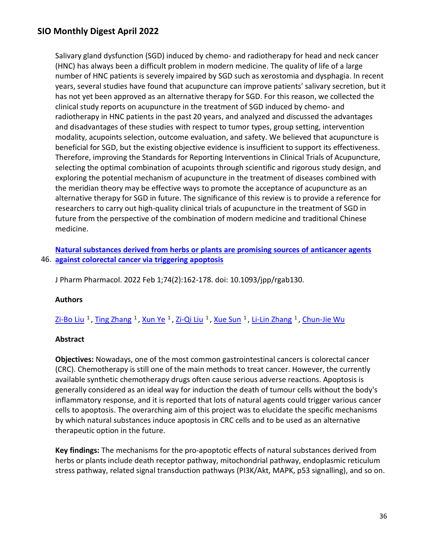Salivary gland dysfunction (SGD) induced by chemo- and radiotherapy for head and neck cancer (HNC) has always been a difficult problem in modern medicine. The quality of life of a large number of HNC patients is severely impaired by SGD such as xerostomia and dysphagia. In recent years, several studies have found that acupuncture can improve patients' salivary secretion, but it has not yet been approved as an alternative therapy for SGD. For this reason, we collected the clinical study reports on acupuncture in the treatment of SGD induced by chemo- and radiotherapy in HNC patients in the past 20 years, and analyzed and discussed the advantages and disadvantages of these studies with respect to tumor types, group setting, intervention modality, acupoints selection, outcome evaluation, and safety. We believed that acupuncture is beneficial for SGD, but the existing objective evidence is insufficient to support its effectiveness. Therefore, improving the Standards for Reporting Interventions in Clinical Trials of Acupuncture, selecting the optimal combination of acupoints through scientific and rigorous study design, and exploring the potential mechanism of acupuncture in the treatment of diseases combined with the meridian theory may be effective ways to promote the acceptance of acupuncture as an alternative therapy for SGD in future. The significance of this review is to provide a reference for researchers to carry out high-quality clinical trials of acupuncture in the treatment of SGD in future from the perspective of the combination of modern medicine and traditional Chinese medicine.

46. **[against colorectal cancer via triggering apoptosis](https://nam11.safelinks.protection.outlook.com/?url=https%3A%2F%2Fpubmed.ncbi.nlm.nih.gov%2F34559879%2F&data=04%7C01%7Calmira.catic%40emory.edu%7C478ade74754b4c15a64f08da13eab169%7Ce004fb9cb0a4424fbcd0322606d5df38%7C0%7C0%7C637844196310990635%7CUnknown%7CTWFpbGZsb3d8eyJWIjoiMC4wLjAwMDAiLCJQIjoiV2luMzIiLCJBTiI6Ik1haWwiLCJXVCI6Mn0%3D%7C3000&sdata=%2FrgpNZIDleZql%2B6g8gcwfX62Se3oCl1X8KI%2FerHnuo4%3D&reserved=0)  [Natural substances derived from herbs or plants are promising sources of anticancer agents](https://nam11.safelinks.protection.outlook.com/?url=https%3A%2F%2Fpubmed.ncbi.nlm.nih.gov%2F34559879%2F&data=04%7C01%7Calmira.catic%40emory.edu%7C478ade74754b4c15a64f08da13eab169%7Ce004fb9cb0a4424fbcd0322606d5df38%7C0%7C0%7C637844196310990635%7CUnknown%7CTWFpbGZsb3d8eyJWIjoiMC4wLjAwMDAiLCJQIjoiV2luMzIiLCJBTiI6Ik1haWwiLCJXVCI6Mn0%3D%7C3000&sdata=%2FrgpNZIDleZql%2B6g8gcwfX62Se3oCl1X8KI%2FerHnuo4%3D&reserved=0)** 

J Pharm Pharmacol. 2022 Feb 1;74(2):162-178. doi: 10.1093/jpp/rgab130.

#### **Authors**

Zi-Bo Liu<sup>1</sup>, Ting Zhang<sup>1</sup>, Xun Ye<sup>1</sup>, Zi-Qi Liu<sup>1</sup>, Xue Sun<sup>1</sup>, Li-Lin Zhang<sup>1</sup>, [Chun-Jie Wu](https://nam11.safelinks.protection.outlook.com/?url=https%3A%2F%2Fpubmed.ncbi.nlm.nih.gov%2F%3Fsize%3D100%26term%3DWu%2BCJ%26cauthor_id%3D34559879&data=04%7C01%7Calmira.catic%40emory.edu%7C478ade74754b4c15a64f08da13eab169%7Ce004fb9cb0a4424fbcd0322606d5df38%7C0%7C0%7C637844196310990635%7CUnknown%7CTWFpbGZsb3d8eyJWIjoiMC4wLjAwMDAiLCJQIjoiV2luMzIiLCJBTiI6Ik1haWwiLCJXVCI6Mn0%3D%7C3000&sdata=vMzkya92JOHQXLq6CL0pkpWAuP2eslCsrRrNH60qdAg%3D&reserved=0)

#### **Abstract**

**Objectives:** Nowadays, one of the most common gastrointestinal cancers is colorectal cancer (CRC). Chemotherapy is still one of the main methods to treat cancer. However, the currently available synthetic chemotherapy drugs often cause serious adverse reactions. Apoptosis is generally considered as an ideal way for induction the death of tumour cells without the body's inflammatory response, and it is reported that lots of natural agents could trigger various cancer cells to apoptosis. The overarching aim of this project was to elucidate the specific mechanisms by which natural substances induce apoptosis in CRC cells and to be used as an alternative therapeutic option in the future.

**Key findings:** The mechanisms for the pro-apoptotic effects of natural substances derived from herbs or plants include death receptor pathway, mitochondrial pathway, endoplasmic reticulum stress pathway, related signal transduction pathways (PI3K/Akt, MAPK, p53 signalling), and so on.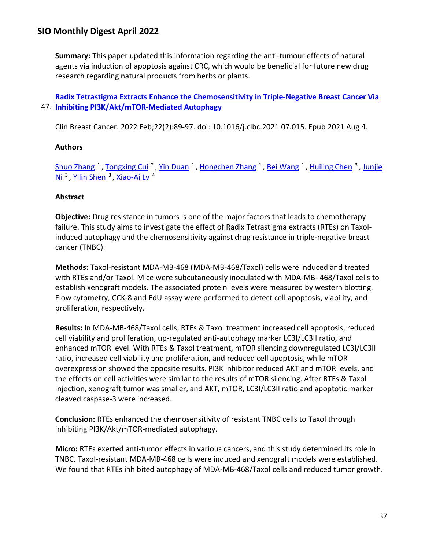**Summary:** This paper updated this information regarding the anti-tumour effects of natural agents via induction of apoptosis against CRC, which would be beneficial for future new drug research regarding natural products from herbs or plants.

## 47. **[Inhibiting PI3K/Akt/mTOR-Mediated Autophagy](https://nam11.safelinks.protection.outlook.com/?url=https%3A%2F%2Fpubmed.ncbi.nlm.nih.gov%2F34535390%2F&data=04%7C01%7Calmira.catic%40emory.edu%7C478ade74754b4c15a64f08da13eab169%7Ce004fb9cb0a4424fbcd0322606d5df38%7C0%7C0%7C637844196310990635%7CUnknown%7CTWFpbGZsb3d8eyJWIjoiMC4wLjAwMDAiLCJQIjoiV2luMzIiLCJBTiI6Ik1haWwiLCJXVCI6Mn0%3D%7C3000&sdata=%2Bk6xnO0znYwVdLmRJ%2BP7X4QAat9MjCEbm0SiQ33oSXI%3D&reserved=0)  [Radix Tetrastigma Extracts Enhance the Chemosensitivity in Triple-Negative Breast Cancer Via](https://nam11.safelinks.protection.outlook.com/?url=https%3A%2F%2Fpubmed.ncbi.nlm.nih.gov%2F34535390%2F&data=04%7C01%7Calmira.catic%40emory.edu%7C478ade74754b4c15a64f08da13eab169%7Ce004fb9cb0a4424fbcd0322606d5df38%7C0%7C0%7C637844196310990635%7CUnknown%7CTWFpbGZsb3d8eyJWIjoiMC4wLjAwMDAiLCJQIjoiV2luMzIiLCJBTiI6Ik1haWwiLCJXVCI6Mn0%3D%7C3000&sdata=%2Bk6xnO0znYwVdLmRJ%2BP7X4QAat9MjCEbm0SiQ33oSXI%3D&reserved=0)**

Clin Breast Cancer. 2022 Feb;22(2):89-97. doi: 10.1016/j.clbc.2021.07.015. Epub 2021 Aug 4.

## **Authors**

[Shuo Zhang](https://nam11.safelinks.protection.outlook.com/?url=https%3A%2F%2Fpubmed.ncbi.nlm.nih.gov%2F%3Fsize%3D100%26term%3DZhang%2BS%26cauthor_id%3D34535390&data=04%7C01%7Calmira.catic%40emory.edu%7C478ade74754b4c15a64f08da13eab169%7Ce004fb9cb0a4424fbcd0322606d5df38%7C0%7C0%7C637844196310990635%7CUnknown%7CTWFpbGZsb3d8eyJWIjoiMC4wLjAwMDAiLCJQIjoiV2luMzIiLCJBTiI6Ik1haWwiLCJXVCI6Mn0%3D%7C3000&sdata=Im%2BvBTcMxY1Vp%2Fg9PQraG1zlyvXSZsphx93oUPjzx1E%3D&reserved=0) <sup>1</sup>, [Tongxing Cui](https://nam11.safelinks.protection.outlook.com/?url=https%3A%2F%2Fpubmed.ncbi.nlm.nih.gov%2F%3Fsize%3D100%26term%3DCui%2BT%26cauthor_id%3D34535390&data=04%7C01%7Calmira.catic%40emory.edu%7C478ade74754b4c15a64f08da13eab169%7Ce004fb9cb0a4424fbcd0322606d5df38%7C0%7C0%7C637844196310990635%7CUnknown%7CTWFpbGZsb3d8eyJWIjoiMC4wLjAwMDAiLCJQIjoiV2luMzIiLCJBTiI6Ik1haWwiLCJXVCI6Mn0%3D%7C3000&sdata=x4FIOytm9zsA%2Bc6hKu4NjTkGGGwXC4SrYc%2BWzLoHrKs%3D&reserved=0) <sup>2</sup>, [Yin Duan](https://nam11.safelinks.protection.outlook.com/?url=https%3A%2F%2Fpubmed.ncbi.nlm.nih.gov%2F%3Fsize%3D100%26term%3DDuan%2BY%26cauthor_id%3D34535390&data=04%7C01%7Calmira.catic%40emory.edu%7C478ade74754b4c15a64f08da13eab169%7Ce004fb9cb0a4424fbcd0322606d5df38%7C0%7C0%7C637844196310990635%7CUnknown%7CTWFpbGZsb3d8eyJWIjoiMC4wLjAwMDAiLCJQIjoiV2luMzIiLCJBTiI6Ik1haWwiLCJXVCI6Mn0%3D%7C3000&sdata=XjFFj9vxvzDiVIMgdkyrgzbcY2LaGHx1Y%2F%2FiIvsrPsw%3D&reserved=0) <sup>1</sup>, [Hongchen Zhang](https://nam11.safelinks.protection.outlook.com/?url=https%3A%2F%2Fpubmed.ncbi.nlm.nih.gov%2F%3Fsize%3D100%26term%3DZhang%2BH%26cauthor_id%3D34535390&data=04%7C01%7Calmira.catic%40emory.edu%7C478ade74754b4c15a64f08da13eab169%7Ce004fb9cb0a4424fbcd0322606d5df38%7C0%7C0%7C637844196310990635%7CUnknown%7CTWFpbGZsb3d8eyJWIjoiMC4wLjAwMDAiLCJQIjoiV2luMzIiLCJBTiI6Ik1haWwiLCJXVCI6Mn0%3D%7C3000&sdata=roJLaZzEGXXL1JiliEN3nYEUbxfWarWfqR7eSX4QaQc%3D&reserved=0) <sup>1</sup>, [Bei Wang](https://nam11.safelinks.protection.outlook.com/?url=https%3A%2F%2Fpubmed.ncbi.nlm.nih.gov%2F%3Fsize%3D100%26term%3DWang%2BB%26cauthor_id%3D34535390&data=04%7C01%7Calmira.catic%40emory.edu%7C478ade74754b4c15a64f08da13eab169%7Ce004fb9cb0a4424fbcd0322606d5df38%7C0%7C0%7C637844196310990635%7CUnknown%7CTWFpbGZsb3d8eyJWIjoiMC4wLjAwMDAiLCJQIjoiV2luMzIiLCJBTiI6Ik1haWwiLCJXVCI6Mn0%3D%7C3000&sdata=jtK0oV4auZgSRDKogoNqU3rEKFUl07kLzbjtzQTZ9OE%3D&reserved=0) <sup>1</sup>, [Huiling Chen](https://nam11.safelinks.protection.outlook.com/?url=https%3A%2F%2Fpubmed.ncbi.nlm.nih.gov%2F%3Fsize%3D100%26term%3DChen%2BH%26cauthor_id%3D34535390&data=04%7C01%7Calmira.catic%40emory.edu%7C478ade74754b4c15a64f08da13eab169%7Ce004fb9cb0a4424fbcd0322606d5df38%7C0%7C0%7C637844196310990635%7CUnknown%7CTWFpbGZsb3d8eyJWIjoiMC4wLjAwMDAiLCJQIjoiV2luMzIiLCJBTiI6Ik1haWwiLCJXVCI6Mn0%3D%7C3000&sdata=eCPmz3Yp2WNNLDrnqVfRcq8XGmF66iCAeRE3S7knjNg%3D&reserved=0) <sup>3</sup>, Junjie Ni<sup>3</sup>. Yilin Shen<sup>3</sup>. Xiao-Ai Lv<sup>4</sup>

## **Abstract**

**Objective:** Drug resistance in tumors is one of the major factors that leads to chemotherapy failure. This study aims to investigate the effect of Radix Tetrastigma extracts (RTEs) on Taxolinduced autophagy and the chemosensitivity against drug resistance in triple-negative breast cancer (TNBC).

**Methods:** Taxol-resistant MDA-MB-468 (MDA-MB-468/Taxol) cells were induced and treated with RTEs and/or Taxol. Mice were subcutaneously inoculated with MDA-MB- 468/Taxol cells to establish xenograft models. The associated protein levels were measured by western blotting. Flow cytometry, CCK-8 and EdU assay were performed to detect cell apoptosis, viability, and proliferation, respectively.

**Results:** In MDA-MB-468/Taxol cells, RTEs & Taxol treatment increased cell apoptosis, reduced cell viability and proliferation, up-regulated anti-autophagy marker LC3I/LC3II ratio, and enhanced mTOR level. With RTEs & Taxol treatment, mTOR silencing downregulated LC3I/LC3II ratio, increased cell viability and proliferation, and reduced cell apoptosis, while mTOR overexpression showed the opposite results. PI3K inhibitor reduced AKT and mTOR levels, and the effects on cell activities were similar to the results of mTOR silencing. After RTEs & Taxol injection, xenograft tumor was smaller, and AKT, mTOR, LC3I/LC3II ratio and apoptotic marker cleaved caspase-3 were increased.

**Conclusion:** RTEs enhanced the chemosensitivity of resistant TNBC cells to Taxol through inhibiting PI3K/Akt/mTOR-mediated autophagy.

**Micro:** RTEs exerted anti-tumor effects in various cancers, and this study determined its role in TNBC. Taxol-resistant MDA-MB-468 cells were induced and xenograft models were established. We found that RTEs inhibited autophagy of MDA-MB-468/Taxol cells and reduced tumor growth.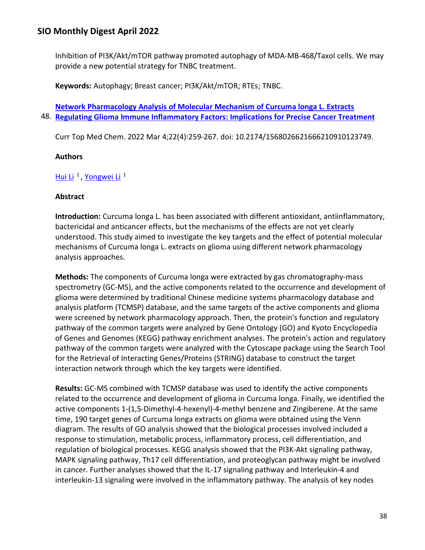Inhibition of PI3K/Akt/mTOR pathway promoted autophagy of MDA-MB-468/Taxol cells. We may provide a new potential strategy for TNBC treatment.

**Keywords:** Autophagy; Breast cancer; PI3K/Akt/mTOR; RTEs; TNBC.

48. **[Regulating Glioma Immune Inflammatory Factors: Implications for Precise Cancer Treatment](https://nam11.safelinks.protection.outlook.com/?url=https%3A%2F%2Fpubmed.ncbi.nlm.nih.gov%2F34515002%2F&data=04%7C01%7Calmira.catic%40emory.edu%7C478ade74754b4c15a64f08da13eab169%7Ce004fb9cb0a4424fbcd0322606d5df38%7C0%7C0%7C637844196311146901%7CUnknown%7CTWFpbGZsb3d8eyJWIjoiMC4wLjAwMDAiLCJQIjoiV2luMzIiLCJBTiI6Ik1haWwiLCJXVCI6Mn0%3D%7C3000&sdata=UU1CYMW3I48yOp33AH8AkQU1UynlEzLKz%2BOCu4w%2BlgY%3D&reserved=0)  [Network Pharmacology Analysis of Molecular Mechanism of Curcuma longa L. Extracts](https://nam11.safelinks.protection.outlook.com/?url=https%3A%2F%2Fpubmed.ncbi.nlm.nih.gov%2F34515002%2F&data=04%7C01%7Calmira.catic%40emory.edu%7C478ade74754b4c15a64f08da13eab169%7Ce004fb9cb0a4424fbcd0322606d5df38%7C0%7C0%7C637844196311146901%7CUnknown%7CTWFpbGZsb3d8eyJWIjoiMC4wLjAwMDAiLCJQIjoiV2luMzIiLCJBTiI6Ik1haWwiLCJXVCI6Mn0%3D%7C3000&sdata=UU1CYMW3I48yOp33AH8AkQU1UynlEzLKz%2BOCu4w%2BlgY%3D&reserved=0)** 

Curr Top Med Chem. 2022 Mar 4;22(4):259-267. doi: 10.2174/1568026621666210910123749.

## **Authors**

Hui Li<sup>1</sup>, Yongwei Li<sup>1</sup>

### **Abstract**

**Introduction:** Curcuma longa L. has been associated with different antioxidant, antiinflammatory, bactericidal and anticancer effects, but the mechanisms of the effects are not yet clearly understood. This study aimed to investigate the key targets and the effect of potential molecular mechanisms of Curcuma longa L. extracts on glioma using different network pharmacology analysis approaches.

**Methods:** The components of Curcuma longa were extracted by gas chromatography-mass spectrometry (GC-MS), and the active components related to the occurrence and development of glioma were determined by traditional Chinese medicine systems pharmacology database and analysis platform (TCMSP) database, and the same targets of the active components and glioma were screened by network pharmacology approach. Then, the protein's function and regulatory pathway of the common targets were analyzed by Gene Ontology (GO) and Kyoto Encyclopedia of Genes and Genomes (KEGG) pathway enrichment analyses. The protein's action and regulatory pathway of the common targets were analyzed with the Cytoscape package using the Search Tool for the Retrieval of Interacting Genes/Proteins (STRING) database to construct the target interaction network through which the key targets were identified.

**Results:** GC-MS combined with TCMSP database was used to identify the active components related to the occurrence and development of glioma in Curcuma longa. Finally, we identified the active components 1-(1,5-Dimethyl-4-hexenyl)-4-methyl benzene and Zingiberene. At the same time, 190 target genes of Curcuma longa extracts on glioma were obtained using the Venn diagram. The results of GO analysis showed that the biological processes involved included a response to stimulation, metabolic process, inflammatory process, cell differentiation, and regulation of biological processes. KEGG analysis showed that the PI3K-Akt signaling pathway, MAPK signaling pathway, Th17 cell differentiation, and proteoglycan pathway might be involved in cancer. Further analyses showed that the IL-17 signaling pathway and Interleukin-4 and interleukin-13 signaling were involved in the inflammatory pathway. The analysis of key nodes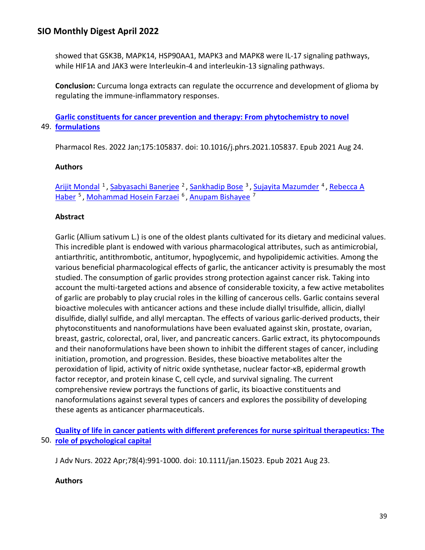showed that GSK3B, MAPK14, HSP90AA1, MAPK3 and MAPK8 were IL-17 signaling pathways, while HIF1A and JAK3 were Interleukin-4 and interleukin-13 signaling pathways.

**Conclusion:** Curcuma longa extracts can regulate the occurrence and development of glioma by regulating the immune-inflammatory responses.

49. **[formulations](https://nam11.safelinks.protection.outlook.com/?url=https%3A%2F%2Fpubmed.ncbi.nlm.nih.gov%2F34450316%2F&data=04%7C01%7Calmira.catic%40emory.edu%7C478ade74754b4c15a64f08da13eab169%7Ce004fb9cb0a4424fbcd0322606d5df38%7C0%7C0%7C637844196311146901%7CUnknown%7CTWFpbGZsb3d8eyJWIjoiMC4wLjAwMDAiLCJQIjoiV2luMzIiLCJBTiI6Ik1haWwiLCJXVCI6Mn0%3D%7C3000&sdata=6hwihpR6108Q3awB8N%2FOXa3Cf%2F%2BcmVelhZEzGdl%2FGdc%3D&reserved=0)  [Garlic constituents for cancer prevention and therapy: From phytochemistry to novel](https://nam11.safelinks.protection.outlook.com/?url=https%3A%2F%2Fpubmed.ncbi.nlm.nih.gov%2F34450316%2F&data=04%7C01%7Calmira.catic%40emory.edu%7C478ade74754b4c15a64f08da13eab169%7Ce004fb9cb0a4424fbcd0322606d5df38%7C0%7C0%7C637844196311146901%7CUnknown%7CTWFpbGZsb3d8eyJWIjoiMC4wLjAwMDAiLCJQIjoiV2luMzIiLCJBTiI6Ik1haWwiLCJXVCI6Mn0%3D%7C3000&sdata=6hwihpR6108Q3awB8N%2FOXa3Cf%2F%2BcmVelhZEzGdl%2FGdc%3D&reserved=0)** 

Pharmacol Res. 2022 Jan;175:105837. doi: 10.1016/j.phrs.2021.105837. Epub 2021 Aug 24.

### **Authors**

[Arijit Mondal](https://nam11.safelinks.protection.outlook.com/?url=https%3A%2F%2Fpubmed.ncbi.nlm.nih.gov%2F%3Fsize%3D100%26term%3DMondal%2BA%26cauthor_id%3D34450316&data=04%7C01%7Calmira.catic%40emory.edu%7C478ade74754b4c15a64f08da13eab169%7Ce004fb9cb0a4424fbcd0322606d5df38%7C0%7C0%7C637844196311146901%7CUnknown%7CTWFpbGZsb3d8eyJWIjoiMC4wLjAwMDAiLCJQIjoiV2luMzIiLCJBTiI6Ik1haWwiLCJXVCI6Mn0%3D%7C3000&sdata=eMQsTx4j1NgN%2BRWAVO%2BXlm81q1d3ck1D2euYn%2B1Uvw0%3D&reserved=0) <sup>1</sup>, [Sabyasachi Banerjee](https://nam11.safelinks.protection.outlook.com/?url=https%3A%2F%2Fpubmed.ncbi.nlm.nih.gov%2F%3Fsize%3D100%26term%3DBanerjee%2BS%26cauthor_id%3D34450316&data=04%7C01%7Calmira.catic%40emory.edu%7C478ade74754b4c15a64f08da13eab169%7Ce004fb9cb0a4424fbcd0322606d5df38%7C0%7C0%7C637844196311146901%7CUnknown%7CTWFpbGZsb3d8eyJWIjoiMC4wLjAwMDAiLCJQIjoiV2luMzIiLCJBTiI6Ik1haWwiLCJXVCI6Mn0%3D%7C3000&sdata=KXsIdh7JWQeD8ugjzran9Henfp%2F6G0jDh7Ph4NDVfyM%3D&reserved=0) <sup>2</sup>, [Sankhadip Bose](https://nam11.safelinks.protection.outlook.com/?url=https%3A%2F%2Fpubmed.ncbi.nlm.nih.gov%2F%3Fsize%3D100%26term%3DBose%2BS%26cauthor_id%3D34450316&data=04%7C01%7Calmira.catic%40emory.edu%7C478ade74754b4c15a64f08da13eab169%7Ce004fb9cb0a4424fbcd0322606d5df38%7C0%7C0%7C637844196311146901%7CUnknown%7CTWFpbGZsb3d8eyJWIjoiMC4wLjAwMDAiLCJQIjoiV2luMzIiLCJBTiI6Ik1haWwiLCJXVCI6Mn0%3D%7C3000&sdata=mo14bE3ipQFwSMatQQyl%2F7JHeXuymKGAhJxXdqxuAyU%3D&reserved=0) <sup>3</sup>, [Sujayita Mazumder](https://nam11.safelinks.protection.outlook.com/?url=https%3A%2F%2Fpubmed.ncbi.nlm.nih.gov%2F%3Fsize%3D100%26term%3DMazumder%2BS%26cauthor_id%3D34450316&data=04%7C01%7Calmira.catic%40emory.edu%7C478ade74754b4c15a64f08da13eab169%7Ce004fb9cb0a4424fbcd0322606d5df38%7C0%7C0%7C637844196311146901%7CUnknown%7CTWFpbGZsb3d8eyJWIjoiMC4wLjAwMDAiLCJQIjoiV2luMzIiLCJBTiI6Ik1haWwiLCJXVCI6Mn0%3D%7C3000&sdata=jqq8hIst3du8X%2FKg8v6hfhWF5UwS50xrYMgMli3MMvQ%3D&reserved=0) <sup>4</sup>, Rebecca A [Haber](https://nam11.safelinks.protection.outlook.com/?url=https%3A%2F%2Fpubmed.ncbi.nlm.nih.gov%2F%3Fsize%3D100%26term%3DHaber%2BRA%26cauthor_id%3D34450316&data=04%7C01%7Calmira.catic%40emory.edu%7C478ade74754b4c15a64f08da13eab169%7Ce004fb9cb0a4424fbcd0322606d5df38%7C0%7C0%7C637844196311146901%7CUnknown%7CTWFpbGZsb3d8eyJWIjoiMC4wLjAwMDAiLCJQIjoiV2luMzIiLCJBTiI6Ik1haWwiLCJXVCI6Mn0%3D%7C3000&sdata=efXcy0Pn2pvxYfTkJcriM1wN7xCbuSoLPfDwpDp26%2Bk%3D&reserved=0) <sup>5</sup>, [Mohammad Hosein Farzaei](https://nam11.safelinks.protection.outlook.com/?url=https%3A%2F%2Fpubmed.ncbi.nlm.nih.gov%2F%3Fsize%3D100%26term%3DFarzaei%2BMH%26cauthor_id%3D34450316&data=04%7C01%7Calmira.catic%40emory.edu%7C478ade74754b4c15a64f08da13eab169%7Ce004fb9cb0a4424fbcd0322606d5df38%7C0%7C0%7C637844196311146901%7CUnknown%7CTWFpbGZsb3d8eyJWIjoiMC4wLjAwMDAiLCJQIjoiV2luMzIiLCJBTiI6Ik1haWwiLCJXVCI6Mn0%3D%7C3000&sdata=qG6E8hO5C90MmbIaeAQbmqCk77VkM9yZrTQlUXm15k8%3D&reserved=0) <sup>6</sup>, [Anupam Bishayee](https://nam11.safelinks.protection.outlook.com/?url=https%3A%2F%2Fpubmed.ncbi.nlm.nih.gov%2F%3Fsize%3D100%26term%3DBishayee%2BA%26cauthor_id%3D34450316&data=04%7C01%7Calmira.catic%40emory.edu%7C478ade74754b4c15a64f08da13eab169%7Ce004fb9cb0a4424fbcd0322606d5df38%7C0%7C0%7C637844196311146901%7CUnknown%7CTWFpbGZsb3d8eyJWIjoiMC4wLjAwMDAiLCJQIjoiV2luMzIiLCJBTiI6Ik1haWwiLCJXVCI6Mn0%3D%7C3000&sdata=OgMmtqAh8ZSLVSgxcji2vdKvXRHqE9KGZxTn8P7yfoM%3D&reserved=0) <sup>7</sup>

## **Abstract**

Garlic (Allium sativum L.) is one of the oldest plants cultivated for its dietary and medicinal values. This incredible plant is endowed with various pharmacological attributes, such as antimicrobial, antiarthritic, antithrombotic, antitumor, hypoglycemic, and hypolipidemic activities. Among the various beneficial pharmacological effects of garlic, the anticancer activity is presumably the most studied. The consumption of garlic provides strong protection against cancer risk. Taking into account the multi-targeted actions and absence of considerable toxicity, a few active metabolites of garlic are probably to play crucial roles in the killing of cancerous cells. Garlic contains several bioactive molecules with anticancer actions and these include diallyl trisulfide, allicin, diallyl disulfide, diallyl sulfide, and allyl mercaptan. The effects of various garlic-derived products, their phytoconstituents and nanoformulations have been evaluated against skin, prostate, ovarian, breast, gastric, colorectal, oral, liver, and pancreatic cancers. Garlic extract, its phytocompounds and their nanoformulations have been shown to inhibit the different stages of cancer, including initiation, promotion, and progression. Besides, these bioactive metabolites alter the peroxidation of lipid, activity of nitric oxide synthetase, nuclear factor-κB, epidermal growth factor receptor, and protein kinase C, cell cycle, and survival signaling. The current comprehensive review portrays the functions of garlic, its bioactive constituents and nanoformulations against several types of cancers and explores the possibility of developing these agents as anticancer pharmaceuticals.

50. **[role of psychological capital](https://nam11.safelinks.protection.outlook.com/?url=https%3A%2F%2Fpubmed.ncbi.nlm.nih.gov%2F34423462%2F&data=04%7C01%7Calmira.catic%40emory.edu%7C478ade74754b4c15a64f08da13eab169%7Ce004fb9cb0a4424fbcd0322606d5df38%7C0%7C0%7C637844196311146901%7CUnknown%7CTWFpbGZsb3d8eyJWIjoiMC4wLjAwMDAiLCJQIjoiV2luMzIiLCJBTiI6Ik1haWwiLCJXVCI6Mn0%3D%7C3000&sdata=KJtQsq4XZ%2BPY8%2F6SUpTtxpqpG3L2GeWe10g989WMZI0%3D&reserved=0)  [Quality of life in cancer patients with different preferences for nurse spiritual therapeutics: The](https://nam11.safelinks.protection.outlook.com/?url=https%3A%2F%2Fpubmed.ncbi.nlm.nih.gov%2F34423462%2F&data=04%7C01%7Calmira.catic%40emory.edu%7C478ade74754b4c15a64f08da13eab169%7Ce004fb9cb0a4424fbcd0322606d5df38%7C0%7C0%7C637844196311146901%7CUnknown%7CTWFpbGZsb3d8eyJWIjoiMC4wLjAwMDAiLCJQIjoiV2luMzIiLCJBTiI6Ik1haWwiLCJXVCI6Mn0%3D%7C3000&sdata=KJtQsq4XZ%2BPY8%2F6SUpTtxpqpG3L2GeWe10g989WMZI0%3D&reserved=0)** 

J Adv Nurs. 2022 Apr;78(4):991-1000. doi: 10.1111/jan.15023. Epub 2021 Aug 23.

### **Authors**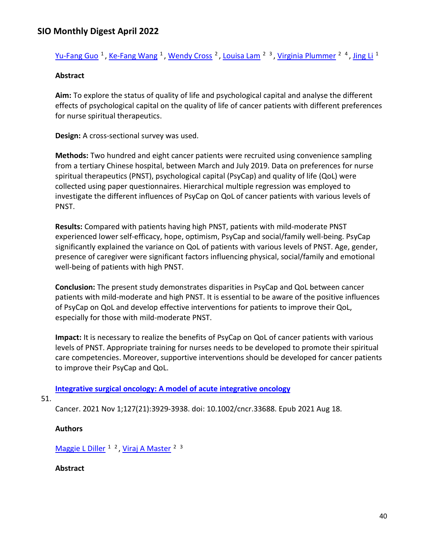[Yu-Fang Guo](https://nam11.safelinks.protection.outlook.com/?url=https%3A%2F%2Fpubmed.ncbi.nlm.nih.gov%2F%3Fsize%3D100%26term%3DGuo%2BYF%26cauthor_id%3D34423462&data=04%7C01%7Calmira.catic%40emory.edu%7C478ade74754b4c15a64f08da13eab169%7Ce004fb9cb0a4424fbcd0322606d5df38%7C0%7C0%7C637844196311146901%7CUnknown%7CTWFpbGZsb3d8eyJWIjoiMC4wLjAwMDAiLCJQIjoiV2luMzIiLCJBTiI6Ik1haWwiLCJXVCI6Mn0%3D%7C3000&sdata=E7qcP3xRSRPavH7PAWwJSkN56etKKAmBJ8PMgnvh74o%3D&reserved=0) <sup>1</sup>, [Ke-Fang Wang](https://nam11.safelinks.protection.outlook.com/?url=https%3A%2F%2Fpubmed.ncbi.nlm.nih.gov%2F%3Fsize%3D100%26term%3DWang%2BKF%26cauthor_id%3D34423462&data=04%7C01%7Calmira.catic%40emory.edu%7C478ade74754b4c15a64f08da13eab169%7Ce004fb9cb0a4424fbcd0322606d5df38%7C0%7C0%7C637844196311146901%7CUnknown%7CTWFpbGZsb3d8eyJWIjoiMC4wLjAwMDAiLCJQIjoiV2luMzIiLCJBTiI6Ik1haWwiLCJXVCI6Mn0%3D%7C3000&sdata=hnwjx4Qlkq4bELogOyyM61YlXCeYbF1SZSkhowskvHQ%3D&reserved=0) <sup>1</sup>, [Wendy Cross](https://nam11.safelinks.protection.outlook.com/?url=https%3A%2F%2Fpubmed.ncbi.nlm.nih.gov%2F%3Fsize%3D100%26term%3DCross%2BW%26cauthor_id%3D34423462&data=04%7C01%7Calmira.catic%40emory.edu%7C478ade74754b4c15a64f08da13eab169%7Ce004fb9cb0a4424fbcd0322606d5df38%7C0%7C0%7C637844196311146901%7CUnknown%7CTWFpbGZsb3d8eyJWIjoiMC4wLjAwMDAiLCJQIjoiV2luMzIiLCJBTiI6Ik1haWwiLCJXVCI6Mn0%3D%7C3000&sdata=QMQ8DsjdmjlcmBSYqnMfPVtL6X2Eysy0ubIs4qyGf2U%3D&reserved=0) <sup>2</sup>, [Louisa Lam](https://nam11.safelinks.protection.outlook.com/?url=https%3A%2F%2Fpubmed.ncbi.nlm.nih.gov%2F%3Fsize%3D100%26term%3DLam%2BL%26cauthor_id%3D34423462&data=04%7C01%7Calmira.catic%40emory.edu%7C478ade74754b4c15a64f08da13eab169%7Ce004fb9cb0a4424fbcd0322606d5df38%7C0%7C0%7C637844196311146901%7CUnknown%7CTWFpbGZsb3d8eyJWIjoiMC4wLjAwMDAiLCJQIjoiV2luMzIiLCJBTiI6Ik1haWwiLCJXVCI6Mn0%3D%7C3000&sdata=TIXGJPcmiVnWoptcJtVucH9WNoFt6ztNcYKbT6SS7Qs%3D&reserved=0) <sup>2</sup> <sup>3</sup>, [Virginia Plummer](https://nam11.safelinks.protection.outlook.com/?url=https%3A%2F%2Fpubmed.ncbi.nlm.nih.gov%2F%3Fsize%3D100%26term%3DPlummer%2BV%26cauthor_id%3D34423462&data=04%7C01%7Calmira.catic%40emory.edu%7C478ade74754b4c15a64f08da13eab169%7Ce004fb9cb0a4424fbcd0322606d5df38%7C0%7C0%7C637844196311303124%7CUnknown%7CTWFpbGZsb3d8eyJWIjoiMC4wLjAwMDAiLCJQIjoiV2luMzIiLCJBTiI6Ik1haWwiLCJXVCI6Mn0%3D%7C3000&sdata=JCr6QU6pVgye4kT6moVEs0C7D28T%2BqAMXoSLwGgGVmY%3D&reserved=0) <sup>2</sup> <sup>4</sup>, [Jing Li](https://nam11.safelinks.protection.outlook.com/?url=https%3A%2F%2Fpubmed.ncbi.nlm.nih.gov%2F%3Fsize%3D100%26term%3DLi%2BJ%26cauthor_id%3D34423462&data=04%7C01%7Calmira.catic%40emory.edu%7C478ade74754b4c15a64f08da13eab169%7Ce004fb9cb0a4424fbcd0322606d5df38%7C0%7C0%7C637844196311303124%7CUnknown%7CTWFpbGZsb3d8eyJWIjoiMC4wLjAwMDAiLCJQIjoiV2luMzIiLCJBTiI6Ik1haWwiLCJXVCI6Mn0%3D%7C3000&sdata=dm%2FqwMv%2FI5y3xOSnadLeXbymXZedeITJJ2xJb8VzWcs%3D&reserved=0) <sup>1</sup>

#### **Abstract**

**Aim:** To explore the status of quality of life and psychological capital and analyse the different effects of psychological capital on the quality of life of cancer patients with different preferences for nurse spiritual therapeutics.

**Design:** A cross-sectional survey was used.

**Methods:** Two hundred and eight cancer patients were recruited using convenience sampling from a tertiary Chinese hospital, between March and July 2019. Data on preferences for nurse spiritual therapeutics (PNST), psychological capital (PsyCap) and quality of life (QoL) were collected using paper questionnaires. Hierarchical multiple regression was employed to investigate the different influences of PsyCap on QoL of cancer patients with various levels of PNST.

**Results:** Compared with patients having high PNST, patients with mild-moderate PNST experienced lower self-efficacy, hope, optimism, PsyCap and social/family well-being. PsyCap significantly explained the variance on QoL of patients with various levels of PNST. Age, gender, presence of caregiver were significant factors influencing physical, social/family and emotional well-being of patients with high PNST.

**Conclusion:** The present study demonstrates disparities in PsyCap and QoL between cancer patients with mild-moderate and high PNST. It is essential to be aware of the positive influences of PsyCap on QoL and develop effective interventions for patients to improve their QoL, especially for those with mild-moderate PNST.

**Impact:** It is necessary to realize the benefits of PsyCap on QoL of cancer patients with various levels of PNST. Appropriate training for nurses needs to be developed to promote their spiritual care competencies. Moreover, supportive interventions should be developed for cancer patients to improve their PsyCap and QoL.

### **[Integrative surgical oncology: A model of acute integrative oncology](https://nam11.safelinks.protection.outlook.com/?url=https%3A%2F%2Fpubmed.ncbi.nlm.nih.gov%2F34407223%2F&data=04%7C01%7Calmira.catic%40emory.edu%7C478ade74754b4c15a64f08da13eab169%7Ce004fb9cb0a4424fbcd0322606d5df38%7C0%7C0%7C637844196311303124%7CUnknown%7CTWFpbGZsb3d8eyJWIjoiMC4wLjAwMDAiLCJQIjoiV2luMzIiLCJBTiI6Ik1haWwiLCJXVCI6Mn0%3D%7C3000&sdata=uZgvW1hsOy15gnAxrm%2BC97WukMUoQnpUGovs4OokNtg%3D&reserved=0)**

51.

Cancer. 2021 Nov 1;127(21):3929-3938. doi: 10.1002/cncr.33688. Epub 2021 Aug 18.

### **Authors**

Maggie L Diller<sup>12</sup>, Viraj A Master<sup>23</sup>

### **Abstract**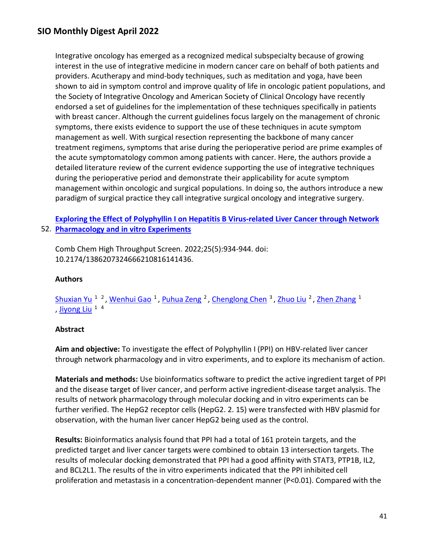Integrative oncology has emerged as a recognized medical subspecialty because of growing interest in the use of integrative medicine in modern cancer care on behalf of both patients and providers. Acutherapy and mind-body techniques, such as meditation and yoga, have been shown to aid in symptom control and improve quality of life in oncologic patient populations, and the Society of Integrative Oncology and American Society of Clinical Oncology have recently endorsed a set of guidelines for the implementation of these techniques specifically in patients with breast cancer. Although the current guidelines focus largely on the management of chronic symptoms, there exists evidence to support the use of these techniques in acute symptom management as well. With surgical resection representing the backbone of many cancer treatment regimens, symptoms that arise during the perioperative period are prime examples of the acute symptomatology common among patients with cancer. Here, the authors provide a detailed literature review of the current evidence supporting the use of integrative techniques during the perioperative period and demonstrate their applicability for acute symptom management within oncologic and surgical populations. In doing so, the authors introduce a new paradigm of surgical practice they call integrative surgical oncology and integrative surgery.

## 52. **[Pharmacology and in vitro Experiments](https://nam11.safelinks.protection.outlook.com/?url=https%3A%2F%2Fpubmed.ncbi.nlm.nih.gov%2F34397325%2F&data=04%7C01%7Calmira.catic%40emory.edu%7C478ade74754b4c15a64f08da13eab169%7Ce004fb9cb0a4424fbcd0322606d5df38%7C0%7C0%7C637844196311303124%7CUnknown%7CTWFpbGZsb3d8eyJWIjoiMC4wLjAwMDAiLCJQIjoiV2luMzIiLCJBTiI6Ik1haWwiLCJXVCI6Mn0%3D%7C3000&sdata=ZzkueCBTXX3cr8TLWX2patr6JaEBvIHH4A2MCnQ7sVI%3D&reserved=0)  [Exploring the Effect of Polyphyllin I on Hepatitis B Virus-related Liver Cancer through Network](https://nam11.safelinks.protection.outlook.com/?url=https%3A%2F%2Fpubmed.ncbi.nlm.nih.gov%2F34397325%2F&data=04%7C01%7Calmira.catic%40emory.edu%7C478ade74754b4c15a64f08da13eab169%7Ce004fb9cb0a4424fbcd0322606d5df38%7C0%7C0%7C637844196311303124%7CUnknown%7CTWFpbGZsb3d8eyJWIjoiMC4wLjAwMDAiLCJQIjoiV2luMzIiLCJBTiI6Ik1haWwiLCJXVCI6Mn0%3D%7C3000&sdata=ZzkueCBTXX3cr8TLWX2patr6JaEBvIHH4A2MCnQ7sVI%3D&reserved=0)**

Comb Chem High Throughput Screen. 2022;25(5):934-944. doi: 10.2174/1386207324666210816141436.

#### **Authors**

## Shuxian Yu<sup>12</sup>, Wenhui Gao<sup>1</sup>, Puhua Zeng<sup>2</sup>, Chenglong Chen<sup>3</sup>, Zhuo Liu<sup>2</sup>, Zhen Zhang<sup>1</sup> , [Jiyong Liu](https://nam11.safelinks.protection.outlook.com/?url=https%3A%2F%2Fpubmed.ncbi.nlm.nih.gov%2F%3Fsize%3D100%26term%3DLiu%2BJ%26cauthor_id%3D34397325&data=04%7C01%7Calmira.catic%40emory.edu%7C478ade74754b4c15a64f08da13eab169%7Ce004fb9cb0a4424fbcd0322606d5df38%7C0%7C0%7C637844196311303124%7CUnknown%7CTWFpbGZsb3d8eyJWIjoiMC4wLjAwMDAiLCJQIjoiV2luMzIiLCJBTiI6Ik1haWwiLCJXVCI6Mn0%3D%7C3000&sdata=qAGgUqLImSVrEdnna7tK15QG2pP3tdMy%2F1j2MavhOCU%3D&reserved=0)  $14$

#### **Abstract**

**Aim and objective:** To investigate the effect of Polyphyllin I (PPI) on HBV-related liver cancer through network pharmacology and in vitro experiments, and to explore its mechanism of action.

**Materials and methods:** Use bioinformatics software to predict the active ingredient target of PPI and the disease target of liver cancer, and perform active ingredient-disease target analysis. The results of network pharmacology through molecular docking and in vitro experiments can be further verified. The HepG2 receptor cells (HepG2. 2. 15) were transfected with HBV plasmid for observation, with the human liver cancer HepG2 being used as the control.

**Results:** Bioinformatics analysis found that PPI had a total of 161 protein targets, and the predicted target and liver cancer targets were combined to obtain 13 intersection targets. The results of molecular docking demonstrated that PPI had a good affinity with STAT3, PTP1B, IL2, and BCL2L1. The results of the in vitro experiments indicated that the PPI inhibited cell proliferation and metastasis in a concentration-dependent manner (P<0.01). Compared with the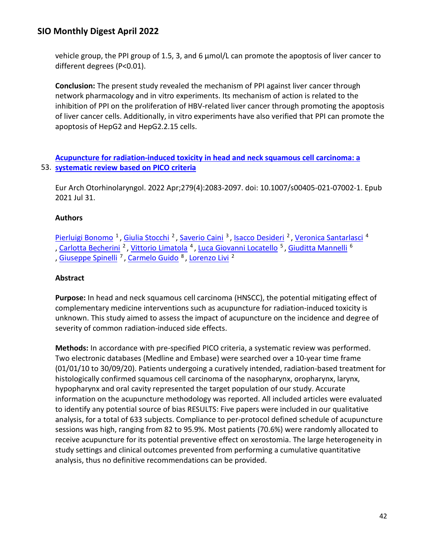vehicle group, the PPI group of 1.5, 3, and 6 μmol/L can promote the apoptosis of liver cancer to different degrees (P<0.01).

**Conclusion:** The present study revealed the mechanism of PPI against liver cancer through network pharmacology and in vitro experiments. Its mechanism of action is related to the inhibition of PPI on the proliferation of HBV-related liver cancer through promoting the apoptosis of liver cancer cells. Additionally, in vitro experiments have also verified that PPI can promote the apoptosis of HepG2 and HepG2.2.15 cells.

53. **[systematic review based on PICO criteria](https://nam11.safelinks.protection.outlook.com/?url=https%3A%2F%2Fpubmed.ncbi.nlm.nih.gov%2F34331571%2F&data=04%7C01%7Calmira.catic%40emory.edu%7C478ade74754b4c15a64f08da13eab169%7Ce004fb9cb0a4424fbcd0322606d5df38%7C0%7C0%7C637844196311303124%7CUnknown%7CTWFpbGZsb3d8eyJWIjoiMC4wLjAwMDAiLCJQIjoiV2luMzIiLCJBTiI6Ik1haWwiLCJXVCI6Mn0%3D%7C3000&sdata=%2BhFKBfyE118EPDy175%2BsLMTyfknH6hQVkTGcujudhVk%3D&reserved=0)  [Acupuncture for radiation-induced toxicity in head and neck squamous cell carcinoma: a](https://nam11.safelinks.protection.outlook.com/?url=https%3A%2F%2Fpubmed.ncbi.nlm.nih.gov%2F34331571%2F&data=04%7C01%7Calmira.catic%40emory.edu%7C478ade74754b4c15a64f08da13eab169%7Ce004fb9cb0a4424fbcd0322606d5df38%7C0%7C0%7C637844196311303124%7CUnknown%7CTWFpbGZsb3d8eyJWIjoiMC4wLjAwMDAiLCJQIjoiV2luMzIiLCJBTiI6Ik1haWwiLCJXVCI6Mn0%3D%7C3000&sdata=%2BhFKBfyE118EPDy175%2BsLMTyfknH6hQVkTGcujudhVk%3D&reserved=0)** 

Eur Arch Otorhinolaryngol. 2022 Apr;279(4):2083-2097. doi: 10.1007/s00405-021-07002-1. Epub 2021 Jul 31.

## **Authors**

Pierluigi Bonomo<sup>1</sup>, Giulia Stocchi<sup>2</sup>, Saverio Caini<sup>3</sup>, Isacco Desideri<sup>2</sup>, Veronica Santarlasci<sup>4</sup> , Carlotta Becherini<sup>2</sup>, Vittorio Limatola<sup>4</sup>, Luca Giovanni Locatello<sup>5</sup>, Giuditta Mannelli<sup>6</sup> , [Giuseppe Spinelli](https://nam11.safelinks.protection.outlook.com/?url=https%3A%2F%2Fpubmed.ncbi.nlm.nih.gov%2F%3Fsize%3D100%26term%3DSpinelli%2BG%26cauthor_id%3D34331571&data=04%7C01%7Calmira.catic%40emory.edu%7C478ade74754b4c15a64f08da13eab169%7Ce004fb9cb0a4424fbcd0322606d5df38%7C0%7C0%7C637844196311459355%7CUnknown%7CTWFpbGZsb3d8eyJWIjoiMC4wLjAwMDAiLCJQIjoiV2luMzIiLCJBTiI6Ik1haWwiLCJXVCI6Mn0%3D%7C3000&sdata=gde5v%2FtLHqi%2BvOJV7E59GepofTwZAAZ4UepIP9mn7jk%3D&reserved=0) 7 , [Carmelo Guido](https://nam11.safelinks.protection.outlook.com/?url=https%3A%2F%2Fpubmed.ncbi.nlm.nih.gov%2F%3Fsize%3D100%26term%3DGuido%2BC%26cauthor_id%3D34331571&data=04%7C01%7Calmira.catic%40emory.edu%7C478ade74754b4c15a64f08da13eab169%7Ce004fb9cb0a4424fbcd0322606d5df38%7C0%7C0%7C637844196311459355%7CUnknown%7CTWFpbGZsb3d8eyJWIjoiMC4wLjAwMDAiLCJQIjoiV2luMzIiLCJBTiI6Ik1haWwiLCJXVCI6Mn0%3D%7C3000&sdata=xpo2DTuV9SPABhqASwkviMcdVNG7SInkI%2BPArKueg2Q%3D&reserved=0) 8 , [Lorenzo Livi](https://nam11.safelinks.protection.outlook.com/?url=https%3A%2F%2Fpubmed.ncbi.nlm.nih.gov%2F%3Fsize%3D100%26term%3DLivi%2BL%26cauthor_id%3D34331571&data=04%7C01%7Calmira.catic%40emory.edu%7C478ade74754b4c15a64f08da13eab169%7Ce004fb9cb0a4424fbcd0322606d5df38%7C0%7C0%7C637844196311459355%7CUnknown%7CTWFpbGZsb3d8eyJWIjoiMC4wLjAwMDAiLCJQIjoiV2luMzIiLCJBTiI6Ik1haWwiLCJXVCI6Mn0%3D%7C3000&sdata=qwrKLbhhZmSp3KQTXzs1joNH5Fy9ddb5BtK3NDfB%2BoE%3D&reserved=0) 2

### **Abstract**

**Purpose:** In head and neck squamous cell carcinoma (HNSCC), the potential mitigating effect of complementary medicine interventions such as acupuncture for radiation-induced toxicity is unknown. This study aimed to assess the impact of acupuncture on the incidence and degree of severity of common radiation-induced side effects.

**Methods:** In accordance with pre-specified PICO criteria, a systematic review was performed. Two electronic databases (Medline and Embase) were searched over a 10-year time frame (01/01/10 to 30/09/20). Patients undergoing a curatively intended, radiation-based treatment for histologically confirmed squamous cell carcinoma of the nasopharynx, oropharynx, larynx, hypopharynx and oral cavity represented the target population of our study. Accurate information on the acupuncture methodology was reported. All included articles were evaluated to identify any potential source of bias RESULTS: Five papers were included in our qualitative analysis, for a total of 633 subjects. Compliance to per-protocol defined schedule of acupuncture sessions was high, ranging from 82 to 95.9%. Most patients (70.6%) were randomly allocated to receive acupuncture for its potential preventive effect on xerostomia. The large heterogeneity in study settings and clinical outcomes prevented from performing a cumulative quantitative analysis, thus no definitive recommendations can be provided.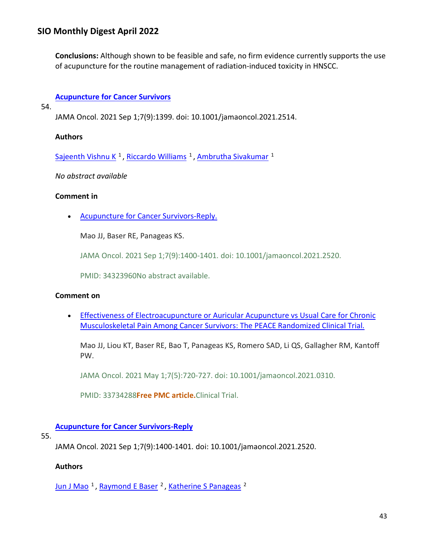**Conclusions:** Although shown to be feasible and safe, no firm evidence currently supports the use of acupuncture for the routine management of radiation-induced toxicity in HNSCC.

## **[Acupuncture for Cancer Survivors](https://nam11.safelinks.protection.outlook.com/?url=https%3A%2F%2Fpubmed.ncbi.nlm.nih.gov%2F34323969%2F&data=04%7C01%7Calmira.catic%40emory.edu%7C478ade74754b4c15a64f08da13eab169%7Ce004fb9cb0a4424fbcd0322606d5df38%7C0%7C0%7C637844196311459355%7CUnknown%7CTWFpbGZsb3d8eyJWIjoiMC4wLjAwMDAiLCJQIjoiV2luMzIiLCJBTiI6Ik1haWwiLCJXVCI6Mn0%3D%7C3000&sdata=BEDmFYmfQ1sJgGWXUGgILiFvLbfomJzAuSSokiEv9Zc%3D&reserved=0)**

54.

JAMA Oncol. 2021 Sep 1;7(9):1399. doi: 10.1001/jamaoncol.2021.2514.

#### **Authors**

Sajeenth Vishnu K<sup>1</sup>, Riccardo Williams<sup>1</sup>, Ambrutha Sivakumar<sup>1</sup>

*No abstract available*

#### **Comment in**

• [Acupuncture for Cancer Survivors-Reply.](https://nam11.safelinks.protection.outlook.com/?url=https%3A%2F%2Fpubmed.ncbi.nlm.nih.gov%2F34323960%2F&data=04%7C01%7Calmira.catic%40emory.edu%7C478ade74754b4c15a64f08da13eab169%7Ce004fb9cb0a4424fbcd0322606d5df38%7C0%7C0%7C637844196311459355%7CUnknown%7CTWFpbGZsb3d8eyJWIjoiMC4wLjAwMDAiLCJQIjoiV2luMzIiLCJBTiI6Ik1haWwiLCJXVCI6Mn0%3D%7C3000&sdata=ThYA2wQss0YdfdBTW4wxIH%2BK%2FOZs8vnMobjNDOHRyyY%3D&reserved=0) 

Mao JJ, Baser RE, Panageas KS.

JAMA Oncol. 2021 Sep 1;7(9):1400-1401. doi: 10.1001/jamaoncol.2021.2520.

PMID: 34323960No abstract available.

#### **Comment on**

• [Effectiveness of Electroacupuncture or Auricular Acupuncture vs Usual Care for Chronic](https://nam11.safelinks.protection.outlook.com/?url=https%3A%2F%2Fpubmed.ncbi.nlm.nih.gov%2F33734288%2F&data=04%7C01%7Calmira.catic%40emory.edu%7C478ade74754b4c15a64f08da13eab169%7Ce004fb9cb0a4424fbcd0322606d5df38%7C0%7C0%7C637844196311459355%7CUnknown%7CTWFpbGZsb3d8eyJWIjoiMC4wLjAwMDAiLCJQIjoiV2luMzIiLCJBTiI6Ik1haWwiLCJXVCI6Mn0%3D%7C3000&sdata=Wo0M9TJRHFZXmfUcoZ5F2bFfUCyXA%2FHniOMCzqK9tDc%3D&reserved=0)  [Musculoskeletal Pain Among Cancer Survivors: The PEACE Randomized Clinical Trial.](https://nam11.safelinks.protection.outlook.com/?url=https%3A%2F%2Fpubmed.ncbi.nlm.nih.gov%2F33734288%2F&data=04%7C01%7Calmira.catic%40emory.edu%7C478ade74754b4c15a64f08da13eab169%7Ce004fb9cb0a4424fbcd0322606d5df38%7C0%7C0%7C637844196311459355%7CUnknown%7CTWFpbGZsb3d8eyJWIjoiMC4wLjAwMDAiLCJQIjoiV2luMzIiLCJBTiI6Ik1haWwiLCJXVCI6Mn0%3D%7C3000&sdata=Wo0M9TJRHFZXmfUcoZ5F2bFfUCyXA%2FHniOMCzqK9tDc%3D&reserved=0) 

Mao JJ, Liou KT, Baser RE, Bao T, Panageas KS, Romero SAD, Li QS, Gallagher RM, Kantoff PW.

JAMA Oncol. 2021 May 1;7(5):720-727. doi: 10.1001/jamaoncol.2021.0310.

PMID: 33734288**Free PMC article.**Clinical Trial.

### **[Acupuncture for Cancer Survivors-Reply](https://nam11.safelinks.protection.outlook.com/?url=https%3A%2F%2Fpubmed.ncbi.nlm.nih.gov%2F34323960%2F&data=04%7C01%7Calmira.catic%40emory.edu%7C478ade74754b4c15a64f08da13eab169%7Ce004fb9cb0a4424fbcd0322606d5df38%7C0%7C0%7C637844196311615605%7CUnknown%7CTWFpbGZsb3d8eyJWIjoiMC4wLjAwMDAiLCJQIjoiV2luMzIiLCJBTiI6Ik1haWwiLCJXVCI6Mn0%3D%7C3000&sdata=45Momp8mnmNZeh7VRE4rQIZUkRKOSnBGTrXB%2BlfpIxE%3D&reserved=0)**

#### 55.

JAMA Oncol. 2021 Sep 1;7(9):1400-1401. doi: 10.1001/jamaoncol.2021.2520.

#### **Authors**

Jun J Mao<sup>1</sup>, Raymond E Baser<sup>2</sup>, Katherine S Panageas<sup>2</sup>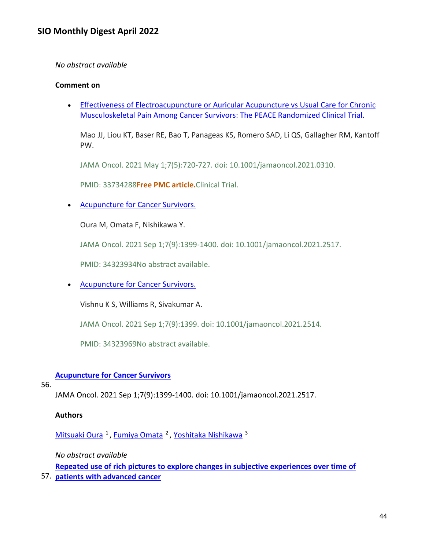#### *No abstract available*

#### **Comment on**

• [Effectiveness of Electroacupuncture or Auricular Acupuncture vs Usual Care for Chronic](https://nam11.safelinks.protection.outlook.com/?url=https%3A%2F%2Fpubmed.ncbi.nlm.nih.gov%2F33734288%2F&data=04%7C01%7Calmira.catic%40emory.edu%7C478ade74754b4c15a64f08da13eab169%7Ce004fb9cb0a4424fbcd0322606d5df38%7C0%7C0%7C637844196311615605%7CUnknown%7CTWFpbGZsb3d8eyJWIjoiMC4wLjAwMDAiLCJQIjoiV2luMzIiLCJBTiI6Ik1haWwiLCJXVCI6Mn0%3D%7C3000&sdata=1M9bzFCk6s3M97aqk4XQd6%2F1t1qbXaV00Ww4vURXP%2F0%3D&reserved=0)  [Musculoskeletal Pain Among Cancer Survivors: The PEACE Randomized Clinical Trial.](https://nam11.safelinks.protection.outlook.com/?url=https%3A%2F%2Fpubmed.ncbi.nlm.nih.gov%2F33734288%2F&data=04%7C01%7Calmira.catic%40emory.edu%7C478ade74754b4c15a64f08da13eab169%7Ce004fb9cb0a4424fbcd0322606d5df38%7C0%7C0%7C637844196311615605%7CUnknown%7CTWFpbGZsb3d8eyJWIjoiMC4wLjAwMDAiLCJQIjoiV2luMzIiLCJBTiI6Ik1haWwiLCJXVCI6Mn0%3D%7C3000&sdata=1M9bzFCk6s3M97aqk4XQd6%2F1t1qbXaV00Ww4vURXP%2F0%3D&reserved=0) 

Mao JJ, Liou KT, Baser RE, Bao T, Panageas KS, Romero SAD, Li QS, Gallagher RM, Kantoff PW.

JAMA Oncol. 2021 May 1;7(5):720-727. doi: 10.1001/jamaoncol.2021.0310.

PMID: 33734288**Free PMC article.**Clinical Trial.

• [Acupuncture for Cancer Survivors.](https://nam11.safelinks.protection.outlook.com/?url=https%3A%2F%2Fpubmed.ncbi.nlm.nih.gov%2F34323934%2F&data=04%7C01%7Calmira.catic%40emory.edu%7C478ade74754b4c15a64f08da13eab169%7Ce004fb9cb0a4424fbcd0322606d5df38%7C0%7C0%7C637844196311615605%7CUnknown%7CTWFpbGZsb3d8eyJWIjoiMC4wLjAwMDAiLCJQIjoiV2luMzIiLCJBTiI6Ik1haWwiLCJXVCI6Mn0%3D%7C3000&sdata=BT%2FjOiL8mIHkhEMwszMLLi5UIlW7dxYNjOsTf04oubA%3D&reserved=0) 

Oura M, Omata F, Nishikawa Y.

JAMA Oncol. 2021 Sep 1;7(9):1399-1400. doi: 10.1001/jamaoncol.2021.2517.

PMID: 34323934No abstract available.

• [Acupuncture for Cancer Survivors.](https://nam11.safelinks.protection.outlook.com/?url=https%3A%2F%2Fpubmed.ncbi.nlm.nih.gov%2F34323969%2F&data=04%7C01%7Calmira.catic%40emory.edu%7C478ade74754b4c15a64f08da13eab169%7Ce004fb9cb0a4424fbcd0322606d5df38%7C0%7C0%7C637844196311615605%7CUnknown%7CTWFpbGZsb3d8eyJWIjoiMC4wLjAwMDAiLCJQIjoiV2luMzIiLCJBTiI6Ik1haWwiLCJXVCI6Mn0%3D%7C3000&sdata=SgJC4P53uGUguHI9ppa2xv5KPV2k3%2F3dJ8r25LgYZkQ%3D&reserved=0) 

Vishnu K S, Williams R, Sivakumar A.

JAMA Oncol. 2021 Sep 1;7(9):1399. doi: 10.1001/jamaoncol.2021.2514.

PMID: 34323969No abstract available.

### **[Acupuncture for Cancer Survivors](https://nam11.safelinks.protection.outlook.com/?url=https%3A%2F%2Fpubmed.ncbi.nlm.nih.gov%2F34323934%2F&data=04%7C01%7Calmira.catic%40emory.edu%7C478ade74754b4c15a64f08da13eab169%7Ce004fb9cb0a4424fbcd0322606d5df38%7C0%7C0%7C637844196311615605%7CUnknown%7CTWFpbGZsb3d8eyJWIjoiMC4wLjAwMDAiLCJQIjoiV2luMzIiLCJBTiI6Ik1haWwiLCJXVCI6Mn0%3D%7C3000&sdata=BT%2FjOiL8mIHkhEMwszMLLi5UIlW7dxYNjOsTf04oubA%3D&reserved=0)**

#### 56.

JAMA Oncol. 2021 Sep 1;7(9):1399-1400. doi: 10.1001/jamaoncol.2021.2517.

#### **Authors**

[Mitsuaki Oura](https://nam11.safelinks.protection.outlook.com/?url=https%3A%2F%2Fpubmed.ncbi.nlm.nih.gov%2F%3Fsize%3D100%26term%3DOura%2BM%26cauthor_id%3D34323934&data=04%7C01%7Calmira.catic%40emory.edu%7C478ade74754b4c15a64f08da13eab169%7Ce004fb9cb0a4424fbcd0322606d5df38%7C0%7C0%7C637844196311615605%7CUnknown%7CTWFpbGZsb3d8eyJWIjoiMC4wLjAwMDAiLCJQIjoiV2luMzIiLCJBTiI6Ik1haWwiLCJXVCI6Mn0%3D%7C3000&sdata=FloKB42alur3WMFdyKG5o9gS6BjjF7EJqzV%2FvWViW9w%3D&reserved=0) <sup>1</sup>, [Fumiya Omata](https://nam11.safelinks.protection.outlook.com/?url=https%3A%2F%2Fpubmed.ncbi.nlm.nih.gov%2F%3Fsize%3D100%26term%3DOmata%2BF%26cauthor_id%3D34323934&data=04%7C01%7Calmira.catic%40emory.edu%7C478ade74754b4c15a64f08da13eab169%7Ce004fb9cb0a4424fbcd0322606d5df38%7C0%7C0%7C637844196311615605%7CUnknown%7CTWFpbGZsb3d8eyJWIjoiMC4wLjAwMDAiLCJQIjoiV2luMzIiLCJBTiI6Ik1haWwiLCJXVCI6Mn0%3D%7C3000&sdata=%2BOeR65OZicZejiFpUWn5TP18WrZlFkbkxbxlVQ%2FLmb4%3D&reserved=0) <sup>2</sup>, [Yoshitaka Nishikawa](https://nam11.safelinks.protection.outlook.com/?url=https%3A%2F%2Fpubmed.ncbi.nlm.nih.gov%2F%3Fsize%3D100%26term%3DNishikawa%2BY%26cauthor_id%3D34323934&data=04%7C01%7Calmira.catic%40emory.edu%7C478ade74754b4c15a64f08da13eab169%7Ce004fb9cb0a4424fbcd0322606d5df38%7C0%7C0%7C637844196311615605%7CUnknown%7CTWFpbGZsb3d8eyJWIjoiMC4wLjAwMDAiLCJQIjoiV2luMzIiLCJBTiI6Ik1haWwiLCJXVCI6Mn0%3D%7C3000&sdata=GfZTBOKhieoq7gIDpA0l6BTXZCqWi0zbRP1e7M6yWGY%3D&reserved=0) <sup>3</sup>

*No abstract available*

**[Repeated use of rich pictures to explore changes in subjective experiences over time of](https://nam11.safelinks.protection.outlook.com/?url=https%3A%2F%2Fpubmed.ncbi.nlm.nih.gov%2F34313027%2F&data=04%7C01%7Calmira.catic%40emory.edu%7C478ade74754b4c15a64f08da13eab169%7Ce004fb9cb0a4424fbcd0322606d5df38%7C0%7C0%7C637844196311615605%7CUnknown%7CTWFpbGZsb3d8eyJWIjoiMC4wLjAwMDAiLCJQIjoiV2luMzIiLCJBTiI6Ik1haWwiLCJXVCI6Mn0%3D%7C3000&sdata=LN08oZroH%2BHVSqjBbm5F%2Fizk%2BQpdKyn8b%2BhWf%2FRkGBs%3D&reserved=0)** 

57. **[patients with advanced cancer](https://nam11.safelinks.protection.outlook.com/?url=https%3A%2F%2Fpubmed.ncbi.nlm.nih.gov%2F34313027%2F&data=04%7C01%7Calmira.catic%40emory.edu%7C478ade74754b4c15a64f08da13eab169%7Ce004fb9cb0a4424fbcd0322606d5df38%7C0%7C0%7C637844196311615605%7CUnknown%7CTWFpbGZsb3d8eyJWIjoiMC4wLjAwMDAiLCJQIjoiV2luMzIiLCJBTiI6Ik1haWwiLCJXVCI6Mn0%3D%7C3000&sdata=LN08oZroH%2BHVSqjBbm5F%2Fizk%2BQpdKyn8b%2BhWf%2FRkGBs%3D&reserved=0)**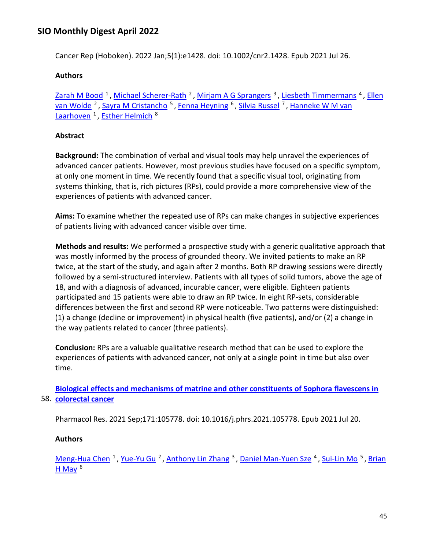Cancer Rep (Hoboken). 2022 Jan;5(1):e1428. doi: 10.1002/cnr2.1428. Epub 2021 Jul 26.

## **Authors**

Zarah M Bood<sup>1</sup>, Michael Scherer-Rath<sup>2</sup>, Mirjam A G Sprangers<sup>3</sup>, Liesbeth Timmermans<sup>4</sup>, Ellen van Wolde<sup>2</sup>, Sayra M Cristancho<sup>5</sup>, [Fenna Heyning](https://nam11.safelinks.protection.outlook.com/?url=https%3A%2F%2Fpubmed.ncbi.nlm.nih.gov%2F%3Fsize%3D100%26term%3DHeyning%2BF%26cauthor_id%3D34313027&data=04%7C01%7Calmira.catic%40emory.edu%7C478ade74754b4c15a64f08da13eab169%7Ce004fb9cb0a4424fbcd0322606d5df38%7C0%7C0%7C637844196311771840%7CUnknown%7CTWFpbGZsb3d8eyJWIjoiMC4wLjAwMDAiLCJQIjoiV2luMzIiLCJBTiI6Ik1haWwiLCJXVCI6Mn0%3D%7C3000&sdata=tFX74G9nBkPIKdamu1Qq%2BHSOdj0tQ25w7OHevAAFxBk%3D&reserved=0) <sup>6</sup>, Silvia Russel<sup>7</sup>, Hanneke W M van Laarhoven<sup>1</sup>, Esther Helmich<sup>8</sup>

## **Abstract**

**Background:** The combination of verbal and visual tools may help unravel the experiences of advanced cancer patients. However, most previous studies have focused on a specific symptom, at only one moment in time. We recently found that a specific visual tool, originating from systems thinking, that is, rich pictures (RPs), could provide a more comprehensive view of the experiences of patients with advanced cancer.

**Aims:** To examine whether the repeated use of RPs can make changes in subjective experiences of patients living with advanced cancer visible over time.

**Methods and results:** We performed a prospective study with a generic qualitative approach that was mostly informed by the process of grounded theory. We invited patients to make an RP twice, at the start of the study, and again after 2 months. Both RP drawing sessions were directly followed by a semi-structured interview. Patients with all types of solid tumors, above the age of 18, and with a diagnosis of advanced, incurable cancer, were eligible. Eighteen patients participated and 15 patients were able to draw an RP twice. In eight RP-sets, considerable differences between the first and second RP were noticeable. Two patterns were distinguished: (1) a change (decline or improvement) in physical health (five patients), and/or (2) a change in the way patients related to cancer (three patients).

**Conclusion:** RPs are a valuable qualitative research method that can be used to explore the experiences of patients with advanced cancer, not only at a single point in time but also over time.

58. **[colorectal cancer](https://nam11.safelinks.protection.outlook.com/?url=https%3A%2F%2Fpubmed.ncbi.nlm.nih.gov%2F34298110%2F&data=04%7C01%7Calmira.catic%40emory.edu%7C478ade74754b4c15a64f08da13eab169%7Ce004fb9cb0a4424fbcd0322606d5df38%7C0%7C0%7C637844196311771840%7CUnknown%7CTWFpbGZsb3d8eyJWIjoiMC4wLjAwMDAiLCJQIjoiV2luMzIiLCJBTiI6Ik1haWwiLCJXVCI6Mn0%3D%7C3000&sdata=TLye0US%2FH64aXB792IjSFtqpoo1cZyhDTbhzOgzyveY%3D&reserved=0)  [Biological effects and mechanisms of matrine and other constituents of Sophora flavescens in](https://nam11.safelinks.protection.outlook.com/?url=https%3A%2F%2Fpubmed.ncbi.nlm.nih.gov%2F34298110%2F&data=04%7C01%7Calmira.catic%40emory.edu%7C478ade74754b4c15a64f08da13eab169%7Ce004fb9cb0a4424fbcd0322606d5df38%7C0%7C0%7C637844196311771840%7CUnknown%7CTWFpbGZsb3d8eyJWIjoiMC4wLjAwMDAiLCJQIjoiV2luMzIiLCJBTiI6Ik1haWwiLCJXVCI6Mn0%3D%7C3000&sdata=TLye0US%2FH64aXB792IjSFtqpoo1cZyhDTbhzOgzyveY%3D&reserved=0)** 

Pharmacol Res. 2021 Sep;171:105778. doi: 10.1016/j.phrs.2021.105778. Epub 2021 Jul 20.

### **Authors**

[Meng-Hua Chen](https://nam11.safelinks.protection.outlook.com/?url=https%3A%2F%2Fpubmed.ncbi.nlm.nih.gov%2F%3Fsize%3D100%26term%3DChen%2BMH%26cauthor_id%3D34298110&data=04%7C01%7Calmira.catic%40emory.edu%7C478ade74754b4c15a64f08da13eab169%7Ce004fb9cb0a4424fbcd0322606d5df38%7C0%7C0%7C637844196311771840%7CUnknown%7CTWFpbGZsb3d8eyJWIjoiMC4wLjAwMDAiLCJQIjoiV2luMzIiLCJBTiI6Ik1haWwiLCJXVCI6Mn0%3D%7C3000&sdata=3iMhRAXs%2BKdXUM1UJN3GLO1g%2BvKvkHRoFphFGOq0O2M%3D&reserved=0) <sup>1</sup>, [Yue-Yu Gu](https://nam11.safelinks.protection.outlook.com/?url=https%3A%2F%2Fpubmed.ncbi.nlm.nih.gov%2F%3Fsize%3D100%26term%3DGu%2BYY%26cauthor_id%3D34298110&data=04%7C01%7Calmira.catic%40emory.edu%7C478ade74754b4c15a64f08da13eab169%7Ce004fb9cb0a4424fbcd0322606d5df38%7C0%7C0%7C637844196311771840%7CUnknown%7CTWFpbGZsb3d8eyJWIjoiMC4wLjAwMDAiLCJQIjoiV2luMzIiLCJBTiI6Ik1haWwiLCJXVCI6Mn0%3D%7C3000&sdata=3dRSqpUF8sIetde4xMyUanDrUPTc0VebUVJ9LRTGyNI%3D&reserved=0) <sup>2</sup>, [Anthony Lin Zhang](https://nam11.safelinks.protection.outlook.com/?url=https%3A%2F%2Fpubmed.ncbi.nlm.nih.gov%2F%3Fsize%3D100%26term%3DZhang%2BAL%26cauthor_id%3D34298110&data=04%7C01%7Calmira.catic%40emory.edu%7C478ade74754b4c15a64f08da13eab169%7Ce004fb9cb0a4424fbcd0322606d5df38%7C0%7C0%7C637844196311771840%7CUnknown%7CTWFpbGZsb3d8eyJWIjoiMC4wLjAwMDAiLCJQIjoiV2luMzIiLCJBTiI6Ik1haWwiLCJXVCI6Mn0%3D%7C3000&sdata=H6YU6GdvcjsLms%2BjxR%2FjkMSzxb0pDa3G7nXHOQiXHNo%3D&reserved=0) <sup>3</sup>, [Daniel Man-Yuen Sze](https://nam11.safelinks.protection.outlook.com/?url=https%3A%2F%2Fpubmed.ncbi.nlm.nih.gov%2F%3Fsize%3D100%26term%3DSze%2BDM%26cauthor_id%3D34298110&data=04%7C01%7Calmira.catic%40emory.edu%7C478ade74754b4c15a64f08da13eab169%7Ce004fb9cb0a4424fbcd0322606d5df38%7C0%7C0%7C637844196311771840%7CUnknown%7CTWFpbGZsb3d8eyJWIjoiMC4wLjAwMDAiLCJQIjoiV2luMzIiLCJBTiI6Ik1haWwiLCJXVCI6Mn0%3D%7C3000&sdata=bP2Flsew1tnlt9K7WeS3%2BMA7lven69QDljWdaeaAcc4%3D&reserved=0) <sup>4</sup>, [Sui-Lin Mo](https://nam11.safelinks.protection.outlook.com/?url=https%3A%2F%2Fpubmed.ncbi.nlm.nih.gov%2F%3Fsize%3D100%26term%3DMo%2BSL%26cauthor_id%3D34298110&data=04%7C01%7Calmira.catic%40emory.edu%7C478ade74754b4c15a64f08da13eab169%7Ce004fb9cb0a4424fbcd0322606d5df38%7C0%7C0%7C637844196311771840%7CUnknown%7CTWFpbGZsb3d8eyJWIjoiMC4wLjAwMDAiLCJQIjoiV2luMzIiLCJBTiI6Ik1haWwiLCJXVCI6Mn0%3D%7C3000&sdata=miWSqIeb7PKiXSs0QI%2B%2Fh46KtrYNfoZEe%2FE8w8SC7MU%3D&reserved=0) <sup>5</sup>, Brian [H May](https://nam11.safelinks.protection.outlook.com/?url=https%3A%2F%2Fpubmed.ncbi.nlm.nih.gov%2F%3Fsize%3D100%26term%3DMay%2BBH%26cauthor_id%3D34298110&data=04%7C01%7Calmira.catic%40emory.edu%7C478ade74754b4c15a64f08da13eab169%7Ce004fb9cb0a4424fbcd0322606d5df38%7C0%7C0%7C637844196311771840%7CUnknown%7CTWFpbGZsb3d8eyJWIjoiMC4wLjAwMDAiLCJQIjoiV2luMzIiLCJBTiI6Ik1haWwiLCJXVCI6Mn0%3D%7C3000&sdata=bhhVRXjGonEpI92GV1BJfuu8w%2Fu8kW3aIC8cpO8pDEQ%3D&reserved=0) <sup>6</sup>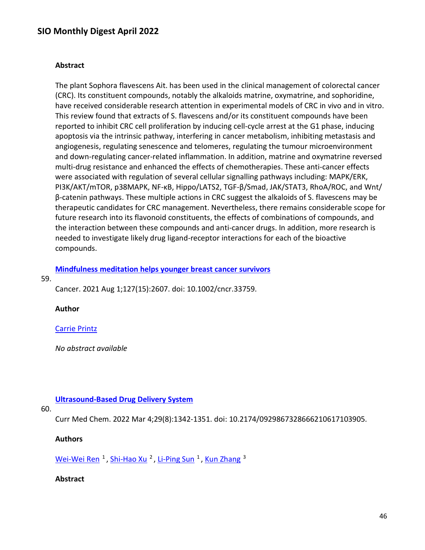#### **Abstract**

The plant Sophora flavescens Ait. has been used in the clinical management of colorectal cancer (CRC). Its constituent compounds, notably the alkaloids matrine, oxymatrine, and sophoridine, have received considerable research attention in experimental models of CRC in vivo and in vitro. This review found that extracts of S. flavescens and/or its constituent compounds have been reported to inhibit CRC cell proliferation by inducing cell-cycle arrest at the G1 phase, inducing apoptosis via the intrinsic pathway, interfering in cancer metabolism, inhibiting metastasis and angiogenesis, regulating senescence and telomeres, regulating the tumour microenvironment and down-regulating cancer-related inflammation. In addition, matrine and oxymatrine reversed multi-drug resistance and enhanced the effects of chemotherapies. These anti-cancer effects were associated with regulation of several cellular signalling pathways including: MAPK/ERK, PI3K/AKT/mTOR, p38MAPK, NF-κB, Hippo/LATS2, TGF-β/Smad, JAK/STAT3, RhoA/ROC, and Wnt/ β-catenin pathways. These multiple actions in CRC suggest the alkaloids of S. flavescens may be therapeutic candidates for CRC management. Nevertheless, there remains considerable scope for future research into its flavonoid constituents, the effects of combinations of compounds, and the interaction between these compounds and anti-cancer drugs. In addition, more research is needed to investigate likely drug ligand-receptor interactions for each of the bioactive compounds.

#### **[Mindfulness meditation helps younger breast cancer survivors](https://nam11.safelinks.protection.outlook.com/?url=https%3A%2F%2Fpubmed.ncbi.nlm.nih.gov%2F34254677%2F&data=04%7C01%7Calmira.catic%40emory.edu%7C478ade74754b4c15a64f08da13eab169%7Ce004fb9cb0a4424fbcd0322606d5df38%7C0%7C0%7C637844196311771840%7CUnknown%7CTWFpbGZsb3d8eyJWIjoiMC4wLjAwMDAiLCJQIjoiV2luMzIiLCJBTiI6Ik1haWwiLCJXVCI6Mn0%3D%7C3000&sdata=Wd%2BCpe7FdpnRCRP4DxGCgPJCu5ZYtbTHmZDekwxD1P0%3D&reserved=0)**

#### 59.

Cancer. 2021 Aug 1;127(15):2607. doi: 10.1002/cncr.33759.

#### **Author**

#### [Carrie Printz](https://nam11.safelinks.protection.outlook.com/?url=https%3A%2F%2Fpubmed.ncbi.nlm.nih.gov%2F%3Fsize%3D100%26term%3DPrintz%2BC%26cauthor_id%3D34254677&data=04%7C01%7Calmira.catic%40emory.edu%7C478ade74754b4c15a64f08da13eab169%7Ce004fb9cb0a4424fbcd0322606d5df38%7C0%7C0%7C637844196311928085%7CUnknown%7CTWFpbGZsb3d8eyJWIjoiMC4wLjAwMDAiLCJQIjoiV2luMzIiLCJBTiI6Ik1haWwiLCJXVCI6Mn0%3D%7C3000&sdata=gaU61wlVCWy97H0G%2FX8gs1p3TaWDAD4AaF%2B0LMXAP7E%3D&reserved=0)

*No abstract available*

#### **[Ultrasound-Based Drug Delivery System](https://nam11.safelinks.protection.outlook.com/?url=https%3A%2F%2Fpubmed.ncbi.nlm.nih.gov%2F34139971%2F&data=04%7C01%7Calmira.catic%40emory.edu%7C478ade74754b4c15a64f08da13eab169%7Ce004fb9cb0a4424fbcd0322606d5df38%7C0%7C0%7C637844196311928085%7CUnknown%7CTWFpbGZsb3d8eyJWIjoiMC4wLjAwMDAiLCJQIjoiV2luMzIiLCJBTiI6Ik1haWwiLCJXVCI6Mn0%3D%7C3000&sdata=DAB%2BxwaMajn7WI1kn8wGFy2L1LOHVienBzTEodX9LAs%3D&reserved=0)**

### 60.

Curr Med Chem. 2022 Mar 4;29(8):1342-1351. doi: 10.2174/0929867328666210617103905.

#### **Authors**

[Wei-Wei Ren](https://nam11.safelinks.protection.outlook.com/?url=https%3A%2F%2Fpubmed.ncbi.nlm.nih.gov%2F%3Fsize%3D100%26term%3DRen%2BWW%26cauthor_id%3D34139971&data=04%7C01%7Calmira.catic%40emory.edu%7C478ade74754b4c15a64f08da13eab169%7Ce004fb9cb0a4424fbcd0322606d5df38%7C0%7C0%7C637844196311928085%7CUnknown%7CTWFpbGZsb3d8eyJWIjoiMC4wLjAwMDAiLCJQIjoiV2luMzIiLCJBTiI6Ik1haWwiLCJXVCI6Mn0%3D%7C3000&sdata=Xiw4rpO88IUMT0KoukL9jktGUt5QyfGlpMheh8RQNvc%3D&reserved=0)  $<sup>1</sup>$ , [Shi-Hao Xu](https://nam11.safelinks.protection.outlook.com/?url=https%3A%2F%2Fpubmed.ncbi.nlm.nih.gov%2F%3Fsize%3D100%26term%3DXu%2BSH%26cauthor_id%3D34139971&data=04%7C01%7Calmira.catic%40emory.edu%7C478ade74754b4c15a64f08da13eab169%7Ce004fb9cb0a4424fbcd0322606d5df38%7C0%7C0%7C637844196311928085%7CUnknown%7CTWFpbGZsb3d8eyJWIjoiMC4wLjAwMDAiLCJQIjoiV2luMzIiLCJBTiI6Ik1haWwiLCJXVCI6Mn0%3D%7C3000&sdata=Hc9atjF2bYxN7kkg70u%2FDdX%2BNdaYvACM%2BrtAGMwySdY%3D&reserved=0)  $<sup>2</sup>$ , [Li-Ping Sun](https://nam11.safelinks.protection.outlook.com/?url=https%3A%2F%2Fpubmed.ncbi.nlm.nih.gov%2F%3Fsize%3D100%26term%3DSun%2BLP%26cauthor_id%3D34139971&data=04%7C01%7Calmira.catic%40emory.edu%7C478ade74754b4c15a64f08da13eab169%7Ce004fb9cb0a4424fbcd0322606d5df38%7C0%7C0%7C637844196311928085%7CUnknown%7CTWFpbGZsb3d8eyJWIjoiMC4wLjAwMDAiLCJQIjoiV2luMzIiLCJBTiI6Ik1haWwiLCJXVCI6Mn0%3D%7C3000&sdata=yO2oVVSWwR9YWPYtXwhh%2FW%2FkmKUg7VAvQjQnWeIkimA%3D&reserved=0)  $<sup>1</sup>$ , [Kun Zhang](https://nam11.safelinks.protection.outlook.com/?url=https%3A%2F%2Fpubmed.ncbi.nlm.nih.gov%2F%3Fsize%3D100%26term%3DZhang%2BK%26cauthor_id%3D34139971&data=04%7C01%7Calmira.catic%40emory.edu%7C478ade74754b4c15a64f08da13eab169%7Ce004fb9cb0a4424fbcd0322606d5df38%7C0%7C0%7C637844196311928085%7CUnknown%7CTWFpbGZsb3d8eyJWIjoiMC4wLjAwMDAiLCJQIjoiV2luMzIiLCJBTiI6Ik1haWwiLCJXVCI6Mn0%3D%7C3000&sdata=to8XekhQ%2BHqYpwbZUdMC0Sz13zzecRH9CW4ZXApxFuQ%3D&reserved=0)  $<sup>3</sup>$ </sup></sup></sup></sup>

#### **Abstract**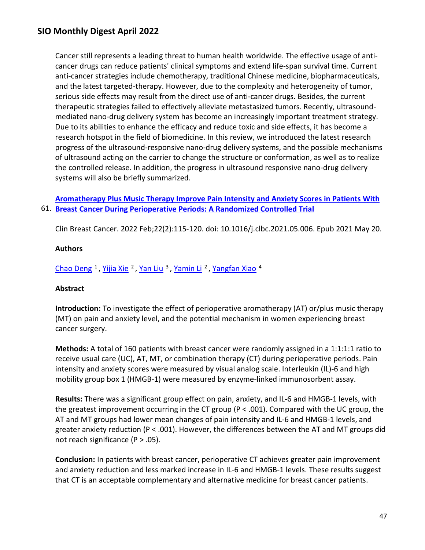Cancer still represents a leading threat to human health worldwide. The effective usage of anticancer drugs can reduce patients' clinical symptoms and extend life-span survival time. Current anti-cancer strategies include chemotherapy, traditional Chinese medicine, biopharmaceuticals, and the latest targeted-therapy. However, due to the complexity and heterogeneity of tumor, serious side effects may result from the direct use of anti-cancer drugs. Besides, the current therapeutic strategies failed to effectively alleviate metastasized tumors. Recently, ultrasoundmediated nano-drug delivery system has become an increasingly important treatment strategy. Due to its abilities to enhance the efficacy and reduce toxic and side effects, it has become a research hotspot in the field of biomedicine. In this review, we introduced the latest research progress of the ultrasound-responsive nano-drug delivery systems, and the possible mechanisms of ultrasound acting on the carrier to change the structure or conformation, as well as to realize the controlled release. In addition, the progress in ultrasound responsive nano-drug delivery systems will also be briefly summarized.

61. **[Breast Cancer During Perioperative Periods: A Randomized Controlled Trial](https://nam11.safelinks.protection.outlook.com/?url=https%3A%2F%2Fpubmed.ncbi.nlm.nih.gov%2F34134947%2F&data=04%7C01%7Calmira.catic%40emory.edu%7C478ade74754b4c15a64f08da13eab169%7Ce004fb9cb0a4424fbcd0322606d5df38%7C0%7C0%7C637844196311928085%7CUnknown%7CTWFpbGZsb3d8eyJWIjoiMC4wLjAwMDAiLCJQIjoiV2luMzIiLCJBTiI6Ik1haWwiLCJXVCI6Mn0%3D%7C3000&sdata=8x2AbiXhAQGCGJhM0zwHmfYxlKU2hC7PhILFoAgnxtU%3D&reserved=0)  [Aromatherapy Plus Music Therapy Improve Pain Intensity and Anxiety Scores in Patients With](https://nam11.safelinks.protection.outlook.com/?url=https%3A%2F%2Fpubmed.ncbi.nlm.nih.gov%2F34134947%2F&data=04%7C01%7Calmira.catic%40emory.edu%7C478ade74754b4c15a64f08da13eab169%7Ce004fb9cb0a4424fbcd0322606d5df38%7C0%7C0%7C637844196311928085%7CUnknown%7CTWFpbGZsb3d8eyJWIjoiMC4wLjAwMDAiLCJQIjoiV2luMzIiLCJBTiI6Ik1haWwiLCJXVCI6Mn0%3D%7C3000&sdata=8x2AbiXhAQGCGJhM0zwHmfYxlKU2hC7PhILFoAgnxtU%3D&reserved=0)** 

Clin Breast Cancer. 2022 Feb;22(2):115-120. doi: 10.1016/j.clbc.2021.05.006. Epub 2021 May 20.

### **Authors**

[Chao Deng](https://nam11.safelinks.protection.outlook.com/?url=https%3A%2F%2Fpubmed.ncbi.nlm.nih.gov%2F%3Fsize%3D100%26term%3DDeng%2BC%26cauthor_id%3D34134947&data=04%7C01%7Calmira.catic%40emory.edu%7C478ade74754b4c15a64f08da13eab169%7Ce004fb9cb0a4424fbcd0322606d5df38%7C0%7C0%7C637844196311928085%7CUnknown%7CTWFpbGZsb3d8eyJWIjoiMC4wLjAwMDAiLCJQIjoiV2luMzIiLCJBTiI6Ik1haWwiLCJXVCI6Mn0%3D%7C3000&sdata=5j45zsWUM%2BWCXNobHzqGKkvTxTz298SancmIsDu%2B8Hw%3D&reserved=0) <sup>1</sup>, [Yijia Xie](https://nam11.safelinks.protection.outlook.com/?url=https%3A%2F%2Fpubmed.ncbi.nlm.nih.gov%2F%3Fsize%3D100%26term%3DXie%2BY%26cauthor_id%3D34134947&data=04%7C01%7Calmira.catic%40emory.edu%7C478ade74754b4c15a64f08da13eab169%7Ce004fb9cb0a4424fbcd0322606d5df38%7C0%7C0%7C637844196311928085%7CUnknown%7CTWFpbGZsb3d8eyJWIjoiMC4wLjAwMDAiLCJQIjoiV2luMzIiLCJBTiI6Ik1haWwiLCJXVCI6Mn0%3D%7C3000&sdata=WupB571JHSgs%2FUQl6agrkG1yejeebVfPb7vNzTTREgw%3D&reserved=0) <sup>2</sup>, [Yan Liu](https://nam11.safelinks.protection.outlook.com/?url=https%3A%2F%2Fpubmed.ncbi.nlm.nih.gov%2F%3Fsize%3D100%26term%3DLiu%2BY%26cauthor_id%3D34134947&data=04%7C01%7Calmira.catic%40emory.edu%7C478ade74754b4c15a64f08da13eab169%7Ce004fb9cb0a4424fbcd0322606d5df38%7C0%7C0%7C637844196311928085%7CUnknown%7CTWFpbGZsb3d8eyJWIjoiMC4wLjAwMDAiLCJQIjoiV2luMzIiLCJBTiI6Ik1haWwiLCJXVCI6Mn0%3D%7C3000&sdata=fi8PpQmZdtugcIOL7Tu4awryloqVKA42HKp1p58IZiE%3D&reserved=0) <sup>3</sup>, [Yamin Li](https://nam11.safelinks.protection.outlook.com/?url=https%3A%2F%2Fpubmed.ncbi.nlm.nih.gov%2F%3Fsize%3D100%26term%3DLi%2BY%26cauthor_id%3D34134947&data=04%7C01%7Calmira.catic%40emory.edu%7C478ade74754b4c15a64f08da13eab169%7Ce004fb9cb0a4424fbcd0322606d5df38%7C0%7C0%7C637844196311928085%7CUnknown%7CTWFpbGZsb3d8eyJWIjoiMC4wLjAwMDAiLCJQIjoiV2luMzIiLCJBTiI6Ik1haWwiLCJXVCI6Mn0%3D%7C3000&sdata=lpVc%2FqdtoAmREvSVJ1QbDoYYNQP%2BDv6hX2R4rq5qT6Y%3D&reserved=0) <sup>2</sup>, [Yangfan Xiao](https://nam11.safelinks.protection.outlook.com/?url=https%3A%2F%2Fpubmed.ncbi.nlm.nih.gov%2F%3Fsize%3D100%26term%3DXiao%2BY%26cauthor_id%3D34134947&data=04%7C01%7Calmira.catic%40emory.edu%7C478ade74754b4c15a64f08da13eab169%7Ce004fb9cb0a4424fbcd0322606d5df38%7C0%7C0%7C637844196311928085%7CUnknown%7CTWFpbGZsb3d8eyJWIjoiMC4wLjAwMDAiLCJQIjoiV2luMzIiLCJBTiI6Ik1haWwiLCJXVCI6Mn0%3D%7C3000&sdata=zofLTwJXKHstpX1IKNmORkUCBNQ70oC0D1dUdgf2o%2FU%3D&reserved=0) <sup>4</sup>

### **Abstract**

**Introduction:** To investigate the effect of perioperative aromatherapy (AT) or/plus music therapy (MT) on pain and anxiety level, and the potential mechanism in women experiencing breast cancer surgery.

**Methods:** A total of 160 patients with breast cancer were randomly assigned in a 1:1:1:1 ratio to receive usual care (UC), AT, MT, or combination therapy (CT) during perioperative periods. Pain intensity and anxiety scores were measured by visual analog scale. Interleukin (IL)-6 and high mobility group box 1 (HMGB-1) were measured by enzyme-linked immunosorbent assay.

**Results:** There was a significant group effect on pain, anxiety, and IL-6 and HMGB-1 levels, with the greatest improvement occurring in the CT group (P < .001). Compared with the UC group, the AT and MT groups had lower mean changes of pain intensity and IL-6 and HMGB-1 levels, and greater anxiety reduction (P < .001). However, the differences between the AT and MT groups did not reach significance  $(P > .05)$ .

**Conclusion:** In patients with breast cancer, perioperative CT achieves greater pain improvement and anxiety reduction and less marked increase in IL-6 and HMGB-1 levels. These results suggest that CT is an acceptable complementary and alternative medicine for breast cancer patients.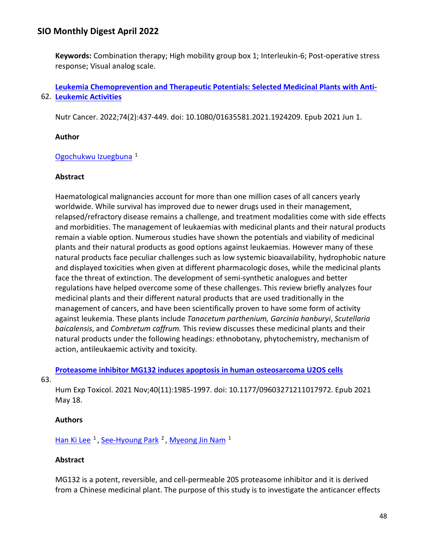**Keywords:** Combination therapy; High mobility group box 1; Interleukin-6; Post-operative stress response; Visual analog scale.

62. **[Leukemic Activities](https://nam11.safelinks.protection.outlook.com/?url=https%3A%2F%2Fpubmed.ncbi.nlm.nih.gov%2F34060380%2F&data=04%7C01%7Calmira.catic%40emory.edu%7C478ade74754b4c15a64f08da13eab169%7Ce004fb9cb0a4424fbcd0322606d5df38%7C0%7C0%7C637844196311928085%7CUnknown%7CTWFpbGZsb3d8eyJWIjoiMC4wLjAwMDAiLCJQIjoiV2luMzIiLCJBTiI6Ik1haWwiLCJXVCI6Mn0%3D%7C3000&sdata=IQeq9RiDpYUl9KhIrUYu6oPgQj%2BTgBNjq5nk8Hcf8N0%3D&reserved=0)  [Leukemia Chemoprevention and Therapeutic Potentials: Selected Medicinal Plants with Anti-](https://nam11.safelinks.protection.outlook.com/?url=https%3A%2F%2Fpubmed.ncbi.nlm.nih.gov%2F34060380%2F&data=04%7C01%7Calmira.catic%40emory.edu%7C478ade74754b4c15a64f08da13eab169%7Ce004fb9cb0a4424fbcd0322606d5df38%7C0%7C0%7C637844196311928085%7CUnknown%7CTWFpbGZsb3d8eyJWIjoiMC4wLjAwMDAiLCJQIjoiV2luMzIiLCJBTiI6Ik1haWwiLCJXVCI6Mn0%3D%7C3000&sdata=IQeq9RiDpYUl9KhIrUYu6oPgQj%2BTgBNjq5nk8Hcf8N0%3D&reserved=0)**

Nutr Cancer. 2022;74(2):437-449. doi: 10.1080/01635581.2021.1924209. Epub 2021 Jun 1.

### **Author**

## [Ogochukwu Izuegbuna](https://nam11.safelinks.protection.outlook.com/?url=https%3A%2F%2Fpubmed.ncbi.nlm.nih.gov%2F%3Fsize%3D100%26term%3DIzuegbuna%2BO%26cauthor_id%3D34060380&data=04%7C01%7Calmira.catic%40emory.edu%7C478ade74754b4c15a64f08da13eab169%7Ce004fb9cb0a4424fbcd0322606d5df38%7C0%7C0%7C637844196311928085%7CUnknown%7CTWFpbGZsb3d8eyJWIjoiMC4wLjAwMDAiLCJQIjoiV2luMzIiLCJBTiI6Ik1haWwiLCJXVCI6Mn0%3D%7C3000&sdata=AZKWVRoC8%2Bn5E3fJknFAq2ra3Ec1halpis0HINK%2BwFk%3D&reserved=0) 1

### **Abstract**

Haematological malignancies account for more than one million cases of all cancers yearly worldwide. While survival has improved due to newer drugs used in their management, relapsed/refractory disease remains a challenge, and treatment modalities come with side effects and morbidities. The management of leukaemias with medicinal plants and their natural products remain a viable option. Numerous studies have shown the potentials and viability of medicinal plants and their natural products as good options against leukaemias. However many of these natural products face peculiar challenges such as low systemic bioavailability, hydrophobic nature and displayed toxicities when given at different pharmacologic doses, while the medicinal plants face the threat of extinction. The development of semi-synthetic analogues and better regulations have helped overcome some of these challenges. This review briefly analyzes four medicinal plants and their different natural products that are used traditionally in the management of cancers, and have been scientifically proven to have some form of activity against leukemia. These plants include *Tanacetum parthenium, Garcinia hanburyi*, *Scutellaria baicalensis*, and *Combretum caffrum.* This review discusses these medicinal plants and their natural products under the following headings: ethnobotany, phytochemistry, mechanism of action, antileukaemic activity and toxicity.

**[Proteasome inhibitor MG132 induces apoptosis in human osteosarcoma U2OS cells](https://nam11.safelinks.protection.outlook.com/?url=https%3A%2F%2Fpubmed.ncbi.nlm.nih.gov%2F34002651%2F&data=04%7C01%7Calmira.catic%40emory.edu%7C478ade74754b4c15a64f08da13eab169%7Ce004fb9cb0a4424fbcd0322606d5df38%7C0%7C0%7C637844196312084337%7CUnknown%7CTWFpbGZsb3d8eyJWIjoiMC4wLjAwMDAiLCJQIjoiV2luMzIiLCJBTiI6Ik1haWwiLCJXVCI6Mn0%3D%7C3000&sdata=zr6zHBzmcu6ilNkLFAXfTcbMWMTEL2W0S5YGT05sBAs%3D&reserved=0)** 

63.

Hum Exp Toxicol. 2021 Nov;40(11):1985-1997. doi: 10.1177/09603271211017972. Epub 2021 May 18.

## **Authors**

[Han Ki Lee](https://nam11.safelinks.protection.outlook.com/?url=https%3A%2F%2Fpubmed.ncbi.nlm.nih.gov%2F%3Fsize%3D100%26term%3DLee%2BHK%26cauthor_id%3D34002651&data=04%7C01%7Calmira.catic%40emory.edu%7C478ade74754b4c15a64f08da13eab169%7Ce004fb9cb0a4424fbcd0322606d5df38%7C0%7C0%7C637844196312084337%7CUnknown%7CTWFpbGZsb3d8eyJWIjoiMC4wLjAwMDAiLCJQIjoiV2luMzIiLCJBTiI6Ik1haWwiLCJXVCI6Mn0%3D%7C3000&sdata=1dFHnQ%2BPJUvXNcwMOTJvkiu0vgx4qwp9D9dbPgCxz%2F8%3D&reserved=0)  $<sup>1</sup>$ , [See-Hyoung Park](https://nam11.safelinks.protection.outlook.com/?url=https%3A%2F%2Fpubmed.ncbi.nlm.nih.gov%2F%3Fsize%3D100%26term%3DPark%2BSH%26cauthor_id%3D34002651&data=04%7C01%7Calmira.catic%40emory.edu%7C478ade74754b4c15a64f08da13eab169%7Ce004fb9cb0a4424fbcd0322606d5df38%7C0%7C0%7C637844196312084337%7CUnknown%7CTWFpbGZsb3d8eyJWIjoiMC4wLjAwMDAiLCJQIjoiV2luMzIiLCJBTiI6Ik1haWwiLCJXVCI6Mn0%3D%7C3000&sdata=siZXsexCBI4GZx9IWko1pusxf06yxQHKWOtZHoUxy3o%3D&reserved=0)  $<sup>2</sup>$ , [Myeong Jin Nam](https://nam11.safelinks.protection.outlook.com/?url=https%3A%2F%2Fpubmed.ncbi.nlm.nih.gov%2F%3Fsize%3D100%26term%3DNam%2BMJ%26cauthor_id%3D34002651&data=04%7C01%7Calmira.catic%40emory.edu%7C478ade74754b4c15a64f08da13eab169%7Ce004fb9cb0a4424fbcd0322606d5df38%7C0%7C0%7C637844196312084337%7CUnknown%7CTWFpbGZsb3d8eyJWIjoiMC4wLjAwMDAiLCJQIjoiV2luMzIiLCJBTiI6Ik1haWwiLCJXVCI6Mn0%3D%7C3000&sdata=JSFUINWL9xGXF8lNVzdg9lD%2FQn0%2BSU2ewlLBSXh%2BBz8%3D&reserved=0)  $<sup>1</sup>$ </sup></sup></sup>

### **Abstract**

MG132 is a potent, reversible, and cell-permeable 20S proteasome inhibitor and it is derived from a Chinese medicinal plant. The purpose of this study is to investigate the anticancer effects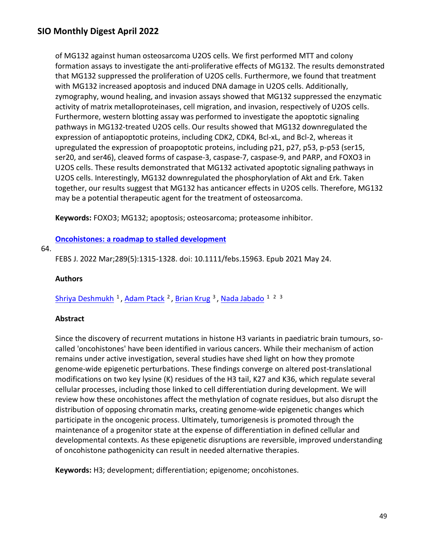of MG132 against human osteosarcoma U2OS cells. We first performed MTT and colony formation assays to investigate the anti-proliferative effects of MG132. The results demonstrated that MG132 suppressed the proliferation of U2OS cells. Furthermore, we found that treatment with MG132 increased apoptosis and induced DNA damage in U2OS cells. Additionally, zymography, wound healing, and invasion assays showed that MG132 suppressed the enzymatic activity of matrix metalloproteinases, cell migration, and invasion, respectively of U2OS cells. Furthermore, western blotting assay was performed to investigate the apoptotic signaling pathways in MG132-treated U2OS cells. Our results showed that MG132 downregulated the expression of antiapoptotic proteins, including CDK2, CDK4, Bcl-xL, and Bcl-2, whereas it upregulated the expression of proapoptotic proteins, including p21, p27, p53, p-p53 (ser15, ser20, and ser46), cleaved forms of caspase-3, caspase-7, caspase-9, and PARP, and FOXO3 in U2OS cells. These results demonstrated that MG132 activated apoptotic signaling pathways in U2OS cells. Interestingly, MG132 downregulated the phosphorylation of Akt and Erk. Taken together, our results suggest that MG132 has anticancer effects in U2OS cells. Therefore, MG132 may be a potential therapeutic agent for the treatment of osteosarcoma.

**Keywords:** FOXO3; MG132; apoptosis; osteosarcoma; proteasome inhibitor.

#### **[Oncohistones: a roadmap to stalled development](https://nam11.safelinks.protection.outlook.com/?url=https%3A%2F%2Fpubmed.ncbi.nlm.nih.gov%2F33969633%2F&data=04%7C01%7Calmira.catic%40emory.edu%7C478ade74754b4c15a64f08da13eab169%7Ce004fb9cb0a4424fbcd0322606d5df38%7C0%7C0%7C637844196312084337%7CUnknown%7CTWFpbGZsb3d8eyJWIjoiMC4wLjAwMDAiLCJQIjoiV2luMzIiLCJBTiI6Ik1haWwiLCJXVCI6Mn0%3D%7C3000&sdata=uVSb9Rgs%2BZ7ZyVvHRwCyBhX5G4g6skqJQxTj52Yhswg%3D&reserved=0)**

#### 64.

FEBS J. 2022 Mar;289(5):1315-1328. doi: 10.1111/febs.15963. Epub 2021 May 24.

#### **Authors**

Shriya Deshmukh<sup>1</sup>, Adam Ptack<sup>2</sup>, Brian Krug<sup>3</sup>, Nada Jabado<sup>123</sup>

#### **Abstract**

Since the discovery of recurrent mutations in histone H3 variants in paediatric brain tumours, socalled 'oncohistones' have been identified in various cancers. While their mechanism of action remains under active investigation, several studies have shed light on how they promote genome-wide epigenetic perturbations. These findings converge on altered post-translational modifications on two key lysine (K) residues of the H3 tail, K27 and K36, which regulate several cellular processes, including those linked to cell differentiation during development. We will review how these oncohistones affect the methylation of cognate residues, but also disrupt the distribution of opposing chromatin marks, creating genome-wide epigenetic changes which participate in the oncogenic process. Ultimately, tumorigenesis is promoted through the maintenance of a progenitor state at the expense of differentiation in defined cellular and developmental contexts. As these epigenetic disruptions are reversible, improved understanding of oncohistone pathogenicity can result in needed alternative therapies.

**Keywords:** H3; development; differentiation; epigenome; oncohistones.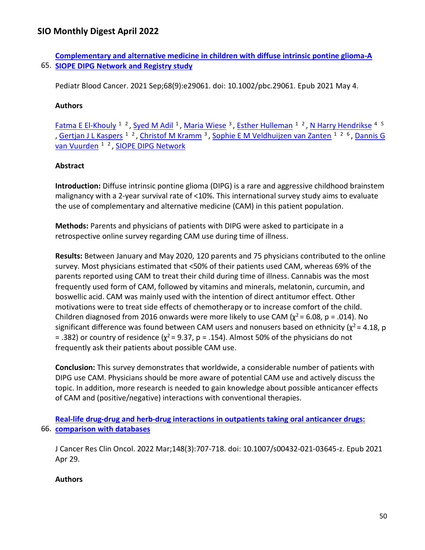65. **[SIOPE DIPG Network and Registry study](https://nam11.safelinks.protection.outlook.com/?url=https%3A%2F%2Fpubmed.ncbi.nlm.nih.gov%2F33942498%2F&data=04%7C01%7Calmira.catic%40emory.edu%7C478ade74754b4c15a64f08da13eab169%7Ce004fb9cb0a4424fbcd0322606d5df38%7C0%7C0%7C637844196312084337%7CUnknown%7CTWFpbGZsb3d8eyJWIjoiMC4wLjAwMDAiLCJQIjoiV2luMzIiLCJBTiI6Ik1haWwiLCJXVCI6Mn0%3D%7C3000&sdata=yJeqvlLMIyw%2FYKgcnBbxCNxayYurdCNTzp6Tup65t1U%3D&reserved=0)  [Complementary and alternative medicine in children with diffuse intrinsic pontine glioma-A](https://nam11.safelinks.protection.outlook.com/?url=https%3A%2F%2Fpubmed.ncbi.nlm.nih.gov%2F33942498%2F&data=04%7C01%7Calmira.catic%40emory.edu%7C478ade74754b4c15a64f08da13eab169%7Ce004fb9cb0a4424fbcd0322606d5df38%7C0%7C0%7C637844196312084337%7CUnknown%7CTWFpbGZsb3d8eyJWIjoiMC4wLjAwMDAiLCJQIjoiV2luMzIiLCJBTiI6Ik1haWwiLCJXVCI6Mn0%3D%7C3000&sdata=yJeqvlLMIyw%2FYKgcnBbxCNxayYurdCNTzp6Tup65t1U%3D&reserved=0)** 

Pediatr Blood Cancer. 2021 Sep;68(9):e29061. doi: 10.1002/pbc.29061. Epub 2021 May 4.

## **Authors**

[Fatma E El-Khouly](https://nam11.safelinks.protection.outlook.com/?url=https%3A%2F%2Fpubmed.ncbi.nlm.nih.gov%2F%3Fsize%3D100%26term%3DEl-Khouly%2BFE%26cauthor_id%3D33942498&data=04%7C01%7Calmira.catic%40emory.edu%7C478ade74754b4c15a64f08da13eab169%7Ce004fb9cb0a4424fbcd0322606d5df38%7C0%7C0%7C637844196312084337%7CUnknown%7CTWFpbGZsb3d8eyJWIjoiMC4wLjAwMDAiLCJQIjoiV2luMzIiLCJBTiI6Ik1haWwiLCJXVCI6Mn0%3D%7C3000&sdata=m5Gu2g21CAXMJGyf2gZQW02pvCtLMASL3i2ca1qEp%2Fo%3D&reserved=0) <sup>1</sup> <sup>2</sup>, [Syed M Adil](https://nam11.safelinks.protection.outlook.com/?url=https%3A%2F%2Fpubmed.ncbi.nlm.nih.gov%2F%3Fsize%3D100%26term%3DAdil%2BSM%26cauthor_id%3D33942498&data=04%7C01%7Calmira.catic%40emory.edu%7C478ade74754b4c15a64f08da13eab169%7Ce004fb9cb0a4424fbcd0322606d5df38%7C0%7C0%7C637844196312084337%7CUnknown%7CTWFpbGZsb3d8eyJWIjoiMC4wLjAwMDAiLCJQIjoiV2luMzIiLCJBTiI6Ik1haWwiLCJXVCI6Mn0%3D%7C3000&sdata=6rM%2BFyu6CsuaUYkejyifzqIeG%2Ffvecubw48V76WoDls%3D&reserved=0) <sup>1</sup>, [Maria Wiese](https://nam11.safelinks.protection.outlook.com/?url=https%3A%2F%2Fpubmed.ncbi.nlm.nih.gov%2F%3Fsize%3D100%26term%3DWiese%2BM%26cauthor_id%3D33942498&data=04%7C01%7Calmira.catic%40emory.edu%7C478ade74754b4c15a64f08da13eab169%7Ce004fb9cb0a4424fbcd0322606d5df38%7C0%7C0%7C637844196312084337%7CUnknown%7CTWFpbGZsb3d8eyJWIjoiMC4wLjAwMDAiLCJQIjoiV2luMzIiLCJBTiI6Ik1haWwiLCJXVCI6Mn0%3D%7C3000&sdata=r74KXwVZ47TnQBHeFD%2BFN6eb%2BnuUj50y9QlSX%2FCiVso%3D&reserved=0) <sup>3</sup>, [Esther Hulleman](https://nam11.safelinks.protection.outlook.com/?url=https%3A%2F%2Fpubmed.ncbi.nlm.nih.gov%2F%3Fsize%3D100%26term%3DHulleman%2BE%26cauthor_id%3D33942498&data=04%7C01%7Calmira.catic%40emory.edu%7C478ade74754b4c15a64f08da13eab169%7Ce004fb9cb0a4424fbcd0322606d5df38%7C0%7C0%7C637844196312084337%7CUnknown%7CTWFpbGZsb3d8eyJWIjoiMC4wLjAwMDAiLCJQIjoiV2luMzIiLCJBTiI6Ik1haWwiLCJXVCI6Mn0%3D%7C3000&sdata=ah%2FtOvNni3S7vj4fr5bpAnHiw%2BkYYGBazn5uPZ2z8%2BA%3D&reserved=0) <sup>1</sup> <sup>2</sup>, [N Harry Hendrikse](https://nam11.safelinks.protection.outlook.com/?url=https%3A%2F%2Fpubmed.ncbi.nlm.nih.gov%2F%3Fsize%3D100%26term%3DHendrikse%2BNH%26cauthor_id%3D33942498&data=04%7C01%7Calmira.catic%40emory.edu%7C478ade74754b4c15a64f08da13eab169%7Ce004fb9cb0a4424fbcd0322606d5df38%7C0%7C0%7C637844196312084337%7CUnknown%7CTWFpbGZsb3d8eyJWIjoiMC4wLjAwMDAiLCJQIjoiV2luMzIiLCJBTiI6Ik1haWwiLCJXVCI6Mn0%3D%7C3000&sdata=xBBlXg76XqvA2lCc21d49lCP6puaA5qmVjXuRxFpjqs%3D&reserved=0) <sup>4 5</sup> , [Gertjan J L Kaspers](https://nam11.safelinks.protection.outlook.com/?url=https%3A%2F%2Fpubmed.ncbi.nlm.nih.gov%2F%3Fsize%3D100%26term%3DKaspers%2BGJL%26cauthor_id%3D33942498&data=04%7C01%7Calmira.catic%40emory.edu%7C478ade74754b4c15a64f08da13eab169%7Ce004fb9cb0a4424fbcd0322606d5df38%7C0%7C0%7C637844196312084337%7CUnknown%7CTWFpbGZsb3d8eyJWIjoiMC4wLjAwMDAiLCJQIjoiV2luMzIiLCJBTiI6Ik1haWwiLCJXVCI6Mn0%3D%7C3000&sdata=%2BmBj0hKsQoqyO0yTBo3M8EtWC88ziU6ycNtl8VXN9ZM%3D&reserved=0) <sup>1 2</sup>, Christof M Kramm<sup>3</sup>, [Sophie E M Veldhuijzen van Zanten](https://nam11.safelinks.protection.outlook.com/?url=https%3A%2F%2Fpubmed.ncbi.nlm.nih.gov%2F%3Fsize%3D100%26term%3DVeldhuijzen%2Bvan%2BZanten%2BSEM%26cauthor_id%3D33942498&data=04%7C01%7Calmira.catic%40emory.edu%7C478ade74754b4c15a64f08da13eab169%7Ce004fb9cb0a4424fbcd0322606d5df38%7C0%7C0%7C637844196312240560%7CUnknown%7CTWFpbGZsb3d8eyJWIjoiMC4wLjAwMDAiLCJQIjoiV2luMzIiLCJBTiI6Ik1haWwiLCJXVCI6Mn0%3D%7C3000&sdata=jR4oVwyt%2BbKN%2FaCGy1WUHHqAaG7ZczBbSH5VGUoUKCg%3D&reserved=0) <sup>1 2 6</sup>, Dannis G [van Vuurden](https://nam11.safelinks.protection.outlook.com/?url=https%3A%2F%2Fpubmed.ncbi.nlm.nih.gov%2F%3Fsize%3D100%26term%3Dvan%2BVuurden%2BDG%26cauthor_id%3D33942498&data=04%7C01%7Calmira.catic%40emory.edu%7C478ade74754b4c15a64f08da13eab169%7Ce004fb9cb0a4424fbcd0322606d5df38%7C0%7C0%7C637844196312240560%7CUnknown%7CTWFpbGZsb3d8eyJWIjoiMC4wLjAwMDAiLCJQIjoiV2luMzIiLCJBTiI6Ik1haWwiLCJXVCI6Mn0%3D%7C3000&sdata=JuUzFJ4KSsuW%2Bed0i9S1hN%2Bo9ZVvKVG%2F%2Fi%2FeMtfdrho%3D&reserved=0) <sup>1 2</sup>, [SIOPE DIPG Network](https://nam11.safelinks.protection.outlook.com/?url=https%3A%2F%2Fpubmed.ncbi.nlm.nih.gov%2F%3Fsize%3D100%26term%3DSIOPE%2BDIPG%2BNetwork%255BCorporate%2BAuthor%255D&data=04%7C01%7Calmira.catic%40emory.edu%7C478ade74754b4c15a64f08da13eab169%7Ce004fb9cb0a4424fbcd0322606d5df38%7C0%7C0%7C637844196312240560%7CUnknown%7CTWFpbGZsb3d8eyJWIjoiMC4wLjAwMDAiLCJQIjoiV2luMzIiLCJBTiI6Ik1haWwiLCJXVCI6Mn0%3D%7C3000&sdata=0uqI1AdEEIeEBJ%2BjEaYZJM%2FMbKbFNwAU89meGsrgCpg%3D&reserved=0)

## **Abstract**

**Introduction:** Diffuse intrinsic pontine glioma (DIPG) is a rare and aggressive childhood brainstem malignancy with a 2-year survival rate of <10%. This international survey study aims to evaluate the use of complementary and alternative medicine (CAM) in this patient population.

**Methods:** Parents and physicians of patients with DIPG were asked to participate in a retrospective online survey regarding CAM use during time of illness.

**Results:** Between January and May 2020, 120 parents and 75 physicians contributed to the online survey. Most physicians estimated that <50% of their patients used CAM, whereas 69% of the parents reported using CAM to treat their child during time of illness. Cannabis was the most frequently used form of CAM, followed by vitamins and minerals, melatonin, curcumin, and boswellic acid. CAM was mainly used with the intention of direct antitumor effect. Other motivations were to treat side effects of chemotherapy or to increase comfort of the child. Children diagnosed from 2016 onwards were more likely to use CAM ( $\chi^2$  = 6.08, p = .014). No significant difference was found between CAM users and nonusers based on ethnicity ( $\chi^2$  = 4.18, p = .382) or country of residence ( $\chi^2$  = 9.37, p = .154). Almost 50% of the physicians do not frequently ask their patients about possible CAM use.

**Conclusion:** This survey demonstrates that worldwide, a considerable number of patients with DIPG use CAM. Physicians should be more aware of potential CAM use and actively discuss the topic. In addition, more research is needed to gain knowledge about possible anticancer effects of CAM and (positive/negative) interactions with conventional therapies.

66. **[comparison with databases](https://nam11.safelinks.protection.outlook.com/?url=https%3A%2F%2Fpubmed.ncbi.nlm.nih.gov%2F33914124%2F&data=04%7C01%7Calmira.catic%40emory.edu%7C478ade74754b4c15a64f08da13eab169%7Ce004fb9cb0a4424fbcd0322606d5df38%7C0%7C0%7C637844196312240560%7CUnknown%7CTWFpbGZsb3d8eyJWIjoiMC4wLjAwMDAiLCJQIjoiV2luMzIiLCJBTiI6Ik1haWwiLCJXVCI6Mn0%3D%7C3000&sdata=nsJVvrjRi1XQdrc1f2TsopZQ8ZslweYPmbvefVrcH3k%3D&reserved=0)  [Real-life drug-drug and herb-drug interactions in outpatients taking oral anticancer drugs:](https://nam11.safelinks.protection.outlook.com/?url=https%3A%2F%2Fpubmed.ncbi.nlm.nih.gov%2F33914124%2F&data=04%7C01%7Calmira.catic%40emory.edu%7C478ade74754b4c15a64f08da13eab169%7Ce004fb9cb0a4424fbcd0322606d5df38%7C0%7C0%7C637844196312240560%7CUnknown%7CTWFpbGZsb3d8eyJWIjoiMC4wLjAwMDAiLCJQIjoiV2luMzIiLCJBTiI6Ik1haWwiLCJXVCI6Mn0%3D%7C3000&sdata=nsJVvrjRi1XQdrc1f2TsopZQ8ZslweYPmbvefVrcH3k%3D&reserved=0)** 

J Cancer Res Clin Oncol. 2022 Mar;148(3):707-718. doi: 10.1007/s00432-021-03645-z. Epub 2021 Apr 29.

## **Authors**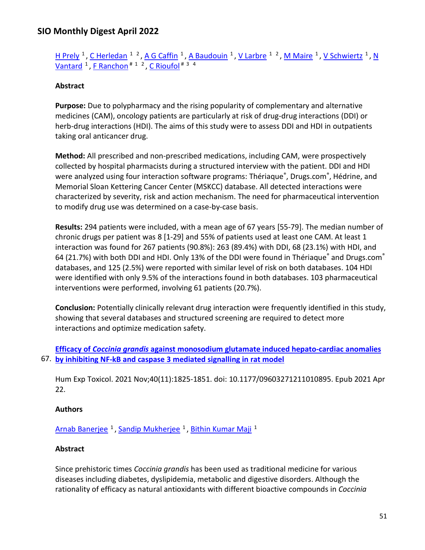```
H PrelyC HerledanA G CaffinA BaudouinV LarbreM MaireV Schwiertz <sup>1</sup>, N
Vantard <sup>1</sup>, F Ranchon<sup># 1</sup> <sup>2</sup>, C Rioufol<sup># 3</sup> <sup>4</sup>
```
### **Abstract**

**Purpose:** Due to polypharmacy and the rising popularity of complementary and alternative medicines (CAM), oncology patients are particularly at risk of drug-drug interactions (DDI) or herb-drug interactions (HDI). The aims of this study were to assess DDI and HDI in outpatients taking oral anticancer drug.

**Method:** All prescribed and non-prescribed medications, including CAM, were prospectively collected by hospital pharmacists during a structured interview with the patient. DDI and HDI were analyzed using four interaction software programs: Thériaque<sup>®</sup>, Drugs.com®, Hédrine, and Memorial Sloan Kettering Cancer Center (MSKCC) database. All detected interactions were characterized by severity, risk and action mechanism. The need for pharmaceutical intervention to modify drug use was determined on a case-by-case basis.

**Results:** 294 patients were included, with a mean age of 67 years [55-79]. The median number of chronic drugs per patient was 8 [1-29] and 55% of patients used at least one CAM. At least 1 interaction was found for 267 patients (90.8%): 263 (89.4%) with DDI, 68 (23.1%) with HDI, and 64 (21.7%) with both DDI and HDI. Only 13% of the DDI were found in Thériaque® and Drugs.com® databases, and 125 (2.5%) were reported with similar level of risk on both databases. 104 HDI were identified with only 9.5% of the interactions found in both databases. 103 pharmaceutical interventions were performed, involving 61 patients (20.7%).

**Conclusion:** Potentially clinically relevant drug interaction were frequently identified in this study, showing that several databases and structured screening are required to detect more interactions and optimize medication safety.

67. **by [inhibiting NF-kB and caspase 3 mediated signalling in rat model](https://nam11.safelinks.protection.outlook.com/?url=https%3A%2F%2Fpubmed.ncbi.nlm.nih.gov%2F33887972%2F&data=04%7C01%7Calmira.catic%40emory.edu%7C478ade74754b4c15a64f08da13eab169%7Ce004fb9cb0a4424fbcd0322606d5df38%7C0%7C0%7C637844196312240560%7CUnknown%7CTWFpbGZsb3d8eyJWIjoiMC4wLjAwMDAiLCJQIjoiV2luMzIiLCJBTiI6Ik1haWwiLCJXVCI6Mn0%3D%7C3000&sdata=KwyYTbJo3ksslXaYcuSOGdeSW1ve2ktsq34bCpqlEY0%3D&reserved=0)  Efficacy of** *Coccinia grandis* **[against monosodium glutamate induced hepato-cardiac anomalies](https://nam11.safelinks.protection.outlook.com/?url=https%3A%2F%2Fpubmed.ncbi.nlm.nih.gov%2F33887972%2F&data=04%7C01%7Calmira.catic%40emory.edu%7C478ade74754b4c15a64f08da13eab169%7Ce004fb9cb0a4424fbcd0322606d5df38%7C0%7C0%7C637844196312240560%7CUnknown%7CTWFpbGZsb3d8eyJWIjoiMC4wLjAwMDAiLCJQIjoiV2luMzIiLCJBTiI6Ik1haWwiLCJXVCI6Mn0%3D%7C3000&sdata=KwyYTbJo3ksslXaYcuSOGdeSW1ve2ktsq34bCpqlEY0%3D&reserved=0)** 

Hum Exp Toxicol. 2021 Nov;40(11):1825-1851. doi: 10.1177/09603271211010895. Epub 2021 Apr 22.

#### **Authors**

[Arnab Banerjee](https://nam11.safelinks.protection.outlook.com/?url=https%3A%2F%2Fpubmed.ncbi.nlm.nih.gov%2F%3Fsize%3D100%26term%3DBanerjee%2BA%26cauthor_id%3D33887972&data=04%7C01%7Calmira.catic%40emory.edu%7C478ade74754b4c15a64f08da13eab169%7Ce004fb9cb0a4424fbcd0322606d5df38%7C0%7C0%7C637844196312240560%7CUnknown%7CTWFpbGZsb3d8eyJWIjoiMC4wLjAwMDAiLCJQIjoiV2luMzIiLCJBTiI6Ik1haWwiLCJXVCI6Mn0%3D%7C3000&sdata=q%2FCxzn7Hv7JF19KkfuhLqhNkZRXVHiwT0faodOx%2FSkE%3D&reserved=0) <sup>1</sup>, [Sandip Mukherjee](https://nam11.safelinks.protection.outlook.com/?url=https%3A%2F%2Fpubmed.ncbi.nlm.nih.gov%2F%3Fsize%3D100%26term%3DMukherjee%2BS%26cauthor_id%3D33887972&data=04%7C01%7Calmira.catic%40emory.edu%7C478ade74754b4c15a64f08da13eab169%7Ce004fb9cb0a4424fbcd0322606d5df38%7C0%7C0%7C637844196312396810%7CUnknown%7CTWFpbGZsb3d8eyJWIjoiMC4wLjAwMDAiLCJQIjoiV2luMzIiLCJBTiI6Ik1haWwiLCJXVCI6Mn0%3D%7C3000&sdata=dgPmtIvEUqH60NUSo3fvZuLBqO8XiP9t0iH%2Fm%2FIZ5nY%3D&reserved=0) <sup>1</sup>, [Bithin Kumar Maji](https://nam11.safelinks.protection.outlook.com/?url=https%3A%2F%2Fpubmed.ncbi.nlm.nih.gov%2F%3Fsize%3D100%26term%3DMaji%2BBK%26cauthor_id%3D33887972&data=04%7C01%7Calmira.catic%40emory.edu%7C478ade74754b4c15a64f08da13eab169%7Ce004fb9cb0a4424fbcd0322606d5df38%7C0%7C0%7C637844196312396810%7CUnknown%7CTWFpbGZsb3d8eyJWIjoiMC4wLjAwMDAiLCJQIjoiV2luMzIiLCJBTiI6Ik1haWwiLCJXVCI6Mn0%3D%7C3000&sdata=pceqRrXlFpnh%2FMNxX5fPkFj78LNz3As4WNf0eFpCh3A%3D&reserved=0) <sup>1</sup>

#### **Abstract**

Since prehistoric times *Coccinia grandis* has been used as traditional medicine for various diseases including diabetes, dyslipidemia, metabolic and digestive disorders. Although the rationality of efficacy as natural antioxidants with different bioactive compounds in *Coccinia*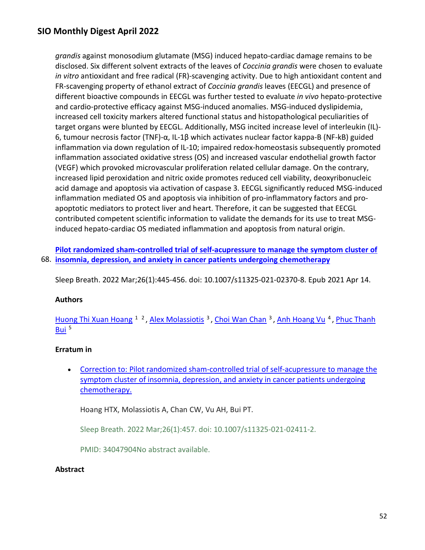*grandis* against monosodium glutamate (MSG) induced hepato-cardiac damage remains to be disclosed. Six different solvent extracts of the leaves of *Coccinia grandis* were chosen to evaluate *in vitro* antioxidant and free radical (FR)-scavenging activity. Due to high antioxidant content and FR-scavenging property of ethanol extract of *Coccinia grandis* leaves (EECGL) and presence of different bioactive compounds in EECGL was further tested to evaluate *in vivo* hepato-protective and cardio-protective efficacy against MSG-induced anomalies. MSG-induced dyslipidemia, increased cell toxicity markers altered functional status and histopathological peculiarities of target organs were blunted by EECGL. Additionally, MSG incited increase level of interleukin (IL)- 6, tumour necrosis factor (TNF)-α, IL-1β which activates nuclear factor kappa-B (NF-kB) guided inflammation via down regulation of IL-10; impaired redox-homeostasis subsequently promoted inflammation associated oxidative stress (OS) and increased vascular endothelial growth factor (VEGF) which provoked microvascular proliferation related cellular damage. On the contrary, increased lipid peroxidation and nitric oxide promotes reduced cell viability, deoxyribonucleic acid damage and apoptosis via activation of caspase 3. EECGL significantly reduced MSG-induced inflammation mediated OS and apoptosis via inhibition of pro-inflammatory factors and proapoptotic mediators to protect liver and heart. Therefore, it can be suggested that EECGL contributed competent scientific information to validate the demands for its use to treat MSGinduced hepato-cardiac OS mediated inflammation and apoptosis from natural origin.

68. **[insomnia, depression, and anxiety in cancer](https://nam11.safelinks.protection.outlook.com/?url=https%3A%2F%2Fpubmed.ncbi.nlm.nih.gov%2F33855642%2F&data=04%7C01%7Calmira.catic%40emory.edu%7C478ade74754b4c15a64f08da13eab169%7Ce004fb9cb0a4424fbcd0322606d5df38%7C0%7C0%7C637844196312396810%7CUnknown%7CTWFpbGZsb3d8eyJWIjoiMC4wLjAwMDAiLCJQIjoiV2luMzIiLCJBTiI6Ik1haWwiLCJXVCI6Mn0%3D%7C3000&sdata=lpv3azHwLcjalzjqnGwre4iGQ%2B%2FtPMpVVyGMXuAXDUI%3D&reserved=0) patients undergoing chemotherapy [Pilot randomized sham-controlled trial of self-acupressure to manage the symptom cluster of](https://nam11.safelinks.protection.outlook.com/?url=https%3A%2F%2Fpubmed.ncbi.nlm.nih.gov%2F33855642%2F&data=04%7C01%7Calmira.catic%40emory.edu%7C478ade74754b4c15a64f08da13eab169%7Ce004fb9cb0a4424fbcd0322606d5df38%7C0%7C0%7C637844196312396810%7CUnknown%7CTWFpbGZsb3d8eyJWIjoiMC4wLjAwMDAiLCJQIjoiV2luMzIiLCJBTiI6Ik1haWwiLCJXVCI6Mn0%3D%7C3000&sdata=lpv3azHwLcjalzjqnGwre4iGQ%2B%2FtPMpVVyGMXuAXDUI%3D&reserved=0)** 

Sleep Breath. 2022 Mar;26(1):445-456. doi: 10.1007/s11325-021-02370-8. Epub 2021 Apr 14.

#### **Authors**

[Huong Thi Xuan Hoang](https://nam11.safelinks.protection.outlook.com/?url=https%3A%2F%2Fpubmed.ncbi.nlm.nih.gov%2F%3Fsize%3D100%26term%3DHoang%2BHTX%26cauthor_id%3D33855642&data=04%7C01%7Calmira.catic%40emory.edu%7C478ade74754b4c15a64f08da13eab169%7Ce004fb9cb0a4424fbcd0322606d5df38%7C0%7C0%7C637844196312396810%7CUnknown%7CTWFpbGZsb3d8eyJWIjoiMC4wLjAwMDAiLCJQIjoiV2luMzIiLCJBTiI6Ik1haWwiLCJXVCI6Mn0%3D%7C3000&sdata=U6Sxeeq3crMIYgJ5unvrtvUXm1tUlMS4BDe1sKRgxc4%3D&reserved=0) <sup>1</sup><sup>2</sup>, Alex Molassiotis<sup>3</sup>, Choi Wan Chan<sup>3</sup>, Anh Hoang Vu<sup>4</sup>, Phuc Thanh Bui<sup>5</sup>

### **Erratum in**

• [Correction to: Pilot randomized sham-controlled trial of self-acupressure to manage the](https://nam11.safelinks.protection.outlook.com/?url=https%3A%2F%2Fpubmed.ncbi.nlm.nih.gov%2F34047904%2F&data=04%7C01%7Calmira.catic%40emory.edu%7C478ade74754b4c15a64f08da13eab169%7Ce004fb9cb0a4424fbcd0322606d5df38%7C0%7C0%7C637844196312396810%7CUnknown%7CTWFpbGZsb3d8eyJWIjoiMC4wLjAwMDAiLCJQIjoiV2luMzIiLCJBTiI6Ik1haWwiLCJXVCI6Mn0%3D%7C3000&sdata=j3LaZ%2F9iBmVTiXXPLKUS3bBhzFOEfq4vEJ75Ie2fKuU%3D&reserved=0)  [symptom cluster of insomnia, depression, and anxiety in cancer patients undergoing](https://nam11.safelinks.protection.outlook.com/?url=https%3A%2F%2Fpubmed.ncbi.nlm.nih.gov%2F34047904%2F&data=04%7C01%7Calmira.catic%40emory.edu%7C478ade74754b4c15a64f08da13eab169%7Ce004fb9cb0a4424fbcd0322606d5df38%7C0%7C0%7C637844196312396810%7CUnknown%7CTWFpbGZsb3d8eyJWIjoiMC4wLjAwMDAiLCJQIjoiV2luMzIiLCJBTiI6Ik1haWwiLCJXVCI6Mn0%3D%7C3000&sdata=j3LaZ%2F9iBmVTiXXPLKUS3bBhzFOEfq4vEJ75Ie2fKuU%3D&reserved=0)  [chemotherapy.](https://nam11.safelinks.protection.outlook.com/?url=https%3A%2F%2Fpubmed.ncbi.nlm.nih.gov%2F34047904%2F&data=04%7C01%7Calmira.catic%40emory.edu%7C478ade74754b4c15a64f08da13eab169%7Ce004fb9cb0a4424fbcd0322606d5df38%7C0%7C0%7C637844196312396810%7CUnknown%7CTWFpbGZsb3d8eyJWIjoiMC4wLjAwMDAiLCJQIjoiV2luMzIiLCJBTiI6Ik1haWwiLCJXVCI6Mn0%3D%7C3000&sdata=j3LaZ%2F9iBmVTiXXPLKUS3bBhzFOEfq4vEJ75Ie2fKuU%3D&reserved=0) 

Hoang HTX, Molassiotis A, Chan CW, Vu AH, Bui PT.

Sleep Breath. 2022 Mar;26(1):457. doi: 10.1007/s11325-021-02411-2.

PMID: 34047904No abstract available.

#### **Abstract**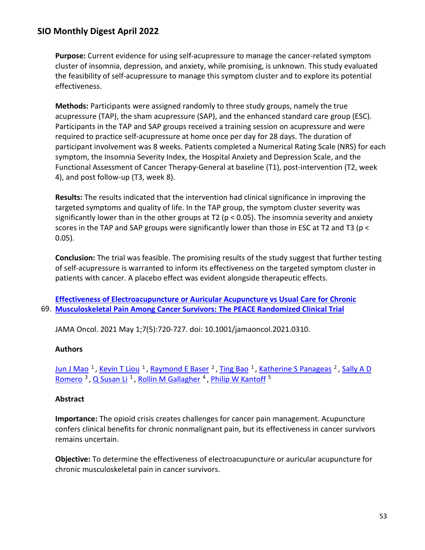**Purpose:** Current evidence for using self-acupressure to manage the cancer-related symptom cluster of insomnia, depression, and anxiety, while promising, is unknown. This study evaluated the feasibility of self-acupressure to manage this symptom cluster and to explore its potential effectiveness.

**Methods:** Participants were assigned randomly to three study groups, namely the true acupressure (TAP), the sham acupressure (SAP), and the enhanced standard care group (ESC). Participants in the TAP and SAP groups received a training session on acupressure and were required to practice self-acupressure at home once per day for 28 days. The duration of participant involvement was 8 weeks. Patients completed a Numerical Rating Scale (NRS) for each symptom, the Insomnia Severity Index, the Hospital Anxiety and Depression Scale, and the Functional Assessment of Cancer Therapy-General at baseline (T1), post-intervention (T2, week 4), and post follow-up (T3, week 8).

**Results:** The results indicated that the intervention had clinical significance in improving the targeted symptoms and quality of life. In the TAP group, the symptom cluster severity was significantly lower than in the other groups at T2 (p < 0.05). The insomnia severity and anxiety scores in the TAP and SAP groups were significantly lower than those in ESC at T2 and T3 (p < 0.05).

**Conclusion:** The trial was feasible. The promising results of the study suggest that further testing of self-acupressure is warranted to inform its effectiveness on the targeted symptom cluster in patients with cancer. A placebo effect was evident alongside therapeutic effects.

69. **[Musculoskeletal Pain Among Cancer Survivors: The PEACE Randomized Clinical Trial](https://nam11.safelinks.protection.outlook.com/?url=https%3A%2F%2Fpubmed.ncbi.nlm.nih.gov%2F33734288%2F&data=04%7C01%7Calmira.catic%40emory.edu%7C478ade74754b4c15a64f08da13eab169%7Ce004fb9cb0a4424fbcd0322606d5df38%7C0%7C0%7C637844196312396810%7CUnknown%7CTWFpbGZsb3d8eyJWIjoiMC4wLjAwMDAiLCJQIjoiV2luMzIiLCJBTiI6Ik1haWwiLCJXVCI6Mn0%3D%7C3000&sdata=kIzmtIczBZqBBPIxtvSz3IGepIQpFVopgnpsoIeWXtI%3D&reserved=0)  [Effectiveness of Electroacupuncture or Auricular Acupuncture vs Usual Care for Chronic](https://nam11.safelinks.protection.outlook.com/?url=https%3A%2F%2Fpubmed.ncbi.nlm.nih.gov%2F33734288%2F&data=04%7C01%7Calmira.catic%40emory.edu%7C478ade74754b4c15a64f08da13eab169%7Ce004fb9cb0a4424fbcd0322606d5df38%7C0%7C0%7C637844196312396810%7CUnknown%7CTWFpbGZsb3d8eyJWIjoiMC4wLjAwMDAiLCJQIjoiV2luMzIiLCJBTiI6Ik1haWwiLCJXVCI6Mn0%3D%7C3000&sdata=kIzmtIczBZqBBPIxtvSz3IGepIQpFVopgnpsoIeWXtI%3D&reserved=0)** 

JAMA Oncol. 2021 May 1;7(5):720-727. doi: 10.1001/jamaoncol.2021.0310.

### **Authors**

[Jun J Mao](https://nam11.safelinks.protection.outlook.com/?url=https%3A%2F%2Fpubmed.ncbi.nlm.nih.gov%2F%3Fsize%3D100%26term%3DMao%2BJJ%26cauthor_id%3D33734288&data=04%7C01%7Calmira.catic%40emory.edu%7C478ade74754b4c15a64f08da13eab169%7Ce004fb9cb0a4424fbcd0322606d5df38%7C0%7C0%7C637844196312396810%7CUnknown%7CTWFpbGZsb3d8eyJWIjoiMC4wLjAwMDAiLCJQIjoiV2luMzIiLCJBTiI6Ik1haWwiLCJXVCI6Mn0%3D%7C3000&sdata=mrIu5Wj8iFsMr17AgoeVD3yVeFVjlqzPoQhqy0ST38k%3D&reserved=0) <sup>1</sup>, [Kevin T Liou](https://nam11.safelinks.protection.outlook.com/?url=https%3A%2F%2Fpubmed.ncbi.nlm.nih.gov%2F%3Fsize%3D100%26term%3DLiou%2BKT%26cauthor_id%3D33734288&data=04%7C01%7Calmira.catic%40emory.edu%7C478ade74754b4c15a64f08da13eab169%7Ce004fb9cb0a4424fbcd0322606d5df38%7C0%7C0%7C637844196312396810%7CUnknown%7CTWFpbGZsb3d8eyJWIjoiMC4wLjAwMDAiLCJQIjoiV2luMzIiLCJBTiI6Ik1haWwiLCJXVCI6Mn0%3D%7C3000&sdata=cxN6iWZNurJtGvmRPXF9W62oMal0m4Mec7S9o%2FRK8O4%3D&reserved=0) <sup>1</sup>, [Raymond E Baser](https://nam11.safelinks.protection.outlook.com/?url=https%3A%2F%2Fpubmed.ncbi.nlm.nih.gov%2F%3Fsize%3D100%26term%3DBaser%2BRE%26cauthor_id%3D33734288&data=04%7C01%7Calmira.catic%40emory.edu%7C478ade74754b4c15a64f08da13eab169%7Ce004fb9cb0a4424fbcd0322606d5df38%7C0%7C0%7C637844196312396810%7CUnknown%7CTWFpbGZsb3d8eyJWIjoiMC4wLjAwMDAiLCJQIjoiV2luMzIiLCJBTiI6Ik1haWwiLCJXVCI6Mn0%3D%7C3000&sdata=FMpFT7mUvpjdv5wt4asTW2oV2ly3Hiw1HUlGbN7L3mc%3D&reserved=0) <sup>2</sup>, [Ting Bao](https://nam11.safelinks.protection.outlook.com/?url=https%3A%2F%2Fpubmed.ncbi.nlm.nih.gov%2F%3Fsize%3D100%26term%3DBao%2BT%26cauthor_id%3D33734288&data=04%7C01%7Calmira.catic%40emory.edu%7C478ade74754b4c15a64f08da13eab169%7Ce004fb9cb0a4424fbcd0322606d5df38%7C0%7C0%7C637844196312396810%7CUnknown%7CTWFpbGZsb3d8eyJWIjoiMC4wLjAwMDAiLCJQIjoiV2luMzIiLCJBTiI6Ik1haWwiLCJXVCI6Mn0%3D%7C3000&sdata=ivHsLKbmvCbq%2F2CJLFlqUQlKTK5xdGv25VlGW4QM3bw%3D&reserved=0) <sup>1</sup>, [Katherine S Panageas](https://nam11.safelinks.protection.outlook.com/?url=https%3A%2F%2Fpubmed.ncbi.nlm.nih.gov%2F%3Fsize%3D100%26term%3DPanageas%2BKS%26cauthor_id%3D33734288&data=04%7C01%7Calmira.catic%40emory.edu%7C478ade74754b4c15a64f08da13eab169%7Ce004fb9cb0a4424fbcd0322606d5df38%7C0%7C0%7C637844196312396810%7CUnknown%7CTWFpbGZsb3d8eyJWIjoiMC4wLjAwMDAiLCJQIjoiV2luMzIiLCJBTiI6Ik1haWwiLCJXVCI6Mn0%3D%7C3000&sdata=LNaVMQ1ibnUsSdLyTvoAsqz6b4rdy9K92gjYI5r8FDQ%3D&reserved=0) <sup>2</sup>, Sally A D Romero<sup>3</sup>, Q Susan Li<sup>1</sup>, Rollin M Gallagher<sup>4</sup>, Philip W Kantoff<sup>5</sup>

#### **Abstract**

**Importance:** The opioid crisis creates challenges for cancer pain management. Acupuncture confers clinical benefits for chronic nonmalignant pain, but its effectiveness in cancer survivors remains uncertain.

**Objective:** To determine the effectiveness of electroacupuncture or auricular acupuncture for chronic musculoskeletal pain in cancer survivors.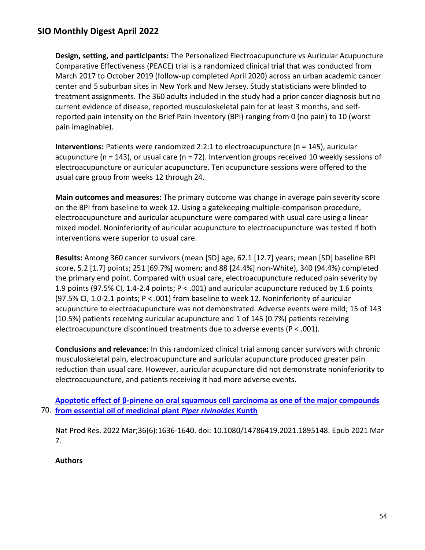**Design, setting, and participants:** The Personalized Electroacupuncture vs Auricular Acupuncture Comparative Effectiveness (PEACE) trial is a randomized clinical trial that was conducted from March 2017 to October 2019 (follow-up completed April 2020) across an urban academic cancer center and 5 suburban sites in New York and New Jersey. Study statisticians were blinded to treatment assignments. The 360 adults included in the study had a prior cancer diagnosis but no current evidence of disease, reported musculoskeletal pain for at least 3 months, and selfreported pain intensity on the Brief Pain Inventory (BPI) ranging from 0 (no pain) to 10 (worst pain imaginable).

**Interventions:** Patients were randomized 2:2:1 to electroacupuncture (n = 145), auricular acupuncture (n = 143), or usual care (n = 72). Intervention groups received 10 weekly sessions of electroacupuncture or auricular acupuncture. Ten acupuncture sessions were offered to the usual care group from weeks 12 through 24.

**Main outcomes and measures:** The primary outcome was change in average pain severity score on the BPI from baseline to week 12. Using a gatekeeping multiple-comparison procedure, electroacupuncture and auricular acupuncture were compared with usual care using a linear mixed model. Noninferiority of auricular acupuncture to electroacupuncture was tested if both interventions were superior to usual care.

**Results:** Among 360 cancer survivors (mean [SD] age, 62.1 [12.7] years; mean [SD] baseline BPI score, 5.2 [1.7] points; 251 [69.7%] women; and 88 [24.4%] non-White), 340 (94.4%) completed the primary end point. Compared with usual care, electroacupuncture reduced pain severity by 1.9 points (97.5% CI, 1.4-2.4 points; P < .001) and auricular acupuncture reduced by 1.6 points (97.5% CI, 1.0-2.1 points; P < .001) from baseline to week 12. Noninferiority of auricular acupuncture to electroacupuncture was not demonstrated. Adverse events were mild; 15 of 143 (10.5%) patients receiving auricular acupuncture and 1 of 145 (0.7%) patients receiving electroacupuncture discontinued treatments due to adverse events (P < .001).

**Conclusions and relevance:** In this randomized clinical trial among cancer survivors with chronic musculoskeletal pain, electroacupuncture and auricular acupuncture produced greater pain reduction than usual care. However, auricular acupuncture did not demonstrate noninferiority to electroacupuncture, and patients receiving it had more adverse events.

70. **[from essential oil of medicinal plant](https://nam11.safelinks.protection.outlook.com/?url=https%3A%2F%2Fpubmed.ncbi.nlm.nih.gov%2F33678083%2F&data=04%7C01%7Calmira.catic%40emory.edu%7C478ade74754b4c15a64f08da13eab169%7Ce004fb9cb0a4424fbcd0322606d5df38%7C0%7C0%7C637844196312553050%7CUnknown%7CTWFpbGZsb3d8eyJWIjoiMC4wLjAwMDAiLCJQIjoiV2luMzIiLCJBTiI6Ik1haWwiLCJXVCI6Mn0%3D%7C3000&sdata=uSTp7bQYSQvJawCLroj8vpkYdFbs2udCUvq1E%2F7enPc%3D&reserved=0)** *Piper rivinoides* **Kunth Apoptotic effect of β[-pinene on oral squamous cell carcinoma as one of the major compounds](https://nam11.safelinks.protection.outlook.com/?url=https%3A%2F%2Fpubmed.ncbi.nlm.nih.gov%2F33678083%2F&data=04%7C01%7Calmira.catic%40emory.edu%7C478ade74754b4c15a64f08da13eab169%7Ce004fb9cb0a4424fbcd0322606d5df38%7C0%7C0%7C637844196312553050%7CUnknown%7CTWFpbGZsb3d8eyJWIjoiMC4wLjAwMDAiLCJQIjoiV2luMzIiLCJBTiI6Ik1haWwiLCJXVCI6Mn0%3D%7C3000&sdata=uSTp7bQYSQvJawCLroj8vpkYdFbs2udCUvq1E%2F7enPc%3D&reserved=0)** 

Nat Prod Res. 2022 Mar;36(6):1636-1640. doi: 10.1080/14786419.2021.1895148. Epub 2021 Mar 7.

### **Authors**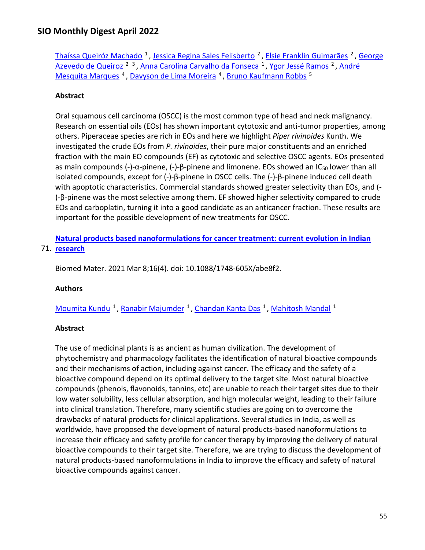[Thaíssa Queiróz Machado](https://nam11.safelinks.protection.outlook.com/?url=https%3A%2F%2Fpubmed.ncbi.nlm.nih.gov%2F%3Fsize%3D100%26term%3DMachado%2BTQ%26cauthor_id%3D33678083&data=04%7C01%7Calmira.catic%40emory.edu%7C478ade74754b4c15a64f08da13eab169%7Ce004fb9cb0a4424fbcd0322606d5df38%7C0%7C0%7C637844196312553050%7CUnknown%7CTWFpbGZsb3d8eyJWIjoiMC4wLjAwMDAiLCJQIjoiV2luMzIiLCJBTiI6Ik1haWwiLCJXVCI6Mn0%3D%7C3000&sdata=0AOkOl7ParGrvPRmtqtMVG4uWxgl2USuZjaW8Lgzt6w%3D&reserved=0)<sup>1</sup>, [Jessica Regina Sales Felisberto](https://nam11.safelinks.protection.outlook.com/?url=https%3A%2F%2Fpubmed.ncbi.nlm.nih.gov%2F%3Fsize%3D100%26term%3DFelisberto%2BJRS%26cauthor_id%3D33678083&data=04%7C01%7Calmira.catic%40emory.edu%7C478ade74754b4c15a64f08da13eab169%7Ce004fb9cb0a4424fbcd0322606d5df38%7C0%7C0%7C637844196312553050%7CUnknown%7CTWFpbGZsb3d8eyJWIjoiMC4wLjAwMDAiLCJQIjoiV2luMzIiLCJBTiI6Ik1haWwiLCJXVCI6Mn0%3D%7C3000&sdata=uFopfzcYZ8JNV%2B9PBIHDPxrHPO5H%2FW%2BLZBJZ7yf%2BLak%3D&reserved=0)<sup>2</sup>, [Elsie Franklin Guimarães](https://nam11.safelinks.protection.outlook.com/?url=https%3A%2F%2Fpubmed.ncbi.nlm.nih.gov%2F%3Fsize%3D100%26term%3DGuimar%25C3%25A3es%2BEF%26cauthor_id%3D33678083&data=04%7C01%7Calmira.catic%40emory.edu%7C478ade74754b4c15a64f08da13eab169%7Ce004fb9cb0a4424fbcd0322606d5df38%7C0%7C0%7C637844196312553050%7CUnknown%7CTWFpbGZsb3d8eyJWIjoiMC4wLjAwMDAiLCJQIjoiV2luMzIiLCJBTiI6Ik1haWwiLCJXVCI6Mn0%3D%7C3000&sdata=Or7%2Fv9sIGKnl8mLyKezB4U8ZY387l66YtIaQ3mGcgy4%3D&reserved=0)<sup>2</sup>, George [Azevedo de Queiroz](https://nam11.safelinks.protection.outlook.com/?url=https%3A%2F%2Fpubmed.ncbi.nlm.nih.gov%2F%3Fsize%3D100%26term%3DQueiroz%2BGA%26cauthor_id%3D33678083&data=04%7C01%7Calmira.catic%40emory.edu%7C478ade74754b4c15a64f08da13eab169%7Ce004fb9cb0a4424fbcd0322606d5df38%7C0%7C0%7C637844196312553050%7CUnknown%7CTWFpbGZsb3d8eyJWIjoiMC4wLjAwMDAiLCJQIjoiV2luMzIiLCJBTiI6Ik1haWwiLCJXVCI6Mn0%3D%7C3000&sdata=Zq4whNvLxNimazwoGDdioNbUvs7dPS4zExI6wFo7bfo%3D&reserved=0) <sup>2 3</sup>, [Anna Carolina Carvalho da Fonseca](https://nam11.safelinks.protection.outlook.com/?url=https%3A%2F%2Fpubmed.ncbi.nlm.nih.gov%2F%3Fsize%3D100%26term%3DFonseca%2BACCD%26cauthor_id%3D33678083&data=04%7C01%7Calmira.catic%40emory.edu%7C478ade74754b4c15a64f08da13eab169%7Ce004fb9cb0a4424fbcd0322606d5df38%7C0%7C0%7C637844196312553050%7CUnknown%7CTWFpbGZsb3d8eyJWIjoiMC4wLjAwMDAiLCJQIjoiV2luMzIiLCJBTiI6Ik1haWwiLCJXVCI6Mn0%3D%7C3000&sdata=jitIafDgBuEUCbzhyXlnDat85bR5vMGoobkuv0KYbWE%3D&reserved=0) <sup>1</sup>, [Ygor Jessé Ramos](https://nam11.safelinks.protection.outlook.com/?url=https%3A%2F%2Fpubmed.ncbi.nlm.nih.gov%2F%3Fsize%3D100%26term%3DRamos%2BYJ%26cauthor_id%3D33678083&data=04%7C01%7Calmira.catic%40emory.edu%7C478ade74754b4c15a64f08da13eab169%7Ce004fb9cb0a4424fbcd0322606d5df38%7C0%7C0%7C637844196312553050%7CUnknown%7CTWFpbGZsb3d8eyJWIjoiMC4wLjAwMDAiLCJQIjoiV2luMzIiLCJBTiI6Ik1haWwiLCJXVCI6Mn0%3D%7C3000&sdata=YzSB%2FNzaNyrlJLypn0jhYDiP%2BSdqM8Ina%2BFmwbBZzCY%3D&reserved=0) <sup>2</sup>, André Mesquita Marques<sup>4</sup>, Davyson de Lima Moreira<sup>4</sup>, Bruno Kaufmann Robbs<sup>5</sup>

### **Abstract**

Oral squamous cell carcinoma (OSCC) is the most common type of head and neck malignancy. Research on essential oils (EOs) has shown important cytotoxic and anti-tumor properties, among others. Piperaceae species are rich in EOs and here we highlight *Piper rivinoides* Kunth. We investigated the crude EOs from *P. rivinoides*, their pure major constituents and an enriched fraction with the main EO compounds (EF) as cytotoxic and selective OSCC agents. EOs presented as main compounds (-)-α-pinene, (-)-β-pinene and limonene. EOs showed an IC<sub>50</sub> lower than all isolated compounds, except for (-)-β-pinene in OSCC cells. The (-)-β-pinene induced cell death with apoptotic characteristics. Commercial standards showed greater selectivity than EOs, and (- )-β-pinene was the most selective among them. EF showed higher selectivity compared to crude EOs and carboplatin, turning it into a good candidate as an anticancer fraction. These results are important for the possible development of new treatments for OSCC.

71. **[research](https://nam11.safelinks.protection.outlook.com/?url=https%3A%2F%2Fpubmed.ncbi.nlm.nih.gov%2F33621207%2F&data=04%7C01%7Calmira.catic%40emory.edu%7C478ade74754b4c15a64f08da13eab169%7Ce004fb9cb0a4424fbcd0322606d5df38%7C0%7C0%7C637844196312709303%7CUnknown%7CTWFpbGZsb3d8eyJWIjoiMC4wLjAwMDAiLCJQIjoiV2luMzIiLCJBTiI6Ik1haWwiLCJXVCI6Mn0%3D%7C3000&sdata=jmPU5tu42YvYUKX1ehduy2qLfHvtPp0QshYM%2F%2BuJBV0%3D&reserved=0)  [Natural products based nanoformulations for cancer treatment: current evolution in Indian](https://nam11.safelinks.protection.outlook.com/?url=https%3A%2F%2Fpubmed.ncbi.nlm.nih.gov%2F33621207%2F&data=04%7C01%7Calmira.catic%40emory.edu%7C478ade74754b4c15a64f08da13eab169%7Ce004fb9cb0a4424fbcd0322606d5df38%7C0%7C0%7C637844196312709303%7CUnknown%7CTWFpbGZsb3d8eyJWIjoiMC4wLjAwMDAiLCJQIjoiV2luMzIiLCJBTiI6Ik1haWwiLCJXVCI6Mn0%3D%7C3000&sdata=jmPU5tu42YvYUKX1ehduy2qLfHvtPp0QshYM%2F%2BuJBV0%3D&reserved=0)**

Biomed Mater. 2021 Mar 8;16(4). doi: 10.1088/1748-605X/abe8f2.

### **Authors**

Moumita Kundu<sup>1</sup>, Ranabir Majumder<sup>1</sup>, Chandan Kanta Das<sup>1</sup>, Mahitosh Mandal<sup>1</sup>

### **Abstract**

The use of medicinal plants is as ancient as human civilization. The development of phytochemistry and pharmacology facilitates the identification of natural bioactive compounds and their mechanisms of action, including against cancer. The efficacy and the safety of a bioactive compound depend on its optimal delivery to the target site. Most natural bioactive compounds (phenols, flavonoids, tannins, etc) are unable to reach their target sites due to their low water solubility, less cellular absorption, and high molecular weight, leading to their failure into clinical translation. Therefore, many scientific studies are going on to overcome the drawbacks of natural products for clinical applications. Several studies in India, as well as worldwide, have proposed the development of natural products-based nanoformulations to increase their efficacy and safety profile for cancer therapy by improving the delivery of natural bioactive compounds to their target site. Therefore, we are trying to discuss the development of natural products-based nanoformulations in India to improve the efficacy and safety of natural bioactive compounds against cancer.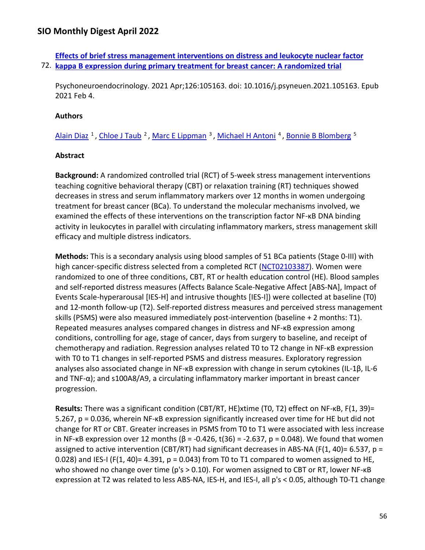72. **[kappa B expression during primary treatment for breast cancer: A randomized trial](https://nam11.safelinks.protection.outlook.com/?url=https%3A%2F%2Fpubmed.ncbi.nlm.nih.gov%2F33611132%2F&data=04%7C01%7Calmira.catic%40emory.edu%7C478ade74754b4c15a64f08da13eab169%7Ce004fb9cb0a4424fbcd0322606d5df38%7C0%7C0%7C637844196312709303%7CUnknown%7CTWFpbGZsb3d8eyJWIjoiMC4wLjAwMDAiLCJQIjoiV2luMzIiLCJBTiI6Ik1haWwiLCJXVCI6Mn0%3D%7C3000&sdata=7zjSt2%2FOV9UFxVyhD2nqHxXhmkA%2Bw6bA3I8np9%2Fv24w%3D&reserved=0)  [Effects of brief stress management interventions on distress and leukocyte nuclear factor](https://nam11.safelinks.protection.outlook.com/?url=https%3A%2F%2Fpubmed.ncbi.nlm.nih.gov%2F33611132%2F&data=04%7C01%7Calmira.catic%40emory.edu%7C478ade74754b4c15a64f08da13eab169%7Ce004fb9cb0a4424fbcd0322606d5df38%7C0%7C0%7C637844196312709303%7CUnknown%7CTWFpbGZsb3d8eyJWIjoiMC4wLjAwMDAiLCJQIjoiV2luMzIiLCJBTiI6Ik1haWwiLCJXVCI6Mn0%3D%7C3000&sdata=7zjSt2%2FOV9UFxVyhD2nqHxXhmkA%2Bw6bA3I8np9%2Fv24w%3D&reserved=0)** 

Psychoneuroendocrinology. 2021 Apr;126:105163. doi: 10.1016/j.psyneuen.2021.105163. Epub 2021 Feb 4.

### **Authors**

Alain Diaz<sup>1</sup>, Chloe J Taub<sup>2</sup>, Marc E Lippman<sup>3</sup>, Michael H Antoni<sup>4</sup>, Bonnie B Blomberg<sup>5</sup>

### **Abstract**

**Background:** A randomized controlled trial (RCT) of 5-week stress management interventions teaching cognitive behavioral therapy (CBT) or relaxation training (RT) techniques showed decreases in stress and serum inflammatory markers over 12 months in women undergoing treatment for breast cancer (BCa). To understand the molecular mechanisms involved, we examined the effects of these interventions on the transcription factor NF-κB DNA binding activity in leukocytes in parallel with circulating inflammatory markers, stress management skill efficacy and multiple distress indicators.

**Methods:** This is a secondary analysis using blood samples of 51 BCa patients (Stage 0-III) with high cancer-specific distress selected from a completed RCT [\(NCT02103387\)](https://nam11.safelinks.protection.outlook.com/?url=http%3A%2F%2Fclinicaltrials.gov%2Fshow%2FNCT02103387&data=04%7C01%7Calmira.catic%40emory.edu%7C478ade74754b4c15a64f08da13eab169%7Ce004fb9cb0a4424fbcd0322606d5df38%7C0%7C0%7C637844196312709303%7CUnknown%7CTWFpbGZsb3d8eyJWIjoiMC4wLjAwMDAiLCJQIjoiV2luMzIiLCJBTiI6Ik1haWwiLCJXVCI6Mn0%3D%7C3000&sdata=d%2BJfmDGCbydwDa12wxIvya834mYNHql1f8LXbIcFpdo%3D&reserved=0). Women were randomized to one of three conditions, CBT, RT or health education control (HE). Blood samples and self-reported distress measures (Affects Balance Scale-Negative Affect [ABS-NA], Impact of Events Scale-hyperarousal [IES-H] and intrusive thoughts [IES-I]) were collected at baseline (T0) and 12-month follow-up (T2). Self-reported distress measures and perceived stress management skills (PSMS) were also measured immediately post-intervention (baseline + 2 months: T1). Repeated measures analyses compared changes in distress and NF-κB expression among conditions, controlling for age, stage of cancer, days from surgery to baseline, and receipt of chemotherapy and radiation. Regression analyses related T0 to T2 change in NF-κB expression with T0 to T1 changes in self-reported PSMS and distress measures. Exploratory regression analyses also associated change in NF-κB expression with change in serum cytokines (IL-1β, IL-6 and TNF-α); and s100A8/A9, a circulating inflammatory marker important in breast cancer progression.

**Results:** There was a significant condition (CBT/RT, HE)xtime (T0, T2) effect on NF-κB, F(1, 39)= 5.267, p = 0.036, wherein NF-κB expression significantly increased over time for HE but did not change for RT or CBT. Greater increases in PSMS from T0 to T1 were associated with less increase in NF-κB expression over 12 months ( $\beta$  = -0.426, t(36) = -2.637, p = 0.048). We found that women assigned to active intervention (CBT/RT) had significant decreases in ABS-NA (F(1, 40)= 6.537, p = 0.028) and IES-I (F(1, 40)= 4.391,  $p = 0.043$ ) from T0 to T1 compared to women assigned to HE, who showed no change over time (p's > 0.10). For women assigned to CBT or RT, lower NF-κB expression at T2 was related to less ABS-NA, IES-H, and IES-I, all p's < 0.05, although T0-T1 change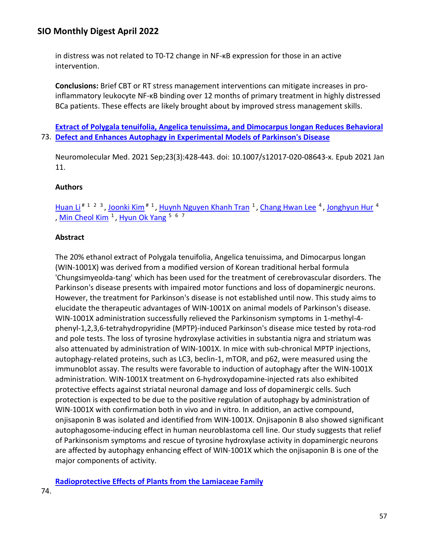in distress was not related to T0-T2 change in NF-κB expression for those in an active intervention.

**Conclusions:** Brief CBT or RT stress management interventions can mitigate increases in proinflammatory leukocyte NF-κB binding over 12 months of primary treatment in highly distressed BCa patients. These effects are likely brought about by improved stress management skills.

73. **[Defect and Enhances Autophagy in Experimental Models of Parkinson's Disease](https://nam11.safelinks.protection.outlook.com/?url=https%3A%2F%2Fpubmed.ncbi.nlm.nih.gov%2F33432492%2F&data=04%7C01%7Calmira.catic%40emory.edu%7C478ade74754b4c15a64f08da13eab169%7Ce004fb9cb0a4424fbcd0322606d5df38%7C0%7C0%7C637844196312709303%7CUnknown%7CTWFpbGZsb3d8eyJWIjoiMC4wLjAwMDAiLCJQIjoiV2luMzIiLCJBTiI6Ik1haWwiLCJXVCI6Mn0%3D%7C3000&sdata=r08lag0KY6zyOLUkrOBGzL2iDam%2FjWXjBB%2Fbfd1LRqU%3D&reserved=0)  [Extract of Polygala tenuifolia, Angelica tenuissima, and Dimocarpus longan Reduces Behavioral](https://nam11.safelinks.protection.outlook.com/?url=https%3A%2F%2Fpubmed.ncbi.nlm.nih.gov%2F33432492%2F&data=04%7C01%7Calmira.catic%40emory.edu%7C478ade74754b4c15a64f08da13eab169%7Ce004fb9cb0a4424fbcd0322606d5df38%7C0%7C0%7C637844196312709303%7CUnknown%7CTWFpbGZsb3d8eyJWIjoiMC4wLjAwMDAiLCJQIjoiV2luMzIiLCJBTiI6Ik1haWwiLCJXVCI6Mn0%3D%7C3000&sdata=r08lag0KY6zyOLUkrOBGzL2iDam%2FjWXjBB%2Fbfd1LRqU%3D&reserved=0)** 

Neuromolecular Med. 2021 Sep;23(3):428-443. doi: 10.1007/s12017-020-08643-x. Epub 2021 Jan 11.

## **Authors**

Huan Li<sup># 1 2 3</sup>, Joonki Kim<sup># 1</sup>, [Huynh Nguyen Khanh Tran](https://nam11.safelinks.protection.outlook.com/?url=https%3A%2F%2Fpubmed.ncbi.nlm.nih.gov%2F%3Fsize%3D100%26term%3DTran%2BHNK%26cauthor_id%3D33432492&data=04%7C01%7Calmira.catic%40emory.edu%7C478ade74754b4c15a64f08da13eab169%7Ce004fb9cb0a4424fbcd0322606d5df38%7C0%7C0%7C637844196312865528%7CUnknown%7CTWFpbGZsb3d8eyJWIjoiMC4wLjAwMDAiLCJQIjoiV2luMzIiLCJBTiI6Ik1haWwiLCJXVCI6Mn0%3D%7C3000&sdata=uiD4DAl%2BYNrTWhQdeSBCnlu7cAtJEE0Kl3PQYaUb10g%3D&reserved=0) <sup>1</sup>, [Chang Hwan Lee](https://nam11.safelinks.protection.outlook.com/?url=https%3A%2F%2Fpubmed.ncbi.nlm.nih.gov%2F%3Fsize%3D100%26term%3DLee%2BCH%26cauthor_id%3D33432492&data=04%7C01%7Calmira.catic%40emory.edu%7C478ade74754b4c15a64f08da13eab169%7Ce004fb9cb0a4424fbcd0322606d5df38%7C0%7C0%7C637844196312865528%7CUnknown%7CTWFpbGZsb3d8eyJWIjoiMC4wLjAwMDAiLCJQIjoiV2luMzIiLCJBTiI6Ik1haWwiLCJXVCI6Mn0%3D%7C3000&sdata=iqQo1eCp2oYwuDPSkRTFOvsbX4RfMj5T%2BaXBDBKgeqM%3D&reserved=0) <sup>4</sup>, [Jonghyun Hur](https://nam11.safelinks.protection.outlook.com/?url=https%3A%2F%2Fpubmed.ncbi.nlm.nih.gov%2F%3Fsize%3D100%26term%3DHur%2BJ%26cauthor_id%3D33432492&data=04%7C01%7Calmira.catic%40emory.edu%7C478ade74754b4c15a64f08da13eab169%7Ce004fb9cb0a4424fbcd0322606d5df38%7C0%7C0%7C637844196312865528%7CUnknown%7CTWFpbGZsb3d8eyJWIjoiMC4wLjAwMDAiLCJQIjoiV2luMzIiLCJBTiI6Ik1haWwiLCJXVCI6Mn0%3D%7C3000&sdata=6remahgBLgdrz0UI6raUeOB9wDck1h8Cq84IJyDHjgY%3D&reserved=0) <sup>4</sup> , Min Cheol Kim<sup>1</sup>, [Hyun Ok Yang](https://nam11.safelinks.protection.outlook.com/?url=https%3A%2F%2Fpubmed.ncbi.nlm.nih.gov%2F%3Fsize%3D100%26term%3DYang%2BHO%26cauthor_id%3D33432492&data=04%7C01%7Calmira.catic%40emory.edu%7C478ade74754b4c15a64f08da13eab169%7Ce004fb9cb0a4424fbcd0322606d5df38%7C0%7C0%7C637844196312865528%7CUnknown%7CTWFpbGZsb3d8eyJWIjoiMC4wLjAwMDAiLCJQIjoiV2luMzIiLCJBTiI6Ik1haWwiLCJXVCI6Mn0%3D%7C3000&sdata=Y9Mv4%2FgbYsmKMhKxu46pkVDulnLhXZE1c4ZZFmweOmU%3D&reserved=0)  $5\,6\,7$ 

## **Abstract**

The 20% ethanol extract of Polygala tenuifolia, Angelica tenuissima, and Dimocarpus longan (WIN-1001X) was derived from a modified version of Korean traditional herbal formula 'Chungsimyeolda-tang' which has been used for the treatment of cerebrovascular disorders. The Parkinson's disease presents with impaired motor functions and loss of dopaminergic neurons. However, the treatment for Parkinson's disease is not established until now. This study aims to elucidate the therapeutic advantages of WIN-1001X on animal models of Parkinson's disease. WIN-1001X administration successfully relieved the Parkinsonism symptoms in 1-methyl-4 phenyl-1,2,3,6-tetrahydropyridine (MPTP)-induced Parkinson's disease mice tested by rota-rod and pole tests. The loss of tyrosine hydroxylase activities in substantia nigra and striatum was also attenuated by administration of WIN-1001X. In mice with sub-chronical MPTP injections, autophagy-related proteins, such as LC3, beclin-1, mTOR, and p62, were measured using the immunoblot assay. The results were favorable to induction of autophagy after the WIN-1001X administration. WIN-1001X treatment on 6-hydroxydopamine-injected rats also exhibited protective effects against striatal neuronal damage and loss of dopaminergic cells. Such protection is expected to be due to the positive regulation of autophagy by administration of WIN-1001X with confirmation both in vivo and in vitro. In addition, an active compound, onjisaponin B was isolated and identified from WIN-1001X. Onjisaponin B also showed significant autophagosome-inducing effect in human neuroblastoma cell line. Our study suggests that relief of Parkinsonism symptoms and rescue of tyrosine hydroxylase activity in dopaminergic neurons are affected by autophagy enhancing effect of WIN-1001X which the onjisaponin B is one of the major components of activity.

**[Radioprotective Effects of Plants from the Lamiaceae Family](https://nam11.safelinks.protection.outlook.com/?url=https%3A%2F%2Fpubmed.ncbi.nlm.nih.gov%2F33121420%2F&data=04%7C01%7Calmira.catic%40emory.edu%7C478ade74754b4c15a64f08da13eab169%7Ce004fb9cb0a4424fbcd0322606d5df38%7C0%7C0%7C637844196312865528%7CUnknown%7CTWFpbGZsb3d8eyJWIjoiMC4wLjAwMDAiLCJQIjoiV2luMzIiLCJBTiI6Ik1haWwiLCJXVCI6Mn0%3D%7C3000&sdata=OL6pd%2BXy8p6qFkqnvTqGBPE4zO1TvH%2FjGxYVFh6fPeU%3D&reserved=0)**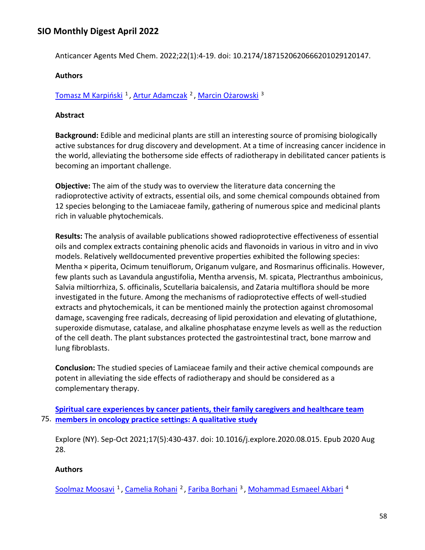Anticancer Agents Med Chem. 2022;22(1):4-19. doi: 10.2174/1871520620666201029120147.

### **Authors**

[Tomasz M Karpiński](https://nam11.safelinks.protection.outlook.com/?url=https%3A%2F%2Fpubmed.ncbi.nlm.nih.gov%2F%3Fsize%3D100%26term%3DKarpi%25C5%2584ski%2BTM%26cauthor_id%3D33121420&data=04%7C01%7Calmira.catic%40emory.edu%7C478ade74754b4c15a64f08da13eab169%7Ce004fb9cb0a4424fbcd0322606d5df38%7C0%7C0%7C637844196312865528%7CUnknown%7CTWFpbGZsb3d8eyJWIjoiMC4wLjAwMDAiLCJQIjoiV2luMzIiLCJBTiI6Ik1haWwiLCJXVCI6Mn0%3D%7C3000&sdata=LeXhnIJmSKuvD5xNZ8dWAfRzDM3fqN%2FaqcoXhURxiew%3D&reserved=0)<sup>1</sup>, Artur Adamczak<sup>2</sup>, [Marcin Ożarowski](https://nam11.safelinks.protection.outlook.com/?url=https%3A%2F%2Fpubmed.ncbi.nlm.nih.gov%2F%3Fsize%3D100%26term%3DO%25C5%25BCarowski%2BM%26cauthor_id%3D33121420&data=04%7C01%7Calmira.catic%40emory.edu%7C478ade74754b4c15a64f08da13eab169%7Ce004fb9cb0a4424fbcd0322606d5df38%7C0%7C0%7C637844196312865528%7CUnknown%7CTWFpbGZsb3d8eyJWIjoiMC4wLjAwMDAiLCJQIjoiV2luMzIiLCJBTiI6Ik1haWwiLCJXVCI6Mn0%3D%7C3000&sdata=GMaVaHymPYiPOtU8uAzc9cZjfs1Ww1ScEupsf1%2BFASM%3D&reserved=0)<sup>3</sup>

#### **Abstract**

**Background:** Edible and medicinal plants are still an interesting source of promising biologically active substances for drug discovery and development. At a time of increasing cancer incidence in the world, alleviating the bothersome side effects of radiotherapy in debilitated cancer patients is becoming an important challenge.

**Objective:** The aim of the study was to overview the literature data concerning the radioprotective activity of extracts, essential oils, and some chemical compounds obtained from 12 species belonging to the Lamiaceae family, gathering of numerous spice and medicinal plants rich in valuable phytochemicals.

**Results:** The analysis of available publications showed radioprotective effectiveness of essential oils and complex extracts containing phenolic acids and flavonoids in various in vitro and in vivo models. Relatively welldocumented preventive properties exhibited the following species: Mentha × piperita, Ocimum tenuiflorum, Origanum vulgare, and Rosmarinus officinalis. However, few plants such as Lavandula angustifolia, Mentha arvensis, M. spicata, Plectranthus amboinicus, Salvia miltiorrhiza, S. officinalis, Scutellaria baicalensis, and Zataria multiflora should be more investigated in the future. Among the mechanisms of radioprotective effects of well-studied extracts and phytochemicals, it can be mentioned mainly the protection against chromosomal damage, scavenging free radicals, decreasing of lipid peroxidation and elevating of glutathione, superoxide dismutase, catalase, and alkaline phosphatase enzyme levels as well as the reduction of the cell death. The plant substances protected the gastrointestinal tract, bone marrow and lung fibroblasts.

**Conclusion:** The studied species of Lamiaceae family and their active chemical compounds are potent in alleviating the side effects of radiotherapy and should be considered as a complementary therapy.

75. **[members in oncology practice settings: A qualitative study](https://nam11.safelinks.protection.outlook.com/?url=https%3A%2F%2Fpubmed.ncbi.nlm.nih.gov%2F32919895%2F&data=04%7C01%7Calmira.catic%40emory.edu%7C478ade74754b4c15a64f08da13eab169%7Ce004fb9cb0a4424fbcd0322606d5df38%7C0%7C0%7C637844196312865528%7CUnknown%7CTWFpbGZsb3d8eyJWIjoiMC4wLjAwMDAiLCJQIjoiV2luMzIiLCJBTiI6Ik1haWwiLCJXVCI6Mn0%3D%7C3000&sdata=p2i9BEFKeuFvd4cgqYvjWVI8TUvOotWsw2q9g08Q2r0%3D&reserved=0)  [Spiritual care experiences by cancer patients, their family caregivers and healthcare team](https://nam11.safelinks.protection.outlook.com/?url=https%3A%2F%2Fpubmed.ncbi.nlm.nih.gov%2F32919895%2F&data=04%7C01%7Calmira.catic%40emory.edu%7C478ade74754b4c15a64f08da13eab169%7Ce004fb9cb0a4424fbcd0322606d5df38%7C0%7C0%7C637844196312865528%7CUnknown%7CTWFpbGZsb3d8eyJWIjoiMC4wLjAwMDAiLCJQIjoiV2luMzIiLCJBTiI6Ik1haWwiLCJXVCI6Mn0%3D%7C3000&sdata=p2i9BEFKeuFvd4cgqYvjWVI8TUvOotWsw2q9g08Q2r0%3D&reserved=0)** 

Explore (NY). Sep-Oct 2021;17(5):430-437. doi: 10.1016/j.explore.2020.08.015. Epub 2020 Aug 28.

### **Authors**

[Soolmaz Moosavi](https://nam11.safelinks.protection.outlook.com/?url=https%3A%2F%2Fpubmed.ncbi.nlm.nih.gov%2F%3Fsize%3D100%26term%3DMoosavi%2BS%26cauthor_id%3D32919895&data=04%7C01%7Calmira.catic%40emory.edu%7C478ade74754b4c15a64f08da13eab169%7Ce004fb9cb0a4424fbcd0322606d5df38%7C0%7C0%7C637844196312865528%7CUnknown%7CTWFpbGZsb3d8eyJWIjoiMC4wLjAwMDAiLCJQIjoiV2luMzIiLCJBTiI6Ik1haWwiLCJXVCI6Mn0%3D%7C3000&sdata=TWdgtuHOGKEY6vngF7FsZTx04VbgWINCcnGisYk7irM%3D&reserved=0) <sup>1</sup>, [Camelia Rohani](https://nam11.safelinks.protection.outlook.com/?url=https%3A%2F%2Fpubmed.ncbi.nlm.nih.gov%2F%3Fsize%3D100%26term%3DRohani%2BC%26cauthor_id%3D32919895&data=04%7C01%7Calmira.catic%40emory.edu%7C478ade74754b4c15a64f08da13eab169%7Ce004fb9cb0a4424fbcd0322606d5df38%7C0%7C0%7C637844196312865528%7CUnknown%7CTWFpbGZsb3d8eyJWIjoiMC4wLjAwMDAiLCJQIjoiV2luMzIiLCJBTiI6Ik1haWwiLCJXVCI6Mn0%3D%7C3000&sdata=ESrQifnXmknZjbCTfVhDMi3T%2FOML6vMYPx%2Fe0%2FSHNOg%3D&reserved=0) <sup>2</sup>, [Fariba Borhani](https://nam11.safelinks.protection.outlook.com/?url=https%3A%2F%2Fpubmed.ncbi.nlm.nih.gov%2F%3Fsize%3D100%26term%3DBorhani%2BF%26cauthor_id%3D32919895&data=04%7C01%7Calmira.catic%40emory.edu%7C478ade74754b4c15a64f08da13eab169%7Ce004fb9cb0a4424fbcd0322606d5df38%7C0%7C0%7C637844196312865528%7CUnknown%7CTWFpbGZsb3d8eyJWIjoiMC4wLjAwMDAiLCJQIjoiV2luMzIiLCJBTiI6Ik1haWwiLCJXVCI6Mn0%3D%7C3000&sdata=AN1InQrpeLtAQ5chwq2%2FqrlImIHN6zPHYYIMNuNK7hw%3D&reserved=0) <sup>3</sup>, [Mohammad Esmaeel Akbari](https://nam11.safelinks.protection.outlook.com/?url=https%3A%2F%2Fpubmed.ncbi.nlm.nih.gov%2F%3Fsize%3D100%26term%3DAkbari%2BME%26cauthor_id%3D32919895&data=04%7C01%7Calmira.catic%40emory.edu%7C478ade74754b4c15a64f08da13eab169%7Ce004fb9cb0a4424fbcd0322606d5df38%7C0%7C0%7C637844196313021776%7CUnknown%7CTWFpbGZsb3d8eyJWIjoiMC4wLjAwMDAiLCJQIjoiV2luMzIiLCJBTiI6Ik1haWwiLCJXVCI6Mn0%3D%7C3000&sdata=pEso1vlZxwBjHIuM4q3WlGX7imZvnAKFGbVbU0gC7gw%3D&reserved=0) <sup>4</sup>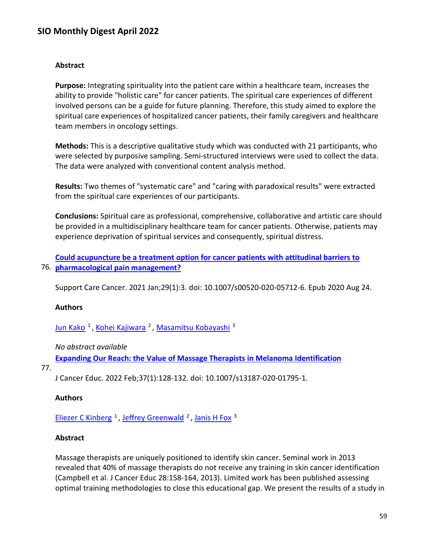### **Abstract**

**Purpose:** Integrating spirituality into the patient care within a healthcare team, increases the ability to provide "holistic care" for cancer patients. The spiritual care experiences of different involved persons can be a guide for future planning. Therefore, this study aimed to explore the spiritual care experiences of hospitalized cancer patients, their family caregivers and healthcare team members in oncology settings.

**Methods:** This is a descriptive qualitative study which was conducted with 21 participants, who were selected by purposive sampling. Semi-structured interviews were used to collect the data. The data were analyzed with conventional content analysis method.

**Results:** Two themes of "systematic care" and "caring with paradoxical results" were extracted from the spiritual care experiences of our participants.

**Conclusions:** Spiritual care as professional, comprehensive, collaborative and artistic care should be provided in a multidisciplinary healthcare team for cancer patients. Otherwise, patients may experience deprivation of spiritual services and consequently, spiritual distress.

76. **[pharmacological pain management?](https://nam11.safelinks.protection.outlook.com/?url=https%3A%2F%2Fpubmed.ncbi.nlm.nih.gov%2F32833095%2F&data=04%7C01%7Calmira.catic%40emory.edu%7C478ade74754b4c15a64f08da13eab169%7Ce004fb9cb0a4424fbcd0322606d5df38%7C0%7C0%7C637844196313021776%7CUnknown%7CTWFpbGZsb3d8eyJWIjoiMC4wLjAwMDAiLCJQIjoiV2luMzIiLCJBTiI6Ik1haWwiLCJXVCI6Mn0%3D%7C3000&sdata=g2zqyTT4vG2coYTM19psEB8Vx0DMfHmhmt3ctqqiing%3D&reserved=0)  [Could acupuncture be a treatment option for cancer patients with attitudinal barriers to](https://nam11.safelinks.protection.outlook.com/?url=https%3A%2F%2Fpubmed.ncbi.nlm.nih.gov%2F32833095%2F&data=04%7C01%7Calmira.catic%40emory.edu%7C478ade74754b4c15a64f08da13eab169%7Ce004fb9cb0a4424fbcd0322606d5df38%7C0%7C0%7C637844196313021776%7CUnknown%7CTWFpbGZsb3d8eyJWIjoiMC4wLjAwMDAiLCJQIjoiV2luMzIiLCJBTiI6Ik1haWwiLCJXVCI6Mn0%3D%7C3000&sdata=g2zqyTT4vG2coYTM19psEB8Vx0DMfHmhmt3ctqqiing%3D&reserved=0)** 

Support Care Cancer. 2021 Jan;29(1):3. doi: 10.1007/s00520-020-05712-6. Epub 2020 Aug 24.

## **Authors**

Jun Kako<sup>1</sup>, Kohei Kajiwara<sup>2</sup>, Masamitsu Kobayashi<sup>3</sup>

### *No abstract available*

**[Expanding Our Reach: the Value of Massage Therapists in Melanoma Identification](https://nam11.safelinks.protection.outlook.com/?url=https%3A%2F%2Fpubmed.ncbi.nlm.nih.gov%2F32562200%2F&data=04%7C01%7Calmira.catic%40emory.edu%7C478ade74754b4c15a64f08da13eab169%7Ce004fb9cb0a4424fbcd0322606d5df38%7C0%7C0%7C637844196313021776%7CUnknown%7CTWFpbGZsb3d8eyJWIjoiMC4wLjAwMDAiLCJQIjoiV2luMzIiLCJBTiI6Ik1haWwiLCJXVCI6Mn0%3D%7C3000&sdata=FH8cfK1QQkbIqZNSeQ4JXMyYcpYEYGJIuomVLP2mIqk%3D&reserved=0)** 

77.

J Cancer Educ. 2022 Feb;37(1):128-132. doi: 10.1007/s13187-020-01795-1.

### **Authors**

Eliezer C Kinberg<sup>1</sup>, Jeffrey Greenwald<sup>2</sup>, Janis H Fox<sup>3</sup>

### **Abstract**

Massage therapists are uniquely positioned to identify skin cancer. Seminal work in 2013 revealed that 40% of massage therapists do not receive any training in skin cancer identification (Campbell et al. J Cancer Educ 28:158-164, 2013). Limited work has been published assessing optimal training methodologies to close this educational gap. We present the results of a study in